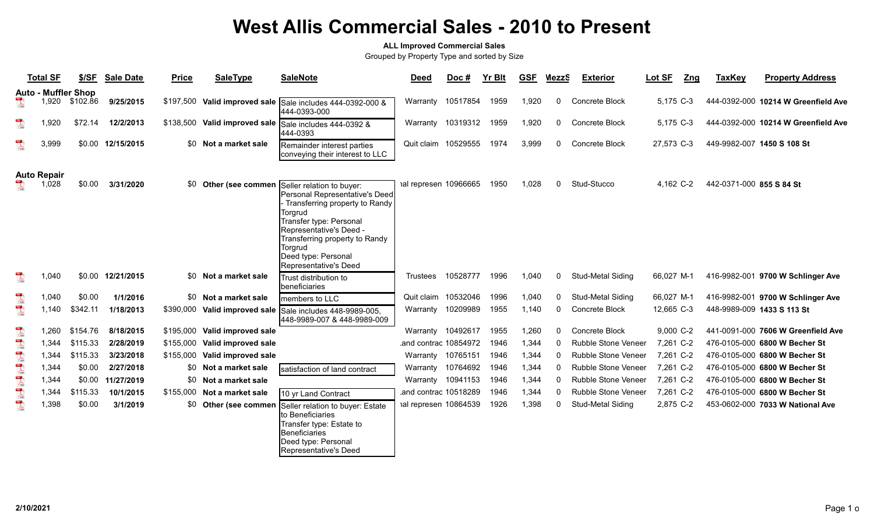#### **ALL Improved Commercial Sales**

|                                                                                                                                                                                                                                                                                                                                                                                                                             | <b>Total SF</b>    | \$/SF                      | <b>Sale Date</b>  | <b>Price</b> | <b>SaleType</b>               | <b>SaleNote</b>                                                                                                                                                                                                                                               | <b>Deed</b>           | Doc#     | <b>Yr Blt</b> | <b>GSF</b> | MezzS    | <b>Exterior</b>            | Lot SF<br>Zng | <b>TaxKey</b>              | <b>Property Address</b>             |
|-----------------------------------------------------------------------------------------------------------------------------------------------------------------------------------------------------------------------------------------------------------------------------------------------------------------------------------------------------------------------------------------------------------------------------|--------------------|----------------------------|-------------------|--------------|-------------------------------|---------------------------------------------------------------------------------------------------------------------------------------------------------------------------------------------------------------------------------------------------------------|-----------------------|----------|---------------|------------|----------|----------------------------|---------------|----------------------------|-------------------------------------|
|                                                                                                                                                                                                                                                                                                                                                                                                                             |                    | <b>Auto - Muffler Shop</b> |                   |              |                               |                                                                                                                                                                                                                                                               |                       |          |               |            |          |                            |               |                            |                                     |
|                                                                                                                                                                                                                                                                                                                                                                                                                             | .920               | \$102.86                   | 9/25/2015         |              |                               | \$197,500 Valid improved sale Sale includes 444-0392-000 &<br>444-0393-000                                                                                                                                                                                    | Warranty              | 10517854 | 1959          | 1,920      | 0        | Concrete Block             | 5.175 C-3     |                            | 444-0392-000 10214 W Greenfield Ave |
| $\lambda$                                                                                                                                                                                                                                                                                                                                                                                                                   | .920               | \$72.14                    | 12/2/2013         |              |                               | \$138,500 Valid improved sale Sale includes 444-0392 &<br>444-0393                                                                                                                                                                                            | Warranty              | 10319312 | 1959          | 1,920      | 0        | Concrete Block             | 5,175 C-3     |                            | 444-0392-000 10214 W Greenfield Ave |
| $\frac{1}{\sqrt{2}}$                                                                                                                                                                                                                                                                                                                                                                                                        | 3,999              |                            | \$0.00 12/15/2015 |              | \$0 Not a market sale         | Remainder interest parties<br>conveying their interest to LLC                                                                                                                                                                                                 | Quit claim            | 10529555 | 1974          | 3,999      | 0        | Concrete Block             | 27,573 C-3    | 449-9982-007 1450 S 108 St |                                     |
|                                                                                                                                                                                                                                                                                                                                                                                                                             | <b>Auto Repair</b> |                            |                   |              |                               |                                                                                                                                                                                                                                                               |                       |          |               |            |          |                            |               |                            |                                     |
|                                                                                                                                                                                                                                                                                                                                                                                                                             | 1,028              | \$0.00                     | 3/31/2020         | <b>SO</b>    | Other (see commen             | Seller relation to buyer:<br>Personal Representative's Deed<br>- Transferring property to Randy<br>Torgrud<br>Transfer type: Personal<br>Representative's Deed -<br>Transferring property to Randy<br>Torgrud<br>Deed type: Personal<br>Representative's Deed | ial represen 10966665 |          | 1950          | 1,028      | 0        | Stud-Stucco                | 4,162 C-2     | 442-0371-000 855 S 84 St   |                                     |
| $\mathbb{Z}$                                                                                                                                                                                                                                                                                                                                                                                                                | 1,040              |                            | \$0.00 12/21/2015 |              | \$0 Not a market sale         | Trust distribution to<br>beneficiaries                                                                                                                                                                                                                        | Trustees              | 10528777 | 1996          | 1,040      | 0        | <b>Stud-Metal Siding</b>   | 66,027 M-1    |                            | 416-9982-001 9700 W Schlinger Ave   |
| $\sum_{k=1}^{100}$                                                                                                                                                                                                                                                                                                                                                                                                          | 1,040              | \$0.00                     | 1/1/2016          |              | \$0 Not a market sale         | members to LLC                                                                                                                                                                                                                                                | Quit claim            | 10532046 | 1996          | 1,040      | 0        | <b>Stud-Metal Siding</b>   | 66,027 M-1    |                            | 416-9982-001 9700 W Schlinger Ave   |
| $\begin{array}{c} \mathbf{1} \mathbf{1} \mathbf{1} \mathbf{1} \mathbf{1} \mathbf{1} \mathbf{1} \mathbf{1} \mathbf{1} \mathbf{1} \mathbf{1} \mathbf{1} \mathbf{1} \mathbf{1} \mathbf{1} \mathbf{1} \mathbf{1} \mathbf{1} \mathbf{1} \mathbf{1} \mathbf{1} \mathbf{1} \mathbf{1} \mathbf{1} \mathbf{1} \mathbf{1} \mathbf{1} \mathbf{1} \mathbf{1} \mathbf{1} \mathbf{1} \mathbf{1} \mathbf{1} \mathbf{1} \mathbf{1} \mathbf$ | 1.140              | \$342.11                   | 1/18/2013         |              | \$390,000 Valid improved sale | Sale includes 448-9989-005.<br>448-9989-007 & 448-9989-009                                                                                                                                                                                                    | Warranty              | 10209989 | 1955          | 1,140      | $\Omega$ | Concrete Block             | 12,665 C-3    | 448-9989-009 1433 S 113 St |                                     |
| $\overline{\mathcal{A}}$                                                                                                                                                                                                                                                                                                                                                                                                    | 1,260              | \$154.76                   | 8/18/2015         | \$195,000    | Valid improved sale           |                                                                                                                                                                                                                                                               | Warranty              | 10492617 | 1955          | 1,260      | $\Omega$ | Concrete Block             | 9,000 C-2     |                            | 441-0091-000 7606 W Greenfield Ave  |
| $\overline{\mathbf{r}}$                                                                                                                                                                                                                                                                                                                                                                                                     | 1.344              | \$115.33                   | 2/28/2019         | \$155,000    | Valid improved sale           |                                                                                                                                                                                                                                                               | and contrac 10854972  |          | 1946          | 1,344      | $\Omega$ | <b>Rubble Stone Veneer</b> | 7,261 C-2     |                            | 476-0105-000 6800 W Becher St       |
| $\begin{array}{c}\n\hline\n\end{array}$                                                                                                                                                                                                                                                                                                                                                                                     | 1,344              | \$115.33                   | 3/23/2018         | \$155,000    | Valid improved sale           |                                                                                                                                                                                                                                                               | Warranty              | 10765151 | 1946          | 1,344      | $\Omega$ | <b>Rubble Stone Veneer</b> | 7,261 C-2     |                            | 476-0105-000 6800 W Becher St       |
|                                                                                                                                                                                                                                                                                                                                                                                                                             | 1.344              | \$0.00                     | 2/27/2018         |              | \$0 Not a market sale         | satisfaction of land contract                                                                                                                                                                                                                                 | Warrantv              | 10764692 | 1946          | 1,344      | $\Omega$ | Rubble Stone Veneer        | 7.261 C-2     |                            | 476-0105-000 6800 W Becher St       |
| 人                                                                                                                                                                                                                                                                                                                                                                                                                           | 1,344              | \$0.00                     | 11/27/2019        |              | \$0 Not a market sale         |                                                                                                                                                                                                                                                               | Warranty              | 10941153 | 1946          | 1,344      | $\Omega$ | <b>Rubble Stone Veneer</b> | 7,261 C-2     |                            | 476-0105-000 6800 W Becher St       |
| $\overline{\mathcal{A}}$                                                                                                                                                                                                                                                                                                                                                                                                    | 1,344              | \$115.33                   | 10/1/2015         |              | \$155,000 Not a market sale   | 10 yr Land Contract                                                                                                                                                                                                                                           | and contrac 10518289  |          | 1946          | 1,344      | $\Omega$ | <b>Rubble Stone Veneer</b> | 7,261 C-2     |                            | 476-0105-000 6800 W Becher St       |
| $\sum_{k=0}^{100}$                                                                                                                                                                                                                                                                                                                                                                                                          | 1,398              | \$0.00                     | 3/1/2019          |              | \$0 Other (see commen         | Seller relation to buyer: Estate<br>to Beneficiaries<br>Transfer type: Estate to<br><b>Beneficiaries</b><br>Deed type: Personal<br>Representative's Deed                                                                                                      | ial represen 10864539 |          | 1926          | 1,398      | $\Omega$ | <b>Stud-Metal Siding</b>   | 2,875 C-2     |                            | 453-0602-000 7033 W National Ave    |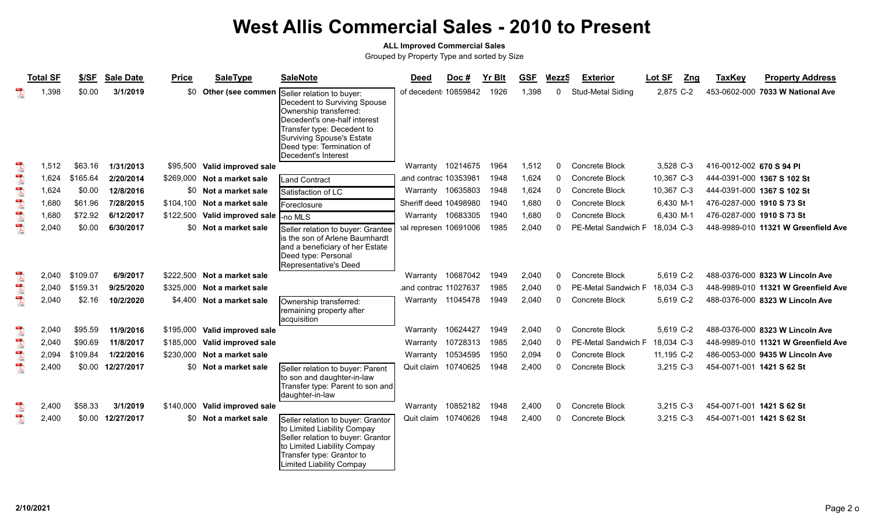### **ALL Improved Commercial Sales**

|                      | <b>Total SF</b> | \$/SF    | <b>Sale Date</b>  | <b>Price</b> | <b>SaleType</b>             | <b>SaleNote</b>                                                                                                                                                                                                                    | <b>Deed</b>           | Doc#              | <b>Yr Blt</b> | <b>GSF</b> | MezzS    | <b>Exterior</b>            | Lot SF<br><b>Zng</b> | <b>TaxKey</b>             | <b>Property Address</b>             |
|----------------------|-----------------|----------|-------------------|--------------|-----------------------------|------------------------------------------------------------------------------------------------------------------------------------------------------------------------------------------------------------------------------------|-----------------------|-------------------|---------------|------------|----------|----------------------------|----------------------|---------------------------|-------------------------------------|
|                      | 1,398           | \$0.00   | 3/1/2019          | \$0          | Other (see commen           | Seller relation to buyer:<br>Decedent to Surviving Spouse<br>Ownership transferred:<br>Decedent's one-half interest<br>Transfer type: Decedent to<br>Surviving Spouse's Estate<br>Deed type: Termination of<br>Decedent's Interest | of decedent: 10859842 |                   | 1926          | 1,398      | 0        | Stud-Metal Siding          | 2,875 C-2            |                           | 453-0602-000 7033 W National Ave    |
| $\frac{1}{\sqrt{2}}$ | 1,512           | \$63.16  | 1/31/2013         | \$95,500     | Valid improved sale         |                                                                                                                                                                                                                                    | Warranty              | 10214675          | 1964          | 1,512      | 0        | Concrete Block             | 3,528 C-3            | 416-0012-002 670 S 94 PI  |                                     |
|                      | 1,624           | \$165.64 | 2/20/2014         | \$269,000    | Not a market sale           | Land Contract                                                                                                                                                                                                                      | and contrac 10353981  |                   | 1948          | 1,624      | $\Omega$ | Concrete Block             | 10,367 C-3           |                           | 444-0391-000 1367 S 102 St          |
| 人名英麦克                | 1,624           | \$0.00   | 12/8/2016         |              | \$0 Not a market sale       | Satisfaction of LC                                                                                                                                                                                                                 |                       | Warranty 10635803 | 1948          | 1,624      | $\Omega$ | Concrete Block             | 10,367 C-3           |                           | 444-0391-000 1367 S 102 St          |
|                      | 1,680           | \$61.96  | 7/28/2015         |              | \$104,100 Not a market sale | <b>IForeclosure</b>                                                                                                                                                                                                                | Sheriff deed 10498980 |                   | 1940          | 1,680      | $\Omega$ | Concrete Block             | 6,430 M-1            | 476-0287-000 1910 S 73 St |                                     |
|                      | 1,680           | \$72.92  | 6/12/2017         | \$122,500    | Valid improved sale         | I-no MLS                                                                                                                                                                                                                           |                       | Warranty 10683305 | 1940          | 1,680      | $\Omega$ | Concrete Block             | 6,430 M-1            | 476-0287-000 1910 S 73 St |                                     |
|                      | 2,040           | \$0.00   | 6/30/2017         | \$0          | Not a market sale           | Seller relation to buyer: Grantee<br>Is the son of Arlene Baumhardt<br>and a beneficiary of her Estate<br>Deed type: Personal<br>Representative's Deed                                                                             | ial represen 10691006 |                   | 1985          | 2,040      | O        | <b>PE-Metal Sandwich F</b> | 18,034 C-3           |                           | 448-9989-010 11321 W Greenfield Ave |
| $\lambda$            | 2,040           | \$109.07 | 6/9/2017          | \$222,500    | Not a market sale           |                                                                                                                                                                                                                                    | Warranty              | 10687042          | 1949          | 2,040      | 0        | Concrete Block             | 5,619 C-2            |                           | 488-0376-000 8323 W Lincoln Ave     |
|                      | 2,040           | \$159.31 | 9/25/2020         | \$325,000    | Not a market sale           |                                                                                                                                                                                                                                    | .and contrac 11027637 |                   | 1985          | 2,040      | $\Omega$ | <b>PE-Metal Sandwich F</b> | 18,034 C-3           |                           | 448-9989-010 11321 W Greenfield Ave |
|                      | 2,040           | \$2.16   | 10/2/2020         |              | \$4,400 Not a market sale   | Ownership transferred:<br>remaining property after<br>acquisition                                                                                                                                                                  |                       | Warranty 11045478 | 1949          | 2,040      | $\Omega$ | Concrete Block             | 5,619 C-2            |                           | 488-0376-000 8323 W Lincoln Ave     |
|                      | 2,040           | \$95.59  | 11/9/2016         | \$195,000    | Valid improved sale         |                                                                                                                                                                                                                                    | Warranty              | 10624427          | 1949          | 2,040      | 0        | Concrete Block             | 5,619 C-2            |                           | 488-0376-000 8323 W Lincoln Ave     |
| 人工人工人                | 2,040           | \$90.69  | 11/8/2017         | \$185,000    | Valid improved sale         |                                                                                                                                                                                                                                    | Warranty              | 10728313          | 1985          | 2,040      | $\Omega$ | PE-Metal Sandwich F        | 18,034 C-3           |                           | 448-9989-010 11321 W Greenfield Ave |
|                      | 2,094           | \$109.84 | 1/22/2016         | \$230,000    | Not a market sale           |                                                                                                                                                                                                                                    | Warranty              | 10534595          | 1950          | 2,094      | 0        | Concrete Block             | 11,195 C-2           |                           | 486-0053-000 9435 W Lincoln Ave     |
|                      | 2,400           | \$0.00   | 12/27/2017        |              | \$0 Not a market sale       | Seller relation to buyer: Parent<br>to son and daughter-in-law<br>Transfer type: Parent to son and<br>daughter-in-law                                                                                                              | Quit claim 10740625   |                   | 1948          | 2,400      | $\Omega$ | Concrete Block             | 3,215 C-3            | 454-0071-001 1421 S 62 St |                                     |
| $\sum_{k=0}^{100}$   | 2,400           | \$58.33  | 3/1/2019          | \$140,000    | Valid improved sale         |                                                                                                                                                                                                                                    | Warranty              | 10852182          | 1948          | 2,400      | $\Omega$ | Concrete Block             | 3,215 C-3            | 454-0071-001 1421 S 62 St |                                     |
| $\frac{1}{\sqrt{2}}$ | 2,400           |          | \$0.00 12/27/2017 | \$0          | Not a market sale           | Seller relation to buyer: Grantor<br>to Limited Liability Compay<br>Seller relation to buyer: Grantor<br>to Limited Liability Compay<br>Transfer type: Grantor to<br>Limited Liability Compay                                      | Quit claim 10740626   |                   | 1948          | 2,400      | $\Omega$ | Concrete Block             | 3,215 C-3            | 454-0071-001 1421 S 62 St |                                     |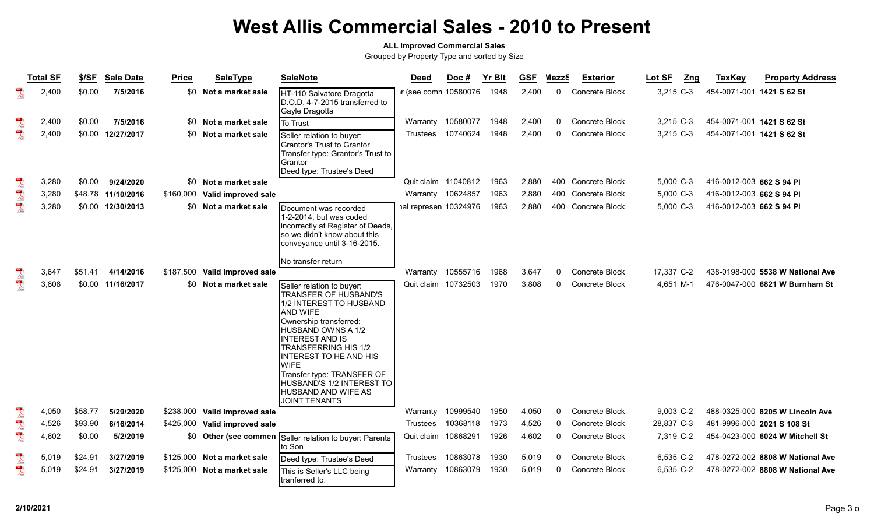#### **ALL Improved Commercial Sales**

|                         | <b>Total SF</b> | \$/SF   | <b>Sale Date</b>   | <b>Price</b> | <b>SaleType</b>               | <b>SaleNote</b>                                                                                                                                                                                                                                                                                                                                       | Deed                  | Doc#     | <b>Yr Blt</b> | <b>GSF</b> | <b>MezzS</b> | <b>Exterior</b>       | Lot SF      | Zng | <b>TaxKey</b>            | <b>Property Address</b>          |
|-------------------------|-----------------|---------|--------------------|--------------|-------------------------------|-------------------------------------------------------------------------------------------------------------------------------------------------------------------------------------------------------------------------------------------------------------------------------------------------------------------------------------------------------|-----------------------|----------|---------------|------------|--------------|-----------------------|-------------|-----|--------------------------|----------------------------------|
| $\mathbb{Z}$            | 2,400           | \$0.00  | 7/5/2016           | \$0          | Not a market sale             | HT-110 Salvatore Dragotta<br>D.O.D. 4-7-2015 transferred to<br>Gayle Dragotta                                                                                                                                                                                                                                                                         | r (see comn 10580076  |          | 1948          | 2,400      | $\mathbf{0}$ | Concrete Block        | 3,215 C-3   |     |                          | 454-0071-001 1421 S 62 St        |
|                         | 2,400           | \$0.00  | 7/5/2016           |              | \$0 Not a market sale         | To Trust                                                                                                                                                                                                                                                                                                                                              | Warrantv              | 10580077 | 1948          | 2,400      | $\Omega$     | <b>Concrete Block</b> | $3.215$ C-3 |     |                          | 454-0071-001 1421 S 62 St        |
| <b>A</b>                | 2,400           |         | \$0.00 12/27/2017  | \$0          | Not a market sale             | Seller relation to buyer:<br><b>Grantor's Trust to Grantor</b><br>Transfer type: Grantor's Trust to<br>Grantor<br>Deed type: Trustee's Deed                                                                                                                                                                                                           | Trustees              | 10740624 | 1948          | 2,400      | $\Omega$     | <b>Concrete Block</b> | 3,215 C-3   |     |                          | 454-0071-001 1421 S 62 St        |
|                         | 3,280           | \$0.00  | 9/24/2020          |              | \$0 Not a market sale         |                                                                                                                                                                                                                                                                                                                                                       | Quit claim 11040812   |          | 1963          | 2,880      | 400          | Concrete Block        | 5,000 C-3   |     | 416-0012-003 662 S 94 PI |                                  |
| <b>A</b>                | 3,280           |         | \$48.78 11/10/2016 |              | \$160,000 Valid improved sale |                                                                                                                                                                                                                                                                                                                                                       | Warranty 10624857     |          | 1963          | 2,880      | 400          | Concrete Block        | 5.000 C-3   |     | 416-0012-003 662 S 94 PI |                                  |
|                         | 3,280           |         | \$0.00 12/30/2013  | \$0          | Not a market sale             | Document was recorded<br>1-2-2014, but was coded<br>incorrectly at Register of Deeds,<br>so we didn't know about this<br>conveyance until 3-16-2015.<br>No transfer return                                                                                                                                                                            | ial represen 10324976 |          | 1963          | 2,880      | 400          | Concrete Block        | 5,000 C-3   |     | 416-0012-003 662 S 94 PI |                                  |
|                         | 3,647           | \$51.41 | 4/14/2016          | \$187,500    | Valid improved sale           |                                                                                                                                                                                                                                                                                                                                                       | Warranty              | 10555716 | 1968          | 3,647      | $\Omega$     | Concrete Block        | 17,337 C-2  |     |                          | 438-0198-000 5538 W National Ave |
| <b>ANDROID</b>          | 3,808           |         | \$0.00 11/16/2017  |              | \$0 Not a market sale         | Seller relation to buyer:<br>TRANSFER OF HUSBAND'S<br>1/2 INTEREST TO HUSBAND<br>AND WIFE<br>Ownership transferred:<br>HUSBAND OWNS A 1/2<br><b>INTEREST AND IS</b><br>TRANSFERRING HIS 1/2<br><b>INTEREST TO HE AND HIS</b><br><b>WIFE</b><br>Transfer type: TRANSFER OF<br>HUSBAND'S 1/2 INTEREST TO<br>HUSBAND AND WIFE AS<br><b>JOINT TENANTS</b> | Quit claim 10732503   |          | 1970          | 3,808      | $\Omega$     | Concrete Block        | 4.651 M-1   |     |                          | 476-0047-000 6821 W Burnham St   |
| 一点。                     | 4,050           | \$58.77 | 5/29/2020          | \$238,000    | Valid improved sale           |                                                                                                                                                                                                                                                                                                                                                       | Warranty              | 10999540 | 1950          | 4,050      | 0            | Concrete Block        | 9,003 C-2   |     |                          | 488-0325-000 8205 W Lincoln Ave  |
|                         | 4,526           | \$93.90 | 6/16/2014          | \$425,000    | Valid improved sale           |                                                                                                                                                                                                                                                                                                                                                       | Trustees              | 10368118 | 1973          | 4,526      | $\Omega$     | <b>Concrete Block</b> | 28,837 C-3  |     |                          | 481-9996-000 2021 S 108 St       |
|                         | 4,602           | \$0.00  | 5/2/2019           |              | \$0 Other (see commen         | Seller relation to buyer: Parents<br>to Son                                                                                                                                                                                                                                                                                                           | Quit claim 10868291   |          | 1926          | 4,602      | $\Omega$     | Concrete Block        | 7,319 C-2   |     |                          | 454-0423-000 6024 W Mitchell St  |
| $\overline{\mathbf{r}}$ | 5,019           | \$24.91 | 3/27/2019          | \$125,000    | Not a market sale             | Deed type: Trustee's Deed                                                                                                                                                                                                                                                                                                                             | Trustees              | 10863078 | 1930          | 5,019      | 0            | Concrete Block        | 6,535 C-2   |     |                          | 478-0272-002 8808 W National Ave |
| $\overline{\mathbf{r}}$ | 5,019           | \$24.91 | 3/27/2019          |              | \$125,000 Not a market sale   | This is Seller's LLC being<br>tranferred to.                                                                                                                                                                                                                                                                                                          | Warranty              | 10863079 | 1930          | 5,019      | $\Omega$     | <b>Concrete Block</b> | 6,535 C-2   |     |                          | 478-0272-002 8808 W National Ave |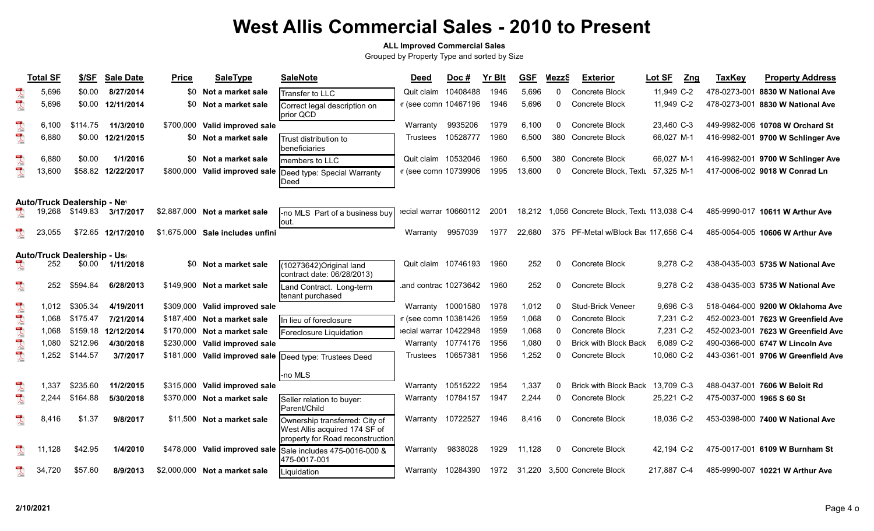#### **ALL Improved Commercial Sales**

|                         | <b>Total SF</b> | \$/SF                       | <b>Sale Date</b>   | <b>Price</b> | <b>SaleType</b>                  | <b>SaleNote</b>                                                                                     | <b>Deed</b>           | Doc#     | <b>Yr Blt</b> | <b>GSF</b> | <b>MezzS</b> | <b>Exterior</b>                                | Lot SF      | Zng | <b>TaxKey</b>             | <b>Property Address</b>            |
|-------------------------|-----------------|-----------------------------|--------------------|--------------|----------------------------------|-----------------------------------------------------------------------------------------------------|-----------------------|----------|---------------|------------|--------------|------------------------------------------------|-------------|-----|---------------------------|------------------------------------|
| $\lambda$               | 5,696           | \$0.00                      | 8/27/2014          | \$0          | Not a market sale                | Transfer to LLC                                                                                     | Quit claim 10408488   |          | 1946          | 5,696      | $\Omega$     | Concrete Block                                 | 11,949 C-2  |     |                           | 478-0273-001 8830 W National Ave   |
| $\sum_{k=0}^{n}$        | 5,696           |                             | \$0.00 12/11/2014  | <b>SO</b>    | Not a market sale                | Correct legal description on<br>prior QCD                                                           | r (see comn 10467196  |          | 1946          | 5,696      | 0            | Concrete Block                                 | 11,949 C-2  |     |                           | 478-0273-001 8830 W National Ave   |
| $\lambda$               | 6,100           | \$114.75                    | 11/3/2010          |              | \$700,000 Valid improved sale    |                                                                                                     | Warranty              | 9935206  | 1979          | 6,100      | $\Omega$     | Concrete Block                                 | 23,460 C-3  |     |                           | 449-9982-006 10708 W Orchard St    |
| $\mathbb{R}$            | 6,880           |                             | \$0.00 12/21/2015  |              | \$0 Not a market sale            | Trust distribution to<br>beneficiaries                                                              | <b>Trustees</b>       | 10528777 | 1960          | 6,500      | 380          | Concrete Block                                 | 66,027 M-1  |     |                           | 416-9982-001 9700 W Schlinger Ave  |
| $\sum_{k\in\mathbb{Z}}$ | 6,880           | \$0.00                      | 1/1/2016           |              | \$0 Not a market sale            | members to LLC                                                                                      | Quit claim 10532046   |          | 1960          | 6,500      | 380          | Concrete Block                                 | 66,027 M-1  |     |                           | 416-9982-001 9700 W Schlinger Ave  |
| $\mathbb{R}$            | 13,600          |                             | \$58.82 12/22/2017 |              |                                  | \$800,000 Valid improved sale  Deed type: Special Warranty<br>IDeed                                 | r (see comn 10739906  |          | 1995          | 13,600     | $\Omega$     | Concrete Block, Textu                          | 57,325 M-1  |     |                           | 417-0006-002 9018 W Conrad Ln      |
|                         |                 | Auto/Truck Dealership - Nev |                    |              |                                  |                                                                                                     |                       |          |               |            |              |                                                |             |     |                           |                                    |
|                         | 19,268          | \$149.83                    | 3/17/2017          |              | \$2.887,000 Not a market sale    | -no MLS Part of a business buy<br>Jout.                                                             | ecial warrar 10660112 |          | 2001          |            |              | 18,212 1,056 Concrete Block, Textu 113,038 C-4 |             |     |                           | 485-9990-017 10611 W Arthur Ave    |
|                         | 23,055          |                             | \$72.65 12/17/2010 |              | \$1,675,000 Sale includes unfini |                                                                                                     | Warranty              | 9957039  | 1977          | 22,680     |              | 375 PF-Metal w/Block Bar 117,656 C-4           |             |     |                           | 485-0054-005 10606 W Arthur Ave    |
|                         |                 | Auto/Truck Dealership - Uso |                    |              |                                  |                                                                                                     |                       |          |               |            |              |                                                |             |     |                           |                                    |
|                         | 252             | \$0.00                      | 1/11/2018          |              | \$0 Not a market sale            | (10273642) Original land<br>contract date: 06/28/2013)                                              | Quit claim 10746193   |          | 1960          | 252        | 0            | Concrete Block                                 | 9.278 C-2   |     |                           | 438-0435-003 5735 W National Ave   |
|                         | 252             | \$594.84                    | 6/28/2013          |              | \$149,900 Not a market sale      | Land Contract. Long-term<br>tenant purchased                                                        | and contrac 10273642. |          | 1960          | 252        | $^{\circ}$   | Concrete Block                                 | 9,278 C-2   |     |                           | 438-0435-003 5735 W National Ave   |
| $\lambda$               | 1,012           | \$305.34                    | 4/19/2011          |              | \$309,000 Valid improved sale    |                                                                                                     | Warranty 10001580     |          | 1978          | 1,012      | $\Omega$     | <b>Stud-Brick Veneer</b>                       | 9,696 C-3   |     |                           | 518-0464-000 9200 W Oklahoma Ave   |
|                         | 1.068           | \$175.47                    | 7/21/2014          |              | \$187,400 Not a market sale      | In lieu of foreclosure                                                                              | r (see comn 10381426  |          | 1959          | 1,068      | $\mathbf{0}$ | Concrete Block                                 | 7,231 C-2   |     |                           | 452-0023-001 7623 W Greenfield Ave |
|                         | 1,068           | \$159.18                    | 12/12/2014         |              | \$170,000 Not a market sale      | Foreclosure Liquidation                                                                             | ecial warrar 10422948 |          | 1959          | 1,068      | 0            | Concrete Block                                 | 7,231 C-2   |     |                           | 452-0023-001 7623 W Greenfield Ave |
|                         | 1,080           | \$212.96                    | 4/30/2018          |              | \$230,000 Valid improved sale    |                                                                                                     | Warranty 10774176     |          | 1956          | 1,080      | 0            | <b>Brick with Block Back</b>                   | 6,089 C-2   |     |                           | 490-0366-000 6747 W Lincoln Ave    |
| $\mathbb{R}$            | 1,252           | \$144.57                    | 3/7/2017           |              |                                  | \$181,000 Valid improved sale Deed type: Trustees Deed                                              | Trustees              | 10657381 | 1956          | 1,252      | 0            | Concrete Block                                 | 10,060 C-2  |     |                           | 443-0361-001 9706 W Greenfield Ave |
|                         |                 |                             |                    |              |                                  | -no MLS                                                                                             |                       |          |               |            |              |                                                |             |     |                           |                                    |
| $\lambda$               | 1,337           | \$235.60                    | 11/2/2015          |              | \$315,000 Valid improved sale    |                                                                                                     | Warranty 10515222     |          | 1954          | 1,337      | 0            | <b>Brick with Block Back</b>                   | 13,709 C-3  |     |                           | 488-0437-001 7606 W Beloit Rd      |
| $\sum_{i=1}^{100}$      | 2,244           | \$164.88                    | 5/30/2018          |              | \$370,000 Not a market sale      | Seller relation to buyer:<br>Parent/Child                                                           | Warranty              | 10784157 | 1947          | 2,244      | 0            | Concrete Block                                 | 25,221 C-2  |     | 475-0037-000 1965 S 60 St |                                    |
|                         | 8,416           | \$1.37                      | 9/8/2017           |              | \$11,500 Not a market sale       | Ownership transferred: City of<br>West Allis acquired 174 SF of<br>property for Road reconstruction | Warranty              | 10722527 | 1946          | 8,416      | $\mathbf{0}$ | Concrete Block                                 | 18,036 C-2  |     |                           | 453-0398-000 7400 W National Ave   |
|                         | 11,128          | \$42.95                     | 1/4/2010           |              |                                  | \$478,000 Valid improved sale Sale includes 475-0016-000 &<br>475-0017-001                          | Warranty              | 9838028  | 1929          | 11,128     | 0            | Concrete Block                                 | 42,194 C-2  |     |                           | 475-0017-001 6109 W Burnham St     |
|                         | 34,720          | \$57.60                     | 8/9/2013           |              | \$2,000,000 Not a market sale    | Liquidation                                                                                         | Warranty 10284390     |          | 1972          |            |              | 31,220 3,500 Concrete Block                    | 217,887 C-4 |     |                           | 485-9990-007 10221 W Arthur Ave    |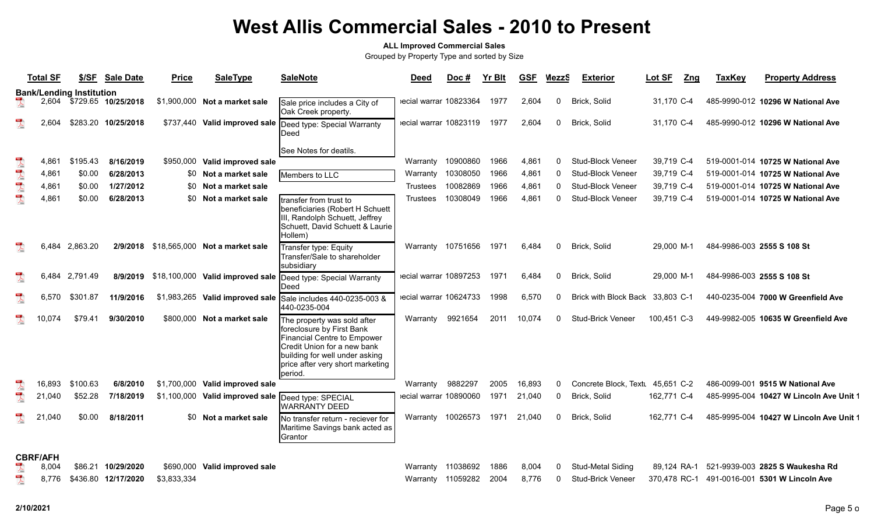#### **ALL Improved Commercial Sales**

|                          | <b>Total SF</b> | \$/SF                           | <b>Sale Date</b>          | <b>Price</b> | <b>SaleType</b>                           | <b>SaleNote</b>                                                                                                                                                                                         | Deed                  | Doc #    | <b>Yr Blt</b> | <b>GSF</b> | <b>MezzS</b> | <b>Exterior</b>              | Lot SF       | Zng | <b>TaxKey</b> | <b>Property Address</b>                 |
|--------------------------|-----------------|---------------------------------|---------------------------|--------------|-------------------------------------------|---------------------------------------------------------------------------------------------------------------------------------------------------------------------------------------------------------|-----------------------|----------|---------------|------------|--------------|------------------------------|--------------|-----|---------------|-----------------------------------------|
|                          |                 | <b>Bank/Lending Institution</b> |                           |              |                                           |                                                                                                                                                                                                         |                       |          |               |            |              |                              |              |     |               |                                         |
|                          |                 |                                 | 2,604 \$729.65 10/25/2018 |              | \$1,900,000 Not a market sale             | Sale price includes a City of<br>Oak Creek property.                                                                                                                                                    | ecial warrar 10823364 |          | 1977          | 2,604      | $\Omega$     | Brick, Solid                 | 31,170 C-4   |     |               | 485-9990-012 10296 W National Ave       |
| $\overline{\mathcal{L}}$ | 2.604           |                                 | \$283.20 10/25/2018       | \$737.440    | Valid improved sale                       | Deed type: Special Warranty<br>Deed                                                                                                                                                                     | ecial warrar 10823119 |          | 1977          | 2,604      | $\Omega$     | Brick, Solid                 | 31,170 C-4   |     |               | 485-9990-012 10296 W National Ave       |
|                          |                 |                                 |                           |              |                                           | See Notes for deatils.                                                                                                                                                                                  |                       |          |               |            |              |                              |              |     |               |                                         |
| $\overline{\mathbf{r}}$  | 4,861           | \$195.43                        | 8/16/2019                 | \$950,000    | Valid improved sale                       |                                                                                                                                                                                                         | Warranty              | 10900860 | 1966          | 4.861      | $\Omega$     | Stud-Block Veneer            | 39,719 C-4   |     |               | 519-0001-014 10725 W National Ave       |
|                          | 4,861           | \$0.00                          | 6/28/2013                 | \$0          | Not a market sale                         | Members to LLC                                                                                                                                                                                          | Warranty              | 10308050 | 1966          | 4,861      | 0            | Stud-Block Veneer            | 39,719 C-4   |     |               | 519-0001-014 10725 W National Ave       |
| 人名                       | 4,861           | \$0.00                          | 1/27/2012                 | \$0          | Not a market sale                         |                                                                                                                                                                                                         | Trustees              | 10082869 | 1966          | 4,861      | $\Omega$     | Stud-Block Veneer            | 39,719 C-4   |     |               | 519-0001-014 10725 W National Ave       |
|                          | 4,861           | \$0.00                          | 6/28/2013                 |              | \$0 Not a market sale                     | transfer from trust to<br>beneficiaries (Robert H Schuett<br>III, Randolph Schuett, Jeffrey<br>Schuett, David Schuett & Laurie<br>Hollem)                                                               | <b>Trustees</b>       | 10308049 | 1966          | 4,861      | $\Omega$     | Stud-Block Veneer            | 39,719 C-4   |     |               | 519-0001-014 10725 W National Ave       |
| $\overline{\mathcal{L}}$ | 6,484           | 2,863.20                        |                           |              | 2/9/2018 \$18,565,000 Not a market sale   | Transfer type: Equity<br>Transfer/Sale to shareholder<br>subsidiary                                                                                                                                     | Warranty 10751656     |          | 1971          | 6,484      | 0            | Brick, Solid                 | 29,000 M-1   |     |               | 484-9986-003 2555 S 108 St              |
| $\frac{100}{\lambda}$    |                 | 6,484 2,791.49                  |                           |              | 8/9/2019 \$18,100,000 Valid improved sale | Deed type: Special Warranty<br>Deed                                                                                                                                                                     | ecial warrar 10897253 |          | 1971          | 6,484      | 0            | Brick, Solid                 | 29,000 M-1   |     |               | 484-9986-003 2555 S 108 St              |
| $\lambda$                | 6.570           | \$301.87                        | 11/9/2016                 |              | \$1,983,265 Valid improved sale           | Sale includes 440-0235-003 &<br>440-0235-004                                                                                                                                                            | ecial warrar 10624733 |          | 1998          | 6,570      | $\Omega$     | <b>Brick with Block Back</b> | 33,803 C-1   |     |               | 440-0235-004 7000 W Greenfield Ave      |
| $\sum_{k=1}^{n}$         | 10.074          | \$79.41                         | 9/30/2010                 | \$800,000    | Not a market sale                         | The property was sold after<br>foreclosure by First Bank<br>Financial Centre to Empower<br>Credit Union for a new bank<br>building for well under asking<br>price after very short marketing<br>period. | Warranty              | 9921654  | 2011          | 10,074     | $\Omega$     | <b>Stud-Brick Veneer</b>     | 100,451 C-3  |     |               | 449-9982-005 10635 W Greenfield Ave     |
| $\sum_{k=1}^{100}$       | 16,893          | \$100.63                        | 6/8/2010                  | \$1.700.000  | Valid improved sale                       |                                                                                                                                                                                                         | Warranty              | 9882297  | 2005          | 16.893     | $\Omega$     | Concrete Block, Textu        | 45,651 C-2   |     |               | 486-0099-001 9515 W National Ave        |
| $\mathbb{R}$             | 21.040          | \$52.28                         | 7/18/2019                 | \$1,100,000  | Valid improved sale Deed type: SPECIAL    | <b>WARRANTY DEED</b>                                                                                                                                                                                    | ecial warrar 10890060 |          | 1971          | 21,040     | $\Omega$     | Brick. Solid                 | 162,771 C-4  |     |               | 485-9995-004 10427 W Lincoln Ave Unit 1 |
|                          | 21,040          | \$0.00                          | 8/18/2011                 |              | \$0 Not a market sale                     | No transfer return - reciever for<br>Maritime Savings bank acted as<br>Grantor                                                                                                                          | Warranty              | 10026573 | 1971          | 21,040     | $\Omega$     | Brick, Solid                 | 162.771 C-4  |     |               | 485-9995-004 10427 W Lincoln Ave Unit 1 |
|                          | <b>CBRF/AFH</b> |                                 |                           |              |                                           |                                                                                                                                                                                                         |                       |          |               |            |              |                              |              |     |               |                                         |
|                          | 8.004           | \$86.21                         | 10/29/2020                | \$690,000    | Valid improved sale                       |                                                                                                                                                                                                         | Warranty              | 11038692 | 1886          | 8.004      | 0            | Stud-Metal Siding            | 89,124 RA-1  |     |               | 521-9939-003 2825 S Waukesha Rd         |
| $10^{\circ}$ ).          | 8,776           |                                 | \$436.80 12/17/2020       | \$3,833,334  |                                           |                                                                                                                                                                                                         | Warrantv              | 11059282 | 2004          | 8,776      | $\Omega$     | Stud-Brick Veneer            | 370,478 RC-1 |     |               | 491-0016-001 5301 W Lincoln Ave         |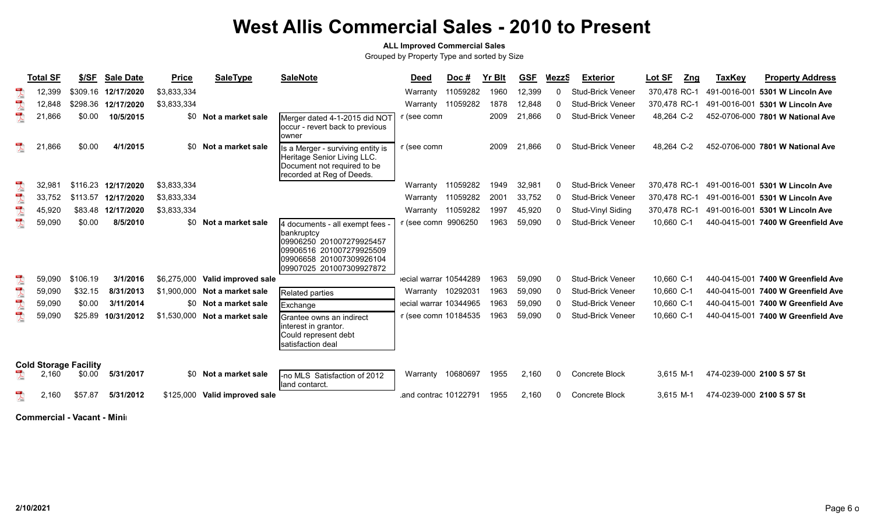#### **ALL Improved Commercial Sales**

|                                                                                                                                                                                                                                                                                                                                                                             | <b>Total SF</b> | \$/SF                             | <b>Sale Date</b>    | <b>Price</b> | <b>SaleType</b>               | <b>SaleNote</b>                                                                                                                                               | <b>Deed</b>           | Doc#     | <b>Yr Blt</b> | <b>GSF</b> | MezzS | <b>Exterior</b>          | Lot SF<br>Zng | <b>TaxKey</b> | <b>Property Address</b>            |
|-----------------------------------------------------------------------------------------------------------------------------------------------------------------------------------------------------------------------------------------------------------------------------------------------------------------------------------------------------------------------------|-----------------|-----------------------------------|---------------------|--------------|-------------------------------|---------------------------------------------------------------------------------------------------------------------------------------------------------------|-----------------------|----------|---------------|------------|-------|--------------------------|---------------|---------------|------------------------------------|
| $\overline{\mathbf{r}}$                                                                                                                                                                                                                                                                                                                                                     | 12,399          | \$309.16                          | 12/17/2020          | \$3,833,334  |                               |                                                                                                                                                               | Warranty              | 11059282 | 1960          | 12,399     |       | <b>Stud-Brick Veneer</b> | 370.478 RC-1  |               | 491-0016-001 5301 W Lincoln Ave    |
| $\overline{\mathbf{r}}$                                                                                                                                                                                                                                                                                                                                                     | 12,848          |                                   | \$298.36 12/17/2020 | \$3,833,334  |                               |                                                                                                                                                               | Warranty              | 11059282 | 1878          | 12,848     | 0     | <b>Stud-Brick Veneer</b> | 370,478 RC-1  |               | 491-0016-001 5301 W Lincoln Ave    |
| $\overline{\mathbf{r}}$                                                                                                                                                                                                                                                                                                                                                     | 21,866          | \$0.00                            | 10/5/2015           | \$0          | Not a market sale             | Merger dated 4-1-2015 did NOT<br>occur - revert back to previous<br>Iowner                                                                                    | r (see comn           |          | 2009          | 21,866     | 0     | Stud-Brick Veneer        | 48,264 C-2    |               | 452-0706-000 7801 W National Ave   |
| $\mathbb{R}$                                                                                                                                                                                                                                                                                                                                                                | ,866            | \$0.00                            | 4/1/2015            | \$0          | Not a market sale             | Is a Merger - surviving entity is<br>Heritage Senior Living LLC.<br>Document not required to be<br>recorded at Reg of Deeds.                                  | r (see comn           |          | 2009          | 21,866     | 0     | <b>Stud-Brick Veneer</b> | 48,264 C-2    |               | 452-0706-000 7801 W National Ave   |
| $\overline{\mathbf{r}}$                                                                                                                                                                                                                                                                                                                                                     | 32.981          | \$116.23                          | 12/17/2020          | \$3,833,334  |                               |                                                                                                                                                               | Warranty              | 11059282 | 1949          | 32,981     | 0     | <b>Stud-Brick Veneer</b> | 370,478 RC-1  |               | 491-0016-001 5301 W Lincoln Ave    |
| $\overline{\mathcal{A}}$                                                                                                                                                                                                                                                                                                                                                    | 33,752          | \$113.57                          | 12/17/2020          | \$3,833,334  |                               |                                                                                                                                                               | Warranty              | 11059282 | 2001          | 33,752     | 0     | <b>Stud-Brick Veneer</b> | 370,478 RC-1  |               | 491-0016-001 5301 W Lincoln Ave    |
| $\overline{\mathcal{A}}$                                                                                                                                                                                                                                                                                                                                                    | 45,920          | \$83.48                           | 12/17/2020          | \$3,833,334  |                               |                                                                                                                                                               | Warranty              | 11059282 | 1997          | 45,920     |       | Stud-Vinyl Siding        | 370,478 RC-1  |               | 491-0016-001 5301 W Lincoln Ave    |
| $\overline{\mathbf{r}}$                                                                                                                                                                                                                                                                                                                                                     | 59,090          | \$0.00                            | 8/5/2010            | \$0          | Not a market sale             | 4 documents - all exempt fees -<br>bankruptcy<br>09906250 201007279925457<br>09906516 201007279925509<br>09906658 201007309926104<br>09907025 201007309927872 | f (see comn 9906250   |          | 1963          | 59,090     | 0     | Stud-Brick Veneer        | 10,660 C-1    |               | 440-0415-001 7400 W Greenfield Ave |
| $\sum_{k \in \mathbb{N}}$                                                                                                                                                                                                                                                                                                                                                   | 59,090          | \$106.19                          | 3/1/2016            | \$6.275.000  | Valid improved sale           |                                                                                                                                                               | ecial warrar 10544289 |          | 1963          | 59,090     | 0     | <b>Stud-Brick Veneer</b> | 10,660 C-1    |               | 440-0415-001 7400 W Greenfield Ave |
| $\begin{picture}(20,20) \put(0,0){\vector(1,0){10}} \put(15,0){\vector(1,0){10}} \put(15,0){\vector(1,0){10}} \put(15,0){\vector(1,0){10}} \put(15,0){\vector(1,0){10}} \put(15,0){\vector(1,0){10}} \put(15,0){\vector(1,0){10}} \put(15,0){\vector(1,0){10}} \put(15,0){\vector(1,0){10}} \put(15,0){\vector(1,0){10}} \put(15,0){\vector(1,0){10}} \put(15,0){\vector(1$ | 59,090          | \$32.15                           | 8/31/2013           |              | \$1,900,000 Not a market sale | Related parties                                                                                                                                               | Warranty 10292031     |          | 1963          | 59,090     |       | <b>Stud-Brick Veneer</b> | 10,660 C-1    |               | 440-0415-001 7400 W Greenfield Ave |
| $\overline{\mathbf{r}}$                                                                                                                                                                                                                                                                                                                                                     | 59,090          | \$0.00                            | 3/11/2014           |              | \$0 Not a market sale         | Exchange                                                                                                                                                      | ecial warrar 10344965 |          | 1963          | 59,090     |       | <b>Stud-Brick Veneer</b> | 10,660 C-1    |               | 440-0415-001 7400 W Greenfield Ave |
| $\overline{\mathcal{L}}$                                                                                                                                                                                                                                                                                                                                                    | 59,090          | \$25.89                           | 10/31/2012          |              | \$1,530,000 Not a market sale | <b>IGrantee owns an indirect</b><br>interest in grantor.<br>Could represent debt<br>satisfaction deal                                                         | r (see comn 10184535  |          | 1963          | 59,090     | n.    | <b>Stud-Brick Veneer</b> | 10,660 C-1    |               | 440-0415-001 7400 W Greenfield Ave |
|                                                                                                                                                                                                                                                                                                                                                                             |                 | <b>Cold Storage Facility</b>      |                     |              |                               |                                                                                                                                                               |                       |          |               |            |       |                          |               |               |                                    |
|                                                                                                                                                                                                                                                                                                                                                                             | 2,160           | \$0.00                            | 5/31/2017           |              | \$0 Not a market sale         | -no MLS Satisfaction of 2012<br>land contarct.                                                                                                                | Warranty              | 10680697 | 1955          | 2,160      | 0     | Concrete Block           | $3.615$ M-1   |               | 474-0239-000 2100 S 57 St          |
| 人                                                                                                                                                                                                                                                                                                                                                                           | 2,160           | \$57.87                           | 5/31/2012           | \$125,000    | Valid improved sale           |                                                                                                                                                               | and contrac 10122791  |          | 1955          | 2,160      | 0     | Concrete Block           | $3.615$ M-1   |               | 474-0239-000 2100 S 57 St          |
|                                                                                                                                                                                                                                                                                                                                                                             |                 | <b>Commercial - Vacant - Mini</b> |                     |              |                               |                                                                                                                                                               |                       |          |               |            |       |                          |               |               |                                    |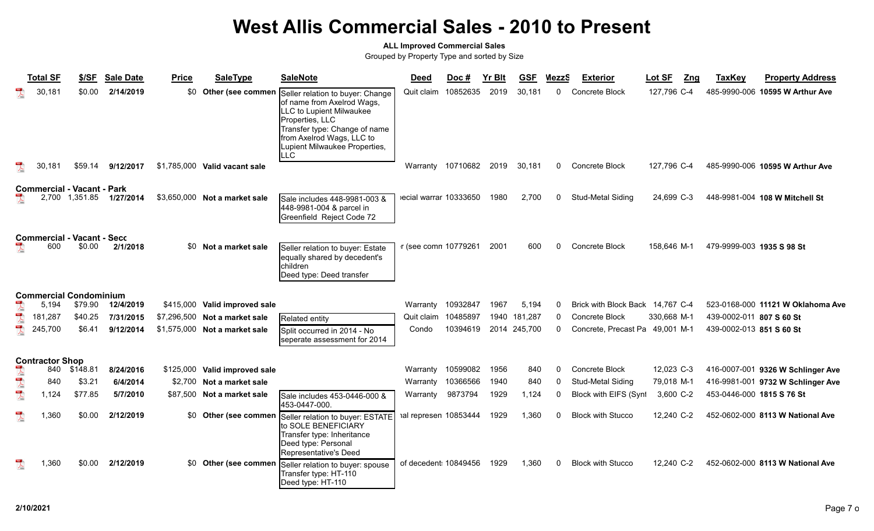### **ALL Improved Commercial Sales**

|                         | <b>Total SF</b>        | \$/SF                                               | <b>Sale Date</b>       | <b>Price</b> | <b>SaleType</b>                        | <b>SaleNote</b>                                                                                                                                                                                                            | Deed                                           | Doc #    | Yr Blt       | <b>GSF</b>     | MezzS        | <b>Exterior</b>                                      | Lot SF<br>Zng            | <b>TaxKey</b>             | <b>Property Address</b>                                              |
|-------------------------|------------------------|-----------------------------------------------------|------------------------|--------------|----------------------------------------|----------------------------------------------------------------------------------------------------------------------------------------------------------------------------------------------------------------------------|------------------------------------------------|----------|--------------|----------------|--------------|------------------------------------------------------|--------------------------|---------------------------|----------------------------------------------------------------------|
|                         | 30,181                 | \$0.00                                              | 2/14/2019              | \$0          | Other (see commen                      | Seller relation to buyer: Change<br>of name from Axelrod Wags,<br><b>LLC to Lupient Milwaukee</b><br>Properties, LLC<br>Transfer type: Change of name<br>from Axelrod Wags, LLC to<br>Lupient Milwaukee Properties,<br>LLC | Quit claim                                     | 10852635 | 2019         | 30.181         | <sup>0</sup> | Concrete Block                                       | 127,796 C-4              |                           | 485-9990-006 10595 W Arthur Ave                                      |
|                         | 30.181                 | \$59.14                                             | 9/12/2017              |              | \$1,785,000 Valid vacant sale          |                                                                                                                                                                                                                            | Warranty                                       | 10710682 | 2019         | 30,181         | 0            | Concrete Block                                       | 127,796 C-4              |                           | 485-9990-006 10595 W Arthur Ave                                      |
|                         |                        | <b>Commercial - Vacant - Park</b><br>2,700 1,351.85 | 1/27/2014              |              | \$3,650,000 Not a market sale          | Sale includes 448-9981-003 &<br>448-9981-004 & parcel in<br>Greenfield Reject Code 72                                                                                                                                      | ecial warrar 10333650                          |          | 1980         | 2,700          | 0            | Stud-Metal Siding                                    | 24,699 C-3               |                           | 448-9981-004 108 W Mitchell St                                       |
|                         | 600                    | <b>Commercial - Vacant - Secc</b><br>\$0.00         | 2/1/2018               |              | \$0 Not a market sale                  | Seller relation to buyer: Estate<br>equally shared by decedent's<br>children<br>Deed type: Deed transfer                                                                                                                   | r (see comn 10779261                           |          | 2001         | 600            | <sup>0</sup> | Concrete Block                                       | 158.646 M-1              | 479-9999-003 1935 S 98 St |                                                                      |
|                         |                        | <b>Commercial Condominium</b>                       |                        |              |                                        |                                                                                                                                                                                                                            |                                                |          |              |                |              |                                                      |                          |                           |                                                                      |
|                         | 5,194                  | \$79.90                                             | 12/4/2019              |              | \$415,000 Valid improved sale          |                                                                                                                                                                                                                            | Warranty                                       | 10932847 | 1967         | 5,194          | O            | Brick with Block Back 14,767 C-4                     |                          |                           | 523-0168-000 11121 W Oklahoma Ave                                    |
|                         | 181,287                | \$40.25                                             | 7/31/2015              | \$7,296,500  | Not a market sale                      | Related entity                                                                                                                                                                                                             | Quit claim                                     | 10485897 | 1940         | 181,287        | $\Omega$     | <b>Concrete Block</b>                                | 330,668 M-1              | 439-0002-011 807 S 60 St  |                                                                      |
| $\mathbb{R}$            | 245,700                | \$6.41                                              | 9/12/2014              |              | \$1,575,000 Not a market sale          | Split occurred in 2014 - No<br>seperate assessment for 2014                                                                                                                                                                | Condo                                          | 10394619 |              | 2014 245,700   | $\Omega$     | Concrete, Precast Pa 49,001 M-1                      |                          | 439-0002-013 851 S 60 St  |                                                                      |
|                         | <b>Contractor Shop</b> |                                                     |                        |              |                                        |                                                                                                                                                                                                                            |                                                |          |              |                |              |                                                      |                          |                           |                                                                      |
|                         | 840                    | \$148.81                                            | 8/24/2016              |              | \$125,000 Valid improved sale          |                                                                                                                                                                                                                            | Warranty                                       | 10599082 | 1956         | 840            |              | Concrete Block                                       | 12,023 C-3               |                           | 416-0007-001 9326 W Schlinger Ave                                    |
| $\frac{1}{\sqrt{2}}$    | 840                    | \$3.21                                              | 6/4/2014               | \$2,700      | Not a market sale                      |                                                                                                                                                                                                                            | Warranty                                       | 10366566 | 1940         | 840            | $\Omega$     | Stud-Metal Siding                                    | 79,018 M-1               |                           | 416-9981-001 9732 W Schlinger Ave                                    |
| $\overline{\mathbf{r}}$ | 1,124                  | \$77.85                                             | 5/7/2010               | \$87.500     | Not a market sale                      | Sale includes 453-0446-000 &<br>453-0447-000.                                                                                                                                                                              | Warranty                                       | 9873794  | 1929         | 1,124          | $\Omega$     | Block with EIFS (Synt                                | 3,600 C-2                | 453-0446-000 1815 S 76 St |                                                                      |
| $\frac{1}{\sqrt{2}}$    | 1,360<br>1,360         | \$0.00<br>\$0.00                                    | 2/12/2019<br>2/12/2019 | \$0<br>\$0   | Other (see commen<br>Other (see commen | Seller relation to buyer: ESTATE<br>to SOLE BENEFICIARY<br>Transfer type: Inheritance<br>Deed type: Personal<br>Representative's Deed                                                                                      | ial represen 10853444<br>of decedent: 10849456 |          | 1929<br>1929 | 1,360<br>1,360 | O            | <b>Block with Stucco</b><br><b>Block with Stucco</b> | 12,240 C-2<br>12,240 C-2 |                           | 452-0602-000 8113 W National Ave<br>452-0602-000 8113 W National Ave |
|                         |                        |                                                     |                        |              |                                        | Seller relation to buyer: spouse<br>Transfer type: HT-110<br>Deed type: HT-110                                                                                                                                             |                                                |          |              |                |              |                                                      |                          |                           |                                                                      |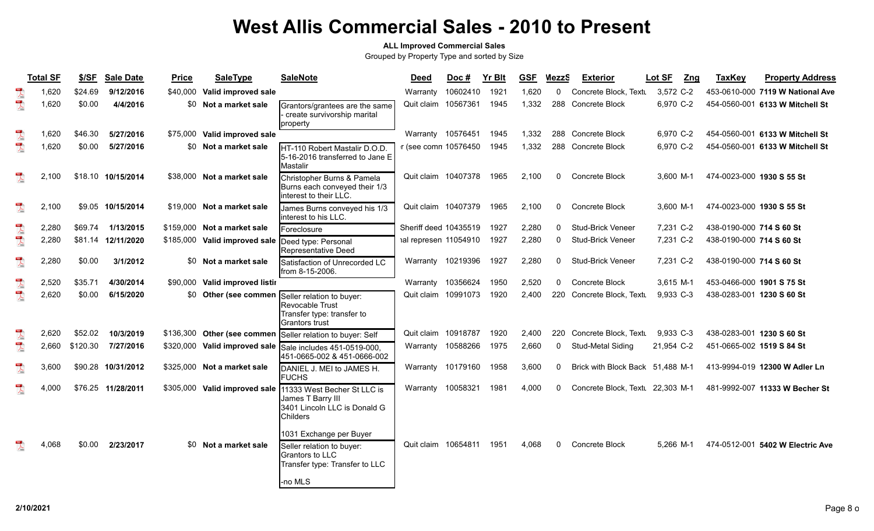#### **ALL Improved Commercial Sales**

|                                                                                                                                                                                                                                                                                                                                                                                                                                                                                                                                                                                                                                                    | <b>Total SF</b> | \$/SF    | <b>Sale Date</b>   | <b>Price</b> | <b>SaleType</b>               | <b>SaleNote</b>                                                                                                      | Deed                  | Doc #    | <b>Yr Blt</b> | <b>GSF</b> | MezzS    | <b>Exterior</b>                  | Lot SF     | Zng | TaxKey                    | <b>Property Address</b>          |
|----------------------------------------------------------------------------------------------------------------------------------------------------------------------------------------------------------------------------------------------------------------------------------------------------------------------------------------------------------------------------------------------------------------------------------------------------------------------------------------------------------------------------------------------------------------------------------------------------------------------------------------------------|-----------------|----------|--------------------|--------------|-------------------------------|----------------------------------------------------------------------------------------------------------------------|-----------------------|----------|---------------|------------|----------|----------------------------------|------------|-----|---------------------------|----------------------------------|
| $\sum_{k=1}^{n}$                                                                                                                                                                                                                                                                                                                                                                                                                                                                                                                                                                                                                                   | 1,620           | \$24.69  | 9/12/2016          | \$40,000     | Valid improved sale           |                                                                                                                      | Warranty              | 10602410 | 1921          | 1.620      | 0        | Concrete Block, Textu            | 3,572 C-2  |     |                           | 453-0610-000 7119 W National Ave |
| $\frac{1}{\sqrt{2}}$                                                                                                                                                                                                                                                                                                                                                                                                                                                                                                                                                                                                                               | 1,620           | \$0.00   | 4/4/2016           | \$0          | Not a market sale             | Grantors/grantees are the same<br>create survivorship marital<br>property                                            | Quit claim 10567361   |          | 1945          | 1,332      | 288      | Concrete Block                   | 6,970 C-2  |     |                           | 454-0560-001 6133 W Mitchell St  |
|                                                                                                                                                                                                                                                                                                                                                                                                                                                                                                                                                                                                                                                    | 1,620           | \$46.30  | 5/27/2016          | \$75,000     | Valid improved sale           |                                                                                                                      | Warranty 10576451     |          | 1945          | 1,332      |          | 288 Concrete Block               | 6.970 C-2  |     |                           | 454-0560-001 6133 W Mitchell St  |
| <b>A</b>                                                                                                                                                                                                                                                                                                                                                                                                                                                                                                                                                                                                                                           | 1,620           | \$0.00   | 5/27/2016          | \$0          | Not a market sale             | HT-110 Robert Mastalir D.O.D.<br>5-16-2016 transferred to Jane E<br>Mastalir                                         | r (see comn 10576450  |          | 1945          | 1,332      |          | 288 Concrete Block               | 6,970 C-2  |     |                           | 454-0560-001 6133 W Mitchell St  |
| $\mathbb{R}$                                                                                                                                                                                                                                                                                                                                                                                                                                                                                                                                                                                                                                       | 2,100           |          | \$18.10 10/15/2014 | \$38,000     | Not a market sale             | Christopher Burns & Pamela<br>Burns each conveyed their 1/3<br>interest to their LLC.                                | Quit claim 10407378   |          | 1965          | 2,100      | 0        | Concrete Block                   | 3,600 M-1  |     | 474-0023-000 1930 S 55 St |                                  |
| $\overline{\mathcal{L}}$                                                                                                                                                                                                                                                                                                                                                                                                                                                                                                                                                                                                                           | 2,100           |          | \$9.05 10/15/2014  | \$19,000     | Not a market sale             | James Burns conveyed his 1/3<br>interest to his LLC.                                                                 | Quit claim 10407379   |          | 1965          | 2,100      | 0        | Concrete Block                   | 3,600 M-1  |     | 474-0023-000 1930 S 55 St |                                  |
|                                                                                                                                                                                                                                                                                                                                                                                                                                                                                                                                                                                                                                                    | 2,280           | \$69.74  | 1/13/2015          |              | \$159,000 Not a market sale   | Foreclosure                                                                                                          | Sheriff deed 10435519 |          | 1927          | 2,280      | 0        | <b>Stud-Brick Veneer</b>         | 7,231 C-2  |     | 438-0190-000 714 S 60 St  |                                  |
|                                                                                                                                                                                                                                                                                                                                                                                                                                                                                                                                                                                                                                                    | 2,280           |          | \$81.14 12/11/2020 |              | \$185,000 Valid improved sale | Deed type: Personal<br>Representative Deed                                                                           | ial represen 11054910 |          | 1927          | 2,280      | 0        | <b>Stud-Brick Veneer</b>         | 7,231 C-2  |     | 438-0190-000 714 S 60 St  |                                  |
| $\overline{\mathbf{r}}$                                                                                                                                                                                                                                                                                                                                                                                                                                                                                                                                                                                                                            | 2,280           | \$0.00   | 3/1/2012           | \$0          | Not a market sale             | Satisfaction of Unrecorded LC<br>from 8-15-2006.                                                                     | Warranty              | 10219396 | 1927          | 2,280      | 0        | <b>Stud-Brick Veneer</b>         | 7.231 C-2  |     | 438-0190-000 714 S 60 St  |                                  |
| 大气                                                                                                                                                                                                                                                                                                                                                                                                                                                                                                                                                                                                                                                 | 2,520           | \$35.71  | 4/30/2014          | \$90,000     | Valid improved listin         |                                                                                                                      | Warranty              | 10356624 | 1950          | 2,520      | 0        | Concrete Block                   | 3,615 M-1  |     | 453-0466-000 1901 S 75 St |                                  |
|                                                                                                                                                                                                                                                                                                                                                                                                                                                                                                                                                                                                                                                    | 2,620           | \$0.00   | 6/15/2020          | \$0          | Other (see commen             | Seller relation to buyer:<br>Revocable Trust<br>Transfer type: transfer to<br>Grantors trust                         | Quit claim            | 10991073 | 1920          | 2,400      | 220      | Concrete Block, Textu            | 9,933 C-3  |     | 438-0283-001 1230 S 60 St |                                  |
| $\sum_{k \geq 0}$                                                                                                                                                                                                                                                                                                                                                                                                                                                                                                                                                                                                                                  | 2,620           | \$52.02  | 10/3/2019          | \$136,300    | Other (see commen             | Seller relation to buyer: Self                                                                                       | Quit claim            | 10918787 | 1920          | 2,400      | 220      | Concrete Block, Textu            | 9,933 C-3  |     | 438-0283-001 1230 S 60 St |                                  |
| $\begin{array}{c} \mathbf{1} \rightarrow \mathbf{1} \rightarrow \mathbf{1} \rightarrow \mathbf{1} \rightarrow \mathbf{1} \rightarrow \mathbf{1} \rightarrow \mathbf{1} \rightarrow \mathbf{1} \rightarrow \mathbf{1} \rightarrow \mathbf{1} \rightarrow \mathbf{1} \rightarrow \mathbf{1} \rightarrow \mathbf{1} \rightarrow \mathbf{1} \rightarrow \mathbf{1} \rightarrow \mathbf{1} \rightarrow \mathbf{1} \rightarrow \mathbf{1} \rightarrow \mathbf{1} \rightarrow \mathbf{1} \rightarrow \mathbf{1} \rightarrow \mathbf{1} \rightarrow \mathbf{1} \rightarrow \mathbf{1} \rightarrow \mathbf{1} \rightarrow \mathbf{1} \rightarrow \mathbf{1$ | 2,660           | \$120.30 | 7/27/2016          | \$320,000    | Valid improved sale           | Sale includes 451-0519-000,<br>451-0665-002 & 451-0666-002                                                           | Warranty              | 10588266 | 1975          | 2,660      | 0        | <b>Stud-Metal Siding</b>         | 21,954 C-2 |     | 451-0665-002 1519 S 84 St |                                  |
| $\overline{\mathbf{r}}$                                                                                                                                                                                                                                                                                                                                                                                                                                                                                                                                                                                                                            | 3,600           |          | \$90.28 10/31/2012 |              | \$325,000 Not a market sale   | DANIEL J. MEI to JAMES H.<br><b>FUCHS</b>                                                                            | Warranty              | 10179160 | 1958          | 3,600      | $\Omega$ | Brick with Block Back 51,488 M-1 |            |     |                           | 413-9994-019 12300 W Adler Ln    |
| $\overline{\mathbf{A}}$                                                                                                                                                                                                                                                                                                                                                                                                                                                                                                                                                                                                                            | 4,000           |          | \$76.25 11/28/2011 | \$305,000    | Valid improved sale           | 11333 West Becher St LLC is<br>James T Barry III<br>3401 Lincoln LLC is Donald G<br>Childers                         | Warranty 10058321     |          | 1981          | 4,000      | 0        | Concrete Block, Textu 22,303 M-1 |            |     |                           | 481-9992-007 11333 W Becher St   |
|                                                                                                                                                                                                                                                                                                                                                                                                                                                                                                                                                                                                                                                    | 4,068           | \$0.00   | 2/23/2017          | <b>SO</b>    | Not a market sale             | 1031 Exchange per Buyer<br>Seller relation to buyer:<br>Grantors to LLC<br>Transfer type: Transfer to LLC<br>-no MLS | Quit claim 10654811   |          | 1951          | 4,068      | 0        | Concrete Block                   | 5.266 M-1  |     |                           | 474-0512-001 5402 W Electric Ave |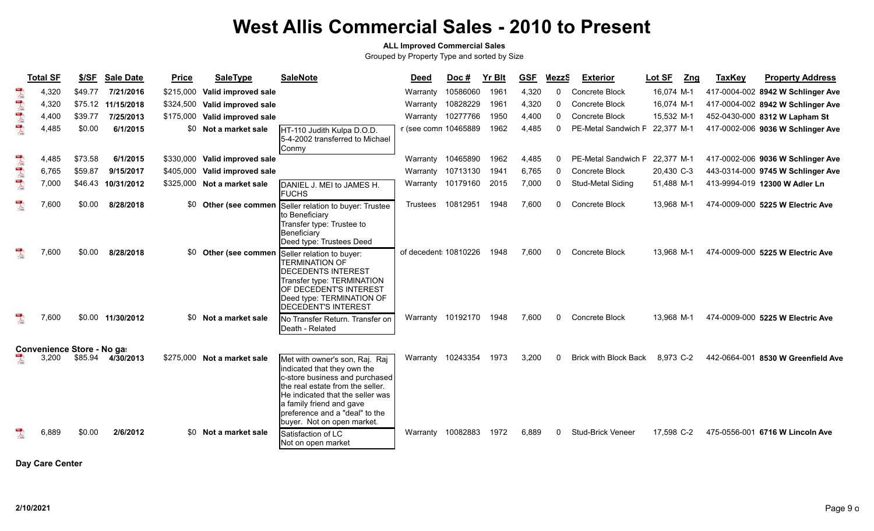#### **ALL Improved Commercial Sales**

Grouped by Property Type and sorted by Size

|                                                                                                                                                                                                                                                                                                                                                                             | <b>Total SF</b>            | \$/SF   | <b>Sale Date</b>  | <b>Price</b> | <b>SaleType</b>               | <b>SaleNote</b>                                                                                                                                                                                                                                                     | <b>Deed</b>           | Doc#     | <b>Yr Blt</b> | <b>GSF</b> | MezzS        | <b>Exterior</b>                | Lot SF<br>Zng | <b>TaxKey</b> | <b>Property Address</b>            |
|-----------------------------------------------------------------------------------------------------------------------------------------------------------------------------------------------------------------------------------------------------------------------------------------------------------------------------------------------------------------------------|----------------------------|---------|-------------------|--------------|-------------------------------|---------------------------------------------------------------------------------------------------------------------------------------------------------------------------------------------------------------------------------------------------------------------|-----------------------|----------|---------------|------------|--------------|--------------------------------|---------------|---------------|------------------------------------|
| $\begin{array}{c}\n\hline\n\end{array}$                                                                                                                                                                                                                                                                                                                                     | 4,320                      | \$49.77 | 7/21/2016         | \$215,000    | Valid improved sale           |                                                                                                                                                                                                                                                                     | Warranty              | 10586060 | 1961          | 4,320      | $\Omega$     | <b>Concrete Block</b>          | 16,074 M-1    |               | 417-0004-002 8942 W Schlinger Ave  |
| $\frac{1}{\sqrt{2}}$                                                                                                                                                                                                                                                                                                                                                        | 4,320                      | \$75.12 | 11/15/2018        | \$324,500    | Valid improved sale           |                                                                                                                                                                                                                                                                     | Warranty              | 10828229 | 1961          | 4,320      | $\Omega$     | Concrete Block                 | 16,074 M-1    |               | 417-0004-002 8942 W Schlinger Ave  |
| $\sum_{k=0}^{100}$                                                                                                                                                                                                                                                                                                                                                          | 4,400                      | \$39.77 | 7/25/2013         | \$175,000    | Valid improved sale           |                                                                                                                                                                                                                                                                     | Warranty              | 10277766 | 1950          | 4,400      | $\Omega$     | Concrete Block                 | 15,532 M-1    |               | 452-0430-000 8312 W Lapham St      |
| $\overline{\mathbf{r}}$                                                                                                                                                                                                                                                                                                                                                     | 4,485                      | \$0.00  | 6/1/2015          |              | \$0 Not a market sale         | HT-110 Judith Kulpa D.O.D.<br>15-4-2002 transferred to Michael<br><b>Conmy</b>                                                                                                                                                                                      | r (see comn 10465889  |          | 1962          | 4,485      |              | PE-Metal Sandwich F 22,377 M-1 |               |               | 417-0002-006 9036 W Schlinger Ave  |
| $\sum_{k=1}^{n}$                                                                                                                                                                                                                                                                                                                                                            | 4,485                      | \$73.58 | 6/1/2015          |              | \$330,000 Valid improved sale |                                                                                                                                                                                                                                                                     | Warranty              | 10465890 | 1962          | 4,485      |              | PE-Metal Sandwich F 22,377 M-1 |               |               | 417-0002-006 9036 W Schlinger Ave  |
| $\begin{picture}(20,20) \put(0,0){\vector(0,1){10}} \put(15,0){\vector(0,1){10}} \put(15,0){\vector(0,1){10}} \put(15,0){\vector(0,1){10}} \put(15,0){\vector(0,1){10}} \put(15,0){\vector(0,1){10}} \put(15,0){\vector(0,1){10}} \put(15,0){\vector(0,1){10}} \put(15,0){\vector(0,1){10}} \put(15,0){\vector(0,1){10}} \put(15,0){\vector(0,1){10}} \put(15,0){\vector(0$ | 6,765                      | \$59.87 | 9/15/2017         | \$405,000    | Valid improved sale           |                                                                                                                                                                                                                                                                     | Warranty              | 10713130 | 1941          | 6,765      | $\Omega$     | Concrete Block                 | 20,430 C-3    |               | 443-0314-000 9745 W Schlinger Ave  |
| $\mathbb{R}$                                                                                                                                                                                                                                                                                                                                                                | 7,000                      | \$46.43 | 10/31/2012        | \$325,000    | Not a market sale             | DANIEL J. MEI to JAMES H.<br><b>FUCHS</b>                                                                                                                                                                                                                           | Warranty              | 10179160 | 2015          | 7,000      | $\mathbf{0}$ | <b>Stud-Metal Siding</b>       | 51,488 M-1    |               | 413-9994-019 12300 W Adler Ln      |
| $\overline{\lambda}$                                                                                                                                                                                                                                                                                                                                                        | 7,600                      | \$0.00  | 8/28/2018         |              | \$0 Other (see commen         | Seller relation to buyer: Trustee<br>to Beneficiary<br>Transfer type: Trustee to<br>Beneficiary<br>Deed type: Trustees Deed                                                                                                                                         | Trustees              | 10812951 | 1948          | 7,600      | $\Omega$     | <b>Concrete Block</b>          | 13,968 M-1    |               | 474-0009-000 5225 W Electric Ave   |
|                                                                                                                                                                                                                                                                                                                                                                             | 7,600                      | \$0.00  | 8/28/2018         | \$0          | Other (see commen             | Seller relation to buyer:<br><b>TERMINATION OF</b><br><b>IDECEDENTS INTEREST</b><br>Transfer type: TERMINATION<br><b>IOF DECEDENT'S INTEREST</b><br>Deed type: TERMINATION OF<br><b>IDECEDENT'S INTEREST</b>                                                        | of decedent: 10810226 |          | 1948          | 7,600      | $\Omega$     | <b>Concrete Block</b>          | 13,968 M-1    |               | 474-0009-000 5225 W Electric Ave   |
|                                                                                                                                                                                                                                                                                                                                                                             | 7,600                      |         | \$0.00 11/30/2012 |              | \$0 Not a market sale         | No Transfer Return. Transfer on<br>Death - Related                                                                                                                                                                                                                  | Warranty              | 10192170 | 1948          | 7,600      | $\Omega$     | <b>Concrete Block</b>          | 13,968 M-1    |               | 474-0009-000 5225 W Electric Ave   |
|                                                                                                                                                                                                                                                                                                                                                                             | Convenience Store - No gas |         |                   |              |                               |                                                                                                                                                                                                                                                                     |                       |          |               |            |              |                                |               |               |                                    |
|                                                                                                                                                                                                                                                                                                                                                                             | 3,200                      | \$85.94 | 4/30/2013         |              | \$275,000 Not a market sale   | Met with owner's son, Raj. Raj<br>indicated that they own the<br>c-store business and purchased<br>the real estate from the seller.<br>He indicated that the seller was<br>a family friend and gave<br>preference and a "deal" to the<br>buyer. Not on open market. | Warranty              | 10243354 | 1973          | 3,200      |              | <b>Brick with Block Back</b>   | 8,973 C-2     |               | 442-0664-001 8530 W Greenfield Ave |
|                                                                                                                                                                                                                                                                                                                                                                             | 6,889                      | \$0.00  | 2/6/2012          | \$0          | Not a market sale             | Satisfaction of LC<br>Not on open market                                                                                                                                                                                                                            | Warranty              | 10082883 | 1972          | 6,889      | ŋ            | <b>Stud-Brick Veneer</b>       | 17,598 C-2    |               | 475-0556-001 6716 W Lincoln Ave    |

**Day Care Center**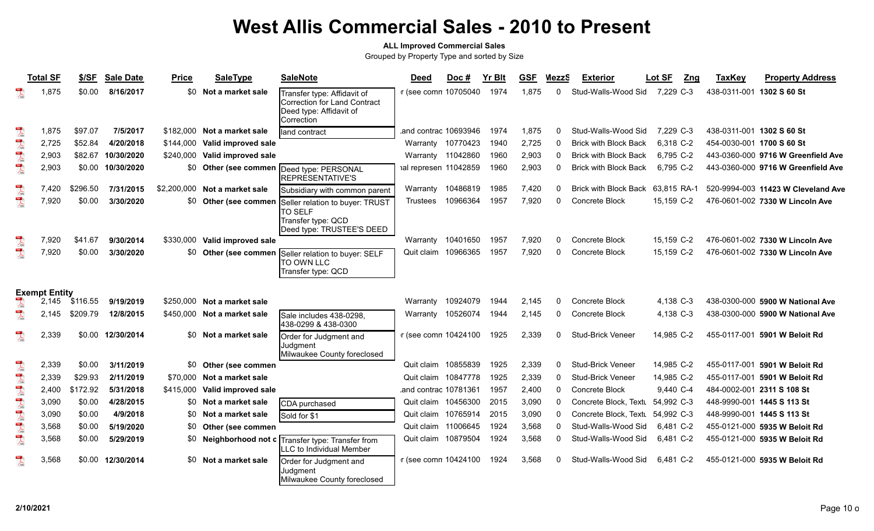### **ALL Improved Commercial Sales**

|                                                                                                                                                                                                                                                                                                                                                                             | <b>Total SF</b>      | \$/SF    | <b>Sale Date</b> | <b>Price</b> | <b>SaleType</b>               | <b>SaleNote</b>                                                                                      | <b>Deed</b>           | Doc#              | <b>Yr Blt</b> | <b>GSF</b> | MezzS        | <b>Exterior</b>              | Lot SF<br>Zng | <b>TaxKey</b>             | <b>Property Address</b>            |
|-----------------------------------------------------------------------------------------------------------------------------------------------------------------------------------------------------------------------------------------------------------------------------------------------------------------------------------------------------------------------------|----------------------|----------|------------------|--------------|-------------------------------|------------------------------------------------------------------------------------------------------|-----------------------|-------------------|---------------|------------|--------------|------------------------------|---------------|---------------------------|------------------------------------|
|                                                                                                                                                                                                                                                                                                                                                                             | 1,875                | \$0.00   | 8/16/2017        |              | \$0 Not a market sale         | Transfer type: Affidavit of<br>Correction for Land Contract<br>Deed type: Affidavit of<br>Correction | r (see comn 10705040  |                   | 1974          | 1,875      | $\mathbf{0}$ | Stud-Walls-Wood Sid          | 7,229 C-3     | 438-0311-001 1302 S 60 St |                                    |
| $\frac{1}{\sqrt{2}}$                                                                                                                                                                                                                                                                                                                                                        | 1,875                | \$97.07  | 7/5/2017         | \$182,000    | Not a market sale             | lland contract                                                                                       | and contrac 10693946  |                   | 1974          | 1,875      | 0            | Stud-Walls-Wood Sid          | 7,229 C-3     | 438-0311-001 1302 S 60 St |                                    |
| $\begin{array}{c}\n\hline\n\end{array}$                                                                                                                                                                                                                                                                                                                                     | 2,725                | \$52.84  | 4/20/2018        | \$144,000    | Valid improved sale           |                                                                                                      | Warranty 10770423     |                   | 1940          | 2,725      | $\Omega$     | <b>Brick with Block Back</b> | 6.318 C-2     | 454-0030-001 1700 S 60 St |                                    |
| $\mathbb{R}$                                                                                                                                                                                                                                                                                                                                                                | 2,903                | \$82.67  | 10/30/2020       | \$240,000    | Valid improved sale           |                                                                                                      |                       | Warranty 11042860 | 1960          | 2,903      | $\Omega$     | <b>Brick with Block Back</b> | 6,795 C-2     |                           | 443-0360-000 9716 W Greenfield Ave |
| $\sum_{k \in \mathbb{Z}}$                                                                                                                                                                                                                                                                                                                                                   | 2,903                | \$0.00   | 10/30/2020       |              |                               | \$0 Other (see commen Deed type: PERSONAL<br>REPRESENTATIVE'S                                        | ial represen 11042859 |                   | 1960          | 2,903      | $\Omega$     | <b>Brick with Block Back</b> | 6,795 C-2     |                           | 443-0360-000 9716 W Greenfield Ave |
| $\sum_{k=1}^{100}$                                                                                                                                                                                                                                                                                                                                                          | 7.420                | \$296.50 | 7/31/2015        |              | \$2.200.000 Not a market sale | Subsidiary with common parent                                                                        | Warranty              | 10486819          | 1985          | 7,420      | 0            | Brick with Block Back        | 63,815 RA-1   |                           | 520-9994-003 11423 W Cleveland Ave |
| $\frac{105}{\sqrt{25}}$                                                                                                                                                                                                                                                                                                                                                     | 7,920                | \$0.00   | 3/30/2020        |              | \$0 Other (see commen         | Seller relation to buyer: TRUST<br>TO SELF<br>Transfer type: QCD<br>Deed type: TRUSTEE'S DEED        | Trustees              | 10966364          | 1957          | 7,920      | $\Omega$     | Concrete Block               | 15,159 C-2    |                           | 476-0601-002 7330 W Lincoln Ave    |
| $\sum_{k=0}^{100}$                                                                                                                                                                                                                                                                                                                                                          | 7,920                | \$41.67  | 9/30/2014        | \$330,000    | Valid improved sale           |                                                                                                      | Warranty              | 10401650          | 1957          | 7,920      | 0            | Concrete Block               | 15,159 C-2    |                           | 476-0601-002 7330 W Lincoln Ave    |
| $\mathbb{R}$                                                                                                                                                                                                                                                                                                                                                                | 7,920                | \$0.00   | 3/30/2020        | \$0          | Other (see commen             | Seller relation to buyer: SELF<br>TO OWN LLC<br>Transfer type: QCD                                   | Quit claim 10966365   |                   | 1957          | 7,920      | $\mathbf{0}$ | Concrete Block               | 15,159 C-2    |                           | 476-0601-002 7330 W Lincoln Ave    |
|                                                                                                                                                                                                                                                                                                                                                                             | <b>Exempt Entity</b> |          |                  |              |                               |                                                                                                      |                       |                   |               |            |              |                              |               |                           |                                    |
|                                                                                                                                                                                                                                                                                                                                                                             | 2,145                | \$116.55 | 9/19/2019        |              | \$250,000 Not a market sale   |                                                                                                      | Warranty              | 10924079          | 1944          | 2,145      | 0            | Concrete Block               | 4,138 C-3     |                           | 438-0300-000 5900 W National Ave   |
| $\begin{picture}(20,5) \put(0,0){\vector(0,1){10}} \put(15,0){\vector(0,1){10}} \put(15,0){\vector(0,1){10}} \put(15,0){\vector(0,1){10}} \put(15,0){\vector(0,1){10}} \put(15,0){\vector(0,1){10}} \put(15,0){\vector(0,1){10}} \put(15,0){\vector(0,1){10}} \put(15,0){\vector(0,1){10}} \put(15,0){\vector(0,1){10}} \put(15,0){\vector(0,1){10}} \put(15,0){\vector(0,$ | 2,145                | \$209.79 | 12/8/2015        |              | \$450,000 Not a market sale   | Sale includes 438-0298.<br>438-0299 & 438-0300                                                       | Warranty              | 10526074          | 1944          | 2,145      | $\mathbf{0}$ | <b>Concrete Block</b>        | 4,138 C-3     |                           | 438-0300-000 5900 W National Ave   |
| $\frac{1}{\sqrt{2}}$                                                                                                                                                                                                                                                                                                                                                        | 2,339                | \$0.00   | 12/30/2014       |              | \$0 Not a market sale         | Order for Judgment and<br>Judgment<br>Milwaukee County foreclosed                                    | r (see comn 10424100  |                   | 1925          | 2,339      | $\mathbf{0}$ | <b>Stud-Brick Veneer</b>     | 14,985 C-2    |                           | 455-0117-001 5901 W Beloit Rd      |
| $\lambda$                                                                                                                                                                                                                                                                                                                                                                   | 2,339                | \$0.00   | 3/11/2019        |              | \$0 Other (see commen         |                                                                                                      | Quit claim 10855839   |                   | 1925          | 2,339      | $\Omega$     | <b>Stud-Brick Veneer</b>     | 14,985 C-2    |                           | 455-0117-001 5901 W Beloit Rd      |
| 大天天天天天                                                                                                                                                                                                                                                                                                                                                                      | 2,339                | \$29.93  | 2/11/2019        | \$70,000     | Not a market sale             |                                                                                                      | Quit claim 10847778   |                   | 1925          | 2,339      | $\Omega$     | <b>Stud-Brick Veneer</b>     | 14,985 C-2    |                           | 455-0117-001 5901 W Beloit Rd      |
|                                                                                                                                                                                                                                                                                                                                                                             | 2,400                | \$172.92 | 5/31/2018        | \$415,000    | Valid improved sale           |                                                                                                      | and contrac 10781361  |                   | 1957          | 2,400      | 0            | Concrete Block               | 9,440 C-4     |                           | 484-0002-001 2311 S 108 St         |
|                                                                                                                                                                                                                                                                                                                                                                             | 3,090                | \$0.00   | 4/28/2015        | \$0          | Not a market sale             | CDA purchased                                                                                        | Quit claim 10456300   |                   | 2015          | 3,090      | $\mathbf{0}$ | Concrete Block, Textu        | 54,992 C-3    |                           | 448-9990-001 1445 S 113 St         |
|                                                                                                                                                                                                                                                                                                                                                                             | 3,090                | \$0.00   | 4/9/2018         | \$0          | Not a market sale             | Sold for \$1                                                                                         | Quit claim 10765914   |                   | 2015          | 3,090      | $\Omega$     | Concrete Block, Textu        | 54,992 C-3    |                           | 448-9990-001 1445 S 113 St         |
|                                                                                                                                                                                                                                                                                                                                                                             | 3,568                | \$0.00   | 5/19/2020        | \$0          | Other (see commen             |                                                                                                      | Quit claim 11006645   |                   | 1924          | 3,568      | $\Omega$     | Stud-Walls-Wood Sid          | 6,481 C-2     |                           | 455-0121-000 5935 W Beloit Rd      |
|                                                                                                                                                                                                                                                                                                                                                                             | 3,568                | \$0.00   | 5/29/2019        |              | Neighborhood not c            | Transfer type: Transfer from<br>LLC to Individual Member                                             | Quit claim 10879504   |                   | 1924          | 3,568      | 0            | Stud-Walls-Wood Sid          | 6,481 C-2     |                           | 455-0121-000 5935 W Beloit Rd      |
| $\mathbb{R}$                                                                                                                                                                                                                                                                                                                                                                | 3,568                | \$0.00   | 12/30/2014       |              | \$0 Not a market sale         | Order for Judgment and<br>Judgment<br>Milwaukee County foreclosed                                    | r (see comn 10424100  |                   | 1924          | 3,568      | $\Omega$     | Stud-Walls-Wood Sid          | 6,481 C-2     |                           | 455-0121-000 5935 W Beloit Rd      |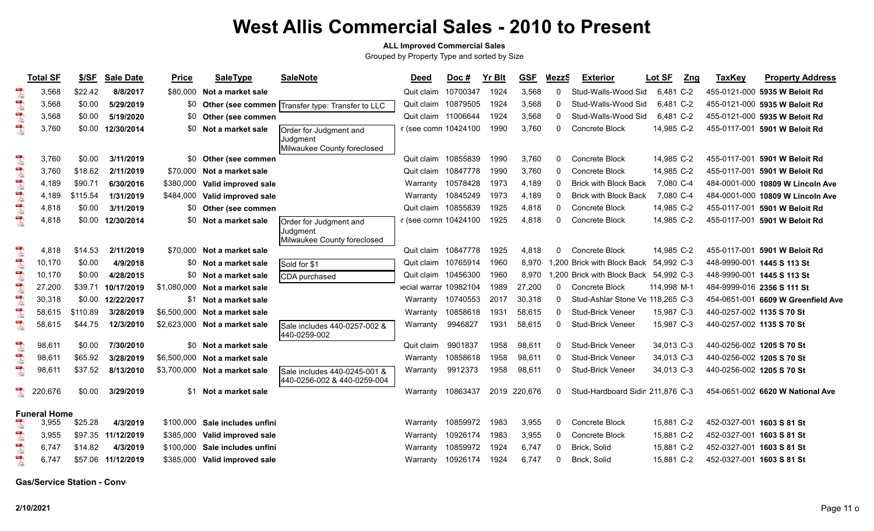#### **ALL Improved Commercial Sales**

Grouped by Property Type and sorted by Size

|                          | <b>Total SF</b>     | \$/SF    | <b>Sale Date</b> | <b>Price</b> | <b>SaleType</b>               | <b>SaleNote</b>                                             | Deed                  | Doc#              | <b>Yr Blt</b> | <b>GSF</b>   | <b>MezzS</b> | <b>Exterior</b>                  | Lot SF      | Zng | <b>TaxKey</b>             | <b>Property Address</b>            |
|--------------------------|---------------------|----------|------------------|--------------|-------------------------------|-------------------------------------------------------------|-----------------------|-------------------|---------------|--------------|--------------|----------------------------------|-------------|-----|---------------------------|------------------------------------|
| $\overline{\mathbf{r}}$  | 3,568               | \$22.42  | 8/8/2017         | \$80,000     | Not a market sale             |                                                             | Quit claim            | 10700347          | 1924          | 3,568        | 0            | Stud-Walls-Wood Sid              | 6,481 C-2   |     |                           | 455-0121-000 5935 W Beloit Rd      |
|                          | 3,568               | \$0.00   | 5/29/2019        | \$0          |                               | Other (see commen   Transfer type: Transfer to LLC          | Quit claim 10879505   |                   | 1924          | 3,568        | 0            | Stud-Walls-Wood Sid              | 6.481 C-2   |     |                           | 455-0121-000 5935 W Beloit Rd      |
|                          | 3,568               | \$0.00   | 5/19/2020        | \$0          | Other (see commen             |                                                             | Quit claim 11006644   |                   | 1924          | 3,568        | 0            | Stud-Walls-Wood Sid              | 6,481 C-2   |     |                           | 455-0121-000 5935 W Beloit Rd      |
| 人气                       | 3,760               | \$0.00   | 12/30/2014       | \$0          | Not a market sale             | Order for Judgment and                                      | r (see comn 10424100  |                   | 1990          | 3,760        | 0            | <b>Concrete Block</b>            | 14,985 C-2  |     |                           | 455-0117-001 5901 W Beloit Rd      |
|                          |                     |          |                  |              |                               | Judgment<br>Milwaukee County foreclosed                     |                       |                   |               |              |              |                                  |             |     |                           |                                    |
|                          | 3,760               | \$0.00   | 3/11/2019        |              | \$0 Other (see commen         |                                                             | Quit claim 10855839   |                   | 1990          | 3,760        | 0            | Concrete Block                   | 14,985 C-2  |     |                           | 455-0117-001 5901 W Beloit Rd      |
|                          | 3.760               | \$18.62  | 2/11/2019        | \$70,000     | Not a market sale             |                                                             | Quit claim 10847778   |                   | 1990          | 3,760        | 0            | Concrete Block                   | 14,985 C-2  |     |                           | 455-0117-001 5901 W Beloit Rd      |
|                          | 4,189               | \$90.71  | 6/30/2016        | \$380,000    | Valid improved sale           |                                                             |                       | Warranty 10578428 | 1973          | 4,189        | 0            | <b>Brick with Block Back</b>     | 7,080 C-4   |     |                           | 484-0001-000 10809 W Lincoln Ave   |
|                          | 4,189               | \$115.54 | 1/31/2019        | \$484,000    | Valid improved sale           |                                                             |                       | Warranty 10845249 | 1973          | 4,189        | 0            | <b>Brick with Block Back</b>     | 7,080 C-4   |     |                           | 484-0001-000 10809 W Lincoln Ave   |
|                          | 4,818               | \$0.00   | 3/11/2019        | \$0          | Other (see commen             |                                                             | Quit claim 10855839   |                   | 1925          | 4,818        | 0            | Concrete Block                   | 14,985 C-2  |     |                           | 455-0117-001 5901 W Beloit Rd      |
| $\mathbb{R}$             | 4,818               | \$0.00   | 12/30/2014       | \$0          | Not a market sale             | Order for Judgment and<br>Judgment                          | r (see comn 10424100  |                   | 1925          | 4,818        | 0            | <b>Concrete Block</b>            | 14,985 C-2  |     |                           | 455-0117-001 5901 W Beloit Rd      |
|                          |                     |          |                  |              |                               | Milwaukee County foreclosed                                 |                       |                   |               |              |              |                                  |             |     |                           |                                    |
| $\sum_{k=0}^{n}$         | 4,818               | \$14.53  | 2/11/2019        | \$70,000     | Not a market sale             |                                                             | Quit claim 10847778   |                   | 1925          | 4,818        | 0            | Concrete Block                   | 14,985 C-2  |     |                           | 455-0117-001 5901 W Beloit Rd      |
| $\overline{\mathcal{X}}$ | 10,170              | \$0.00   | 4/9/2018         | \$0          | Not a market sale             | Sold for \$1                                                | Quit claim 10765914   |                   | 1960          | 8,970        |              | 1,200 Brick with Block Back      | 54,992 C-3  |     |                           | 448-9990-001 1445 S 113 St         |
|                          | 10,170              | \$0.00   | 4/28/2015        | \$0          | Not a market sale             | CDA purchased                                               | Quit claim 10456300   |                   | 1960          | 8,970        |              | ,200 Brick with Block Back       | 54,992 C-3  |     |                           | 448-9990-001 1445 S 113 St         |
|                          | 27,200              | \$39.71  | 10/17/2019       | \$1.080.000  | Not a market sale             |                                                             | ecial warrar 10982104 |                   | 1989          | 27,200       | 0            | Concrete Block                   | 114.998 M-1 |     |                           | 484-9999-016 2356 S 111 St         |
|                          | 30,318              | \$0.00   | 12/22/2017       |              | \$1 Not a market sale         |                                                             | Warranty              | 10740553          | 2017          | 30,318       | 0            | Stud-Ashlar Stone Ve 118,265 C-3 |             |     |                           | 454-0651-001 6609 W Greenfield Ave |
| 大學                       | 58,615              | \$110.89 | 3/28/2019        | \$6,500,000  | Not a market sale             |                                                             | Warranty              | 10858618          | 1931          | 58,615       | 0            | Stud-Brick Veneer                | 15,987 C-3  |     | 440-0257-002 1135 S 70 St |                                    |
|                          | 58,615              | \$44.75  | 12/3/2010        |              | \$2,623,000 Not a market sale | Sale includes 440-0257-002 &<br>440-0259-002                | Warranty              | 9946827           | 1931          | 58,615       | 0            | <b>Stud-Brick Veneer</b>         | 15,987 C-3  |     | 440-0257-002 1135 S 70 St |                                    |
| $\sum_{k=1}^{n}$         | 98,611              | \$0.00   | 7/30/2010        | \$0          | Not a market sale             |                                                             | Quit claim            | 9901837           | 1958          | 98,611       | 0            | <b>Stud-Brick Veneer</b>         | 34,013 C-3  |     | 440-0256-002 1205 S 70 St |                                    |
| $\overline{\mathbf{r}}$  | 98,611              | \$65.92  | 3/28/2019        |              | \$6,500,000 Not a market sale |                                                             | Warranty              | 10858618          | 1958          | 98,611       | 0            | <b>Stud-Brick Veneer</b>         | 34,013 C-3  |     | 440-0256-002 1205 S 70 St |                                    |
| $\sum_{i=1}^{100}$       | 98,611              | \$37.52  | 8/13/2010        |              | \$3,700,000 Not a market sale | Sale includes 440-0245-001 &<br>440-0256-002 & 440-0259-004 | Warranty              | 9912373           | 1958          | 98,611       | 0            | <b>Stud-Brick Veneer</b>         | 34,013 C-3  |     | 440-0256-002 1205 S 70 St |                                    |
| $\mathbb{R}$             | 220,676             | \$0.00   | 3/29/2019        | \$1          | Not a market sale             |                                                             | Warranty              | 10863437          |               | 2019 220,676 | 0            | Stud-Hardboard Sidir 211,876 C-3 |             |     |                           | 454-0651-002 6620 W National Ave   |
|                          | <b>Funeral Home</b> |          |                  |              |                               |                                                             |                       |                   |               |              |              |                                  |             |     |                           |                                    |
|                          | 3,955               | \$25.28  | 4/3/2019         | \$100,000    | Sale includes unfini          |                                                             | Warranty              | 10859972          | 1983          | 3,955        | 0            | Concrete Block                   | 15,881 C-2  |     | 452-0327-001 1603 S 81 St |                                    |
| $\frac{1}{\sqrt{2}}$     | 3,955               | \$97.35  | 11/12/2019       | \$385,000    | Valid improved sale           |                                                             | Warranty              | 10926174          | 1983          | 3,955        | 0            | Concrete Block                   | 15,881 C-2  |     | 452-0327-001 1603 S 81 St |                                    |
| $\overline{\mathcal{A}}$ | 6,747               | \$14.82  | 4/3/2019         | \$100.000    | Sale includes unfini          |                                                             | Warranty              | 10859972          | 1924          | 6,747        | 0            | Brick, Solid                     | 15,881 C-2  |     | 452-0327-001 1603 S 81 St |                                    |
| $\overline{\mathbf{r}}$  | 6,747               | \$57.06  | 11/12/2019       |              | \$385,000 Valid improved sale |                                                             | Warranty              | 10926174          | 1924          | 6,747        | 0            | Brick, Solid                     | 15,881 C-2  |     | 452-0327-001 1603 S 81 St |                                    |

**Gas/Service Station - Convent**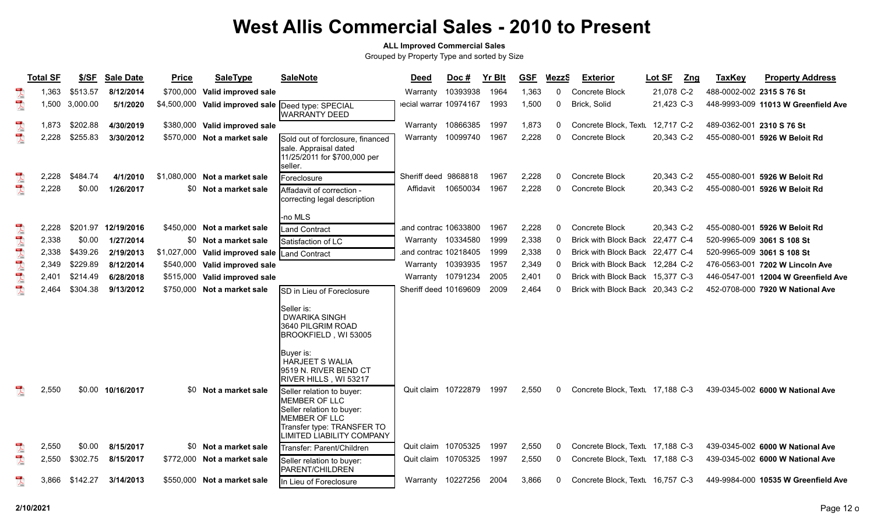#### **ALL Improved Commercial Sales**

|                                   | <b>Total SF</b> | \$/SF    | <b>Sale Date</b>  | <b>Price</b> | <b>SaleType</b>                                     | <b>SaleNote</b>                                                                                                                                            | Deed                  | Doc#     | <b>Yr Blt</b> | <b>GSF</b> | MezzS        | <b>Exterior</b>                  | Lot SF<br>Zng | <b>TaxKey</b>             | <b>Property Address</b>             |
|-----------------------------------|-----------------|----------|-------------------|--------------|-----------------------------------------------------|------------------------------------------------------------------------------------------------------------------------------------------------------------|-----------------------|----------|---------------|------------|--------------|----------------------------------|---------------|---------------------------|-------------------------------------|
| $\sum_{k=1}^{n}$                  | 1,363           | \$513.57 | 8/12/2014         |              | \$700,000 Valid improved sale                       |                                                                                                                                                            | Warranty              | 10393938 | 1964          | 1,363      | $\mathbf{0}$ | Concrete Block                   | 21,078 C-2    | 488-0002-002 2315 S 76 St |                                     |
| $\frac{10}{\sqrt{\frac{3}{25}}}}$ | 1,500           | 3,000.00 | 5/1/2020          |              | \$4,500,000 Valid improved sale  Deed type: SPECIAL | <b>WARRANTY DEED</b>                                                                                                                                       | ecial warrar 10974167 |          | 1993          | 1,500      | $\Omega$     | Brick, Solid                     | 21,423 C-3    |                           | 448-9993-009 11013 W Greenfield Ave |
| $\overline{\mathcal{A}}$          | 1.873           | \$202.88 | 4/30/2019         |              | \$380,000 Valid improved sale                       |                                                                                                                                                            | Warranty              | 10866385 | 1997          | 1,873      | 0            | Concrete Block, Textl 12,717 C-2 |               | 489-0362-001 2310 S 76 St |                                     |
| $\frac{105}{\sqrt{25}}$           | 2,228           | \$255.83 | 3/30/2012         |              | \$570,000 Not a market sale                         | Sold out of forclosure, financed                                                                                                                           | Warranty              | 10099740 | 1967          | 2,228      | $\Omega$     | Concrete Block                   | 20,343 C-2    |                           | 455-0080-001 5926 W Beloit Rd       |
|                                   |                 |          |                   |              |                                                     | sale. Appraisal dated<br>11/25/2011 for \$700,000 per<br>seller.                                                                                           |                       |          |               |            |              |                                  |               |                           |                                     |
|                                   | 2,228           | \$484.74 | 4/1/2010          |              | \$1,080,000 Not a market sale                       | Foreclosure                                                                                                                                                | Sheriff deed          | 9868818  | 1967          | 2,228      | $\Omega$     | Concrete Block                   | 20,343 C-2    |                           | 455-0080-001 5926 W Beloit Rd       |
|                                   | 2,228           | \$0.00   | 1/26/2017         |              | \$0 Not a market sale                               | Affadavit of correction -<br>correcting legal description                                                                                                  | Affidavit             | 10650034 | 1967          | 2,228      | $\Omega$     | Concrete Block                   | 20,343 C-2    |                           | 455-0080-001 5926 W Beloit Rd       |
|                                   |                 |          |                   |              |                                                     | -no MLS                                                                                                                                                    |                       |          |               |            |              |                                  |               |                           |                                     |
| $\sum_{\text{hot}}$               | 2,228           | \$201.97 | 12/19/2016        |              | \$450,000 Not a market sale                         | <b>Land Contract</b>                                                                                                                                       | and contrac 10633800. |          | 1967          | 2,228      | $\Omega$     | Concrete Block                   | 20,343 C-2    |                           | 455-0080-001 5926 W Beloit Rd       |
| $\overline{\mathbf{r}}$           | 2,338           | \$0.00   | 1/27/2014         |              | \$0 Not a market sale                               | Satisfaction of LC                                                                                                                                         | Warranty 10334580     |          | 1999          | 2,338      | $\Omega$     | Brick with Block Back 22,477 C-4 |               |                           | 520-9965-009 3061 S 108 St          |
|                                   | 2,338           | \$439.26 | 2/19/2013         |              | \$1,027,000 Valid improved sale Land Contract       |                                                                                                                                                            | and contrac 10218405  |          | 1999          | 2,338      | $\Omega$     | Brick with Block Back 22,477 C-4 |               |                           | 520-9965-009 3061 S 108 St          |
| 大学会                               | 2,349           | \$229.89 | 8/12/2014         |              | \$540,000 Valid improved sale                       |                                                                                                                                                            | Warranty 10393935     |          | 1957          | 2,349      | 0            | Brick with Block Back 12,284 C-2 |               |                           | 476-0563-001 7202 W Lincoln Ave     |
|                                   | 2.401           | \$214.49 | 6/28/2018         |              | \$515,000 Valid improved sale                       |                                                                                                                                                            | Warranty 10791234     |          | 2005          | 2,401      | $\Omega$     | Brick with Block Back 15.377 C-3 |               |                           | 446-0547-001 12004 W Greenfield Ave |
|                                   | 2,464           | \$304.38 | 9/13/2012         |              | \$750,000 Not a market sale                         | <b>I</b> SD in Lieu of Foreclosure                                                                                                                         | Sheriff deed 10169609 |          | 2009          | 2,464      | 0            | Brick with Block Back 20,343 C-2 |               |                           | 452-0708-000 7920 W National Ave    |
|                                   |                 |          |                   |              |                                                     | Seller is:<br><b>DWARIKA SINGH</b><br>3640 PILGRIM ROAD<br>BROOKFIELD, WI 53005                                                                            |                       |          |               |            |              |                                  |               |                           |                                     |
|                                   |                 |          |                   |              |                                                     | Buyer is:<br><b>HARJEET S WALIA</b><br>9519 N. RIVER BEND CT<br>RIVER HILLS, WI 53217                                                                      |                       |          |               |            |              |                                  |               |                           |                                     |
| $\overline{\phantom{a}}$          | 2,550           |          | \$0.00 10/16/2017 |              | \$0 Not a market sale                               | Seller relation to buyer:<br>MEMBER OF LLC<br>Seller relation to buyer:<br>MEMBER OF LLC<br>Transfer type: TRANSFER TO<br><b>LIMITED LIABILITY COMPANY</b> | Quit claim 10722879   |          | 1997          | 2,550      | 0            | Concrete Block. Text 17.188 C-3  |               |                           | 439-0345-002 6000 W National Ave    |
| $\lambda$                         | 2,550           | \$0.00   | 8/15/2017         |              | \$0 Not a market sale                               | Transfer: Parent/Children                                                                                                                                  | Quit claim 10705325   |          | 1997          | 2,550      | $\Omega$     | Concrete Block, Textl 17,188 C-3 |               |                           | 439-0345-002 6000 W National Ave    |
| $\overline{\mathbf{r}}$           | 2,550           | \$302.75 | 8/15/2017         |              | \$772,000 Not a market sale                         | Seller relation to buyer:<br><b>PARENT/CHILDREN</b>                                                                                                        | Quit claim 10705325   |          | 1997          | 2,550      | 0            | Concrete Block, Textl 17,188 C-3 |               |                           | 439-0345-002 6000 W National Ave    |
| $\overline{\mathbf{r}}$           | 3,866           | \$142.27 | 3/14/2013         |              | \$550,000 Not a market sale                         | In Lieu of Foreclosure                                                                                                                                     | Warranty 10227256     |          | 2004          | 3,866      | 0            | Concrete Block, Text 16,757 C-3  |               |                           | 449-9984-000 10535 W Greenfield Ave |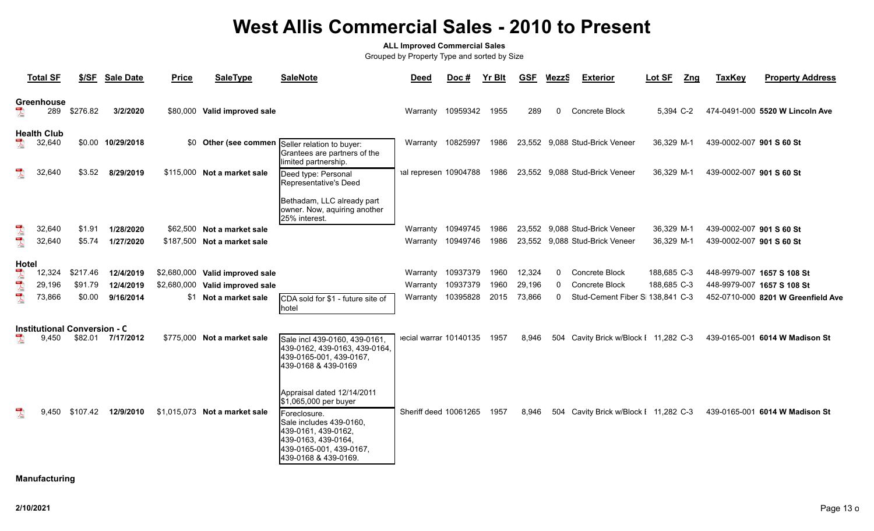### **ALL Improved Commercial Sales**

Grouped by Property Type and sorted by Size

|                           | <b>Total SF</b>              | \$/SF                               | <b>Sale Date</b>  | <b>Price</b> | <b>SaleType</b>                 | <b>SaleNote</b>                                                                                                                                                                                 | <b>Deed</b>           | Doc#     | <b>Yr Blt</b> | <b>GSF</b> | MezzS        | <b>Exterior</b>                   | Lot SF      | Zng | <b>TaxKey</b>            | <b>Property Address</b>            |
|---------------------------|------------------------------|-------------------------------------|-------------------|--------------|---------------------------------|-------------------------------------------------------------------------------------------------------------------------------------------------------------------------------------------------|-----------------------|----------|---------------|------------|--------------|-----------------------------------|-------------|-----|--------------------------|------------------------------------|
| $\lambda$                 | <b>Greenhouse</b><br>289     | \$276.82                            | 3/2/2020          |              | \$80,000 Valid improved sale    |                                                                                                                                                                                                 | Warranty 10959342     |          | 1955          | 289        | $\Omega$     | Concrete Block                    | 5,394 C-2   |     |                          | 474-0491-000 5520 W Lincoln Ave    |
|                           | <b>Health Club</b><br>32,640 |                                     | \$0.00 10/29/2018 |              |                                 | \$0 Other (see commen Seller relation to buyer:<br>Grantees are partners of the<br>limited partnership.                                                                                         | Warranty 10825997     |          | 1986          |            |              | 23,552 9,088 Stud-Brick Veneer    | 36,329 M-1  |     | 439-0002-007 901 S 60 St |                                    |
| $\overline{\mathcal{L}}$  | 32,640                       | \$3.52                              | 8/29/2019         |              | \$115,000 Not a market sale     | Deed type: Personal<br>Representative's Deed                                                                                                                                                    | ial represen 10904788 |          | 1986          |            |              | 23,552 9,088 Stud-Brick Veneer    | 36,329 M-1  |     | 439-0002-007 901 S 60 St |                                    |
|                           |                              |                                     |                   |              |                                 | Bethadam, LLC already part<br>owner. Now, aquiring another<br>25% interest.                                                                                                                     |                       |          |               |            |              |                                   |             |     |                          |                                    |
| $\sum_{\text{block}}$     | 32,640                       | \$1.91                              | 1/28/2020         |              | \$62,500 Not a market sale      |                                                                                                                                                                                                 | Warranty              | 10949745 | 1986          | 23,552     |              | 9,088 Stud-Brick Veneer           | 36,329 M-1  |     | 439-0002-007 901 S 60 St |                                    |
| $\overline{\mathbf{r}}$   | 32,640                       | \$5.74                              | 1/27/2020         |              | \$187,500 Not a market sale     |                                                                                                                                                                                                 | Warranty 10949746     |          | 1986          |            |              | 23,552 9,088 Stud-Brick Veneer    | 36,329 M-1  |     | 439-0002-007 901 S 60 St |                                    |
|                           |                              |                                     |                   |              |                                 |                                                                                                                                                                                                 |                       |          |               |            |              |                                   |             |     |                          |                                    |
| <b>Hotel</b><br>$\lambda$ | 12,324                       | \$217.46                            | 12/4/2019         |              | \$2,680,000 Valid improved sale |                                                                                                                                                                                                 | Warranty              | 10937379 | 1960          | 12,324     | 0            | Concrete Block                    | 188,685 C-3 |     |                          | 448-9979-007 1657 S 108 St         |
| $\overline{\mathbf{r}}$   | 29,196                       | \$91.79                             | 12/4/2019         | \$2,680,000  | Valid improved sale             |                                                                                                                                                                                                 | Warranty              | 10937379 | 1960          | 29,196     | 0            | Concrete Block                    | 188,685 C-3 |     |                          | 448-9979-007 1657 S 108 St         |
| $\overline{\mathbb{A}}$   | 73,866                       | \$0.00                              | 9/16/2014         | \$1          | Not a market sale               | CDA sold for \$1 - future site of                                                                                                                                                               | Warranty              | 10395828 | 2015          | 73,866     | $\mathbf{0}$ | Stud-Cement Fiber S 138,841 C-3   |             |     |                          | 452-0710-000 8201 W Greenfield Ave |
|                           |                              |                                     |                   |              |                                 | hotel                                                                                                                                                                                           |                       |          |               |            |              |                                   |             |     |                          |                                    |
|                           |                              | <b>Institutional Conversion - C</b> |                   |              |                                 |                                                                                                                                                                                                 |                       |          |               |            |              |                                   |             |     |                          |                                    |
|                           | 9,450                        | \$82.01                             | 7/17/2012         |              | \$775,000 Not a market sale     | Sale incl 439-0160, 439-0161,<br>439-0162, 439-0163, 439-0164.<br>439-0165-001, 439-0167,<br>439-0168 & 439-0169                                                                                | ecial warrar 10140135 |          | 1957          | 8,946      | 504          | Cavity Brick w/Block I 11,282 C-3 |             |     |                          | 439-0165-001 6014 W Madison St     |
| 头                         | 9.450                        | \$107.42                            | 12/9/2010         |              | \$1,015,073 Not a market sale   | Appraisal dated 12/14/2011<br>\$1,065,000 per buyer<br>Foreclosure.<br>Sale includes 439-0160,<br>439-0161, 439-0162,<br>439-0163, 439-0164,<br>439-0165-001, 439-0167,<br>439-0168 & 439-0169. | Sheriff deed 10061265 |          | 1957          | 8,946      | 504          | Cavity Brick w/Block I 11,282 C-3 |             |     |                          | 439-0165-001 6014 W Madison St     |

**Manufacturing**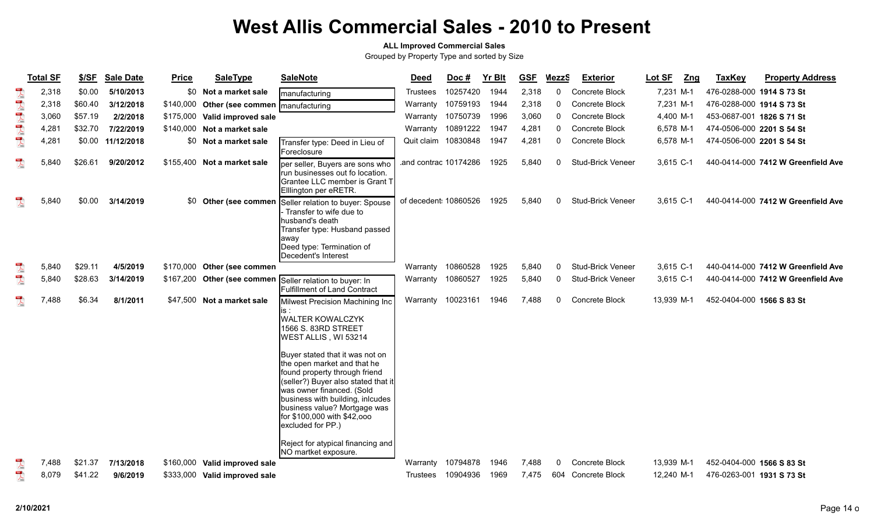#### **ALL Improved Commercial Sales**

|                          | <b>Total SF</b> | \$/SF   | <b>Sale Date</b> | <b>Price</b> | <b>SaleType</b>               | <b>SaleNote</b>                                                                                                                                                                                                                                                                                                                                                                                                                                                               | <b>Deed</b>           | $Doc$ #  | <b>Yr Blt</b> | <b>GSF</b> | <b>MezzS</b> | <b>Exterior</b>          | Lot SF      | Zng | <b>TaxKey</b>             | <b>Property Address</b>            |
|--------------------------|-----------------|---------|------------------|--------------|-------------------------------|-------------------------------------------------------------------------------------------------------------------------------------------------------------------------------------------------------------------------------------------------------------------------------------------------------------------------------------------------------------------------------------------------------------------------------------------------------------------------------|-----------------------|----------|---------------|------------|--------------|--------------------------|-------------|-----|---------------------------|------------------------------------|
|                          | 2,318           | \$0.00  | 5/10/2013        |              | \$0 Not a market sale         | manufacturing                                                                                                                                                                                                                                                                                                                                                                                                                                                                 | Trustees              | 10257420 | 1944          | 2,318      | $\mathbf{0}$ | Concrete Block           | 7,231 M-1   |     | 476-0288-000 1914 S 73 St |                                    |
|                          | 2,318           | \$60.40 | 3/12/2018        | \$140,000    | Other (see commen             | <i>Imanufacturing</i>                                                                                                                                                                                                                                                                                                                                                                                                                                                         | Warranty              | 10759193 | 1944          | 2,318      | $\mathbf{0}$ | Concrete Block           | 7,231 M-1   |     | 476-0288-000 1914 S 73 St |                                    |
|                          | 3,060           | \$57.19 | 2/2/2018         | \$175,000    | Valid improved sale           |                                                                                                                                                                                                                                                                                                                                                                                                                                                                               | Warranty              | 10750739 | 1996          | 3,060      | $\mathbf{0}$ | Concrete Block           | 4,400 M-1   |     | 453-0687-001 1826 S 71 St |                                    |
|                          | 4,281           | \$32.70 | 7/22/2019        | \$140,000    | Not a market sale             |                                                                                                                                                                                                                                                                                                                                                                                                                                                                               | Warranty              | 10891222 | 1947          | 4,281      | $\mathbf{0}$ | Concrete Block           | 6,578 M-1   |     | 474-0506-000 2201 S 54 St |                                    |
| 医大天天人                    | 4,281           | \$0.00  | 11/12/2018       |              | \$0 Not a market sale         | Transfer type: Deed in Lieu of<br>Foreclosure                                                                                                                                                                                                                                                                                                                                                                                                                                 | Quit claim 10830848   |          | 1947          | 4,281      | $\mathbf{0}$ | Concrete Block           | 6,578 M-1   |     | 474-0506-000 2201 S 54 St |                                    |
| $\overline{\mathcal{A}}$ | 5,840           | \$26.61 | 9/20/2012        | \$155,400    | Not a market sale             | per seller, Buyers are sons who<br>run businesses out fo location.<br>Grantee LLC member is Grant T<br>Elllington per eRETR.                                                                                                                                                                                                                                                                                                                                                  | and contrac 10174286  |          | 1925          | 5,840      | $\mathbf{0}$ | <b>Stud-Brick Veneer</b> | 3,615 C-1   |     |                           | 440-0414-000 7412 W Greenfield Ave |
| $\mathbb{R}$             | 5,840           | \$0.00  | 3/14/2019        | <b>SO</b>    |                               | Other (see commen Seller relation to buyer: Spouse<br>- Transfer to wife due to<br>husband's death<br>Transfer type: Husband passed<br>away<br>Deed type: Termination of<br>Decedent's Interest                                                                                                                                                                                                                                                                               | of decedent: 10860526 |          | 1925          | 5,840      | $\mathbf{0}$ | <b>Stud-Brick Veneer</b> | $3.615$ C-1 |     |                           | 440-0414-000 7412 W Greenfield Ave |
|                          | 5,840           | \$29.11 | 4/5/2019         |              | \$170,000 Other (see commen   |                                                                                                                                                                                                                                                                                                                                                                                                                                                                               | Warranty              | 10860528 | 1925          | 5,840      | $\mathbf{0}$ | <b>Stud-Brick Veneer</b> | 3,615 C-1   |     |                           | 440-0414-000 7412 W Greenfield Ave |
|                          | 5,840           | \$28.63 | 3/14/2019        |              |                               | \$167,200 Other (see commen Seller relation to buyer: In<br><b>Fulfillment of Land Contract</b>                                                                                                                                                                                                                                                                                                                                                                               | Warranty              | 10860527 | 1925          | 5,840      | $\mathbf{0}$ | Stud-Brick Veneer        | 3,615 C-1   |     |                           | 440-0414-000 7412 W Greenfield Ave |
| $\frac{1}{\sqrt{2}}$     | 7,488           | \$6.34  | 8/1/2011         | \$47.500     | Not a market sale             | Milwest Precision Machining Inc<br>is :<br><b>WALTER KOWALCZYK</b><br>1566 S. 83RD STREET<br>WEST ALLIS, WI 53214<br>Buyer stated that it was not on<br>the open market and that he<br>found property through friend<br>(seller?) Buyer also stated that it<br>was owner financed. (Sold<br>business with building, inlcudes<br>business value? Mortgage was<br>for \$100,000 with \$42,000<br>excluded for PP.)<br>Reject for atypical financing and<br>NO martket exposure. | Warranty              | 10023161 | 1946          | 7,488      | $\mathbf{0}$ | Concrete Block           | 13,939 M-1  |     | 452-0404-000 1566 S 83 St |                                    |
|                          | 7,488           | \$21.37 | 7/13/2018        | \$160,000    | Valid improved sale           |                                                                                                                                                                                                                                                                                                                                                                                                                                                                               | Warranty              | 10794878 | 1946          | 7,488      | 0            | Concrete Block           | 13,939 M-1  |     | 452-0404-000 1566 S 83 St |                                    |
| $-105$                   | 8,079           | \$41.22 | 9/6/2019         |              | \$333,000 Valid improved sale |                                                                                                                                                                                                                                                                                                                                                                                                                                                                               | <b>Trustees</b>       | 10904936 | 1969          | 7,475      | 604          | <b>Concrete Block</b>    | 12,240 M-1  |     | 476-0263-001 1931 S 73 St |                                    |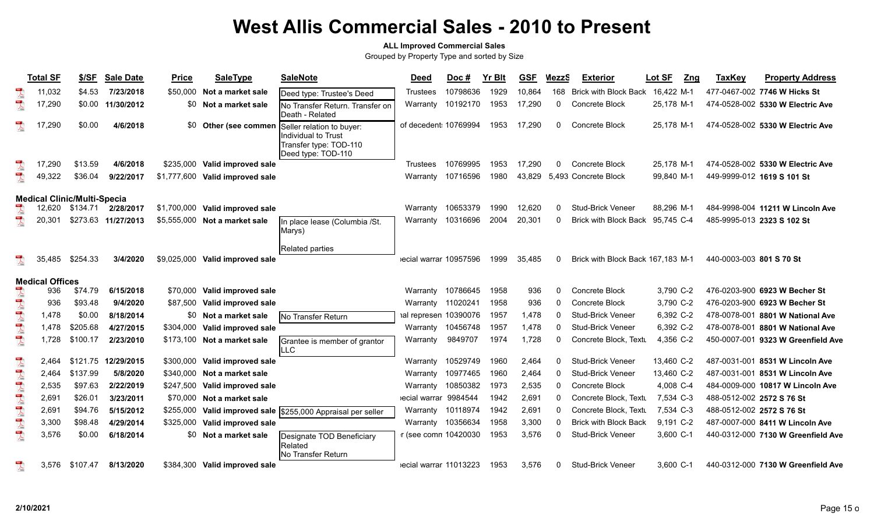**ALL Improved Commercial Sales**

|                          | <b>Total SF</b>        | \$/SF                              | <b>Sale Date</b> | Price       | <b>SaleType</b>                 | <b>SaleNote</b>                                                                                  | <b>Deed</b>           | Doc#     | Yr Blt | <b>GSF</b> | <b>MezzS</b> | <b>Exterior</b>                   | Lot SF     | Zng | <b>TaxKey</b>             | <b>Property Address</b>            |
|--------------------------|------------------------|------------------------------------|------------------|-------------|---------------------------------|--------------------------------------------------------------------------------------------------|-----------------------|----------|--------|------------|--------------|-----------------------------------|------------|-----|---------------------------|------------------------------------|
|                          | 11,032                 | \$4.53                             | 7/23/2018        | \$50,000    | Not a market sale               | Deed type: Trustee's Deed                                                                        | Trustees              | 10798636 | 1929   | 10,864     | 168          | <b>Brick with Block Back</b>      | 16,422 M-1 |     |                           | 477-0467-002 7746 W Hicks St       |
| $\mathbb{R}$             | 17,290                 | \$0.00                             | 11/30/2012       | \$0         | Not a market sale               | No Transfer Return. Transfer on<br>Death - Related                                               | Warranty              | 10192170 | 1953   | 17,290     | 0            | Concrete Block                    | 25,178 M-1 |     |                           | 474-0528-002 5330 W Electric Ave   |
|                          | 17,290                 | \$0.00                             | 4/6/2018         | <b>SO</b>   | Other (see commen               | Seller relation to buyer:<br>Individual to Trust<br>Transfer type: TOD-110<br>Deed type: TOD-110 | of decedent: 10769994 |          | 1953   | 17,290     | $\Omega$     | Concrete Block                    | 25.178 M-1 |     |                           | 474-0528-002 5330 W Electric Ave   |
|                          | 17,290                 | \$13.59                            | 4/6/2018         | \$235,000   | Valid improved sale             |                                                                                                  | Trustees              | 10769995 | 1953   | 17,290     | $\mathbf{0}$ | Concrete Block                    | 25,178 M-1 |     |                           | 474-0528-002 5330 W Electric Ave   |
| $\frac{1}{\sqrt{2}}$     | 49,322                 | \$36.04                            | 9/22/2017        | \$1,777,600 | Valid improved sale             |                                                                                                  | Warranty              | 10716596 | 1980   | 43,829     |              | 5,493 Concrete Block              | 99,840 M-1 |     |                           | 449-9999-012 1619 S 101 St         |
|                          |                        | <b>Medical Clinic/Multi-Specia</b> |                  |             |                                 |                                                                                                  |                       |          |        |            |              |                                   |            |     |                           |                                    |
|                          | 12,620                 | \$134.71                           | 2/28/2017        |             | \$1,700,000 Valid improved sale |                                                                                                  | Warranty              | 10653379 | 1990   | 12,620     | 0            | Stud-Brick Veneer                 | 88,296 M-1 |     |                           | 484-9998-004 11211 W Lincoln Ave   |
| $\overline{\mathcal{L}}$ | 20.301                 | \$273.63                           | 11/27/2013       | \$5,555,000 | Not a market sale               | In place lease (Columbia /St.<br>Marys)                                                          | Warranty              | 10316696 | 2004   | 20,301     | 0            | <b>Brick with Block Back</b>      | 95.745 C-4 |     |                           | 485-9995-013 2323 S 102 St         |
|                          | 35.485                 | \$254.33                           | 3/4/2020         |             | \$9,025,000 Valid improved sale | Related parties                                                                                  | ecial warrar 10957596 |          | 1999   | 35,485     | $\Omega$     | Brick with Block Back 167,183 M-1 |            |     | 440-0003-003 801 S 70 St  |                                    |
|                          | <b>Medical Offices</b> |                                    |                  |             |                                 |                                                                                                  |                       |          |        |            |              |                                   |            |     |                           |                                    |
|                          | 936                    | \$74.79                            | 6/15/2018        | \$70,000    | Valid improved sale             |                                                                                                  | Warranty              | 10786645 | 1958   | 936        | 0            | Concrete Block                    | 3,790 C-2  |     |                           | 476-0203-900 6923 W Becher St      |
|                          | 936                    | \$93.48                            | 9/4/2020         | \$87,500    | Valid improved sale             |                                                                                                  | Warranty              | 11020241 | 1958   | 936        | $\Omega$     | <b>Concrete Block</b>             | 3,790 C-2  |     |                           | 476-0203-900 6923 W Becher St      |
|                          | 1,478                  | \$0.00                             | 8/18/2014        | <b>SO</b>   | Not a market sale               | No Transfer Return                                                                               | ial represen 10390076 |          | 1957   | 1,478      | 0            | <b>Stud-Brick Veneer</b>          | 6,392 C-2  |     |                           | 478-0078-001 8801 W National Ave   |
|                          | 1.478                  | \$205.68                           | 4/27/2015        | \$304.000   | Valid improved sale             |                                                                                                  | Warranty              | 10456748 | 1957   | 1,478      | 0            | Stud-Brick Veneer                 | 6.392 C-2  |     |                           | 478-0078-001 8801 W National Ave   |
| $\overline{\mathbf{r}}$  | 1,728                  | \$100.17                           | 2/23/2010        | \$173,100   | Not a market sale               | Grantee is member of grantor<br><b>ILLC</b>                                                      | Warranty              | 9849707  | 1974   | 1,728      | 0            | Concrete Block, Textu             | 4,356 C-2  |     |                           | 450-0007-001 9323 W Greenfield Ave |
| $\frac{1}{\sqrt{2}}$     | 2.464                  | \$121.75                           | 12/29/2015       | \$300,000   | Valid improved sale             |                                                                                                  | Warranty              | 10529749 | 1960   | 2,464      | 0            | <b>Stud-Brick Veneer</b>          | 13,460 C-2 |     |                           | 487-0031-001 8531 W Lincoln Ave    |
|                          | 2,464                  | \$137.99                           | 5/8/2020         | \$340,000   | Not a market sale               |                                                                                                  | Warranty              | 10977465 | 1960   | 2,464      | 0            | Stud-Brick Veneer                 | 13,460 C-2 |     |                           | 487-0031-001 8531 W Lincoln Ave    |
|                          | 2,535                  | \$97.63                            | 2/22/2019        | \$247,500   | Valid improved sale             |                                                                                                  | Warranty              | 10850382 | 1973   | 2,535      | 0            | Concrete Block                    | 4,008 C-4  |     |                           | 484-0009-000 10817 W Lincoln Ave   |
|                          | 2,691                  | \$26.01                            | 3/23/2011        | \$70,000    | Not a market sale               |                                                                                                  | ecial warrar 9984544  |          | 1942   | 2,691      | 0            | Concrete Block, Textu             | 7,534 C-3  |     |                           | 488-0512-002 2572 S 76 St          |
|                          | 2,691                  | \$94.76                            | 5/15/2012        | \$255,000   |                                 | Valid improved sale \$255,000 Appraisal per seller                                               | Warranty              | 10118974 | 1942   | 2,691      | 0            | Concrete Block, Textu             | 7,534 C-3  |     | 488-0512-002 2572 S 76 St |                                    |
|                          | 3,300                  | \$98.48                            | 4/29/2014        | \$325,000   | Valid improved sale             |                                                                                                  | Warranty              | 10356634 | 1958   | 3,300      | 0            | <b>Brick with Block Back</b>      | 9.191 C-2  |     |                           | 487-0007-000 8411 W Lincoln Ave    |
| 14 天气之气                  | 3,576                  | \$0.00                             | 6/18/2014        | \$0         | Not a market sale               | Designate TOD Beneficiary<br>Related<br>No Transfer Return                                       | r (see comn 10420030  |          | 1953   | 3,576      | 0            | Stud-Brick Veneer                 | 3,600 C-1  |     |                           | 440-0312-000 7130 W Greenfield Ave |
|                          | 3,576                  | \$107.47                           | 8/13/2020        |             | \$384,300 Valid improved sale   |                                                                                                  | ecial warrar 11013223 |          | 1953   | 3,576      | 0            | Stud-Brick Veneer                 | 3,600 C-1  |     |                           | 440-0312-000 7130 W Greenfield Ave |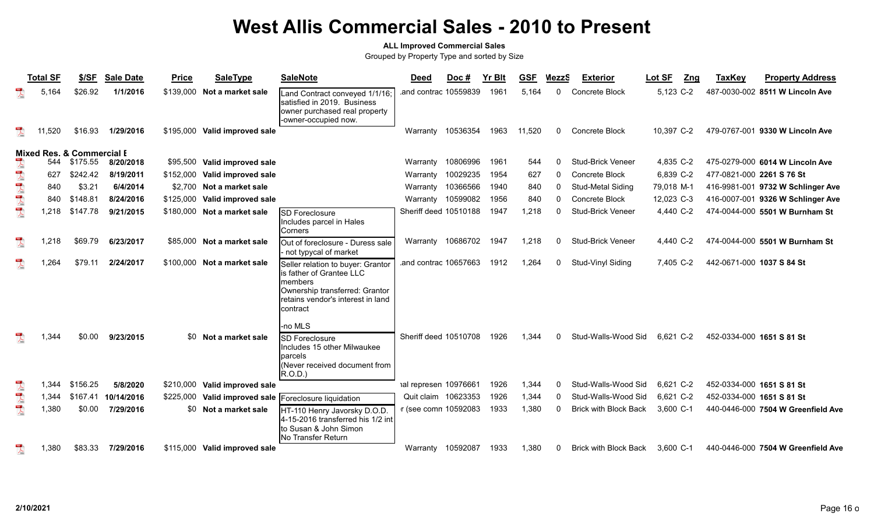#### **ALL Improved Commercial Sales**

|              | <b>Total SF</b> | \$/SF                                | <b>Sale Date</b> | <b>Price</b> | <b>SaleType</b>               | <b>SaleNote</b>                                                                                                                                               | Deed                  | Doc#     | <b>Yr Blt</b> | <b>GSF</b> | MezzS        | <b>Exterior</b>              | Lot SF<br>Zng | <b>TaxKey</b>             | <b>Property Address</b>            |
|--------------|-----------------|--------------------------------------|------------------|--------------|-------------------------------|---------------------------------------------------------------------------------------------------------------------------------------------------------------|-----------------------|----------|---------------|------------|--------------|------------------------------|---------------|---------------------------|------------------------------------|
|              | 5,164           | \$26.92                              | 1/1/2016         | \$139,000    | Not a market sale             | Land Contract conveyed 1/1/16;<br>satisfied in 2019. Business<br>owner purchased real property<br>-owner-occupied now.                                        | and contrac 10559839  |          | 1961          | 5,164      | $\Omega$     | Concrete Block               | 5,123 C-2     |                           | 487-0030-002 8511 W Lincoln Ave    |
|              | ,520            | \$16.93                              | 1/29/2016        |              | \$195,000 Valid improved sale |                                                                                                                                                               | Warranty              | 10536354 | 1963          | 11,520     | 0            | Concrete Block               | 10,397 C-2    |                           | 479-0767-001 9330 W Lincoln Ave    |
|              |                 | <b>Mixed Res. &amp; Commercial E</b> |                  |              |                               |                                                                                                                                                               |                       |          |               |            |              |                              |               |                           |                                    |
|              | 544             | \$175.55                             | 8/20/2018        |              | \$95,500 Valid improved sale  |                                                                                                                                                               | Warranty              | 10806996 | 1961          | 544        | $\Omega$     | <b>Stud-Brick Veneer</b>     | 4,835 C-2     |                           | 475-0279-000 6014 W Lincoln Ave    |
|              | 627             | \$242.42                             | 8/19/2011        | \$152,000    | Valid improved sale           |                                                                                                                                                               | Warranty              | 10029235 | 1954          | 627        | $\mathbf{0}$ | Concrete Block               | 6.839 C-2     | 477-0821-000 2261 S 76 St |                                    |
|              | 840             | \$3.21                               | 6/4/2014         | \$2,700      | Not a market sale             |                                                                                                                                                               | Warranty              | 10366566 | 1940          | 840        | 0            | Stud-Metal Siding            | 79,018 M-1    |                           | 416-9981-001 9732 W Schlinger Ave  |
|              | 840             | \$148.81                             | 8/24/2016        | \$125,000    | Valid improved sale           |                                                                                                                                                               | Warranty              | 10599082 | 1956          | 840        | $\Omega$     | Concrete Block               | 12,023 C-3    |                           | 416-0007-001 9326 W Schlinger Ave  |
| 大气之气         | 1,218           | \$147.78                             | 9/21/2015        |              | \$180,000 Not a market sale   | <b>SD Foreclosure</b><br>Includes parcel in Hales<br>lCorners                                                                                                 | Sheriff deed 10510188 |          | 1947          | 1,218      | $\mathbf{0}$ | <b>Stud-Brick Veneer</b>     | 4,440 C-2     |                           | 474-0044-000 5501 W Burnham St     |
| $\mathbb{R}$ | 1,218           | \$69.79                              | 6/23/2017        |              | \$85,000 Not a market sale    | lOut of foreclosure - Duress sale<br>- not typycal of market                                                                                                  | Warranty 10686702     |          | 1947          | 1,218      | $\Omega$     | <b>Stud-Brick Veneer</b>     | 4.440 C-2     |                           | 474-0044-000 5501 W Burnham St     |
|              | 1,264           | \$79.11                              | 2/24/2017        |              | \$100,000 Not a market sale   | Seller relation to buyer: Grantor<br>is father of Grantee LLC<br>Imembers<br>Ownership transferred: Grantor<br>retains vendor's interest in land<br>Icontract | and contrac 10657663  |          | 1912          | 1,264      | 0            | Stud-Vinyl Siding            | 7.405 C-2     | 442-0671-000 1037 S 84 St |                                    |
|              |                 |                                      |                  |              |                               | l-no MLS                                                                                                                                                      |                       |          |               |            |              |                              |               |                           |                                    |
|              | 1,344           | \$0.00                               | 9/23/2015        | \$0.         | Not a market sale             | <b>SD Foreclosure</b><br>Includes 15 other Milwaukee<br>lparcels<br>(Never received document from<br>R.O.D.)                                                  | Sheriff deed 10510708 |          | 1926          | 1,344      | $\Omega$     | Stud-Walls-Wood Sid          | 6,621 C-2     | 452-0334-000 1651 S 81 St |                                    |
|              | 1,344           | \$156.25                             | 5/8/2020         |              | \$210,000 Valid improved sale |                                                                                                                                                               | ial represen 10976661 |          | 1926          | 1,344      | $\Omega$     | Stud-Walls-Wood Sid          | 6.621 C-2     | 452-0334-000 1651 S 81 St |                                    |
|              | 1,344           | \$167.41                             | 10/14/2016       | \$225,000    |                               | Valid improved sale   Foreclosure liquidation                                                                                                                 | Quit claim 10623353   |          | 1926          | 1,344      | $\Omega$     | Stud-Walls-Wood Sid          | 6,621 C-2     | 452-0334-000 1651 S 81 St |                                    |
| 人工人          | 1,380           | \$0.00                               | 7/29/2016        | \$0          | Not a market sale             | HT-110 Henry Javorsky D.O.D.<br>4-15-2016 transferred his 1/2 int<br>to Susan & John Simon<br>No Transfer Return                                              | r (see comn 10592083  |          | 1933          | 1,380      | $\Omega$     | <b>Brick with Block Back</b> | 3,600 C-1     |                           | 440-0446-000 7504 W Greenfield Ave |
|              | 1,380           | \$83.33                              | 7/29/2016        |              | \$115,000 Valid improved sale |                                                                                                                                                               | Warranty              | 10592087 | 1933          | 1,380      | 0            | <b>Brick with Block Back</b> | 3,600 C-1     |                           | 440-0446-000 7504 W Greenfield Ave |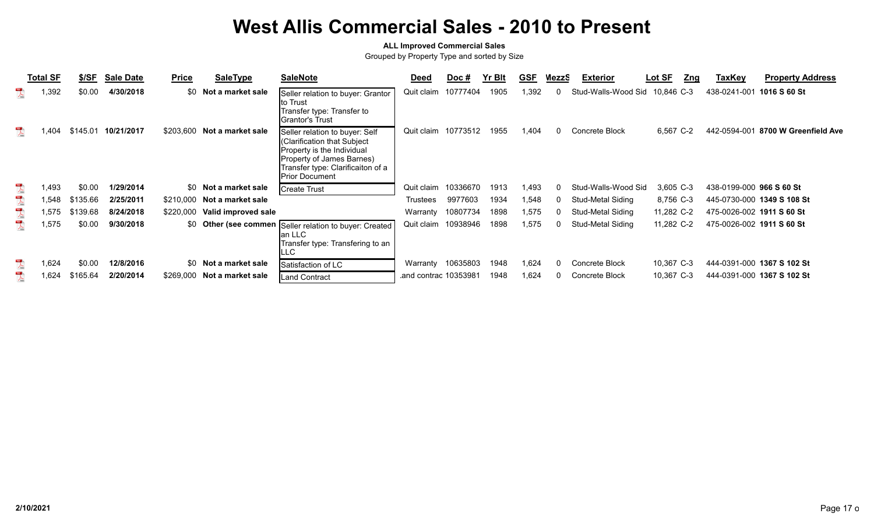### **ALL Improved Commercial Sales**

|                          | <b>Total SF</b> | \$/SF    | <b>Sale Date</b> | <b>Price</b> | <b>SaleType</b>             | <b>SaleNote</b>                                                                                                                                                                 | Deed                 | D <u>oc #</u> | Yr Blt | <b>GSF</b> | MezzS | <b>Exterior</b>     | Lot SF<br>Zng  | TaxKey                    | <b>Property Address</b>            |
|--------------------------|-----------------|----------|------------------|--------------|-----------------------------|---------------------------------------------------------------------------------------------------------------------------------------------------------------------------------|----------------------|---------------|--------|------------|-------|---------------------|----------------|---------------------------|------------------------------------|
| $\overline{\mathbf{r}}$  | 1,392           | \$0.00   | 4/30/2018        |              | \$0 Not a market sale       | Seller relation to buyer: Grantor<br>Ito Trust<br>Transfer type: Transfer to<br>Grantor's Trust                                                                                 | Quit claim           | 10777404      | 1905   | 1,392      |       | Stud-Walls-Wood Sid | 10.846 C-3     | 438-0241-001 1016 S 60 St |                                    |
| 人                        | 1,404           | \$145.01 | 10/21/2017       | \$203,600    | Not a market sale           | Seller relation to buyer: Self<br>(Clarification that Subject<br>Property is the Individual<br>Property of James Barnes)<br>Transfer type: Clarificaiton of a<br>Prior Document | Quit claim           | 10773512      | 1955   | 404. ا     |       | Concrete Block      | $C-2$<br>6,567 |                           | 442-0594-001 8700 W Greenfield Ave |
| $\lambda$                | 1,493           | \$0.00   | 1/29/2014        |              | \$0 Not a market sale       | Create Trust                                                                                                                                                                    | Quit claim           | 10336670      | 1913   | 1,493      |       | Stud-Walls-Wood Sid | 3,605 C-3      | 438-0199-000 966 S 60 St  |                                    |
| $\lambda$                | 1,548           | \$135.66 | 2/25/2011        |              | \$210,000 Not a market sale |                                                                                                                                                                                 | Trustees             | 9977603       | 1934   | 1,548      |       | Stud-Metal Siding   | 8,756 C-3      |                           | 445-0730-000 1349 S 108 St         |
| $\frac{1}{\sqrt{2}}$     | 1,575           | \$139.68 | 8/24/2018        | \$220,000    | Valid improved sale         |                                                                                                                                                                                 | Warranty             | 10807734      | 1898   | 1,575      |       | Stud-Metal Siding   | 11,282 C-2     | 475-0026-002 1911 S 60 St |                                    |
| $\overline{\phantom{a}}$ | 1,575           | \$0.00   | 9/30/2018        |              |                             | \$0 Other (see commen Seller relation to buyer: Created<br>an LLC<br>Transfer type: Transfering to an<br>ILLC                                                                   | Quit claim           | 10938946      | 1898   | 1,575      |       | Stud-Metal Siding   | 11,282 C-2     | 475-0026-002 1911 S 60 St |                                    |
|                          | 1,624           | \$0.00   | 12/8/2016        |              | \$0 Not a market sale       | Satisfaction of LC                                                                                                                                                              | Warranty             | 10635803      | 1948   | 1,624      |       | Concrete Block      | 10,367 C-3     |                           | 444-0391-000 1367 S 102 St         |
| $\overline{\mathbf{r}}$  | 1,624           | \$165.64 | 2/20/2014        |              | \$269,000 Not a market sale | Land Contract                                                                                                                                                                   | and contrac 10353981 |               | 1948   | 1,624      |       | Concrete Block      | 10,367 C-3     |                           | 444-0391-000 1367 S 102 St         |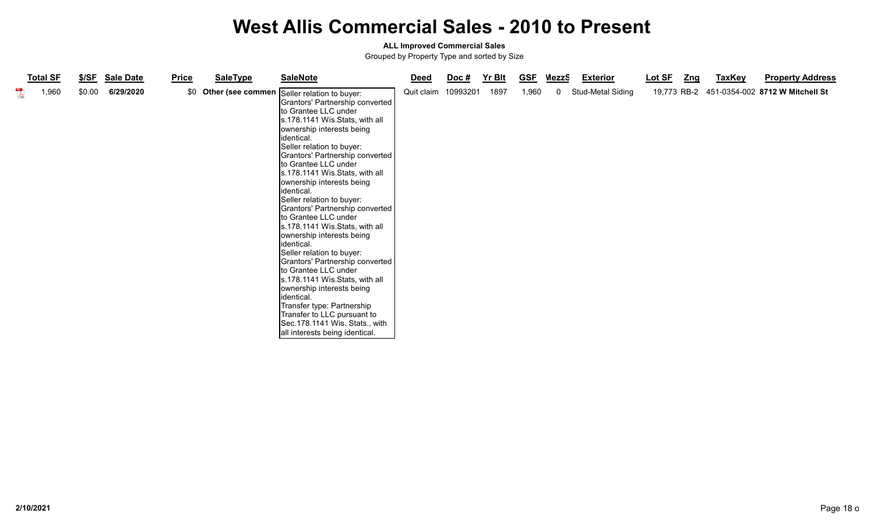#### **ALL Improved Commercial Sales**

| <b>Total SF</b>               |        | \$/SF Sale Date | <b>Price</b> | <b>SaleType</b> | <b>SaleNote</b>                                                                                                                                                                                                                                                                                                                                                                                                                                                                                                                                                                                                                                                                                                                                                                                                                       | <b>Deed</b> | <u>Doc #</u> | Yr Blt | <b>GSF</b> | <u>MezzS</u> | <b>Exterior</b>   | Lot SF | <u>Zng</u> | <b>TaxKey</b> | <b>Property Address</b>                     |
|-------------------------------|--------|-----------------|--------------|-----------------|---------------------------------------------------------------------------------------------------------------------------------------------------------------------------------------------------------------------------------------------------------------------------------------------------------------------------------------------------------------------------------------------------------------------------------------------------------------------------------------------------------------------------------------------------------------------------------------------------------------------------------------------------------------------------------------------------------------------------------------------------------------------------------------------------------------------------------------|-------------|--------------|--------|------------|--------------|-------------------|--------|------------|---------------|---------------------------------------------|
| 1,960<br>$\frac{1}{\sqrt{2}}$ | \$0.00 | 6/29/2020       | \$0          |                 | Other (see commen Seller relation to buyer:<br>Grantors' Partnership converted<br>to Grantee LLC under<br>s.178.1141 Wis.Stats, with all<br>ownership interests being<br>lidentical.<br>Seller relation to buyer:<br>Grantors' Partnership converted<br>Ito Grantee LLC under<br>s.178.1141 Wis.Stats, with all<br>ownership interests being<br>identical.<br>Seller relation to buyer:<br>Grantors' Partnership converted<br>to Grantee LLC under<br>s.178.1141 Wis.Stats, with all<br>ownership interests being<br>identical.<br>Seller relation to buyer:<br>Grantors' Partnership converted<br>to Grantee LLC under<br>s.178.1141 Wis.Stats, with all<br>ownership interests being<br>identical.<br>Transfer type: Partnership<br>Transfer to LLC pursuant to<br>Sec.178.1141 Wis. Stats., with<br>all interests being identical. | Quit claim  | 10993201     | 1897   | 1,960      | $\mathbf 0$  | Stud-Metal Siding |        |            |               | 19,773 RB-2 451-0354-002 8712 W Mitchell St |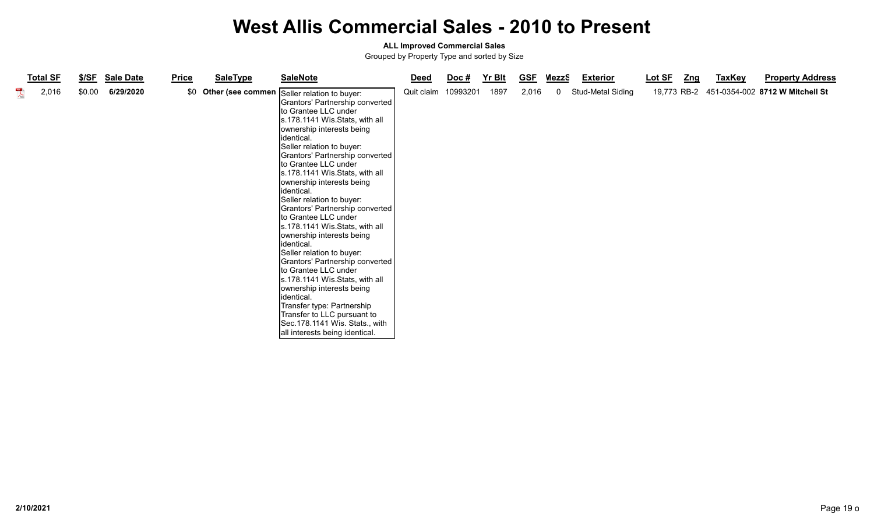#### **ALL Improved Commercial Sales**

|                      | <b>Total SF</b> |        | \$/SF Sale Date | <b>Price</b> | <b>SaleType</b> | <b>SaleNote</b>                                                                                                                                                                                                                                                                                                                                                                                                                                                                                                                                                                                                                                                                                                                                                                                                                       | <b>Deed</b> | <u>Doc #</u> | Yr Blt | <b>GSF</b> | <u>MezzS</u> | <b>Exterior</b>   | Lot SF | <u>Zng</u> | <b>TaxKey</b> | <b>Property Address</b>                     |
|----------------------|-----------------|--------|-----------------|--------------|-----------------|---------------------------------------------------------------------------------------------------------------------------------------------------------------------------------------------------------------------------------------------------------------------------------------------------------------------------------------------------------------------------------------------------------------------------------------------------------------------------------------------------------------------------------------------------------------------------------------------------------------------------------------------------------------------------------------------------------------------------------------------------------------------------------------------------------------------------------------|-------------|--------------|--------|------------|--------------|-------------------|--------|------------|---------------|---------------------------------------------|
| $\frac{1}{\sqrt{2}}$ | 2,016           | \$0.00 | 6/29/2020       | \$0          |                 | Other (see commen Seller relation to buyer:<br>Grantors' Partnership converted<br>to Grantee LLC under<br>s.178.1141 Wis.Stats, with all<br>ownership interests being<br>lidentical.<br>Seller relation to buyer:<br>Grantors' Partnership converted<br>Ito Grantee LLC under<br>s.178.1141 Wis.Stats, with all<br>ownership interests being<br>identical.<br>Seller relation to buyer:<br>Grantors' Partnership converted<br>to Grantee LLC under<br>s.178.1141 Wis.Stats, with all<br>ownership interests being<br>identical.<br>Seller relation to buyer:<br>Grantors' Partnership converted<br>to Grantee LLC under<br>s.178.1141 Wis.Stats, with all<br>ownership interests being<br>identical.<br>Transfer type: Partnership<br>Transfer to LLC pursuant to<br>Sec.178.1141 Wis. Stats., with<br>all interests being identical. | Quit claim  | 10993201     | 1897   | 2,016      | $\mathbf 0$  | Stud-Metal Siding |        |            |               | 19,773 RB-2 451-0354-002 8712 W Mitchell St |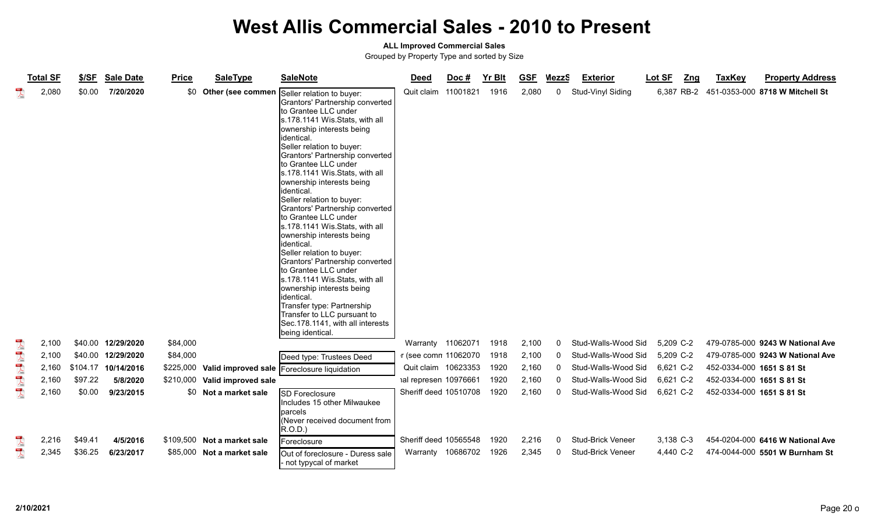### **ALL Improved Commercial Sales**

|                                         | <b>Total SF</b> | \$/SF    | <b>Sale Date</b>   | <b>Price</b> | <b>SaleType</b>               | <b>SaleNote</b>                                                                                                                                                                                                                                                                                                                                                                                                                                                                                                                                                                                                                                                                                                                                                                                           | <b>Deed</b>           | Doc# | <b>Yr Blt</b> | <b>GSF</b> | <b>MezzS</b> | <b>Exterior</b>          | Lot SF    | <u>Zng</u> | <b>TaxKey</b>             | <b>Property Address</b>                    |
|-----------------------------------------|-----------------|----------|--------------------|--------------|-------------------------------|-----------------------------------------------------------------------------------------------------------------------------------------------------------------------------------------------------------------------------------------------------------------------------------------------------------------------------------------------------------------------------------------------------------------------------------------------------------------------------------------------------------------------------------------------------------------------------------------------------------------------------------------------------------------------------------------------------------------------------------------------------------------------------------------------------------|-----------------------|------|---------------|------------|--------------|--------------------------|-----------|------------|---------------------------|--------------------------------------------|
| $\overline{\mathbf{r}}$                 | 2,080           | \$0.00   | 7/20/2020          |              | \$0 Other (see commen         | Seller relation to buyer:<br>Grantors' Partnership converted<br>to Grantee LLC under<br>s.178.1141 Wis.Stats, with all<br>ownership interests being<br>lidentical.<br>Seller relation to buyer:<br>Grantors' Partnership converted<br>to Grantee LLC under<br>s.178.1141 Wis.Stats, with all<br>ownership interests being<br>lidentical.<br>Seller relation to buyer:<br>Grantors' Partnership converted<br>to Grantee LLC under<br>s.178.1141 Wis.Stats, with all<br>ownership interests being<br>lidentical.<br>Seller relation to buyer:<br>Grantors' Partnership converted<br>to Grantee LLC under<br>s.178.1141 Wis.Stats, with all<br>ownership interests being<br>lidentical.<br>Transfer type: Partnership<br>Transfer to LLC pursuant to<br>Sec.178.1141, with all interests<br>being identical. | Quit claim 11001821   |      | 1916          | 2,080      | $\mathbf{0}$ | Stud-Vinyl Siding        |           |            |                           | 6,387 RB-2 451-0353-000 8718 W Mitchell St |
| $\sum_{k=1}^{10}$                       | 2,100           |          | \$40.00 12/29/2020 | \$84,000     |                               |                                                                                                                                                                                                                                                                                                                                                                                                                                                                                                                                                                                                                                                                                                                                                                                                           | Warranty 11062071     |      | 1918          | 2,100      | $\mathbf{0}$ | Stud-Walls-Wood Sid      | 5,209 C-2 |            |                           | 479-0785-000 9243 W National Ave           |
| $\begin{array}{c}\n\hline\n\end{array}$ | 2,100           | \$40.00  | 12/29/2020         | \$84,000     |                               | Deed type: Trustees Deed                                                                                                                                                                                                                                                                                                                                                                                                                                                                                                                                                                                                                                                                                                                                                                                  | r (see comn 11062070  |      | 1918          | 2,100      | 0            | Stud-Walls-Wood Sid      | 5,209 C-2 |            |                           | 479-0785-000 9243 W National Ave           |
| $\frac{1}{\sqrt{2}}$                    | 2,160           | \$104.17 | 10/14/2016         |              |                               | \$225,000 Valid improved sale Foreclosure liquidation                                                                                                                                                                                                                                                                                                                                                                                                                                                                                                                                                                                                                                                                                                                                                     | Quit claim 10623353   |      | 1920          | 2,160      | 0            | Stud-Walls-Wood Sid      | 6,621 C-2 |            | 452-0334-000 1651 S 81 St |                                            |
|                                         | 2,160           | \$97.22  | 5/8/2020           |              | \$210,000 Valid improved sale |                                                                                                                                                                                                                                                                                                                                                                                                                                                                                                                                                                                                                                                                                                                                                                                                           | ial represen 10976661 |      | 1920          | 2,160      | $\mathbf{0}$ | Stud-Walls-Wood Sid      | 6,621 C-2 |            | 452-0334-000 1651 S 81 St |                                            |
| 大學                                      | 2,160           | \$0.00   | 9/23/2015          |              | \$0 Not a market sale         | <b>SD</b> Foreclosure<br>Includes 15 other Milwaukee<br>Iparcels<br>(Never received document from<br>R.O.D.)                                                                                                                                                                                                                                                                                                                                                                                                                                                                                                                                                                                                                                                                                              | Sheriff deed 10510708 |      | 1920          | 2,160      | 0            | Stud-Walls-Wood Sid      | 6,621 C-2 |            | 452-0334-000 1651 S 81 St |                                            |
| $\lambda$                               | 2,216           | \$49.41  | 4/5/2016           |              | \$109,500 Not a market sale   | Foreclosure                                                                                                                                                                                                                                                                                                                                                                                                                                                                                                                                                                                                                                                                                                                                                                                               | Sheriff deed 10565548 |      | 1920          | 2,216      | 0            | Stud-Brick Veneer        | 3,138 C-3 |            |                           | 454-0204-000 6416 W National Ave           |
| $\frac{10}{\sqrt{25}}$                  | 2,345           | \$36.25  | 6/23/2017          |              | \$85,000 Not a market sale    | Out of foreclosure - Duress sale<br>- not typycal of market                                                                                                                                                                                                                                                                                                                                                                                                                                                                                                                                                                                                                                                                                                                                               | Warranty 10686702     |      | 1926          | 2,345      | 0            | <b>Stud-Brick Veneer</b> | 4,440 C-2 |            |                           | 474-0044-000 5501 W Burnham St             |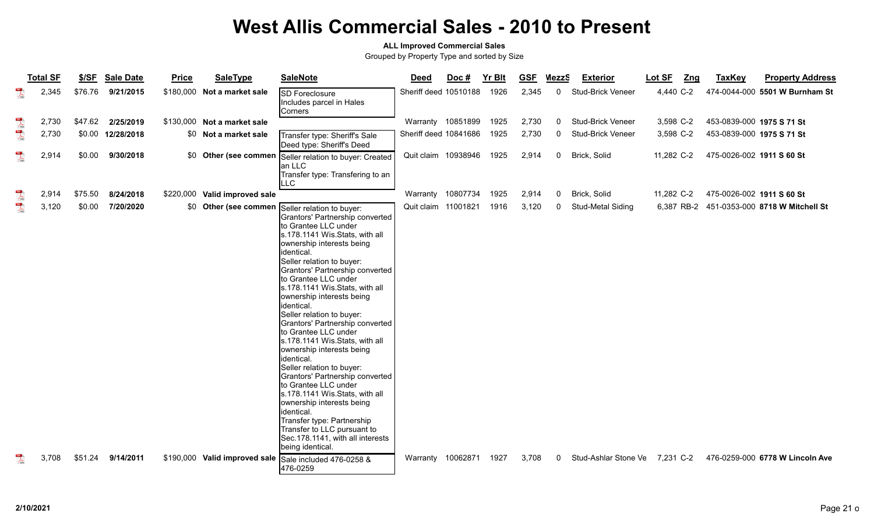### **ALL Improved Commercial Sales**

|                          | <b>Total SF</b> | \$/SF   | <b>Sale Date</b>  | <b>Price</b> | <b>SaleType</b>               | <b>SaleNote</b>                                                                                                                                                                                                                                                                                                                                                                                                                                                                                                                                                                                                                                                                                                                                                                                                              | <b>Deed</b>           | Doc#              | Yr Blt | <b>GSF</b> | <b>MezzS</b> | <b>Exterior</b>                | Lot SF<br>Zng | <b>TaxKey</b>             | <b>Property Address</b>                    |
|--------------------------|-----------------|---------|-------------------|--------------|-------------------------------|------------------------------------------------------------------------------------------------------------------------------------------------------------------------------------------------------------------------------------------------------------------------------------------------------------------------------------------------------------------------------------------------------------------------------------------------------------------------------------------------------------------------------------------------------------------------------------------------------------------------------------------------------------------------------------------------------------------------------------------------------------------------------------------------------------------------------|-----------------------|-------------------|--------|------------|--------------|--------------------------------|---------------|---------------------------|--------------------------------------------|
| $\overline{\mathbf{r}}$  | 2,345           | \$76.76 | 9/21/2015         |              | \$180,000 Not a market sale   | SD Foreclosure<br>Includes parcel in Hales<br>Corners                                                                                                                                                                                                                                                                                                                                                                                                                                                                                                                                                                                                                                                                                                                                                                        | Sheriff deed 10510188 |                   | 1926   | 2,345      | 0            | <b>Stud-Brick Veneer</b>       | 4,440 C-2     |                           | 474-0044-000 5501 W Burnham St             |
| $\sum_{k=1}^{n}$         | 2,730           | \$47.62 | 2/25/2019         |              | \$130,000 Not a market sale   |                                                                                                                                                                                                                                                                                                                                                                                                                                                                                                                                                                                                                                                                                                                                                                                                                              |                       | Warranty 10851899 | 1925   | 2,730      | 0            | <b>Stud-Brick Veneer</b>       | 3,598 C-2     | 453-0839-000 1975 S 71 St |                                            |
| $\overline{\mathbf{r}}$  | 2,730           |         | \$0.00 12/28/2018 |              | \$0 Not a market sale         | Transfer type: Sheriff's Sale<br>Deed type: Sheriff's Deed                                                                                                                                                                                                                                                                                                                                                                                                                                                                                                                                                                                                                                                                                                                                                                   | Sheriff deed 10841686 |                   | 1925   | 2,730      | 0            | Stud-Brick Veneer              | 3,598 C-2     | 453-0839-000 1975 S 71 St |                                            |
| $\sum_{k=1}^{n}$         | 2,914           | \$0.00  | 9/30/2018         |              |                               | \$0 Other (see commen Seller relation to buyer: Created<br>an LLC<br>Transfer type: Transfering to an<br>LLC                                                                                                                                                                                                                                                                                                                                                                                                                                                                                                                                                                                                                                                                                                                 | Quit claim 10938946   |                   | 1925   | 2,914      | 0            | Brick, Solid                   | 11,282 C-2    | 475-0026-002 1911 S 60 St |                                            |
| $\lambda$                | 2,914           | \$75.50 | 8/24/2018         |              | \$220,000 Valid improved sale |                                                                                                                                                                                                                                                                                                                                                                                                                                                                                                                                                                                                                                                                                                                                                                                                                              | Warranty 10807734     |                   | 1925   | 2,914      | 0            | Brick, Solid                   | 11,282 C-2    | 475-0026-002 1911 S 60 St |                                            |
| $\overline{\mathcal{L}}$ | 3,120           | \$0.00  | 7/20/2020         |              |                               | \$0 Other (see commen Seller relation to buyer:<br>Grantors' Partnership converted<br>to Grantee LLC under<br>s.178.1141 Wis.Stats, with all<br>ownership interests being<br>identical.<br>Seller relation to buyer:<br>Grantors' Partnership converted<br>lto Grantee LLC under<br>s.178.1141 Wis.Stats, with all<br>ownership interests being<br>identical.<br>Seller relation to buyer:<br>Grantors' Partnership converted<br>to Grantee LLC under<br>s.178.1141 Wis.Stats, with all<br>ownership interests being<br>identical.<br>Seller relation to buyer:<br>Grantors' Partnership converted<br>to Grantee LLC under<br>s.178.1141 Wis.Stats, with all<br>ownership interests being<br>identical.<br>Transfer type: Partnership<br>Transfer to LLC pursuant to<br>Sec.178.1141, with all interests<br>being identical. | Quit claim 11001821   |                   | 1916   | 3,120      | 0            | Stud-Metal Siding              |               |                           | 6,387 RB-2 451-0353-000 8718 W Mitchell St |
|                          | 3,708           | \$51.24 | 9/14/2011         | \$190,000    |                               | Valid improved sale Sale included 476-0258 &<br>476-0259                                                                                                                                                                                                                                                                                                                                                                                                                                                                                                                                                                                                                                                                                                                                                                     |                       | Warranty 10062871 | 1927   | 3,708      | 0            | Stud-Ashlar Stone Ve 7,231 C-2 |               |                           | 476-0259-000 6778 W Lincoln Ave            |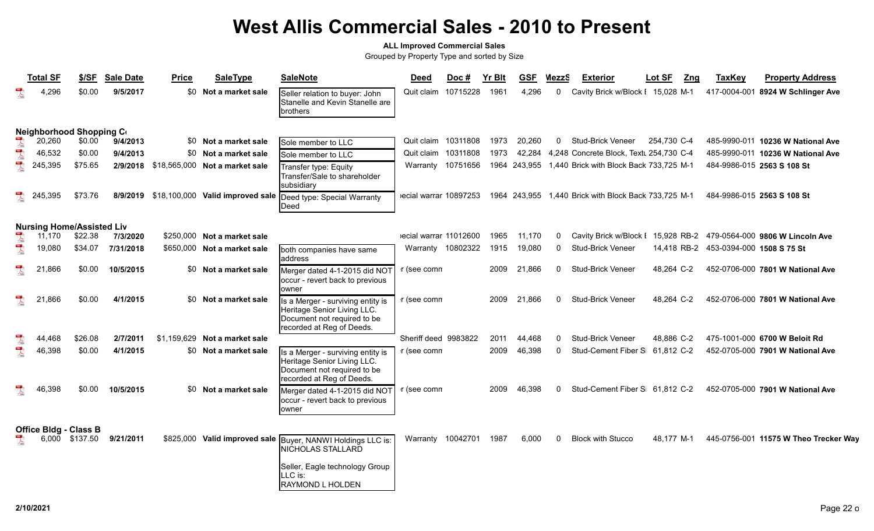### **ALL Improved Commercial Sales**

|                         | <b>Total SF</b>                  | \$/SF          | Sale Date | Price | <b>SaleType</b>                           | <b>SaleNote</b>                                                                                                              | Deed                  | Doc #    | <b>Yr Blt</b> | GSF.   | MezzS        | <b>Exterior</b>                                      | Lot SF      | Zng | <b>TaxKey</b>                         | <b>Property Address</b>                     |
|-------------------------|----------------------------------|----------------|-----------|-------|-------------------------------------------|------------------------------------------------------------------------------------------------------------------------------|-----------------------|----------|---------------|--------|--------------|------------------------------------------------------|-------------|-----|---------------------------------------|---------------------------------------------|
|                         | 4,296                            | \$0.00         | 9/5/2017  | \$0   | Not a market sale                         | Seller relation to buyer: John<br>Stanelle and Kevin Stanelle are<br>brothers                                                | Quit claim            | 10715228 | 1961          | 4,296  | 0            | Cavity Brick w/Block I 15,028 M-1                    |             |     |                                       | 417-0004-001 8924 W Schlinger Ave           |
|                         | <b>Neighborhood Shopping Co</b>  |                |           |       |                                           |                                                                                                                              |                       |          |               |        |              |                                                      |             |     |                                       |                                             |
|                         | 20,260                           | \$0.00         | 9/4/2013  |       | \$0 Not a market sale                     | Sole member to LLC                                                                                                           | Quit claim            | 10311808 | 1973          | 20,260 | $\mathbf{0}$ | <b>Stud-Brick Veneer</b>                             | 254,730 C-4 |     |                                       | 485-9990-011 10236 W National Ave           |
| $\mathbb{Z}$            | 46,532                           | \$0.00         | 9/4/2013  | SO.   | Not a market sale                         | Sole member to LLC                                                                                                           | Quit claim            | 10311808 | 1973          |        |              | 42,284  4,248  Concrete Block, Textu  254,730  C-4   |             |     |                                       | 485-9990-011 10236 W National Ave           |
| $\mathbb{R}$            | 245,395                          | \$75.65        |           |       | 2/9/2018 \$18,565,000 Not a market sale   | Transfer type: Equity<br>Transfer/Sale to shareholder<br>subsidiary                                                          | Warranty              | 10751656 |               |        |              | 1964 243,955 1,440 Brick with Block Back 733,725 M-1 |             |     | 484-9986-015 2563 S 108 St            |                                             |
|                         | 245,395                          | \$73.76        |           |       | 8/9/2019 \$18,100,000 Valid improved sale | Deed type: Special Warranty<br>Deed                                                                                          | ecial warrar 10897253 |          |               |        |              | 1964 243,955 1,440 Brick with Block Back 733,725 M-1 |             |     |                                       | 484-9986-015 2563 S 108 St                  |
|                         | <b>Nursing Home/Assisted Liv</b> |                |           |       |                                           |                                                                                                                              |                       |          |               |        |              |                                                      |             |     |                                       |                                             |
|                         | 11,170                           | \$22.38        | 7/3/2020  |       | \$250,000 Not a market sale               |                                                                                                                              | ecial warrar 11012600 |          | 1965          | 11,170 |              | Cavity Brick w/Block I                               |             |     |                                       | 15,928 RB-2 479-0564-000 9806 W Lincoln Ave |
| $\mathbb{R}$            | 19,080                           | \$34.07        | 7/31/2018 |       | \$650,000 Not a market sale               | both companies have same<br>address                                                                                          | Warranty              | 10802322 | 1915          | 19,080 | 0            | <b>Stud-Brick Veneer</b>                             |             |     | 14,418 RB-2 453-0394-000 1508 S 75 St |                                             |
|                         | 21,866                           | \$0.00         | 10/5/2015 |       | \$0 Not a market sale                     | Merger dated 4-1-2015 did NOT<br>occur - revert back to previous<br>owner                                                    | r (see comn           |          | 2009          | 21,866 | $\mathbf 0$  | <b>Stud-Brick Veneer</b>                             | 48,264 C-2  |     |                                       | 452-0706-000 7801 W National Ave            |
|                         | 21,866                           | \$0.00         | 4/1/2015  | SO.   | Not a market sale                         | Is a Merger - surviving entity is<br>Heritage Senior Living LLC.<br>Document not required to be<br>recorded at Reg of Deeds. | r (see comn           |          | 2009          | 21,866 | $\Omega$     | <b>Stud-Brick Veneer</b>                             | 48,264 C-2  |     |                                       | 452-0706-000 7801 W National Ave            |
| $\sum_{\rm{hot}}$       | 44,468                           | \$26.08        | 2/7/2011  |       | \$1.159.629 Not a market sale             |                                                                                                                              | Sheriff deed 9983822  |          | 2011          | 44.468 | 0            | <b>Stud-Brick Veneer</b>                             | 48,886 C-2  |     |                                       | 475-1001-000 6700 W Beloit Rd               |
| $\overline{\mathbf{r}}$ | 46,398                           | \$0.00         | 4/1/2015  |       | \$0 Not a market sale                     | Is a Merger - surviving entity is<br>Heritage Senior Living LLC.<br>Document not required to be<br>recorded at Reg of Deeds. | r (see comn           |          | 2009          | 46,398 | 0            | Stud-Cement Fiber S                                  | 61,812 C-2  |     |                                       | 452-0705-000 7901 W National Ave            |
|                         | 46,398                           | \$0.00         | 10/5/2015 |       | \$0 Not a market sale                     | Merger dated 4-1-2015 did NOT<br>occur - revert back to previous<br>owner                                                    | r (see comn           |          | 2009          | 46,398 | $\mathbf{0}$ | Stud-Cement Fiber S 61,812 C-2                       |             |     |                                       | 452-0705-000 7901 W National Ave            |
|                         | <b>Office Bldg - Class B</b>     | 6,000 \$137.50 | 9/21/2011 |       | \$825,000 Valid improved sale             | Buyer, NANWI Holdings LLC is:<br>NICHOLAS STALLARD                                                                           | Warranty 10042701     |          | 1987          | 6,000  | $\Omega$     | <b>Block with Stucco</b>                             | 48,177 M-1  |     |                                       | 445-0756-001 11575 W Theo Trecker Way       |
|                         |                                  |                |           |       |                                           | Seller, Eagle technology Group<br>LLC is:<br><b>RAYMOND L HOLDEN</b>                                                         |                       |          |               |        |              |                                                      |             |     |                                       |                                             |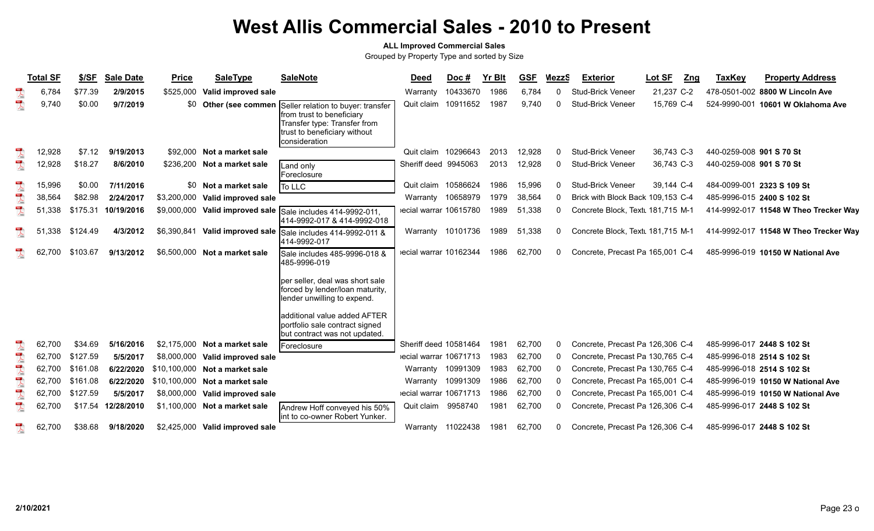### **ALL Improved Commercial Sales**

|                          | <b>Total SF</b> | \$/SF    | <b>Sale Date</b> | <b>Price</b> | <b>SaleType</b>                 | <b>SaleNote</b>                                                                                                                                  | <b>Deed</b>           | Doc#     | <b>Yr Blt</b> | <b>GSF</b> | <b>MezzS</b> | <b>Exterior</b>                   | Lot SF     | Zng | <b>TaxKey</b>              | <b>Property Address</b>               |
|--------------------------|-----------------|----------|------------------|--------------|---------------------------------|--------------------------------------------------------------------------------------------------------------------------------------------------|-----------------------|----------|---------------|------------|--------------|-----------------------------------|------------|-----|----------------------------|---------------------------------------|
| $\overline{\mathbf{r}}$  | 6.784           | \$77.39  | 2/9/2015         | \$525,000    | Valid improved sale             |                                                                                                                                                  | Warranty              | 10433670 | 1986          | 6,784      | 0            | <b>Stud-Brick Veneer</b>          | 21,237 C-2 |     |                            | 478-0501-002 8800 W Lincoln Ave       |
| $\mathbb{R}$             | 9,740           | \$0.00   | 9/7/2019         | \$0          | Other (see commen               | Seller relation to buyer: transfer<br>from trust to beneficiary<br>Transfer type: Transfer from<br>trust to beneficiary without<br>consideration | Quit claim            | 10911652 | 1987          | 9,740      | 0            | <b>Stud-Brick Veneer</b>          | 15,769 C-4 |     |                            | 524-9990-001 10601 W Oklahoma Ave     |
| $\overline{\mathbf{r}}$  | 12,928          | \$7.12   | 9/19/2013        | \$92,000     | Not a market sale               |                                                                                                                                                  | Quit claim            | 10296643 | 2013          | 12,928     | 0            | Stud-Brick Veneer                 | 36,743 C-3 |     | 440-0259-008 901 S 70 St   |                                       |
| $\mathbb{R}$             | 12,928          | \$18.27  | 8/6/2010         |              | \$236,200 Not a market sale     | Land only<br>Foreclosure                                                                                                                         | Sheriff deed 9945063  |          | 2013          | 12,928     | 0            | <b>Stud-Brick Veneer</b>          | 36,743 C-3 |     | 440-0259-008 901 S 70 St   |                                       |
| $\overline{\mathbf{r}}$  | 15,996          | \$0.00   | 7/11/2016        |              | \$0 Not a market sale           | To LLC                                                                                                                                           | Quit claim            | 10586624 | 1986          | 15,996     | 0            | <b>Stud-Brick Veneer</b>          | 39,144 C-4 |     |                            | 484-0099-001 2323 S 109 St            |
| $\overline{\mathcal{A}}$ | 38,564          | \$82.98  | 2/24/2017        | \$3,200,000  | Valid improved sale             |                                                                                                                                                  | Warranty              | 10658979 | 1979          | 38,564     | 0            | Brick with Block Back 109.153 C-4 |            |     |                            | 485-9996-015 2400 S 102 St            |
| $\mathbb{R}$             | 51,338          | \$175.31 | 10/19/2016       |              |                                 | \$9,000,000 Valid improved sale Sale includes 414-9992-011.<br>414-9992-017 & 414-9992-018                                                       | ecial warrar 10615780 |          | 1989          | 51,338     | 0            | Concrete Block, Text 181,715 M-1  |            |     |                            | 414-9992-017 11548 W Theo Trecker Way |
| $\mathbb{Z}$             | ,338            | \$124.49 | 4/3/2012         |              | \$6,390,841 Valid improved sale | Sale includes 414-9992-011 &<br>414-9992-017                                                                                                     | Warranty 10101736     |          | 1989          | 51,338     | 0            | Concrete Block, Textu 181,715 M-1 |            |     |                            | 414-9992-017 11548 W Theo Trecker Way |
|                          | 62,700          | \$103.67 | 9/13/2012        |              | \$6,500,000 Not a market sale   | Sale includes 485-9996-018 &<br>485-9996-019                                                                                                     | ecial warrar 10162344 |          | 1986          | 62,700     | 0            | Concrete, Precast Pa 165,001 C-4  |            |     |                            | 485-9996-019 10150 W National Ave     |
|                          |                 |          |                  |              |                                 | per seller, deal was short sale<br>forced by lender/loan maturity,<br>lender unwilling to expend.                                                |                       |          |               |            |              |                                   |            |     |                            |                                       |
|                          |                 |          |                  |              |                                 | additional value added AFTER<br>portfolio sale contract signed<br>but contract was not updated.                                                  |                       |          |               |            |              |                                   |            |     |                            |                                       |
| $\overline{\mathbf{r}}$  | 62.700          | \$34.69  | 5/16/2016        | \$2.175.000  | Not a market sale               | Foreclosure                                                                                                                                      | Sheriff deed 10581464 |          | 1981          | 62,700     | 0            | Concrete. Precast Pa 126,306 C-4  |            |     |                            | 485-9996-017 2448 S 102 St            |
| $\overline{\mathcal{A}}$ | 62,700          | \$127.59 | 5/5/2017         | \$8,000,000  | Valid improved sale             |                                                                                                                                                  | ecial warrar 10671713 |          | 1983          | 62,700     | 0            | Concrete, Precast Pa 130,765 C-4  |            |     |                            | 485-9996-018 2514 S 102 St            |
| $\overline{\mathbf{r}}$  | 62,700          | \$161.08 | 6/22/2020        | \$10,100,000 | Not a market sale               |                                                                                                                                                  | Warranty              | 10991309 | 1983          | 62,700     | 0            | Concrete, Precast Pa 130,765 C-4  |            |     |                            | 485-9996-018 2514 S 102 St            |
| $\overline{\mathcal{A}}$ | 62,700          | \$161.08 | 6/22/2020        |              | \$10,100,000 Not a market sale  |                                                                                                                                                  | Warranty              | 10991309 | 1986          | 62,700     | 0            | Concrete, Precast Pa 165,001 C-4  |            |     |                            | 485-9996-019 10150 W National Ave     |
| $\overline{\mathbf{r}}$  | 62,700          | \$127.59 | 5/5/2017         |              | \$8,000,000 Valid improved sale |                                                                                                                                                  | ecial warrar 10671713 |          | 1986          | 62,700     | 0            | Concrete. Precast Pa 165,001 C-4  |            |     |                            | 485-9996-019 10150 W National Ave     |
| $\overline{\mathcal{X}}$ | 62,700          | \$17.54  | 12/28/2010       |              | \$1,100,000 Not a market sale   | Andrew Hoff conveyed his 50%<br>int to co-owner Robert Yunker.                                                                                   | Quit claim            | 9958740  | 1981          | 62,700     | 0            | Concrete, Precast Pa 126,306 C-4  |            |     |                            | 485-9996-017 2448 S 102 St            |
|                          | 62.700          | \$38.68  | 9/18/2020        |              | \$2,425,000 Valid improved sale |                                                                                                                                                  | Warranty              | 11022438 | 1981          | 62,700     | 0            | Concrete, Precast Pa 126,306 C-4  |            |     | 485-9996-017 2448 S 102 St |                                       |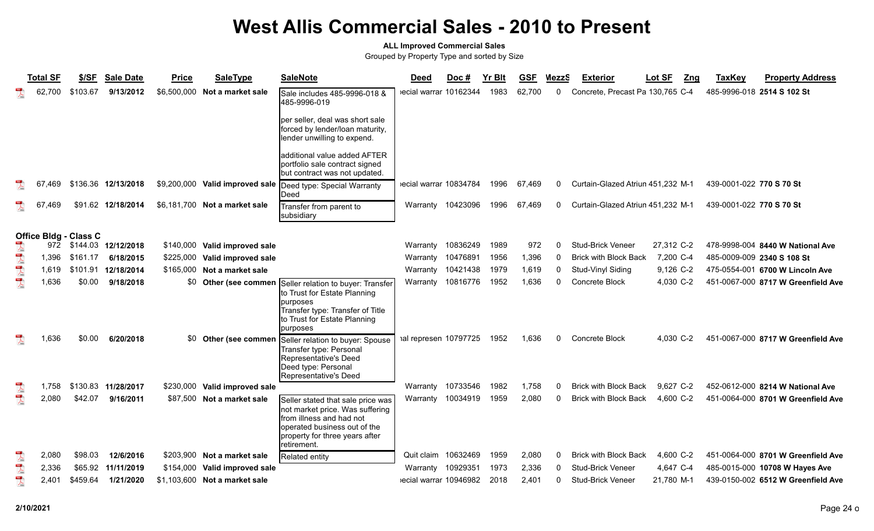### **ALL Improved Commercial Sales**

|                          | <b>Total SF</b> | \$/SF                        | <b>Sale Date</b>    | <b>Price</b> | <b>SaleType</b>                 | <b>SaleNote</b>                                                                                                                                                                    | <b>Deed</b>           | Doc#     | Yr Blt | <b>GSF</b> | <b>MezzS</b> | <b>Exterior</b>                   | <b>Lot SF</b><br><u>Zng</u> | <b>TaxKey</b>            | <b>Property Address</b>            |
|--------------------------|-----------------|------------------------------|---------------------|--------------|---------------------------------|------------------------------------------------------------------------------------------------------------------------------------------------------------------------------------|-----------------------|----------|--------|------------|--------------|-----------------------------------|-----------------------------|--------------------------|------------------------------------|
|                          | 62,700          | \$103.67                     | 9/13/2012           |              | \$6,500,000 Not a market sale   | Sale includes 485-9996-018 &<br>485-9996-019                                                                                                                                       | ecial warrar 10162344 |          | 1983   | 62.700     | $\Omega$     | Concrete, Precast Pa 130,765 C-4  |                             |                          | 485-9996-018 2514 S 102 St         |
|                          |                 |                              |                     |              |                                 | per seller, deal was short sale<br>forced by lender/loan maturity,<br>lender unwilling to expend.                                                                                  |                       |          |        |            |              |                                   |                             |                          |                                    |
|                          |                 |                              |                     |              |                                 | additional value added AFTER<br>portfolio sale contract signed<br>but contract was not updated.                                                                                    |                       |          |        |            |              |                                   |                             |                          |                                    |
| $\overline{\mathbf{r}}$  | 67.469          |                              | \$136.36 12/13/2018 |              | \$9,200,000 Valid improved sale | Deed type: Special Warranty<br>Deed                                                                                                                                                | ecial warrar 10834784 |          | 1996   | 67.469     | 0            | Curtain-Glazed Atriun 451,232 M-1 |                             | 439-0001-022 770 S 70 St |                                    |
|                          | 67.469          |                              | \$91.62 12/18/2014  |              | \$6,181,700 Not a market sale   | Transfer from parent to<br>subsidiary                                                                                                                                              | Warranty              | 10423096 | 1996   | 67,469     | $^{\circ}$   | Curtain-Glazed Atriun 451,232 M-1 |                             | 439-0001-022 770 S 70 St |                                    |
|                          |                 | <b>Office Bldg - Class C</b> |                     |              |                                 |                                                                                                                                                                                    |                       |          |        |            |              |                                   |                             |                          |                                    |
|                          | 972             |                              | \$144.03 12/12/2018 | \$140.000    | Valid improved sale             |                                                                                                                                                                                    | Warranty              | 10836249 | 1989   | 972        |              | <b>Stud-Brick Veneer</b>          | 27,312 C-2                  |                          | 478-9998-004 8440 W National Ave   |
| $\overline{\mathbf{r}}$  | 1,396           | \$161.17                     | 6/18/2015           | \$225,000    | Valid improved sale             |                                                                                                                                                                                    | Warranty              | 10476891 | 1956   | 1,396      |              | <b>Brick with Block Back</b>      | 7,200 C-4                   |                          | 485-0009-009 2340 S 108 St         |
| $\sum_{\rm{last}}$       | 1,619           | \$101.91                     | 12/18/2014          | \$165,000    | Not a market sale               |                                                                                                                                                                                    | Warranty              | 10421438 | 1979   | 1,619      |              | Stud-Vinyl Siding                 | 9,126 C-2                   |                          | 475-0554-001 6700 W Lincoln Ave    |
| $\frac{1}{\sqrt{2}}$     | 1,636           | \$0.00                       | 9/18/2018           | \$0          | Other (see commen               | Seller relation to buyer: Transfer<br>to Trust for Estate Planning<br>purposes<br>Transfer type: Transfer of Title<br>to Trust for Estate Planning<br>purposes                     | Warranty              | 10816776 | 1952   | 1,636      | $\Omega$     | Concrete Block                    | 4,030 C-2                   |                          | 451-0067-000 8717 W Greenfield Ave |
|                          | 1,636           | \$0.00                       | 6/20/2018           | <b>SO</b>    | Other (see commen               | Seller relation to buyer: Spouse<br>Transfer type: Personal<br>Representative's Deed<br>Deed type: Personal<br>Representative's Deed                                               | ial represen 10797725 |          | 1952   | 1,636      | $\Omega$     | Concrete Block                    | 4.030 C-2                   |                          | 451-0067-000 8717 W Greenfield Ave |
| $\sum_{k=1}^{n}$         | 1,758           | \$130.83                     | 11/28/2017          | \$230,000    | Valid improved sale             |                                                                                                                                                                                    | Warranty              | 10733546 | 1982   | 1,758      |              | <b>Brick with Block Back</b>      | $9.627$ C-2                 |                          | 452-0612-000 8214 W National Ave   |
| $\overline{\mathcal{L}}$ | 2,080           | \$42.07                      | 9/16/2011           |              | \$87,500 Not a market sale      | Seller stated that sale price was<br>not market price. Was suffering<br>from illness and had not<br>operated business out of the<br>property for three years after<br>Iretirement. | Warranty              | 10034919 | 1959   | 2,080      |              | <b>Brick with Block Back</b>      | 4,600 C-2                   |                          | 451-0064-000 8701 W Greenfield Ave |
| $\frac{1}{\sqrt{2}}$     | 2,080           | \$98.03                      | 12/6/2016           |              | \$203,900 Not a market sale     | Related entity                                                                                                                                                                     | Quit claim 10632469   |          | 1959   | 2,080      |              | <b>Brick with Block Back</b>      | 4,600 C-2                   |                          | 451-0064-000 8701 W Greenfield Ave |
| $\sum_{k\in\mathbb{N}}$  | 2,336           | \$65.92                      | 11/11/2019          | \$154,000    | Valid improved sale             |                                                                                                                                                                                    | Warranty              | 10929351 | 1973   | 2,336      |              | Stud-Brick Veneer                 | 4,647 C-4                   |                          | 485-0015-000 10708 W Hayes Ave     |
| $\frac{1}{\sqrt{2}}$     | 2,401           | \$459.64                     | 1/21/2020           |              | \$1,103,600 Not a market sale   |                                                                                                                                                                                    | ecial warrar 10946982 |          | 2018   | 2,401      | <sup>0</sup> | Stud-Brick Veneer                 | 21,780 M-1                  |                          | 439-0150-002 6512 W Greenfield Ave |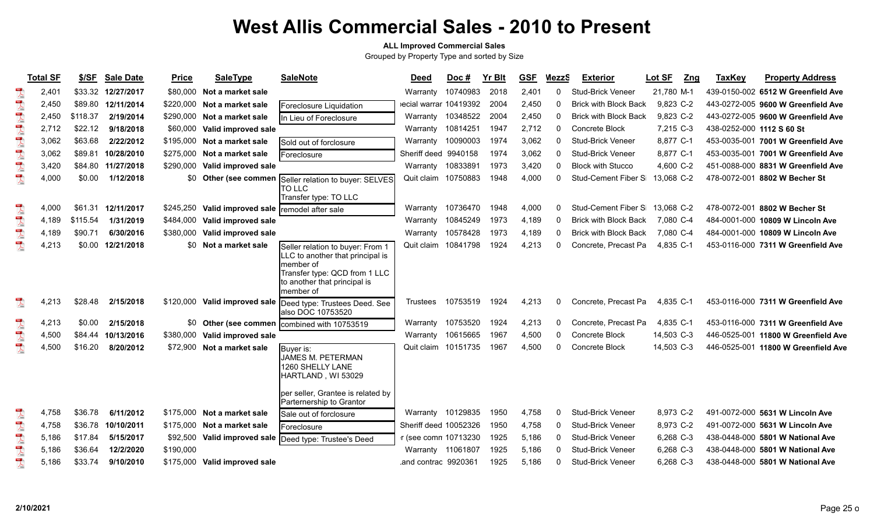### **ALL Improved Commercial Sales**

|                                         | <b>Total SF</b> | \$/SF    | Sale Date  | <b>Price</b> | <b>SaleType</b>               | <b>SaleNote</b>                                                                                                                                                 | <b>Deed</b>           | Doc#     | <b>Yr Blt</b> | <b>GSF</b> | MezzS        | <b>Exterior</b>              | Lot SF<br>Zng | <b>TaxKey</b>             | <b>Property Address</b>             |
|-----------------------------------------|-----------------|----------|------------|--------------|-------------------------------|-----------------------------------------------------------------------------------------------------------------------------------------------------------------|-----------------------|----------|---------------|------------|--------------|------------------------------|---------------|---------------------------|-------------------------------------|
| $\sum_{\lambda \in \mathcal{A}}$        | 2,401           | \$33.32  | 12/27/2017 | \$80,000     | Not a market sale             |                                                                                                                                                                 | Warranty              | 10740983 | 2018          | 2,401      | $\mathbf{0}$ | <b>Stud-Brick Veneer</b>     | 21,780 M-1    |                           | 439-0150-002 6512 W Greenfield Ave  |
| $\overline{\mathbf{r}}$                 | 2,450           | \$89.80  | 12/11/2014 | \$220,000    | Not a market sale             | Foreclosure Liquidation                                                                                                                                         | ecial warrar 10419392 |          | 2004          | 2,450      | $\Omega$     | <b>Brick with Block Back</b> | 9,823 C-2     |                           | 443-0272-005 9600 W Greenfield Ave  |
| $\overline{\mathbf{r}}$                 | 2,450           | \$118.37 | 2/19/2014  | \$290,000    | Not a market sale             | In Lieu of Foreclosure                                                                                                                                          | Warranty              | 10348522 | 2004          | 2,450      | 0            | <b>Brick with Block Back</b> | 9,823 C-2     |                           | 443-0272-005 9600 W Greenfield Ave  |
| $\overline{\mathbf{r}}$                 | 2,712           | \$22.12  | 9/18/2018  | \$60,000     | Valid improved sale           |                                                                                                                                                                 | Warranty              | 10814251 | 1947          | 2,712      | 0            | Concrete Block               | 7,215 C-3     | 438-0252-000 1112 S 60 St |                                     |
| $\begin{array}{c}\n\hline\n\end{array}$ | 3,062           | \$63.68  | 2/22/2012  | \$195,000    | Not a market sale             | Sold out of forclosure                                                                                                                                          | Warranty              | 10090003 | 1974          | 3,062      | $\Omega$     | <b>Stud-Brick Veneer</b>     | 8,877 C-1     |                           | 453-0035-001 7001 W Greenfield Ave  |
| $\begin{array}{c}\n\hline\n\end{array}$ | 3,062           | \$89.81  | 10/28/2010 | \$275,000    | Not a market sale             | Foreclosure                                                                                                                                                     | Sheriff deed          | 9940158  | 1974          | 3,062      | $\Omega$     | <b>Stud-Brick Veneer</b>     | 8,877 C-1     |                           | 453-0035-001 7001 W Greenfield Ave  |
|                                         | 3,420           | \$84.80  | 11/27/2018 | \$290,000    | Valid improved sale           |                                                                                                                                                                 | Warranty              | 10833891 | 1973          | 3,420      | $\Omega$     | <b>Block with Stucco</b>     | 4,600 C-2     |                           | 451-0088-000 8831 W Greenfield Ave  |
| <b>A</b>                                | 4,000           | \$0.00   | 1/12/2018  | \$0          | Other (see commen             | Seller relation to buyer: SELVES<br>TO LLC<br>Transfer type: TO LLC                                                                                             | Quit claim            | 10750883 | 1948          | 4,000      | $\Omega$     | <b>Stud-Cement Fiber S</b>   | 13,068 C-2    |                           | 478-0072-001 8802 W Becher St       |
| $\overline{\mathcal{A}}$                | 4,000           | \$61.31  | 12/11/2017 | \$245,250    | Valid improved sale           | remodel after sale                                                                                                                                              | Warranty              | 10736470 | 1948          | 4,000      | $\Omega$     | Stud-Cement Fiber S          | 13.068 C-2    |                           | 478-0072-001 8802 W Becher St       |
|                                         | 4,189           | \$115.54 | 1/31/2019  | \$484,000    | Valid improved sale           |                                                                                                                                                                 | Warranty              | 10845249 | 1973          | 4,189      | 0            | <b>Brick with Block Back</b> | 7,080 C-4     |                           | 484-0001-000 10809 W Lincoln Ave    |
| $\frac{1}{\sqrt{2}}$                    | 4,189           | \$90.71  | 6/30/2016  | \$380,000    | Valid improved sale           |                                                                                                                                                                 | Warranty              | 10578428 | 1973          | 4,189      | 0            | <b>Brick with Block Back</b> | 7,080 C-4     |                           | 484-0001-000 10809 W Lincoln Ave    |
| $\overline{\mathbf{r}}$                 | 4,213           | \$0.00   | 12/21/2018 | \$0          | Not a market sale             | Seller relation to buyer: From 1<br>LLC to another that principal is<br>member of<br>Transfer type: QCD from 1 LLC<br>to another that principal is<br>member of | Quit claim            | 10841798 | 1924          | 4,213      | 0            | Concrete, Precast Pa         | 4.835 C-1     |                           | 453-0116-000 7311 W Greenfield Ave  |
| $\frac{1}{\sqrt{2}}$                    | 4,213           | \$28.48  | 2/15/2018  |              | \$120,000 Valid improved sale | Deed type: Trustees Deed. See<br>also DOC 10753520                                                                                                              | <b>Trustees</b>       | 10753519 | 1924          | 4,213      | 0            | Concrete, Precast Pa         | 4,835 C-1     |                           | 453-0116-000 7311 W Greenfield Ave  |
| $\overline{\mathcal{A}}$                | 4,213           | \$0.00   | 2/15/2018  |              | \$0 Other (see commen         | combined with 10753519                                                                                                                                          | Warranty              | 10753520 | 1924          | 4,213      | $\Omega$     | Concrete, Precast Pa         | 4,835 C-1     |                           | 453-0116-000 7311 W Greenfield Ave  |
| $\frac{1}{\sqrt{2}}$                    | 4,500           | \$84.44  | 10/13/2016 | \$380,000    | Valid improved sale           |                                                                                                                                                                 | Warranty              | 10615665 | 1967          | 4,500      | $\Omega$     | Concrete Block               | 14,503 C-3    |                           | 446-0525-001 11800 W Greenfield Ave |
| $\mathbb{R}$                            | 4,500           | \$16.20  | 8/20/2012  | \$72,900     | Not a market sale             | Buyer is:<br>JAMES M. PETERMAN<br>1260 SHELLY LANE<br>HARTLAND, WI 53029<br>per seller, Grantee is related by<br>Parternership to Grantor                       | Quit claim            | 10151735 | 1967          | 4,500      | $\Omega$     | Concrete Block               | 14,503 C-3    |                           | 446-0525-001 11800 W Greenfield Ave |
| $\sum_{\rm{hot}}$                       | 4,758           | \$36.78  | 6/11/2012  | \$175.000    | Not a market sale             | Sale out of forclosure                                                                                                                                          | Warranty              | 10129835 | 1950          | 4,758      | 0            | <b>Stud-Brick Veneer</b>     | 8,973 C-2     |                           | 491-0072-000 5631 W Lincoln Ave     |
| $\overline{\mathbf{r}}$                 | 4,758           | \$36.78  | 10/10/2011 | \$175,000    | Not a market sale             | Foreclosure                                                                                                                                                     | Sheriff deed 10052326 |          | 1950          | 4,758      | 0            | <b>Stud-Brick Veneer</b>     | 8,973 C-2     |                           | 491-0072-000 5631 W Lincoln Ave     |
| $\overline{\mathbf{r}}$                 | 5,186           | \$17.84  | 5/15/2017  | \$92,500     | Valid improved sale           | Deed type: Trustee's Deed                                                                                                                                       | r (see comn 10713230  |          | 1925          | 5,186      | $\Omega$     | <b>Stud-Brick Veneer</b>     | 6,268 C-3     |                           | 438-0448-000 5801 W National Ave    |
| $\mathbb{R}$                            | 5,186           | \$36.64  | 12/2/2020  | \$190,000    |                               |                                                                                                                                                                 | Warranty 11061807     |          | 1925          | 5,186      | 0            | <b>Stud-Brick Veneer</b>     | 6,268 C-3     |                           | 438-0448-000 5801 W National Ave    |
| $\mathbb{R}$                            | 5.186           | \$33.74  | 9/10/2010  | \$175.000    | Valid improved sale           |                                                                                                                                                                 | and contrac 9920361   |          | 1925          | 5.186      | $\Omega$     | <b>Stud-Brick Veneer</b>     | 6.268 C-3     |                           | 438-0448-000 5801 W National Ave    |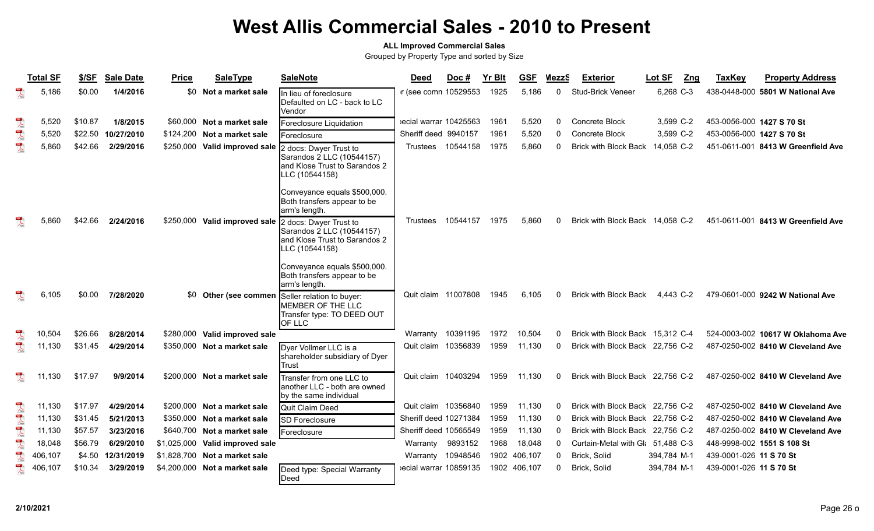#### **ALL Improved Commercial Sales**

|                                                                                                                                                                                                                                                                                                                                                                                                                                   | <b>Total SF</b> | \$/SF   | <b>Sale Date</b> | <b>Price</b> | <b>SaleType</b>                 | <b>SaleNote</b>                                                                                                                                          | <b>Deed</b>           | Doc#     | <b>Yr Blt</b> | <b>GSF</b>   | <b>MezzS</b> | <b>Exterior</b>                   | Lot SF<br>Zng | <b>TaxKey</b>           | <b>Property Address</b>            |
|-----------------------------------------------------------------------------------------------------------------------------------------------------------------------------------------------------------------------------------------------------------------------------------------------------------------------------------------------------------------------------------------------------------------------------------|-----------------|---------|------------------|--------------|---------------------------------|----------------------------------------------------------------------------------------------------------------------------------------------------------|-----------------------|----------|---------------|--------------|--------------|-----------------------------------|---------------|-------------------------|------------------------------------|
| $\lambda$                                                                                                                                                                                                                                                                                                                                                                                                                         | 5,186           | \$0.00  | 1/4/2016         | \$0          | Not a market sale               | In lieu of foreclosure<br>Defaulted on LC - back to LC<br>Vendor                                                                                         | r (see comn 10529553  |          | 1925          | 5,186        | 0            | <b>Stud-Brick Veneer</b>          | 6,268 C-3     |                         | 438-0448-000 5801 W National Ave   |
| 10 <sup>2</sup><br>$\frac{1}{\sqrt{2}}$                                                                                                                                                                                                                                                                                                                                                                                           | 5,520           | \$10.87 | 1/8/2015         |              | \$60,000 Not a market sale      | Foreclosure Liquidation                                                                                                                                  | ecial warrar 10425563 |          | 1961          | 5,520        | 0            | Concrete Block                    | 3,599 C-2     |                         | 453-0056-000 1427 S 70 St          |
| $\sum_{k=1}^{100}$                                                                                                                                                                                                                                                                                                                                                                                                                | 5,520           | \$22.50 | 10/27/2010       |              | \$124,200 Not a market sale     | Foreclosure                                                                                                                                              | Sheriff deed 9940157  |          | 1961          | 5,520        |              | <b>Concrete Block</b>             | 3.599 C-2     |                         | 453-0056-000 1427 S 70 St          |
| $\sum_{k=0}^{100}$                                                                                                                                                                                                                                                                                                                                                                                                                | 5,860           | \$42.66 | 2/29/2016        |              | \$250,000 Valid improved sale   | 2 docs: Dwyer Trust to<br>Sarandos 2 LLC (10544157)<br>and Klose Trust to Sarandos 2<br>LLC (10544158)                                                   | Trustees              | 10544158 | 1975          | 5,860        |              | <b>Brick with Block Back</b>      | 14,058 C-2    |                         | 451-0611-001 8413 W Greenfield Ave |
|                                                                                                                                                                                                                                                                                                                                                                                                                                   | 5,860           | \$42.66 | 2/24/2016        |              |                                 | Conveyance equals \$500,000.<br>Both transfers appear to be<br>arm's length.<br>\$250,000 Valid improved sale 2 docs: Dwyer Trust to                     | Trustees              | 10544157 | 1975          | 5,860        |              | Brick with Block Back 14,058 C-2  |               |                         | 451-0611-001 8413 W Greenfield Ave |
|                                                                                                                                                                                                                                                                                                                                                                                                                                   |                 |         |                  |              |                                 | Sarandos 2 LLC (10544157)<br>and Klose Trust to Sarandos 2<br>LLC (10544158)<br>Conveyance equals \$500,000.                                             |                       |          |               |              |              |                                   |               |                         |                                    |
|                                                                                                                                                                                                                                                                                                                                                                                                                                   | 6,105           | \$0.00  | 7/28/2020        | \$0          |                                 | Both transfers appear to be<br>arm's length.<br>Other (see commen Seller relation to buyer:<br>MEMBER OF THE LLC<br>Transfer type: TO DEED OUT<br>OF LLC | Quit claim 11007808   |          | 1945          | 6,105        |              | <b>Brick with Block Back</b>      | 4,443 C-2     |                         | 479-0601-000 9242 W National Ave   |
| $\sum_{k=1}^{n}$                                                                                                                                                                                                                                                                                                                                                                                                                  | 10,504          | \$26.66 | 8/28/2014        |              | \$280,000 Valid improved sale   |                                                                                                                                                          | Warranty              | 10391195 | 1972          | 10,504       |              | Brick with Block Back 15,312 C-4  |               |                         | 524-0003-002 10617 W Oklahoma Ave  |
|                                                                                                                                                                                                                                                                                                                                                                                                                                   | 11,130          | \$31.45 | 4/29/2014        | \$350,000    | Not a market sale               | Dyer Vollmer LLC is a<br>shareholder subsidiary of Dyer<br>Trust                                                                                         | Quit claim 10356839   |          | 1959          | 11,130       | <sup>0</sup> | Brick with Block Back 22,756 C-2  |               |                         | 487-0250-002 8410 W Cleveland Ave  |
| $\mathbb{Z}$                                                                                                                                                                                                                                                                                                                                                                                                                      | 11,130          | \$17.97 | 9/9/2014         |              | \$200,000 Not a market sale     | Transfer from one LLC to<br>another LLC - both are owned<br>by the same individual                                                                       | Quit claim 10403294   |          | 1959          | 11,130       | 0            | Brick with Block Back 22,756 C-2  |               |                         | 487-0250-002 8410 W Cleveland Ave  |
| $\sum_{k \geq 0}$                                                                                                                                                                                                                                                                                                                                                                                                                 | 11,130          | \$17.97 | 4/29/2014        |              | \$200,000 Not a market sale     | Quit Claim Deed                                                                                                                                          | Quit claim 10356840   |          | 1959          | 11,130       |              | Brick with Block Back 22,756 C-2  |               |                         | 487-0250-002 8410 W Cleveland Ave  |
| $\sum_{k=1}^{10}$                                                                                                                                                                                                                                                                                                                                                                                                                 | 11,130          | \$31.45 | 5/21/2013        |              | \$350,000 Not a market sale     | <b>SD Foreclosure</b>                                                                                                                                    | Sheriff deed 10271384 |          | 1959          | 11,130       |              | Brick with Block Back 22,756 C-2  |               |                         | 487-0250-002 8410 W Cleveland Ave  |
| $\overline{\mathbf{r}}$                                                                                                                                                                                                                                                                                                                                                                                                           | 11,130          | \$57.57 | 3/23/2016        |              | \$640,700 Not a market sale     | Foreclosure                                                                                                                                              | Sheriff deed 10565549 |          | 1959          | 11,130       |              | Brick with Block Back 22,756 C-2  |               |                         | 487-0250-002 8410 W Cleveland Ave  |
| $\overline{\mathbf{r}}$                                                                                                                                                                                                                                                                                                                                                                                                           | 18,048          | \$56.79 | 6/29/2010        |              | \$1,025,000 Valid improved sale |                                                                                                                                                          | Warranty              | 9893152  | 1968          | 18,048       |              | Curtain-Metal with Gli 51,488 C-3 |               |                         | 448-9998-002 1551 S 108 St         |
| $\begin{array}{c}\n\frac{1}{2} \\ \frac{1}{2} \\ \frac{1}{2} \\ \frac{1}{2} \\ \frac{1}{2} \\ \frac{1}{2} \\ \frac{1}{2} \\ \frac{1}{2} \\ \frac{1}{2} \\ \frac{1}{2} \\ \frac{1}{2} \\ \frac{1}{2} \\ \frac{1}{2} \\ \frac{1}{2} \\ \frac{1}{2} \\ \frac{1}{2} \\ \frac{1}{2} \\ \frac{1}{2} \\ \frac{1}{2} \\ \frac{1}{2} \\ \frac{1}{2} \\ \frac{1}{2} \\ \frac{1}{2} \\ \frac{1}{2} \\ \frac{1}{2} \\ \frac{1}{2} \\ \frac{1$ | 406,107         | \$4.50  | 12/31/2019       |              | \$1,828,700 Not a market sale   |                                                                                                                                                          | Warranty              | 10948546 |               | 1902 406,107 | 0            | Brick, Solid                      | 394,784 M-1   | 439-0001-026 11 S 70 St |                                    |
|                                                                                                                                                                                                                                                                                                                                                                                                                                   | 406,107         | \$10.34 | 3/29/2019        |              | \$4,200,000 Not a market sale   | Deed type: Special Warranty<br>Deed                                                                                                                      | ecial warrar 10859135 |          |               | 1902 406,107 | O            | Brick, Solid                      | 394,784 M-1   | 439-0001-026 11 S 70 St |                                    |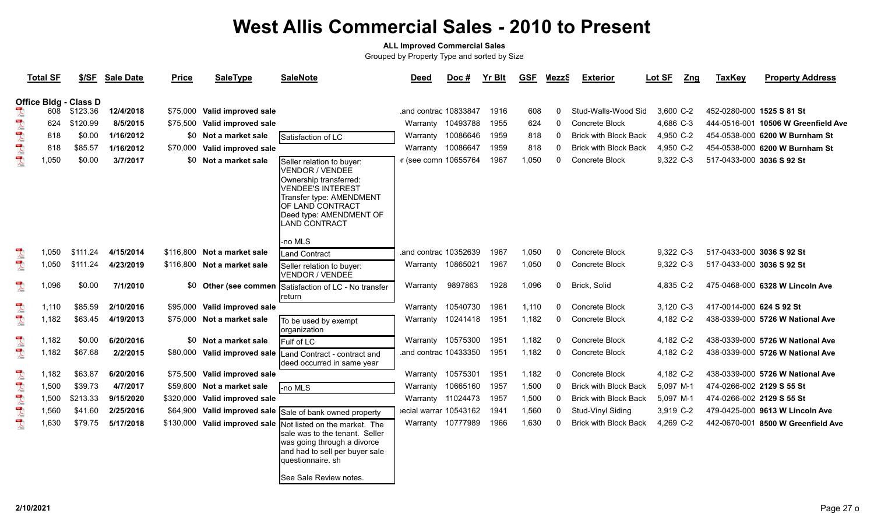#### **ALL Improved Commercial Sales**

|                         | <b>Total SF</b> | \$/SF                                    | <b>Sale Date</b> | <b>Price</b> | <b>SaleType</b>              | <b>SaleNote</b>                                                                                                                                                                                       | <b>Deed</b>           | Doc#     | <b>Yr Blt</b> | <b>GSF</b> | MezzS        | <b>Exterior</b>              | Lot SF    | <b>TaxKey</b><br>Zng     | <b>Property Address</b>             |
|-------------------------|-----------------|------------------------------------------|------------------|--------------|------------------------------|-------------------------------------------------------------------------------------------------------------------------------------------------------------------------------------------------------|-----------------------|----------|---------------|------------|--------------|------------------------------|-----------|--------------------------|-------------------------------------|
|                         | 608             | <b>Office Bldg - Class D</b><br>\$123.36 | 12/4/2018        |              | \$75,000 Valid improved sale |                                                                                                                                                                                                       | and contrac 10833847  |          | 1916          | 608        | 0            | Stud-Walls-Wood Sid          | 3,600 C-2 |                          | 452-0280-000 1525 S 81 St           |
| $\frac{1}{\sqrt{2}}$    | 624             | \$120.99                                 | 8/5/2015         | \$75,500     | Valid improved sale          |                                                                                                                                                                                                       | Warranty              | 10493788 | 1955          | 624        | $\Omega$     | Concrete Block               | 4,686 C-3 |                          | 444-0516-001 10506 W Greenfield Ave |
|                         | 818             | \$0.00                                   | 1/16/2012        |              | \$0 Not a market sale        | Satisfaction of LC                                                                                                                                                                                    | Warranty              | 10086646 | 1959          | 818        | $\Omega$     | <b>Brick with Block Back</b> | 4,950 C-2 |                          | 454-0538-000 6200 W Burnham St      |
|                         | 818             | \$85.57                                  | 1/16/2012        | \$70,000     | Valid improved sale          |                                                                                                                                                                                                       | Warranty              | 10086647 | 1959          | 818        | $\Omega$     | <b>Brick with Block Back</b> | 4,950 C-2 |                          | 454-0538-000 6200 W Burnham St      |
| $\frac{1}{\sqrt{2}}$    | 1,050           | \$0.00                                   | 3/7/2017         | \$0          | Not a market sale            |                                                                                                                                                                                                       | r (see comn 10655764  |          | 1967          | 1,050      | $\Omega$     | Concrete Block               | 9,322 C-3 |                          | 517-0433-000 3036 S 92 St           |
|                         |                 |                                          |                  |              |                              | Seller relation to buyer:<br>VENDOR / VENDEE<br>Ownership transferred:<br><b>VENDEE'S INTEREST</b><br>Transfer type: AMENDMENT<br>OF LAND CONTRACT<br>Deed type: AMENDMENT OF<br><b>LAND CONTRACT</b> |                       |          |               |            |              |                              |           |                          |                                     |
|                         |                 |                                          |                  |              |                              | -no MLS                                                                                                                                                                                               |                       |          |               |            |              |                              |           |                          |                                     |
| $\sum_{\rm kink}$       | 1.050           | \$111.24                                 | 4/15/2014        |              | \$116,800 Not a market sale  | <b>Land Contract</b>                                                                                                                                                                                  | and contrac 10352639  |          | 1967          | 1,050      | $\Omega$     | Concrete Block               | 9,322 C-3 |                          | 517-0433-000 3036 S 92 St           |
| $\overline{\mathbf{r}}$ | 1,050           | \$111.24                                 | 4/23/2019        |              | \$116,800 Not a market sale  | Seller relation to buyer:<br>VENDOR / VENDEE                                                                                                                                                          | Warranty 10865021     |          | 1967          | 1,050      | $\mathbf{0}$ | Concrete Block               | 9,322 C-3 |                          | 517-0433-000 3036 S 92 St           |
| $\sum_{i=1}^{100}$      | 1,096           | \$0.00                                   | 7/1/2010         |              | \$0 Other (see commen        | Satisfaction of LC - No transfer<br>return                                                                                                                                                            | Warranty              | 9897863  | 1928          | 1,096      | 0            | Brick, Solid                 | 4,835 C-2 |                          | 475-0468-000 6328 W Lincoln Ave     |
|                         | 1,110           | \$85.59                                  | 2/10/2016        | \$95,000     | Valid improved sale          |                                                                                                                                                                                                       | Warranty              | 10540730 | 1961          | 1,110      | 0            | Concrete Block               | 3,120 C-3 | 417-0014-000 624 S 92 St |                                     |
|                         | 1,182           | \$63.45                                  | 4/19/2013        |              | \$75,000 Not a market sale   | To be used by exempt<br>organization                                                                                                                                                                  | Warranty              | 10241418 | 1951          | 1,182      | 0            | Concrete Block               | 4,182 C-2 |                          | 438-0339-000 5726 W National Ave    |
| $\frac{1}{\sqrt{2}}$    | 1,182           | \$0.00                                   | 6/20/2016        |              | \$0 Not a market sale        | <b>Fulf of LC</b>                                                                                                                                                                                     | Warranty 10575300     |          | 1951          | 1,182      | $\mathbf{0}$ | Concrete Block               | 4,182 C-2 |                          | 438-0339-000 5726 W National Ave    |
| $\overline{\mathbf{r}}$ | 1,182           | \$67.68                                  | 2/2/2015         |              | \$80,000 Valid improved sale | Land Contract - contract and<br>deed occurred in same year                                                                                                                                            | and contrac 10433350  |          | 1951          | 1,182      | $\mathbf{0}$ | Concrete Block               | 4,182 C-2 |                          | 438-0339-000 5726 W National Ave    |
| $\sum_{k\in\mathbb{Z}}$ | 1,182           | \$63.87                                  | 6/20/2016        |              | \$75,500 Valid improved sale |                                                                                                                                                                                                       | Warranty              | 10575301 | 1951          | 1,182      | $\mathbf{0}$ | Concrete Block               | 4,182 C-2 |                          | 438-0339-000 5726 W National Ave    |
|                         | 1,500           | \$39.73                                  | 4/7/2017         | \$59,600     | Not a market sale            | -no MLS                                                                                                                                                                                               | Warranty              | 10665160 | 1957          | 1,500      | $\Omega$     | <b>Brick with Block Back</b> | 5,097 M-1 |                          | 474-0266-002 2129 S 55 St           |
|                         | 1,500           | \$213.33                                 | 9/15/2020        | \$320,000    | Valid improved sale          |                                                                                                                                                                                                       | Warranty 11024473     |          | 1957          | 1,500      | $\Omega$     | <b>Brick with Block Back</b> | 5,097 M-1 |                          | 474-0266-002 2129 S 55 St           |
|                         | 1,560           | \$41.60                                  | 2/25/2016        | \$64,900     |                              | Valid improved sale Sale of bank owned property                                                                                                                                                       | ecial warrar 10543162 |          | 194'          | 1,560      | $\Omega$     | Stud-Vinyl Siding            | 3,919 C-2 |                          | 479-0425-000 9613 W Lincoln Ave     |
| 一人一人一人                  | 1,630           | \$79.75                                  | 5/17/2018        | \$130,000    |                              | Valid improved sale  Not listed on the market. The<br>sale was to the tenant. Seller<br>was going through a divorce<br>and had to sell per buyer sale<br>questionnaire. sh<br>See Sale Review notes.  | Warranty 10777989     |          | 1966          | 1,630      | $\Omega$     | <b>Brick with Block Back</b> | 4,269 C-2 |                          | 442-0670-001 8500 W Greenfield Ave  |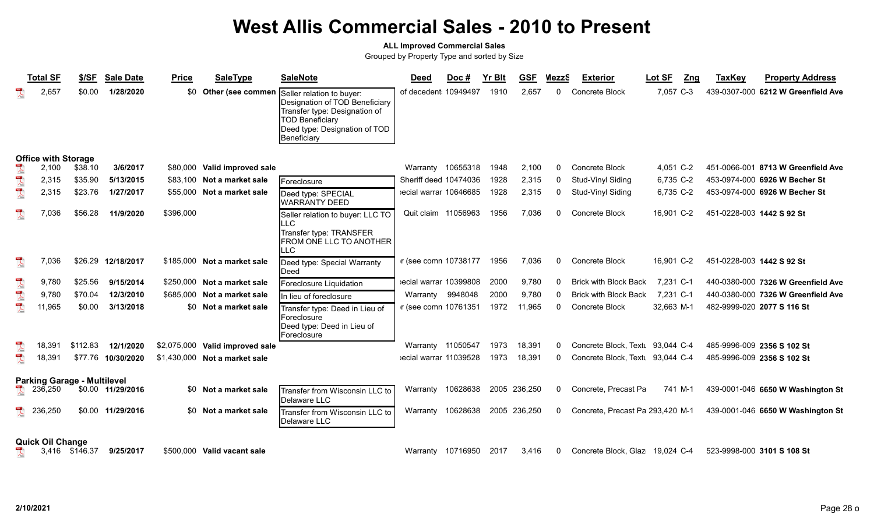### **ALL Improved Commercial Sales**

|                                                                                                                                                                                                                                                                                                                                                                             | <b>Total SF</b>            | \$/SF                              | Sale Date         | <b>Price</b> | <b>SaleType</b>                 | <b>SaleNote</b>                                                                                                                                                        | <b>Deed</b>           | Doc#     | <b>Yr Blt</b> | <b>GSF</b>   | MezzS    | <b>Exterior</b>                  | Lot SF<br>Zng | <b>TaxKey</b>              | <b>Property Address</b>            |
|-----------------------------------------------------------------------------------------------------------------------------------------------------------------------------------------------------------------------------------------------------------------------------------------------------------------------------------------------------------------------------|----------------------------|------------------------------------|-------------------|--------------|---------------------------------|------------------------------------------------------------------------------------------------------------------------------------------------------------------------|-----------------------|----------|---------------|--------------|----------|----------------------------------|---------------|----------------------------|------------------------------------|
|                                                                                                                                                                                                                                                                                                                                                                             | 2,657                      | \$0.00                             | 1/28/2020         | \$0          | Other (see commen               | Seller relation to buyer:<br>Designation of TOD Beneficiary<br>Transfer type: Designation of<br><b>TOD Beneficiary</b><br>Deed type: Designation of TOD<br>Beneficiary | of decedent: 10949497 |          | 1910          | 2,657        |          | Concrete Block                   | 7,057 C-3     |                            | 439-0307-000 6212 W Greenfield Ave |
|                                                                                                                                                                                                                                                                                                                                                                             | <b>Office with Storage</b> |                                    |                   |              |                                 |                                                                                                                                                                        |                       |          |               |              |          |                                  |               |                            |                                    |
|                                                                                                                                                                                                                                                                                                                                                                             | 2,100                      | \$38.10                            | 3/6/2017          | \$80.000     | Valid improved sale             |                                                                                                                                                                        | Warranty              | 10655318 | 1948          | 2,100        |          | Concrete Block                   | 4,051 C-2     |                            | 451-0066-001 8713 W Greenfield Ave |
| $\overline{\mathbf{r}}$                                                                                                                                                                                                                                                                                                                                                     | 2,315                      | \$35.90                            | 5/13/2015         |              | \$83,100 Not a market sale      | Foreclosure                                                                                                                                                            | Sheriff deed 10474036 |          | 1928          | 2,315        |          | Stud-Vinyl Siding                | 6,735 C-2     |                            | 453-0974-000 6926 W Becher St      |
| $\overline{\mathbf{r}}$                                                                                                                                                                                                                                                                                                                                                     | 2,315                      | \$23.76                            | 1/27/2017         | \$55,000     | Not a market sale               | Deed type: SPECIAL<br>WARRANTY DEED                                                                                                                                    | ecial warrar 10646685 |          | 1928          | 2,315        |          | Stud-Vinyl Siding                | 6,735 C-2     |                            | 453-0974-000 6926 W Becher St      |
| $\overline{\mathbf{r}}$                                                                                                                                                                                                                                                                                                                                                     | 7,036                      | \$56.28                            | 11/9/2020         | \$396,000    |                                 | Seller relation to buyer: LLC TO<br>LLC<br>Transfer type: TRANSFER<br><b>FROM ONE LLC TO ANOTHER</b><br>I⊔∟c                                                           | Quit claim 11056963   |          | 1956          | 7,036        |          | Concrete Block                   | 16,901 C-2    | 451-0228-003 1442 S 92 St  |                                    |
|                                                                                                                                                                                                                                                                                                                                                                             | 7.036                      | \$26.29                            | 12/18/2017        |              | \$185,000 Not a market sale     | Deed type: Special Warranty<br><b>I</b> Deed                                                                                                                           | r (see comn 10738177  |          | 1956          | 7,036        | $\Omega$ | Concrete Block                   | 16.901 C-2    | 451-0228-003 1442 S 92 St  |                                    |
| $\overline{\mathcal{A}}$                                                                                                                                                                                                                                                                                                                                                    | 9,780                      | \$25.56                            | 9/15/2014         |              | \$250,000 Not a market sale     | Foreclosure Liquidation                                                                                                                                                | ecial warrar 10399808 |          | 2000          | 9,780        |          | <b>Brick with Block Back</b>     | 7,231 C-1     |                            | 440-0380-000 7326 W Greenfield Ave |
| $\sum_{k=1}^{100}$                                                                                                                                                                                                                                                                                                                                                          | 9,780                      | \$70.04                            | 12/3/2010         | \$685,000    | Not a market sale               | In lieu of foreclosure                                                                                                                                                 | Warranty              | 9948048  | 2000          | 9,780        |          | <b>Brick with Block Back</b>     | 7,231 C-1     |                            | 440-0380-000 7326 W Greenfield Ave |
| $\overline{\mathbf{r}}$                                                                                                                                                                                                                                                                                                                                                     | 11,965                     | \$0.00                             | 3/13/2018         | \$0          | Not a market sale               | Transfer type: Deed in Lieu of<br>Foreclosure<br>Deed type: Deed in Lieu of<br>Foreclosure                                                                             | r (see comn 10761351  |          | 1972          | 11,965       |          | Concrete Block                   | 32,663 M-1    | 482-9999-020 2077 S 116 St |                                    |
| $\begin{picture}(20,20) \put(0,0){\vector(0,1){10}} \put(15,0){\vector(0,1){10}} \put(15,0){\vector(0,1){10}} \put(15,0){\vector(0,1){10}} \put(15,0){\vector(0,1){10}} \put(15,0){\vector(0,1){10}} \put(15,0){\vector(0,1){10}} \put(15,0){\vector(0,1){10}} \put(15,0){\vector(0,1){10}} \put(15,0){\vector(0,1){10}} \put(15,0){\vector(0,1){10}} \put(15,0){\vector(0$ | 18,391                     | \$112.83                           | 12/1/2020         |              | \$2,075,000 Valid improved sale |                                                                                                                                                                        | Warranty 11050547     |          | 1973          | 18,391       |          | Concrete Block, Textu 93,044 C-4 |               | 485-9996-009 2356 S 102 St |                                    |
| $\mathbb{R}$                                                                                                                                                                                                                                                                                                                                                                | 18,391                     | \$77.76                            | 10/30/2020        | \$1,430,000  | Not a market sale               |                                                                                                                                                                        | ecial warrar 11039528 |          | 1973          | 18,391       |          | Concrete Block, Textu 93,044 C-4 |               | 485-9996-009 2356 S 102 St |                                    |
|                                                                                                                                                                                                                                                                                                                                                                             |                            | <b>Parking Garage - Multilevel</b> |                   |              |                                 |                                                                                                                                                                        |                       |          |               |              |          |                                  |               |                            |                                    |
|                                                                                                                                                                                                                                                                                                                                                                             | 236,250                    |                                    | \$0.00 11/29/2016 | \$0          | Not a market sale               | Transfer from Wisconsin LLC to<br>Delaware LLC                                                                                                                         | Warranty              | 10628638 |               | 2005 236,250 |          | Concrete. Precast Pa             | 741 M-1       |                            | 439-0001-046 6650 W Washington St  |
|                                                                                                                                                                                                                                                                                                                                                                             | 236,250                    | \$0.00                             | 11/29/2016        | \$0          | Not a market sale               | Transfer from Wisconsin LLC to<br><b>IDelaware LLC</b>                                                                                                                 | Warranty              | 10628638 | 2005          | 236,250      |          | Concrete, Precast Pa 293,420 M-1 |               |                            | 439-0001-046 6650 W Washington St  |
|                                                                                                                                                                                                                                                                                                                                                                             | <b>Quick Oil Change</b>    |                                    |                   |              |                                 |                                                                                                                                                                        |                       |          |               |              |          |                                  |               |                            |                                    |
|                                                                                                                                                                                                                                                                                                                                                                             |                            | 3,416 \$146.37                     | 9/25/2017         |              | \$500,000 Valid vacant sale     |                                                                                                                                                                        | Warranty 10716950     |          | 2017          | 3,416        | 0        | Concrete Block, Glaz 19,024 C-4  |               | 523-9998-000 3101 S 108 St |                                    |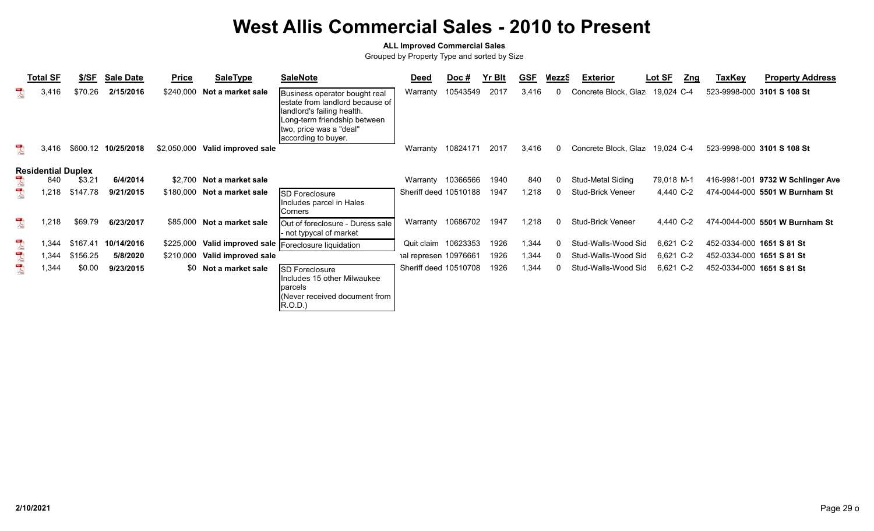### **ALL Improved Commercial Sales**

|                                                                                                                                                                                                                                                                                                                                                                             | <b>Total SF</b>           | \$/SF    | <b>Sale Date</b> | <b>Price</b> | <b>SaleType</b>       | <b>SaleNote</b>                                                                                                                                                                  | <b>Deed</b>           | Doc #    | <b>Yr Blt</b> | <b>GSF</b> | MezzS | <b>Exterior</b>                 | <b>Lot SF</b><br>Zng | TaxKey | <b>Property Address</b>           |
|-----------------------------------------------------------------------------------------------------------------------------------------------------------------------------------------------------------------------------------------------------------------------------------------------------------------------------------------------------------------------------|---------------------------|----------|------------------|--------------|-----------------------|----------------------------------------------------------------------------------------------------------------------------------------------------------------------------------|-----------------------|----------|---------------|------------|-------|---------------------------------|----------------------|--------|-----------------------------------|
|                                                                                                                                                                                                                                                                                                                                                                             | 3,416                     | \$70.26  | 2/15/2016        | \$240,000    | Not a market sale     | Business operator bought real<br>estate from landlord because of<br>landlord's failing health.<br>Long-term friendship between<br>two, price was a "deal"<br>according to buyer. | Warranty              | 10543549 | 2017          | 3,416      |       | Concrete Block, Glaz            | 19,024 C-4           |        | 523-9998-000 3101 S 108 St        |
|                                                                                                                                                                                                                                                                                                                                                                             | 3,416                     | \$600.12 | 10/25/2018       | \$2,050,000  | Valid improved sale   |                                                                                                                                                                                  | Warranty              | 10824171 | 2017          | 3,416      | 0     | Concrete Block, Glaz 19,024 C-4 |                      |        | 523-9998-000 3101 S 108 St        |
|                                                                                                                                                                                                                                                                                                                                                                             | <b>Residential Duplex</b> |          |                  |              |                       |                                                                                                                                                                                  |                       |          |               |            |       |                                 |                      |        |                                   |
|                                                                                                                                                                                                                                                                                                                                                                             | 840                       | \$3.21   | 6/4/2014         | \$2.700      | Not a market sale     |                                                                                                                                                                                  | Warranty 10366566     |          | 1940          | 840        | 0     | Stud-Metal Siding               | 79,018 M-1           |        | 416-9981-001 9732 W Schlinger Ave |
| $\sum_{k=0}^{n}$                                                                                                                                                                                                                                                                                                                                                            | 1,218                     | \$147.78 | 9/21/2015        | \$180,000    | Not a market sale     | <b>SD Foreclosure</b><br>Includes parcel in Hales<br>Corners                                                                                                                     | Sheriff deed 10510188 |          | 1947          | 1,218      | 0     | <b>Stud-Brick Veneer</b>        | 4,440 C-2            |        | 474-0044-000 5501 W Burnham St    |
| $\sum_{k=1}^{n}$                                                                                                                                                                                                                                                                                                                                                            | 1,218                     | \$69.79  | 6/23/2017        | \$85,000     | Not a market sale     | Out of foreclosure - Duress sale<br>not typycal of market                                                                                                                        | Warranty              | 10686702 | 1947          | 1,218      | 0.    | <b>Stud-Brick Veneer</b>        | 4,440 C-2            |        | 474-0044-000 5501 W Burnham St    |
| $\mathbb{Z}$                                                                                                                                                                                                                                                                                                                                                                | 1,344                     | \$167.41 | 10/14/2016       | \$225,000    |                       | Valid improved sale   Foreclosure liquidation                                                                                                                                    | Quit claim 10623353   |          | 1926          | 1,344      | 0     | Stud-Walls-Wood Sid             | 6,621 C-2            |        | 452-0334-000 1651 S 81 St         |
| $\begin{picture}(20,20) \put(0,0){\vector(1,0){10}} \put(15,0){\vector(1,0){10}} \put(15,0){\vector(1,0){10}} \put(15,0){\vector(1,0){10}} \put(15,0){\vector(1,0){10}} \put(15,0){\vector(1,0){10}} \put(15,0){\vector(1,0){10}} \put(15,0){\vector(1,0){10}} \put(15,0){\vector(1,0){10}} \put(15,0){\vector(1,0){10}} \put(15,0){\vector(1,0){10}} \put(15,0){\vector(1$ | 1,344                     | \$156.25 | 5/8/2020         | \$210,000    | Valid improved sale   |                                                                                                                                                                                  | ial represen 10976661 |          | 1926          | 1,344      |       | Stud-Walls-Wood Sid             | 6,621 C-2            |        | 452-0334-000 1651 S 81 St         |
| $\overline{\mathbf{r}}$                                                                                                                                                                                                                                                                                                                                                     | 1,344                     | \$0.00   | 9/23/2015        |              | \$0 Not a market sale | SD Foreclosure<br>Includes 15 other Milwaukee<br>parcels<br>(Never received document from<br>R.O.D.)                                                                             | Sheriff deed 10510708 |          | 1926          | 1,344      | 0.    | Stud-Walls-Wood Sid             | 6,621 C-2            |        | 452-0334-000 1651 S 81 St         |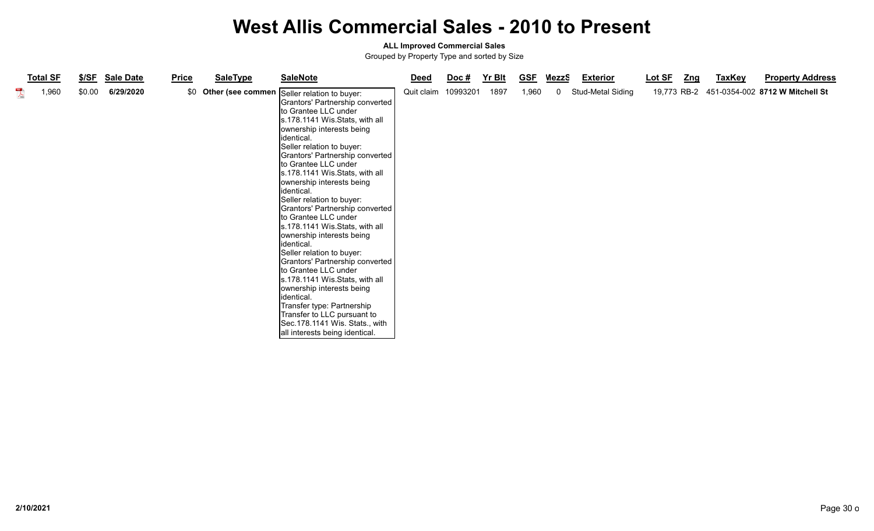### **ALL Improved Commercial Sales**

| <b>Total SF</b>               |        | \$/SF Sale Date | <b>Price</b> | <b>SaleType</b> | <b>SaleNote</b>                                                                                                                                                                                                                                                                                                                                                                                                                                                                                                                                                                                                                                                                                                                                                                                                                       | <b>Deed</b> | <u>Doc #</u> | Yr Blt | <b>GSF</b> | <u>MezzS</u> | <b>Exterior</b>   | Lot SF | <u>Zng</u> | <b>TaxKey</b> | <b>Property Address</b>                     |
|-------------------------------|--------|-----------------|--------------|-----------------|---------------------------------------------------------------------------------------------------------------------------------------------------------------------------------------------------------------------------------------------------------------------------------------------------------------------------------------------------------------------------------------------------------------------------------------------------------------------------------------------------------------------------------------------------------------------------------------------------------------------------------------------------------------------------------------------------------------------------------------------------------------------------------------------------------------------------------------|-------------|--------------|--------|------------|--------------|-------------------|--------|------------|---------------|---------------------------------------------|
| 1,960<br>$\frac{1}{\sqrt{2}}$ | \$0.00 | 6/29/2020       | \$0          |                 | Other (see commen Seller relation to buyer:<br>Grantors' Partnership converted<br>to Grantee LLC under<br>s.178.1141 Wis.Stats, with all<br>ownership interests being<br>lidentical.<br>Seller relation to buyer:<br>Grantors' Partnership converted<br>Ito Grantee LLC under<br>s.178.1141 Wis.Stats, with all<br>ownership interests being<br>identical.<br>Seller relation to buyer:<br>Grantors' Partnership converted<br>to Grantee LLC under<br>s.178.1141 Wis.Stats, with all<br>ownership interests being<br>identical.<br>Seller relation to buyer:<br>Grantors' Partnership converted<br>to Grantee LLC under<br>s.178.1141 Wis.Stats, with all<br>ownership interests being<br>identical.<br>Transfer type: Partnership<br>Transfer to LLC pursuant to<br>Sec.178.1141 Wis. Stats., with<br>all interests being identical. | Quit claim  | 10993201     | 1897   | 1,960      | $\mathbf 0$  | Stud-Metal Siding |        |            |               | 19,773 RB-2 451-0354-002 8712 W Mitchell St |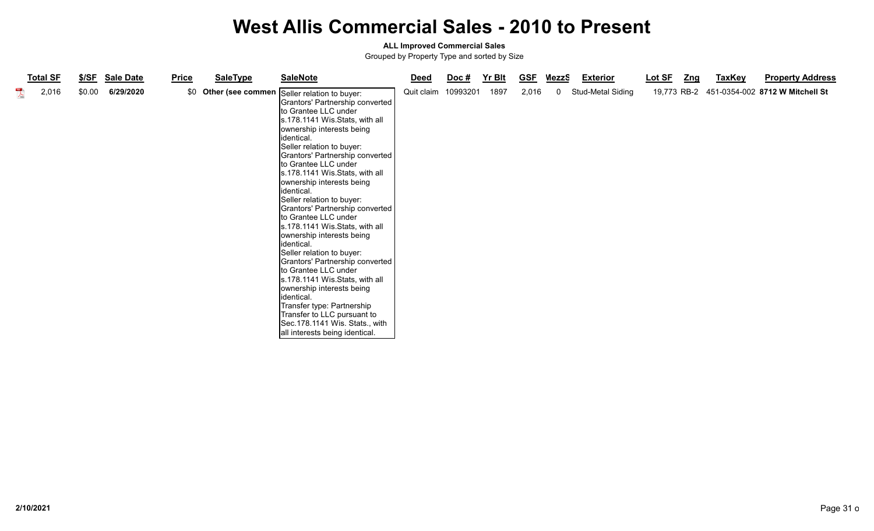#### **ALL Improved Commercial Sales**

| <b>Total SF</b>    |        | \$/SF Sale Date | <b>Price</b> | <b>SaleType</b> | <b>SaleNote</b>                                                                                                                                                                                                                                                                                                                                                                                                                                                                                                                                                                                                                                                                                                                                                                                                                         | <b>Deed</b>         | Doc # | <b>Yr Blt</b> | <u>GSF</u> | MezzS        | <b>Exterior</b>   | Lot SF | <u>Zng</u> | TaxKey | <b>Property Address</b>                     |
|--------------------|--------|-----------------|--------------|-----------------|-----------------------------------------------------------------------------------------------------------------------------------------------------------------------------------------------------------------------------------------------------------------------------------------------------------------------------------------------------------------------------------------------------------------------------------------------------------------------------------------------------------------------------------------------------------------------------------------------------------------------------------------------------------------------------------------------------------------------------------------------------------------------------------------------------------------------------------------|---------------------|-------|---------------|------------|--------------|-------------------|--------|------------|--------|---------------------------------------------|
| $\lambda$<br>2,016 | \$0.00 | 6/29/2020       | \$0          |                 | Other (see commen Seller relation to buyer:<br>Grantors' Partnership converted<br>to Grantee LLC under<br>s.178.1141 Wis.Stats, with all<br>ownership interests being<br>lidentical.<br>Seller relation to buyer:<br>Grantors' Partnership converted<br>to Grantee LLC under<br>s.178.1141 Wis.Stats, with all<br>ownership interests being<br>lidentical.<br>Seller relation to buyer:<br>Grantors' Partnership converted<br>to Grantee LLC under<br>s.178.1141 Wis.Stats, with all<br>ownership interests being<br>lidentical.<br>Seller relation to buyer:<br>Grantors' Partnership converted<br>Ito Grantee LLC under<br>s.178.1141 Wis.Stats, with all<br>ownership interests being<br>identical.<br>Transfer type: Partnership<br>Transfer to LLC pursuant to<br>Sec.178.1141 Wis. Stats., with<br>all interests being identical. | Quit claim 10993201 |       | 1897          | 2,016      | $\mathbf{0}$ | Stud-Metal Siding |        |            |        | 19,773 RB-2 451-0354-002 8712 W Mitchell St |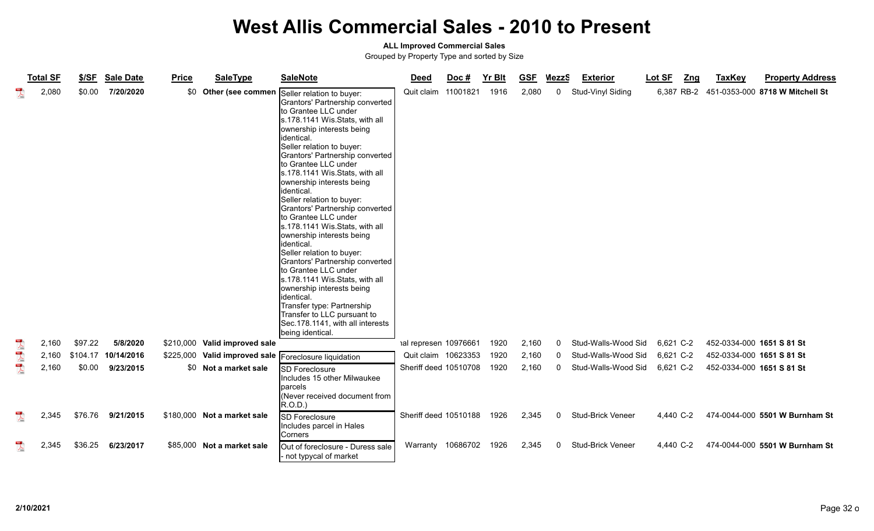### **ALL Improved Commercial Sales**

|                         | <b>Total SF</b> | \$/SF   | <b>Sale Date</b>    | <b>Price</b> | <b>SaleType</b>               | <b>SaleNote</b>                                                                                                                                                                                                                                                                                                                                                                                                                                                                                                                                                                                                                                                                                                                                                                                       | <b>Deed</b>           | Doc# | <b>Yr Blt</b> | <b>GSF</b> | <b>MezzS</b> | <b>Exterior</b>          | Lot SF    | Zng | <b>TaxKey</b>             | <b>Property Address</b>                    |
|-------------------------|-----------------|---------|---------------------|--------------|-------------------------------|-------------------------------------------------------------------------------------------------------------------------------------------------------------------------------------------------------------------------------------------------------------------------------------------------------------------------------------------------------------------------------------------------------------------------------------------------------------------------------------------------------------------------------------------------------------------------------------------------------------------------------------------------------------------------------------------------------------------------------------------------------------------------------------------------------|-----------------------|------|---------------|------------|--------------|--------------------------|-----------|-----|---------------------------|--------------------------------------------|
|                         | 2,080           | \$0.00  | 7/20/2020           | \$0          | Other (see commen             | Seller relation to buyer:<br>Grantors' Partnership converted<br>to Grantee LLC under<br>s.178.1141 Wis.Stats, with all<br>ownership interests being<br>identical.<br>Seller relation to buyer:<br>Grantors' Partnership converted<br>to Grantee LLC under<br>s.178.1141 Wis.Stats, with all<br>ownership interests being<br>identical.<br>Seller relation to buyer:<br>Grantors' Partnership converted<br>to Grantee LLC under<br>s.178.1141 Wis.Stats, with all<br>ownership interests being<br>identical.<br>Seller relation to buyer:<br>Grantors' Partnership converted<br>to Grantee LLC under<br>s.178.1141 Wis.Stats, with all<br>ownership interests being<br>identical.<br>Transfer type: Partnership<br>Transfer to LLC pursuant to<br>Sec.178.1141, with all interests<br>being identical. | Quit claim 11001821   |      | 1916          | 2,080      | $\mathbf{0}$ | Stud-Vinyl Siding        |           |     |                           | 6,387 RB-2 451-0353-000 8718 W Mitchell St |
| $\frac{1}{\sqrt{2}}$    | 2,160           | \$97.22 | 5/8/2020            |              | \$210,000 Valid improved sale |                                                                                                                                                                                                                                                                                                                                                                                                                                                                                                                                                                                                                                                                                                                                                                                                       | ial represen 10976661 |      | 1920          | 2,160      | $\Omega$     | Stud-Walls-Wood Sid      | 6,621 C-2 |     | 452-0334-000 1651 S 81 St |                                            |
| $\sum_{k=1}^{100}$      | 2,160           |         | \$104.17 10/14/2016 |              | \$225,000 Valid improved sale | Foreclosure liquidation                                                                                                                                                                                                                                                                                                                                                                                                                                                                                                                                                                                                                                                                                                                                                                               | Quit claim 10623353   |      | 1920          | 2,160      | $\mathbf{0}$ | Stud-Walls-Wood Sid      | 6,621 C-2 |     | 452-0334-000 1651 S 81 St |                                            |
| $\overline{\mathbf{r}}$ | 2,160           | \$0.00  | 9/23/2015           |              | \$0 Not a market sale         | <b>SD Foreclosure</b><br>Includes 15 other Milwaukee<br>parcels<br>(Never received document from<br>R.O.D.)                                                                                                                                                                                                                                                                                                                                                                                                                                                                                                                                                                                                                                                                                           | Sheriff deed 10510708 |      | 1920          | 2,160      | $\mathbf{0}$ | Stud-Walls-Wood Sid      | 6,621 C-2 |     | 452-0334-000 1651 S 81 St |                                            |
| $\overline{\mathbf{r}}$ | 2,345           | \$76.76 | 9/21/2015           |              | \$180,000 Not a market sale   | SD Foreclosure<br>Includes parcel in Hales<br>Corners                                                                                                                                                                                                                                                                                                                                                                                                                                                                                                                                                                                                                                                                                                                                                 | Sheriff deed 10510188 |      | 1926          | 2,345      | $\mathbf{0}$ | <b>Stud-Brick Veneer</b> | 4,440 C-2 |     |                           | 474-0044-000 5501 W Burnham St             |
| $\mathbb{R}$            | 2,345           | \$36.25 | 6/23/2017           |              | \$85,000 Not a market sale    | Out of foreclosure - Duress sale<br>- not typycal of market                                                                                                                                                                                                                                                                                                                                                                                                                                                                                                                                                                                                                                                                                                                                           | Warranty 10686702     |      | 1926          | 2,345      | 0            | <b>Stud-Brick Veneer</b> | 4,440 C-2 |     |                           | 474-0044-000 5501 W Burnham St             |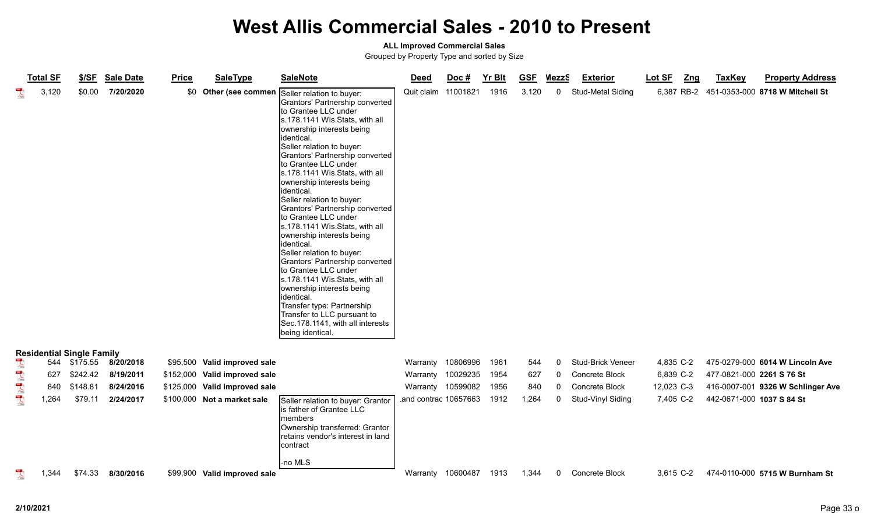### **ALL Improved Commercial Sales**

|                                                                           | <b>Total SF</b> |                                                  | \$/SF Sale Date | <b>Price</b> | <b>SaleType</b>               | <b>SaleNote</b>                                                                                                                                                                                                                                                                                                                                                                                                                                                                                                                                                                                                                                                                                                                                                                                       | <b>Deed</b>          | Doc#              | <b>Yr Blt</b> | <b>GSF</b> | <b>MezzS</b> | <b>Exterior</b>          | Lot SF     | <u>Zng</u> | <b>TaxKey</b>             | <b>Property Address</b>                    |
|---------------------------------------------------------------------------|-----------------|--------------------------------------------------|-----------------|--------------|-------------------------------|-------------------------------------------------------------------------------------------------------------------------------------------------------------------------------------------------------------------------------------------------------------------------------------------------------------------------------------------------------------------------------------------------------------------------------------------------------------------------------------------------------------------------------------------------------------------------------------------------------------------------------------------------------------------------------------------------------------------------------------------------------------------------------------------------------|----------------------|-------------------|---------------|------------|--------------|--------------------------|------------|------------|---------------------------|--------------------------------------------|
|                                                                           | 3,120           | \$0.00                                           | 7/20/2020       | \$0          | Other (see commen             | Seller relation to buyer:<br>Grantors' Partnership converted<br>to Grantee LLC under<br>s.178.1141 Wis.Stats, with all<br>ownership interests being<br>identical.<br>Seller relation to buyer:<br>Grantors' Partnership converted<br>to Grantee LLC under<br>s.178.1141 Wis.Stats, with all<br>ownership interests being<br>identical.<br>Seller relation to buyer:<br>Grantors' Partnership converted<br>to Grantee LLC under<br>s.178.1141 Wis.Stats, with all<br>ownership interests being<br>identical.<br>Seller relation to buyer:<br>Grantors' Partnership converted<br>to Grantee LLC under<br>s.178.1141 Wis.Stats, with all<br>ownership interests being<br>identical.<br>Transfer type: Partnership<br>Transfer to LLC pursuant to<br>Sec.178.1141, with all interests<br>being identical. | Quit claim 11001821  |                   | 1916          | 3,120      | $\mathbf 0$  | <b>Stud-Metal Siding</b> |            |            |                           | 6,387 RB-2 451-0353-000 8718 W Mitchell St |
| $\frac{1}{\sqrt{2}}$                                                      |                 | <b>Residential Single Family</b><br>544 \$175.55 | 8/20/2018       |              | \$95,500 Valid improved sale  |                                                                                                                                                                                                                                                                                                                                                                                                                                                                                                                                                                                                                                                                                                                                                                                                       | Warranty             | 10806996          | 1961          | 544        | 0            | <b>Stud-Brick Veneer</b> | 4,835 C-2  |            |                           | 475-0279-000 6014 W Lincoln Ave            |
| $\begin{array}{c}\n\frac{1}{\sqrt{2}} \\ \frac{1}{\sqrt{2}}\n\end{array}$ | 627             | \$242.42                                         | 8/19/2011       |              | \$152,000 Valid improved sale |                                                                                                                                                                                                                                                                                                                                                                                                                                                                                                                                                                                                                                                                                                                                                                                                       | Warranty 10029235    |                   | 1954          | 627        | 0            | <b>Concrete Block</b>    | 6,839 C-2  |            | 477-0821-000 2261 S 76 St |                                            |
| $\sum_{\rm kink}$                                                         | 840             | \$148.81                                         | 8/24/2016       |              | \$125,000 Valid improved sale |                                                                                                                                                                                                                                                                                                                                                                                                                                                                                                                                                                                                                                                                                                                                                                                                       | Warranty 10599082    |                   | 1956          | 840        | $\mathbf{0}$ | Concrete Block           | 12,023 C-3 |            |                           | 416-0007-001 9326 W Schlinger Ave          |
| $\overline{\mathbf{r}}$                                                   | 1,264           | \$79.11                                          | 2/24/2017       |              | \$100,000 Not a market sale   | Seller relation to buyer: Grantor<br>is father of Grantee LLC<br>members<br>Ownership transferred: Grantor<br>retains vendor's interest in land<br>contract                                                                                                                                                                                                                                                                                                                                                                                                                                                                                                                                                                                                                                           | and contrac 10657663 |                   | 1912          | 1,264      | 0            | Stud-Vinyl Siding        | 7,405 C-2  |            | 442-0671-000 1037 S 84 St |                                            |
|                                                                           | 1,344           | \$74.33                                          | 8/30/2016       |              | \$99,900 Valid improved sale  | -no MLS                                                                                                                                                                                                                                                                                                                                                                                                                                                                                                                                                                                                                                                                                                                                                                                               |                      | Warranty 10600487 | 1913          | 1,344      | $\mathbf 0$  | Concrete Block           | 3,615 C-2  |            |                           | 474-0110-000 5715 W Burnham St             |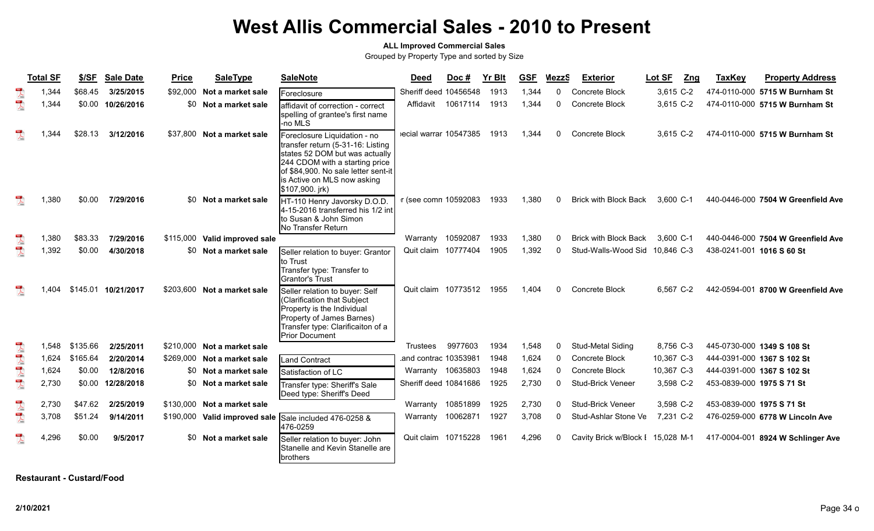#### **ALL Improved Commercial Sales**

Grouped by Property Type and sorted by Size

|                         | <b>Total SF</b> | \$/SF    | Sale Date           | <b>Price</b> | <b>SaleType</b>               | <b>SaleNote</b>                                                                                                                                                                                                                | <b>Deed</b>           | Doc #    | <b>Yr Blt</b> | <b>GSF</b> | MezzS        | <b>Exterior</b>                   | Lot SF     | Zng | TaxKey                    | <b>Property Address</b>            |
|-------------------------|-----------------|----------|---------------------|--------------|-------------------------------|--------------------------------------------------------------------------------------------------------------------------------------------------------------------------------------------------------------------------------|-----------------------|----------|---------------|------------|--------------|-----------------------------------|------------|-----|---------------------------|------------------------------------|
| $\mathbb{R}$            | 1,344           | \$68.45  | 3/25/2015           | \$92.000     | Not a market sale             | Foreclosure                                                                                                                                                                                                                    | Sheriff deed 10456548 |          | 1913          | 1,344      | $\Omega$     | Concrete Block                    | 3.615 C-2  |     |                           | 474-0110-000 5715 W Burnham St     |
| $\overline{\mathbf{r}}$ | 1,344           |          | \$0.00 10/26/2016   |              | \$0 Not a market sale         | affidavit of correction - correct<br>spelling of grantee's first name<br>-no MLS                                                                                                                                               | Affidavit 10617114    |          | 1913          | 1,344      | $\Omega$     | Concrete Block                    | 3,615 C-2  |     |                           | 474-0110-000 5715 W Burnham St     |
|                         | ,344            | \$28.13  | 3/12/2016           |              | \$37,800 Not a market sale    | Foreclosure Liquidation - no<br>transfer return (5-31-16: Listing<br>states 52 DOM but was actually<br>244 CDOM with a starting price<br>of \$84,900. No sale letter sent-it<br>is Active on MLS now asking<br>\$107,900. jrk) | ecial warrar 10547385 |          | 1913          | 1,344      | $\mathbf{0}$ | Concrete Block                    | 3,615 C-2  |     |                           | 474-0110-000 5715 W Burnham St     |
|                         | 1,380           | \$0.00   | 7/29/2016           | \$0          | Not a market sale             | HT-110 Henry Javorsky D.O.D.<br>4-15-2016 transferred his 1/2 int<br>to Susan & John Simon<br>No Transfer Return                                                                                                               | r (see comn 10592083  |          | 1933          | 1,380      | $\Omega$     | <b>Brick with Block Back</b>      | 3,600 C-1  |     |                           | 440-0446-000 7504 W Greenfield Ave |
| $\lambda$               | 1,380           | \$83.33  | 7/29/2016           |              | \$115,000 Valid improved sale |                                                                                                                                                                                                                                | Warranty              | 10592087 | 1933          | 1,380      | $\mathbf{0}$ | <b>Brick with Block Back</b>      | 3,600 C-1  |     |                           | 440-0446-000 7504 W Greenfield Ave |
| $\mathbb{R}$            | 1,392           | \$0.00   | 4/30/2018           |              | \$0 Not a market sale         | Seller relation to buyer: Grantor<br>to Trust<br>Transfer type: Transfer to<br>Grantor's Trust                                                                                                                                 | Quit claim 10777404   |          | 1905          | 1,392      | $\Omega$     | Stud-Walls-Wood Sid 10,846 C-3    |            |     | 438-0241-001 1016 S 60 St |                                    |
|                         | 1.404           |          | \$145.01 10/21/2017 |              | \$203,600 Not a market sale   | Seller relation to buyer: Self<br>(Clarification that Subject<br>Property is the Individual<br>Property of James Barnes)<br>Transfer type: Clarificaiton of a<br><b>Prior Document</b>                                         | Quit claim 10773512   |          | 1955          | 1,404      | $\Omega$     | Concrete Block                    | 6.567 C-2  |     |                           | 442-0594-001 8700 W Greenfield Ave |
|                         | 1,548           | \$135.66 | 2/25/2011           | \$210,000    | Not a market sale             |                                                                                                                                                                                                                                | Trustees              | 9977603  | 1934          | 1,548      | $\mathbf{0}$ | Stud-Metal Siding                 | 8,756 C-3  |     |                           | 445-0730-000 1349 S 108 St         |
|                         | 1,624           | \$165.64 | 2/20/2014           |              | \$269,000 Not a market sale   | <b>Land Contract</b>                                                                                                                                                                                                           | and contrac 10353981  |          | 1948          | 1,624      | $\mathbf{0}$ | Concrete Block                    | 10,367 C-3 |     |                           | 444-0391-000 1367 S 102 St         |
| 人工人工人                   | 1,624           | \$0.00   | 12/8/2016           |              | \$0 Not a market sale         | Satisfaction of LC                                                                                                                                                                                                             | Warranty 10635803     |          | 1948          | 1,624      | $\Omega$     | Concrete Block                    | 10,367 C-3 |     |                           | 444-0391-000 1367 S 102 St         |
|                         | 2,730           | \$0.00   | 12/28/2018          | \$0          | Not a market sale             | Transfer type: Sheriff's Sale<br>Deed type: Sheriff's Deed                                                                                                                                                                     | Sheriff deed 10841686 |          | 1925          | 2,730      | $\mathbf{0}$ | Stud-Brick Veneer                 | 3,598 C-2  |     | 453-0839-000 1975 S 71 St |                                    |
|                         | 2,730           | \$47.62  | 2/25/2019           |              | \$130,000 Not a market sale   |                                                                                                                                                                                                                                | Warranty 10851899     |          | 1925          | 2,730      | $\Omega$     | Stud-Brick Veneer                 | 3,598 C-2  |     | 453-0839-000 1975 S 71 St |                                    |
|                         | 3,708           | \$51.24  | 9/14/2011           |              | \$190,000 Valid improved sale | Sale included 476-0258 &<br>476-0259                                                                                                                                                                                           | Warranty 10062871     |          | 1927          | 3,708      | $\mathbf{0}$ | Stud-Ashlar Stone Ve              | 7,231 C-2  |     |                           | 476-0259-000 6778 W Lincoln Ave    |
|                         | 4,296           | \$0.00   | 9/5/2017            | \$0          | Not a market sale             | Seller relation to buyer: John<br>Stanelle and Kevin Stanelle are<br><b>Ibrothers</b>                                                                                                                                          | Quit claim 10715228   |          | 1961          | 4,296      | $\mathbf{0}$ | Cavity Brick w/Block I 15,028 M-1 |            |     |                           | 417-0004-001 8924 W Schlinger Ave  |

**Restaurant - Custard/Food**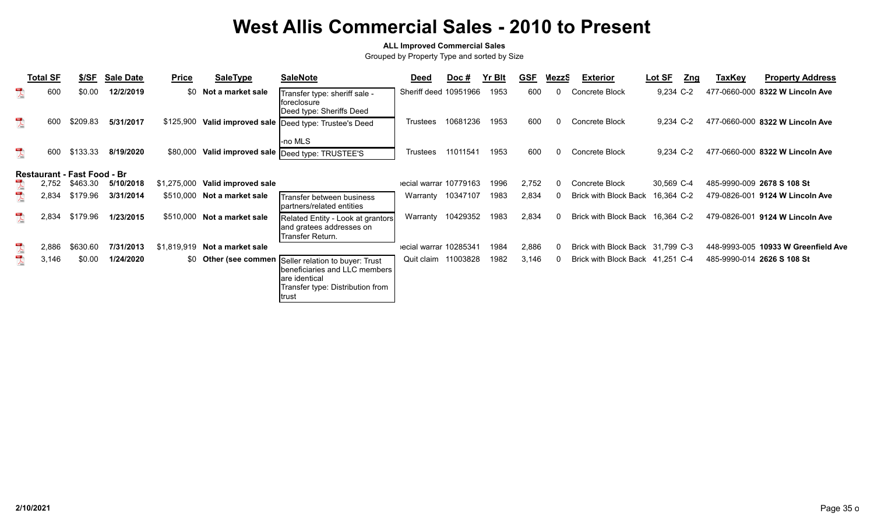#### **ALL Improved Commercial Sales**

|                                                                                                                                                                                                                                                                                                                                                                             | <b>Total SF</b> | \$/SF                              | <b>Sale Date</b> | <b>Price</b> | <b>SaleType</b>                 | <b>SaleNote</b>                                                                                                                  | <b>Deed</b>           | Doc #    | <b>Yr Blt</b> | <b>GSF</b> | MezzS | <b>Exterior</b>                  | Lot SF<br>Zng | <b>TaxKey</b> | <b>Property Address</b>             |
|-----------------------------------------------------------------------------------------------------------------------------------------------------------------------------------------------------------------------------------------------------------------------------------------------------------------------------------------------------------------------------|-----------------|------------------------------------|------------------|--------------|---------------------------------|----------------------------------------------------------------------------------------------------------------------------------|-----------------------|----------|---------------|------------|-------|----------------------------------|---------------|---------------|-------------------------------------|
| $\sum_{\text{block}}$                                                                                                                                                                                                                                                                                                                                                       | 600             | \$0.00                             | 12/2/2019        | \$0          | Not a market sale               | Transfer type: sheriff sale -<br>Iforeclosure<br>Deed type: Sheriffs Deed                                                        | Sheriff deed 10951966 |          | 1953          | 600        |       | Concrete Block                   | 9,234 C-2     |               | 477-0660-000 8322 W Lincoln Ave     |
| $\frac{10^2}{\sqrt{25}}$                                                                                                                                                                                                                                                                                                                                                    | 600             | \$209.83                           | 5/31/2017        |              |                                 | \$125,900 Valid improved sale  Deed type: Trustee's Deed<br>-no MLS                                                              | Trustees              | 10681236 | 1953          | 600        |       | Concrete Block                   | 9,234 C-2     |               | 477-0660-000 8322 W Lincoln Ave     |
| $\overline{\phantom{a}}$                                                                                                                                                                                                                                                                                                                                                    | 600             | \$133.33                           | 8/19/2020        | \$80,000     |                                 | Valid improved sale  Deed type: TRUSTEE'S                                                                                        | <b>Trustees</b>       | 11011541 | 1953          | 600        |       | Concrete Block                   | 9,234 C-2     |               | 477-0660-000 8322 W Lincoln Ave     |
|                                                                                                                                                                                                                                                                                                                                                                             |                 | <b>Restaurant - Fast Food - Br</b> |                  |              |                                 |                                                                                                                                  |                       |          |               |            |       |                                  |               |               |                                     |
|                                                                                                                                                                                                                                                                                                                                                                             | 2,752           | \$463.30                           | 5/10/2018        |              | \$1,275,000 Valid improved sale |                                                                                                                                  | ecial warrar 10779163 |          | 1996          | 2,752      |       | Concrete Block                   | 30,569 C-4    |               | 485-9990-009 2678 S 108 St          |
| $\begin{picture}(20,20) \put(0,0){\vector(0,1){10}} \put(15,0){\vector(0,1){10}} \put(15,0){\vector(0,1){10}} \put(15,0){\vector(0,1){10}} \put(15,0){\vector(0,1){10}} \put(15,0){\vector(0,1){10}} \put(15,0){\vector(0,1){10}} \put(15,0){\vector(0,1){10}} \put(15,0){\vector(0,1){10}} \put(15,0){\vector(0,1){10}} \put(15,0){\vector(0,1){10}} \put(15,0){\vector(0$ | 2,834           | \$179.96                           | 3/31/2014        | \$510,000    | Not a market sale               | Transfer between business<br>Ipartners/related entities                                                                          | Warranty              | 10347107 | 1983          | 2,834      |       | <b>Brick with Block Back</b>     | 16,364 C-2    |               | 479-0826-001 9124 W Lincoln Ave     |
| $\lambda$                                                                                                                                                                                                                                                                                                                                                                   | 2,834           | \$179.96                           | 1/23/2015        | \$510,000    | Not a market sale               | Related Entity - Look at grantors<br>and gratees addresses on<br>Transfer Return.                                                | Warranty              | 10429352 | 1983          | 2,834      |       | Brick with Block Back            | 16,364 C-2    |               | 479-0826-001 9124 W Lincoln Ave     |
| $\lambda$                                                                                                                                                                                                                                                                                                                                                                   | 2,886           | \$630.60                           | 7/31/2013        | \$1,819,919  | Not a market sale               |                                                                                                                                  | ecial warrar 10285341 |          | 1984          | 2,886      |       | Brick with Block Back 31,799 C-3 |               |               | 448-9993-005 10933 W Greenfield Ave |
| $\sum_{k=1}^{100}$                                                                                                                                                                                                                                                                                                                                                          | 3,146           | \$0.00                             | 1/24/2020        |              | \$0 Other (see commen           | Seller relation to buyer: Trust<br>beneficiaries and LLC members<br>lare identical<br>Transfer type: Distribution from<br>∣trust | Quit claim            | 11003828 | 1982          | 3,146      |       | Brick with Block Back 41,251 C-4 |               |               | 485-9990-014 2626 S 108 St          |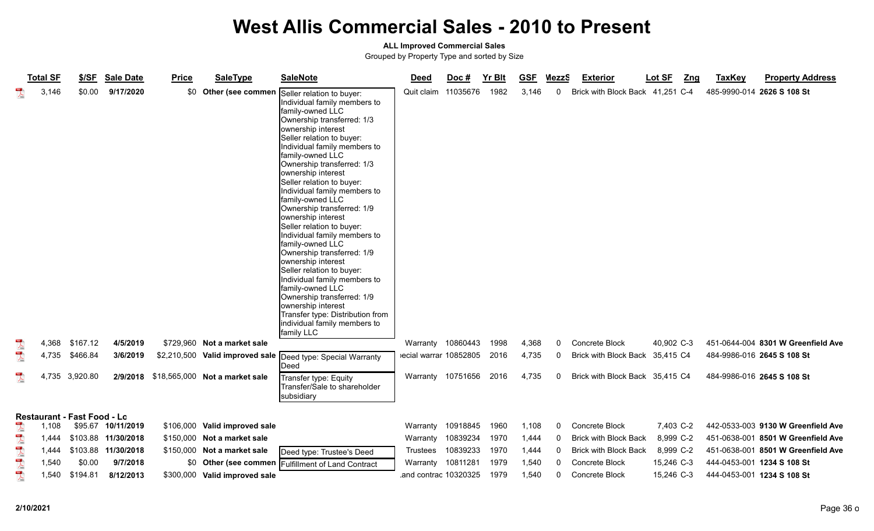### **ALL Improved Commercial Sales**

|                         | <b>Total SF</b> | \$/SF                              | <b>Sale Date</b>    | <b>Price</b> | <b>SaleType</b>                | <b>SaleNote</b>                                                                                                                                                                                                                                                                                                                                                                                                                                                                                                                                                                                                                                                                                                                                                         | <b>Deed</b>           | Doc#              | <b>Yr Blt</b> | <b>GSF</b> | MezzS        | <b>Exterior</b>                  | Lot SF<br>Zng | <b>TaxKey</b> | <b>Property Address</b>            |
|-------------------------|-----------------|------------------------------------|---------------------|--------------|--------------------------------|-------------------------------------------------------------------------------------------------------------------------------------------------------------------------------------------------------------------------------------------------------------------------------------------------------------------------------------------------------------------------------------------------------------------------------------------------------------------------------------------------------------------------------------------------------------------------------------------------------------------------------------------------------------------------------------------------------------------------------------------------------------------------|-----------------------|-------------------|---------------|------------|--------------|----------------------------------|---------------|---------------|------------------------------------|
|                         | 3,146           | \$0.00                             | 9/17/2020           |              | \$0 Other (see commen          | Seller relation to buyer:<br>Individual family members to<br>family-owned LLC<br>Ownership transferred: 1/3<br>ownership interest<br>Seller relation to buyer:<br>Individual family members to<br>family-owned LLC<br>Ownership transferred: 1/3<br>ownership interest<br>Seller relation to buyer:<br>Individual family members to<br>family-owned LLC<br>Ownership transferred: 1/9<br>ownership interest<br>Seller relation to buyer:<br>Individual family members to<br>family-owned LLC<br>Ownership transferred: 1/9<br>ownership interest<br>Seller relation to buyer:<br>Individual family members to<br>family-owned LLC<br>Ownership transferred: 1/9<br>ownership interest<br>Transfer type: Distribution from<br>individual family members to<br>family LLC | Quit claim 11035676   |                   | 1982          | 3,146      | $\Omega$     | Brick with Block Back 41,251 C-4 |               |               | 485-9990-014 2626 S 108 St         |
| $\lambda$               | 4,368           | \$167.12                           | 4/5/2019            |              | \$729,960 Not a market sale    |                                                                                                                                                                                                                                                                                                                                                                                                                                                                                                                                                                                                                                                                                                                                                                         |                       | Warranty 10860443 | 1998          | 4,368      | $\mathbf{0}$ | Concrete Block                   | 40,902 C-3    |               | 451-0644-004 8301 W Greenfield Ave |
| $\frac{1}{\sqrt{2}}$    | 4,735           | \$466.84                           | 3/6/2019            |              |                                | \$2,210,500 Valid improved sale Deed type: Special Warranty<br>Deed                                                                                                                                                                                                                                                                                                                                                                                                                                                                                                                                                                                                                                                                                                     | ecial warrar 10852805 |                   | 2016          | 4,735      | 0            | Brick with Block Back            | 35,415 C4     |               | 484-9986-016 2645 S 108 St         |
| $\mathbb{R}$            | 4,735           | 3,920.80                           | 2/9/2018            |              | \$18,565,000 Not a market sale | Transfer type: Equity<br>Transfer/Sale to shareholder<br>subsidiary                                                                                                                                                                                                                                                                                                                                                                                                                                                                                                                                                                                                                                                                                                     |                       | Warranty 10751656 | 2016          | 4,735      | $\mathbf{0}$ | Brick with Block Back 35,415 C4  |               |               | 484-9986-016 2645 S 108 St         |
|                         |                 | <b>Restaurant - Fast Food - Lo</b> |                     |              |                                |                                                                                                                                                                                                                                                                                                                                                                                                                                                                                                                                                                                                                                                                                                                                                                         |                       |                   |               |            |              |                                  |               |               |                                    |
|                         | 1.108           |                                    | \$95.67 10/11/2019  |              | \$106,000 Valid improved sale  |                                                                                                                                                                                                                                                                                                                                                                                                                                                                                                                                                                                                                                                                                                                                                                         | Warranty              | 10918845          | 1960          | 1,108      | 0            | Concrete Block                   | 7,403 C-2     |               | 442-0533-003 9130 W Greenfield Ave |
| $\frac{1}{\sqrt{2}}$    | 1.444           |                                    | \$103.88 11/30/2018 |              | \$150,000 Not a market sale    |                                                                                                                                                                                                                                                                                                                                                                                                                                                                                                                                                                                                                                                                                                                                                                         | Warranty              | 10839234          | 1970          | 1,444      | $\Omega$     | <b>Brick with Block Back</b>     | 8,999 C-2     |               | 451-0638-001 8501 W Greenfield Ave |
| $\overline{\mathbf{r}}$ | 1,444           |                                    | \$103.88 11/30/2018 |              | \$150,000 Not a market sale    | Deed type: Trustee's Deed                                                                                                                                                                                                                                                                                                                                                                                                                                                                                                                                                                                                                                                                                                                                               | <b>Trustees</b>       | 10839233          | 1970          | 1,444      | $\Omega$     | <b>Brick with Block Back</b>     | 8,999 C-2     |               | 451-0638-001 8501 W Greenfield Ave |
| $\overline{\mathbf{r}}$ | 1,540           | \$0.00                             | 9/7/2018            |              |                                | \$0 Other (see commen   Fulfillment of Land Contract                                                                                                                                                                                                                                                                                                                                                                                                                                                                                                                                                                                                                                                                                                                    | Warranty              | 10811281          | 1979          | 1,540      | 0            | Concrete Block                   | 15,246 C-3    |               | 444-0453-001 1234 S 108 St         |
| $\mathbb{R}$            | 1,540           | \$194.81                           | 8/12/2013           |              | \$300,000 Valid improved sale  |                                                                                                                                                                                                                                                                                                                                                                                                                                                                                                                                                                                                                                                                                                                                                                         | and contrac 10320325  |                   | 1979          | 1,540      | $\Omega$     | <b>Concrete Block</b>            | 15,246 C-3    |               | 444-0453-001 1234 S 108 St         |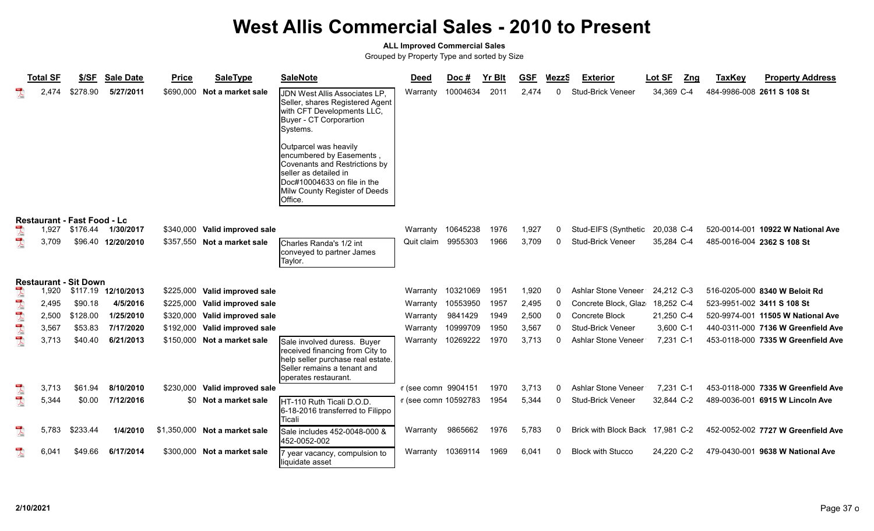#### **ALL Improved Commercial Sales**

|                                                                                                                                                                                                                                                                                                                                                                                                                                                                                          | <b>Total SF</b> | \$/SF                              | <b>Sale Date</b>    | <b>Price</b> | <b>SaleType</b>               | <b>SaleNote</b>                                                                                                                                                                         | <b>Deed</b>          | Doc $#$           | <b>Yr Blt</b> | <b>GSF</b> | MezzS    | <b>Exterior</b>              | Lot SF<br>Zng | <b>TaxKey</b> | <b>Property Address</b>            |
|------------------------------------------------------------------------------------------------------------------------------------------------------------------------------------------------------------------------------------------------------------------------------------------------------------------------------------------------------------------------------------------------------------------------------------------------------------------------------------------|-----------------|------------------------------------|---------------------|--------------|-------------------------------|-----------------------------------------------------------------------------------------------------------------------------------------------------------------------------------------|----------------------|-------------------|---------------|------------|----------|------------------------------|---------------|---------------|------------------------------------|
|                                                                                                                                                                                                                                                                                                                                                                                                                                                                                          | 2,474           | \$278.90                           | 5/27/2011           | \$690,000    | Not a market sale             | <b>JDN West Allis Associates LP,</b><br>Seller, shares Registered Agent<br>with CFT Developments LLC,<br>Buyer - CT Corporartion<br>Systems.                                            | Warranty             | 10004634          | 2011          | 2,474      | 0        | <b>Stud-Brick Veneer</b>     | 34,369 C-4    |               | 484-9986-008 2611 S 108 St         |
|                                                                                                                                                                                                                                                                                                                                                                                                                                                                                          |                 |                                    |                     |              |                               | Outparcel was heavily<br>encumbered by Easements,<br>Covenants and Restrictions by<br>Iseller as detailed in<br>Doc#10004633 on file in the<br>Milw County Register of Deeds<br>Office. |                      |                   |               |            |          |                              |               |               |                                    |
|                                                                                                                                                                                                                                                                                                                                                                                                                                                                                          |                 | <b>Restaurant - Fast Food - Lo</b> |                     |              |                               |                                                                                                                                                                                         |                      |                   |               |            |          |                              |               |               |                                    |
| $\mathbb{R}$                                                                                                                                                                                                                                                                                                                                                                                                                                                                             | 1,927           | \$176.44                           | 1/30/2017           | \$340,000    | Valid improved sale           |                                                                                                                                                                                         | Warranty             | 10645238          | 1976          | 1,927      | 0        | Stud-EIFS (Synthetic         | 20,038 C-4    |               | 520-0014-001 10922 W National Ave  |
| $\overline{\mathbf{r}}$                                                                                                                                                                                                                                                                                                                                                                                                                                                                  | 3,709           |                                    | \$96.40 12/20/2010  | \$357,550    | Not a market sale             | Charles Randa's 1/2 int<br>conveyed to partner James<br>Taylor.                                                                                                                         | Quit claim           | 9955303           | 1966          | 3,709      | $\Omega$ | Stud-Brick Veneer            | 35,284 C-4    |               | 485-0016-004 2362 S 108 St         |
|                                                                                                                                                                                                                                                                                                                                                                                                                                                                                          |                 | <b>Restaurant - Sit Down</b>       |                     |              |                               |                                                                                                                                                                                         |                      |                   |               |            |          |                              |               |               |                                    |
| $\sum_{k=0}^{100}$                                                                                                                                                                                                                                                                                                                                                                                                                                                                       | 1,920           |                                    | \$117.19 12/10/2013 | \$225,000    | Valid improved sale           |                                                                                                                                                                                         | Warranty             | 10321069          | 1951          | 1,920      | 0        | Ashlar Stone Veneer          | 24,212 C-3    |               | 516-0205-000 8340 W Beloit Rd      |
| $\frac{1}{\sqrt{2}}$                                                                                                                                                                                                                                                                                                                                                                                                                                                                     | 2,495           | \$90.18                            | 4/5/2016            | \$225,000    | Valid improved sale           |                                                                                                                                                                                         | Warranty             | 10553950          | 1957          | 2,495      | 0        | Concrete Block, Glaz         | 18,252 C-4    |               | 523-9951-002 3411 S 108 St         |
| $\sum_{k \in \mathbb{N}}$                                                                                                                                                                                                                                                                                                                                                                                                                                                                | 2,500           | \$128.00                           | 1/25/2010           | \$320,000    | Valid improved sale           |                                                                                                                                                                                         | Warranty             | 9841429           | 1949          | 2,500      | $\Omega$ | Concrete Block               | 21,250 C-4    |               | 520-9974-001 11505 W National Ave  |
| $\sum_{\rm max}$                                                                                                                                                                                                                                                                                                                                                                                                                                                                         | 3,567           | \$53.83                            | 7/17/2020           | \$192,000    | Valid improved sale           |                                                                                                                                                                                         | Warranty             | 10999709          | 1950          | 3,567      | 0        | <b>Stud-Brick Veneer</b>     | 3,600 C-1     |               | 440-0311-000 7136 W Greenfield Ave |
| $\frac{105}{\sqrt{25}}$                                                                                                                                                                                                                                                                                                                                                                                                                                                                  | 3,713           | \$40.40                            | 6/21/2013           |              | \$150,000 Not a market sale   | Sale involved duress. Buyer<br>received financing from City to<br>help seller purchase real estate.<br>Seller remains a tenant and<br>operates restaurant.                              |                      | Warranty 10269222 | 1970          | 3,713      | 0        | <b>Ashlar Stone Veneer</b>   | 7,231 C-1     |               | 453-0118-000 7335 W Greenfield Ave |
| $\begin{array}{c}\n\hline\n\end{array}\n\qquad\n\begin{array}{c}\n\hline\n\end{array}\n\qquad\n\begin{array}{c}\n\hline\n\end{array}\n\qquad\n\begin{array}{c}\n\hline\n\end{array}\n\qquad\n\begin{array}{c}\n\hline\n\end{array}\n\qquad\n\begin{array}{c}\n\hline\n\end{array}\n\qquad\n\begin{array}{c}\n\hline\n\end{array}\n\qquad\n\begin{array}{c}\n\hline\n\end{array}\n\qquad\n\begin{array}{c}\n\hline\n\end{array}\n\qquad\n\begin{array}{c}\n\hline\n\end{array}\n\qquad\n$ | 3,713           | \$61.94                            | 8/10/2010           | \$230,000    | Valid improved sale           |                                                                                                                                                                                         | r (see comn 9904151  |                   | 1970          | 3,713      | 0        | <b>Ashlar Stone Veneer</b>   | 7,231 C-1     |               | 453-0118-000 7335 W Greenfield Ave |
| $\mathbb{R}$                                                                                                                                                                                                                                                                                                                                                                                                                                                                             | 5,344           | \$0.00                             | 7/12/2016           |              | \$0 Not a market sale         | HT-110 Ruth Ticali D.O.D.<br>6-18-2016 transferred to Filippo<br>Ticali                                                                                                                 | r (see comn 10592783 |                   | 1954          | 5,344      | 0        | <b>Stud-Brick Veneer</b>     | 32,844 C-2    |               | 489-0036-001 6915 W Lincoln Ave    |
| $\overline{\mathbf{r}}$                                                                                                                                                                                                                                                                                                                                                                                                                                                                  | 5,783           | \$233.44                           | 1/4/2010            |              | \$1,350,000 Not a market sale | Sale includes 452-0048-000 &<br>452-0052-002                                                                                                                                            | Warranty             | 9865662           | 1976          | 5,783      | 0        | <b>Brick with Block Back</b> | 17,981 C-2    |               | 452-0052-002 7727 W Greenfield Ave |
|                                                                                                                                                                                                                                                                                                                                                                                                                                                                                          | 6,041           | \$49.66                            | 6/17/2014           | \$300,000    | Not a market sale             | year vacancy, compulsion to<br>liquidate asset                                                                                                                                          | Warrantv             | 10369114          | 1969          | 6,041      | O        | <b>Block with Stucco</b>     | 24,220 C-2    |               | 479-0430-001 9638 W National Ave   |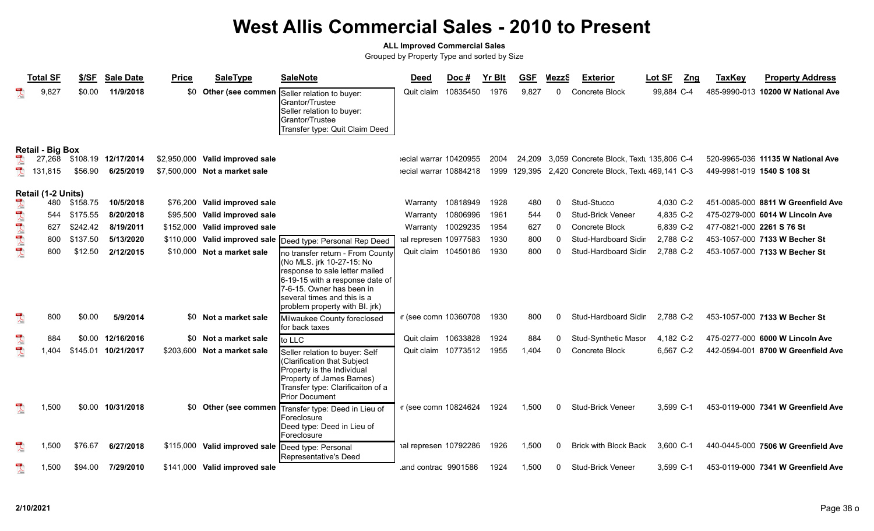### **ALL Improved Commercial Sales**

|                          | <b>Total SF</b>         | \$/SF    | <b>Sale Date</b>    | <b>Price</b> | <b>SaleType</b>                 | <b>SaleNote</b>                                                                                                                                                                                                                   | <b>Deed</b>           | Doc#     | <b>Yr Blt</b> | <b>GSF</b> | <b>MezzS</b> | <b>Exterior</b>                                      | Lot SF     | <b>TaxKey</b><br>Zng | <b>Property Address</b>            |
|--------------------------|-------------------------|----------|---------------------|--------------|---------------------------------|-----------------------------------------------------------------------------------------------------------------------------------------------------------------------------------------------------------------------------------|-----------------------|----------|---------------|------------|--------------|------------------------------------------------------|------------|----------------------|------------------------------------|
|                          | 9,827                   | \$0.00   | 11/9/2018           |              | \$0 Other (see commen           | Seller relation to buyer:<br>Grantor/Trustee<br>Seller relation to buyer:<br>Grantor/Trustee<br>Transfer type: Quit Claim Deed                                                                                                    | Quit claim            | 10835450 | 1976          | 9,827      | $\Omega$     | Concrete Block                                       | 99,884 C-4 |                      | 485-9990-013 10200 W National Ave  |
|                          | <b>Retail - Big Box</b> |          |                     |              |                                 |                                                                                                                                                                                                                                   |                       |          |               |            |              |                                                      |            |                      |                                    |
|                          | 27,268                  |          | \$108.19 12/17/2014 |              | \$2,950,000 Valid improved sale |                                                                                                                                                                                                                                   | ecial warrar 10420955 |          | 2004          | 24.209     |              | 3,059 Concrete Block, Textt 135,806 C-4              |            |                      | 520-9965-036 11135 W National Ave  |
| $\sum_{\text{block}}$    | 131,815                 | \$56.90  | 6/25/2019           |              | \$7,500,000 Not a market sale   |                                                                                                                                                                                                                                   | ecial warrar 10884218 |          |               |            |              | 1999 129,395 2,420 Concrete Block, Textl 469,141 C-3 |            |                      | 449-9981-019 1540 S 108 St         |
|                          | Retail (1-2 Units)      |          |                     |              |                                 |                                                                                                                                                                                                                                   |                       |          |               |            |              |                                                      |            |                      |                                    |
|                          | 480                     | \$158.75 | 10/5/2018           |              | \$76,200 Valid improved sale    |                                                                                                                                                                                                                                   | Warranty              | 10818949 | 1928          | 480        | 0            | Stud-Stucco                                          | 4,030 C-2  |                      | 451-0085-000 8811 W Greenfield Ave |
|                          | 544                     | \$175.55 | 8/20/2018           | \$95,500     | Valid improved sale             |                                                                                                                                                                                                                                   | Warranty              | 10806996 | 1961          | 544        | <sup>0</sup> | Stud-Brick Veneer                                    | 4,835 C-2  |                      | 475-0279-000 6014 W Lincoln Ave    |
|                          | 627                     | \$242.42 | 8/19/2011           | \$152,000    | Valid improved sale             |                                                                                                                                                                                                                                   | Warranty              | 10029235 | 1954          | 627        | $\Omega$     | <b>Concrete Block</b>                                | 6,839 C-2  |                      | 477-0821-000 2261 S 76 St          |
|                          | 800                     | \$137.50 | 5/13/2020           | \$110,000    |                                 | Valid improved sale Deed type: Personal Rep Deed                                                                                                                                                                                  | ial represen 10977583 |          | 1930          | 800        |              | Stud-Hardboard Sidir                                 | 2,788 C-2  |                      | 453-1057-000 7133 W Becher St      |
| $\overline{\mathbf{r}}$  | 800                     | \$12.50  | 2/12/2015           | \$10,000     | Not a market sale               | no transfer return - From County<br>(No MLS. jrk 10-27-15: No<br>response to sale letter mailed<br>6-19-15 with a response date of<br>7-6-15. Owner has been in<br>Iseveral times and this is a<br>problem property with BI. jrk) | Quit claim 10450186   |          | 1930          | 800        | $\Omega$     | Stud-Hardboard Sidir                                 | 2,788 C-2  |                      | 453-1057-000 7133 W Becher St      |
| $\overline{\lambda}$     | 800                     | \$0.00   | 5/9/2014            |              | \$0 Not a market sale           | Milwaukee County foreclosed<br>for back taxes                                                                                                                                                                                     | r (see comn 10360708  |          | 1930          | 800        | $\Omega$     | Stud-Hardboard Sidir                                 | 2,788 C-2  |                      | 453-1057-000 7133 W Becher St      |
| $\overline{\mathcal{L}}$ | 884                     | \$0.00   | 12/16/2016          |              | \$0 Not a market sale           | to LLC                                                                                                                                                                                                                            | Quit claim 10633828   |          | 1924          | 884        |              | Stud-Synthetic Masor                                 | 4,182 C-2  |                      | 475-0277-000 6000 W Lincoln Ave    |
| $\sum_{i=1}^{100}$       | 1.404                   | \$145.01 | 10/21/2017          |              | \$203,600 Not a market sale     | Seller relation to buyer: Self<br>(Clarification that Subject<br>Property is the Individual<br>Property of James Barnes)<br>Transfer type: Clarificaiton of a<br><b>Prior Document</b>                                            | Quit claim 10773512   |          | 1955          | 1,404      | $\Omega$     | Concrete Block                                       | 6,567 C-2  |                      | 442-0594-001 8700 W Greenfield Ave |
| $\overline{\mathcal{L}}$ | 1,500                   |          | \$0.00 10/31/2018   |              | \$0 Other (see commen           | Transfer type: Deed in Lieu of<br>Foreclosure<br>Deed type: Deed in Lieu of<br>Foreclosure                                                                                                                                        | r (see comn 10824624  |          | 1924          | 1,500      | $\Omega$     | <b>Stud-Brick Veneer</b>                             | 3,599 C-1  |                      | 453-0119-000 7341 W Greenfield Ave |
| $\mathbb{R}$             | 1.500                   | \$76.67  | 6/27/2018           | \$115.000    | Valid improved sale             | Deed type: Personal<br>Representative's Deed                                                                                                                                                                                      | ial represen 10792286 |          | 1926          | 1,500      | n            | <b>Brick with Block Back</b>                         | 3,600 C-1  |                      | 440-0445-000 7506 W Greenfield Ave |
| $\overline{\mathbf{r}}$  | 1,500                   | \$94.00  | 7/29/2010           |              | \$141,000 Valid improved sale   |                                                                                                                                                                                                                                   | and contrac 9901586   |          | 1924          | 1,500      | n            | <b>Stud-Brick Veneer</b>                             | 3,599 C-1  |                      | 453-0119-000 7341 W Greenfield Ave |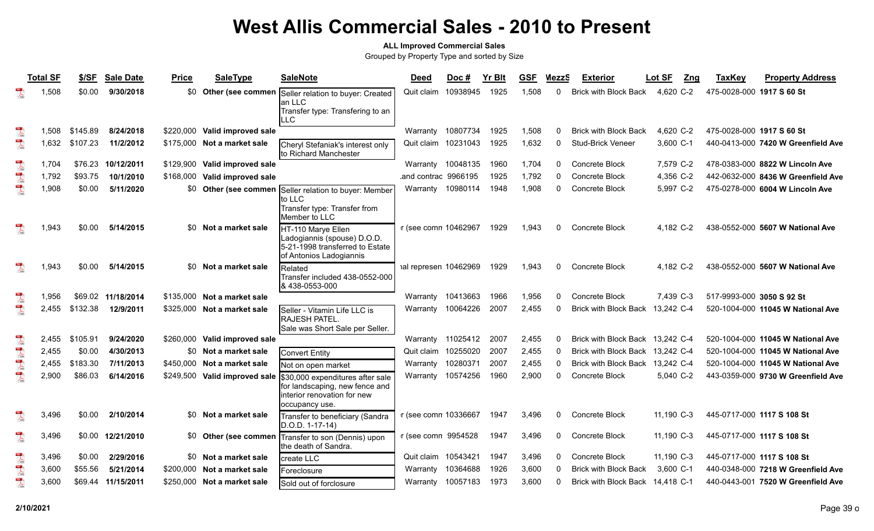### **ALL Improved Commercial Sales**

|                           | <b>Total SF</b> | \$/SF    | <b>Sale Date</b> | <b>Price</b> | <b>SaleType</b>               | <b>SaleNote</b>                                                                                                                                    | Deed                  | $Doc$ #  | <b>Yr Blt</b> | <b>GSF</b> | <b>MezzS</b> | <b>Exterior</b>              | Lot SF<br>Zng | <b>TaxKey</b>             | <b>Property Address</b>            |
|---------------------------|-----------------|----------|------------------|--------------|-------------------------------|----------------------------------------------------------------------------------------------------------------------------------------------------|-----------------------|----------|---------------|------------|--------------|------------------------------|---------------|---------------------------|------------------------------------|
|                           | 1,508           | \$0.00   | 9/30/2018        | \$0          |                               | Other (see commen Seller relation to buyer: Created                                                                                                | Quit claim            | 10938945 | 1925          | 1,508      | $\Omega$     | <b>Brick with Block Back</b> | 4,620 C-2     | 475-0028-000 1917 S 60 St |                                    |
|                           |                 |          |                  |              |                               | lan LLC<br>Transfer type: Transfering to an                                                                                                        |                       |          |               |            |              |                              |               |                           |                                    |
|                           |                 |          |                  |              |                               | <b>ILLC</b>                                                                                                                                        |                       |          |               |            |              |                              |               |                           |                                    |
| $\sum_{k=0}^{n}$          | 1.508           | \$145.89 | 8/24/2018        | \$220.000    | Valid improved sale           |                                                                                                                                                    | Warranty              | 10807734 | 1925          | 1,508      | 0            | <b>Brick with Block Back</b> | 4,620 C-2     | 475-0028-000 1917 S 60 St |                                    |
| $\frac{1}{\sqrt{2}}$      | 1,632           | \$107.23 | 11/2/2012        |              | \$175,000 Not a market sale   | Cheryl Stefaniak's interest only<br>to Richard Manchester                                                                                          | Quit claim 10231043   |          | 1925          | 1,632      | 0            | <b>Stud-Brick Veneer</b>     | 3,600 C-1     |                           | 440-0413-000 7420 W Greenfield Ave |
|                           | 1.704           | \$76.23  | 10/12/2011       | \$129,900    | Valid improved sale           |                                                                                                                                                    | Warranty              | 10048135 | 1960          | 1,704      | $\mathbf{0}$ | <b>Concrete Block</b>        | 7,579 C-2     |                           | 478-0383-000 8822 W Lincoln Ave    |
|                           | 1,792           | \$93.75  | 10/1/2010        | \$168,000    | Valid improved sale           |                                                                                                                                                    | and contrac 9966195   |          | 1925          | 1,792      | 0            | Concrete Block               | 4,356 C-2     |                           | 442-0632-000 8436 W Greenfield Ave |
|                           | 1,908           | \$0.00   | 5/11/2020        | \$0          |                               | Other (see commen Seller relation to buyer: Member<br>to LLC<br>Transfer type: Transfer from                                                       | Warranty 10980114     |          | 1948          | 1,908      | $\mathbf{0}$ | Concrete Block               | 5,997 C-2     |                           | 475-0278-000 6004 W Lincoln Ave    |
| 头                         | 1,943           | \$0.00   | 5/14/2015        |              | \$0 Not a market sale         | Member to LLC<br>HT-110 Marye Ellen<br>Ladogiannis (spouse) D.O.D.<br>5-21-1998 transferred to Estate<br>of Antonios Ladogiannis                   | r (see comn 10462967  |          | 1929          | 1,943      | $\mathbf{0}$ | <b>Concrete Block</b>        | 4,182 C-2     |                           | 438-0552-000 5607 W National Ave   |
|                           | 1.943           | \$0.00   | 5/14/2015        |              | \$0 Not a market sale         | Related<br>Transfer included 438-0552-000<br>8 438-0553-000                                                                                        | ial represen 10462969 |          | 1929          | 1,943      | $\mathbf{0}$ | Concrete Block               | 4,182 C-2     |                           | 438-0552-000 5607 W National Ave   |
| $\lambda$                 | 1.956           | \$69.02  | 11/18/2014       | \$135.000    | Not a market sale             |                                                                                                                                                    | Warranty              | 10413663 | 1966          | 1,956      | $\Omega$     | Concrete Block               | 7,439 C-3     | 517-9993-000 3050 S 92 St |                                    |
| $\frac{1}{\sqrt{2}}$      | 2,455           | \$132.38 | 12/9/2011        |              | \$325,000 Not a market sale   | Seller - Vitamin Life LLC is<br><b>RAJESH PATEL.</b><br>Sale was Short Sale per Seller.                                                            | Warranty              | 10064226 | 2007          | 2,455      | 0            | <b>Brick with Block Back</b> | 13.242 C-4    |                           | 520-1004-000 11045 W National Ave  |
| $\sum_{n=1}^{\infty}$     | 2.455           | \$105.91 | 9/24/2020        |              | \$260,000 Valid improved sale |                                                                                                                                                    | Warranty              | 11025412 | 2007          | 2,455      | $\Omega$     | <b>Brick with Block Back</b> | 13.242 C-4    |                           | 520-1004-000 11045 W National Ave  |
| $\sum_{k=0}^{n}$          | 2,455           | \$0.00   | 4/30/2013        |              | \$0 Not a market sale         | Convert Entity                                                                                                                                     | Quit claim            | 10255020 | 2007          | 2,455      | 0            | <b>Brick with Block Back</b> | 13,242 C-4    |                           | 520-1004-000 11045 W National Ave  |
| $\sum_{k \in \mathbb{N}}$ | 2,455           | \$183.30 | 7/11/2013        |              | \$450,000 Not a market sale   | Not on open market                                                                                                                                 | Warrantv              | 10280371 | 2007          | 2,455      | 0            | <b>Brick with Block Back</b> | 13,242 C-4    |                           | 520-1004-000 11045 W National Ave  |
| $\sum_{k=0}^{100}$        | 2,900           | \$86.03  | 6/14/2016        | \$249,500    |                               | Valid improved sale $\frac{1}{30,000}$ expenditures after sale<br>for landscaping, new fence and<br>linterior renovation for new<br>occupancy use. | Warranty              | 10574256 | 1960          | 2,900      | 0            | Concrete Block               | 5,040 C-2     |                           | 443-0359-000 9730 W Greenfield Ave |
|                           | 3,496           | \$0.00   | 2/10/2014        |              | \$0 Not a market sale         | Transfer to beneficiary (Sandra<br>$ D.O.D. 1-17-14\rangle$                                                                                        | r (see comn 10336667  |          | 1947          | 3,496      | 0            | <b>Concrete Block</b>        | 11,190 C-3    |                           | 445-0717-000 1117 S 108 St         |
| $\mathbb{R}$              | 3,496           | \$0.00   | 12/21/2010       |              |                               | \$0 Other (see commen   Transfer to son (Dennis) upon<br>the death of Sandra.                                                                      | r (see comn 9954528   |          | 1947          | 3,496      | $\mathbf{0}$ | Concrete Block               | 11,190 C-3    |                           | 445-0717-000 1117 S 108 St         |
| $\overline{\mathbf{r}}$   | 3,496           | \$0.00   | 2/29/2016        |              | \$0 Not a market sale         | create LLC                                                                                                                                         | Quit claim 10543421   |          | 1947          | 3,496      | $\Omega$     | Concrete Block               | 11,190 C-3    |                           | 445-0717-000 1117 S 108 St         |
| $\overline{\mathbf{r}}$   | 3,600           | \$55.56  | 5/21/2014        | \$200.000    | Not a market sale             | Foreclosure                                                                                                                                        | Warrantv              | 10364688 | 1926          | 3,600      | 0            | <b>Brick with Block Back</b> | 3,600 C-1     |                           | 440-0348-000 7218 W Greenfield Ave |
| $\overline{\mathcal{L}}$  | 3,600           | \$69.44  | 11/15/2011       | \$250,000    | Not a market sale             | Sold out of forclosure                                                                                                                             | Warranty              | 10057183 | 1973          | 3,600      | 0            | Brick with Block Back        | 14,418 C-1    |                           | 440-0443-001 7520 W Greenfield Ave |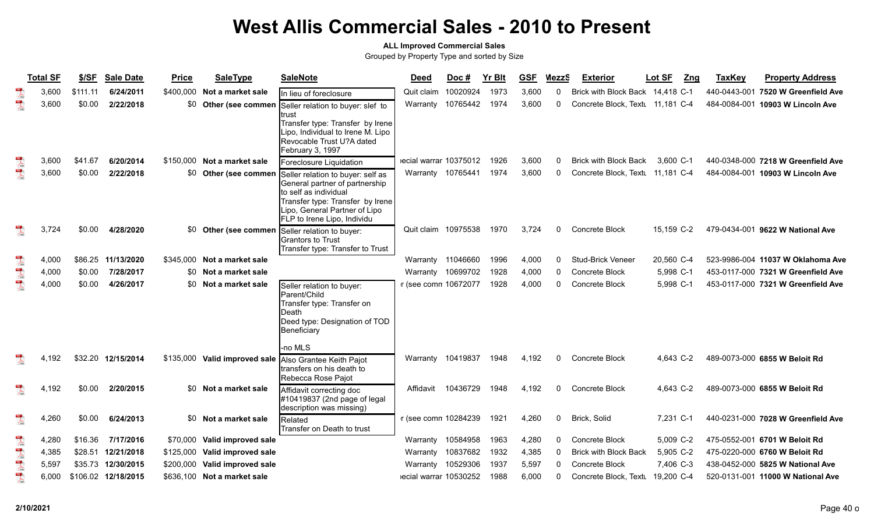#### **ALL Improved Commercial Sales**

|                         | <b>Total SF</b> | \$/SF    | <b>Sale Date</b>    | <b>Price</b> | <b>SaleType</b>               | <b>SaleNote</b>                                                                                                                                                                                  | <b>Deed</b>           | Doc#                | Yr Blt | <b>GSF</b> | <b>MezzS</b> | <b>Exterior</b>                  | <b>Lot SF</b><br>Zng | <b>TaxKey</b> | <b>Property Address</b>            |
|-------------------------|-----------------|----------|---------------------|--------------|-------------------------------|--------------------------------------------------------------------------------------------------------------------------------------------------------------------------------------------------|-----------------------|---------------------|--------|------------|--------------|----------------------------------|----------------------|---------------|------------------------------------|
| $\frac{1}{\sqrt{2}}$    | 3,600           | \$111.11 | 6/24/2011           | \$400,000    | Not a market sale             | In lieu of foreclosure                                                                                                                                                                           | Quit claim            | 10020924            | 1973   | 3,600      | $\Omega$     | Brick with Block Back 14,418 C-1 |                      |               | 440-0443-001 7520 W Greenfield Ave |
| $\mathbb{R}$            | 3,600           | \$0.00   | 2/22/2018           | \$0          | Other (see commen             | Seller relation to buyer: slef to<br>ltrust<br>Transfer type: Transfer by Irene<br>ipo, Individual to Irene M. Lipo<br>Revocable Trust U?A dated<br>February 3, 1997                             | Warranty              | 10765442            | 1974   | 3,600      | $\Omega$     | Concrete Block, Textl 11,181 C-4 |                      |               | 484-0084-001 10903 W Lincoln Ave   |
| $\overline{\mathbf{r}}$ | 3,600           | \$41.67  | 6/20/2014           | \$150,000    | Not a market sale             | Foreclosure Liquidation                                                                                                                                                                          | ecial warrar 10375012 |                     | 1926   | 3,600      |              | <b>Brick with Block Back</b>     | 3.600 C-1            |               | 440-0348-000 7218 W Greenfield Ave |
| $\overline{\mathbf{r}}$ | 3,600           | \$0.00   | 2/22/2018           | \$0          | Other (see commen             | Seller relation to buyer: self as<br>General partner of partnership<br>to self as individual<br>Transfer type: Transfer by Irene<br>Lipo, General Partner of Lipo<br>FLP to Irene Lipo, Individu |                       | Warranty 10765441   | 1974   | 3,600      | $\Omega$     | Concrete Block, Textu            | 11,181 C-4           |               | 484-0084-001 10903 W Lincoln Ave   |
|                         | 3,724           | \$0.00   | 4/28/2020           |              | \$0 Other (see commen         | Seller relation to buyer:<br><b>Grantors to Trust</b><br>Transfer type: Transfer to Trust                                                                                                        |                       | Quit claim 10975538 | 1970   | 3.724      | $\Omega$     | Concrete Block                   | 15,159 C-2           |               | 479-0434-001 9622 W National Ave   |
|                         | 4,000           | \$86.25  | 11/13/2020          | \$345.000    | Not a market sale             |                                                                                                                                                                                                  | Warranty              | 11046660            | 1996   | 4,000      |              | Stud-Brick Veneer                | 20,560 C-4           |               | 523-9986-004 11037 W Oklahoma Ave  |
|                         | 4,000           | \$0.00   | 7/28/2017           | \$0          | Not a market sale             |                                                                                                                                                                                                  | Warranty              | 10699702            | 1928   | 4,000      | $\Omega$     | Concrete Block                   | 5,998 C-1            |               | 453-0117-000 7321 W Greenfield Ave |
| 大学人                     | 4,000           | \$0.00   | 4/26/2017           | \$0          | Not a market sale             | Seller relation to buyer:<br>Parent/Child<br>Transfer type: Transfer on<br>Death<br>Deed type: Designation of TOD<br>Beneficiary                                                                 | r (see comn 10672077  |                     | 1928   | 4,000      | $\Omega$     | Concrete Block                   | 5,998 C-1            |               | 453-0117-000 7321 W Greenfield Ave |
|                         |                 |          |                     |              |                               | -no MLS                                                                                                                                                                                          |                       |                     |        |            |              |                                  |                      |               |                                    |
|                         | 4,192           |          | \$32.20 12/15/2014  |              | \$135,000 Valid improved sale | Also Grantee Keith Pajot<br>transfers on his death to<br>Rebecca Rose Pajot                                                                                                                      | Warranty              | 10419837            | 1948   | 4,192      | $\Omega$     | Concrete Block                   | 4,643 C-2            |               | 489-0073-000 6855 W Beloit Rd      |
|                         | 4,192           | \$0.00   | 2/20/2015           | SO.          | Not a market sale             | Affidavit correcting doc<br>$\#10419837$ (2nd page of legal<br>description was missing)                                                                                                          | Affidavit             | 10436729            | 1948   | 4,192      | $\Omega$     | Concrete Block                   | 4.643 C-2            |               | 489-0073-000 6855 W Beloit Rd      |
| $\sum_{\text{back}}$    | 4,260           | \$0.00   | 6/24/2013           |              | \$0 Not a market sale         | Related<br>Transfer on Death to trust                                                                                                                                                            | r (see comn 10284239  |                     | 1921   | 4,260      | 0            | Brick, Solid                     | 7,231 C-1            |               | 440-0231-000 7028 W Greenfield Ave |
|                         | 4,280           | \$16.36  | 7/17/2016           |              | \$70,000 Valid improved sale  |                                                                                                                                                                                                  | Warranty              | 10584958            | 1963   | 4,280      |              | Concrete Block                   | 5,009 C-2            |               | 475-0552-001 6701 W Beloit Rd      |
|                         | 4,385           | \$28.51  | 12/21/2018          | \$125,000    | Valid improved sale           |                                                                                                                                                                                                  | Warranty              | 10837682            | 1932   | 4,385      |              | <b>Brick with Block Back</b>     | 5,905 C-2            |               | 475-0220-000 6760 W Beloit Rd      |
| $\sum_{\rm kink}$       | 5,597           |          | \$35.73 12/30/2015  | \$200,000    | Valid improved sale           |                                                                                                                                                                                                  | Warranty              | 10529306            | 1937   | 5,597      |              | Concrete Block                   | 7,406 C-3            |               | 438-0452-000 5825 W National Ave   |
| $\mathbb{R}$            | 6,000           |          | \$106.02 12/18/2015 |              | \$636,100 Not a market sale   |                                                                                                                                                                                                  | ecial warrar 10530252 |                     | 1988   | 6,000      | $\Omega$     | Concrete Block, Textu            | 19,200 C-4           |               | 520-0131-001 11000 W National Ave  |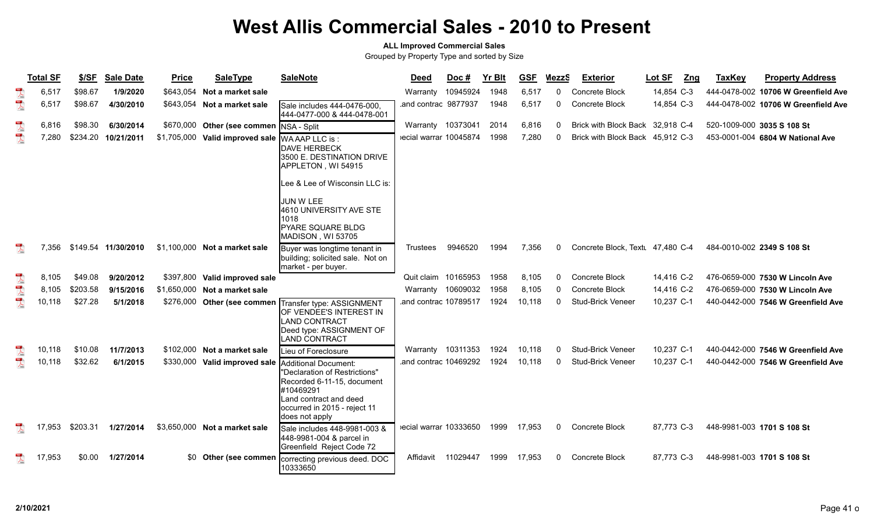#### **ALL Improved Commercial Sales**

|                         | <b>Total SF</b> | \$/SF    | <b>Sale Date</b>    | <b>Price</b> | <b>SaleType</b>                           | <b>SaleNote</b>                                                                                                                                                              | Deed                  | Doc#     | <b>Yr Blt</b> | <b>GSF</b> | MezzS    | <b>Exterior</b>                  | Lot SF<br>Zng | <b>TaxKey</b>              | <b>Property Address</b>             |
|-------------------------|-----------------|----------|---------------------|--------------|-------------------------------------------|------------------------------------------------------------------------------------------------------------------------------------------------------------------------------|-----------------------|----------|---------------|------------|----------|----------------------------------|---------------|----------------------------|-------------------------------------|
| $\lambda$               | 6,517           | \$98.67  | 1/9/2020            |              | \$643,054 Not a market sale               |                                                                                                                                                                              | Warranty              | 10945924 | 1948          | 6,517      | O        | Concrete Block                   | 14,854 C-3    |                            | 444-0478-002 10706 W Greenfield Ave |
| $\overline{\mathbf{r}}$ | 6,517           | \$98.67  | 4/30/2010           |              | \$643,054 Not a market sale               | Sale includes 444-0476-000,<br>444-0477-000 & 444-0478-001                                                                                                                   | and contrac 9877937   |          | 1948          | 6,517      | $\Omega$ | Concrete Block                   | 14,854 C-3    |                            | 444-0478-002 10706 W Greenfield Ave |
| $\frac{1}{\sqrt{2}}$    | 6,816           | \$98.30  | 6/30/2014           |              | \$670,000 Other (see commen   NSA - Split |                                                                                                                                                                              | Warranty 10373041     |          | 2014          | 6,816      | $\Omega$ | Brick with Block Back 32,918 C-4 |               | 520-1009-000 3035 S 108 St |                                     |
| $\sum_{k\in\mathbb{N}}$ | 7,280           | \$234.20 | 10/21/2011          | \$1,705,000  | Valid improved sale WA AAP LLC is :       | <b>DAVE HERBECK</b><br>3500 E. DESTINATION DRIVE<br>APPLETON, WI 54915<br>Lee & Lee of Wisconsin LLC is:<br>JUN W LEE<br>4610 UNIVERSITY AVE STE<br>1018                     | ecial warrar 10045874 |          | 1998          | 7,280      | $\Omega$ | Brick with Block Back 45,912 C-3 |               |                            | 453-0001-004 6804 W National Ave    |
|                         |                 |          |                     |              |                                           | <b>PYARE SQUARE BLDG</b><br>MADISON, WI 53705                                                                                                                                |                       |          |               |            |          |                                  |               |                            |                                     |
| $\frac{1}{\sqrt{2}}$    | 7.356           |          | \$149.54 11/30/2010 |              | \$1,100,000 Not a market sale             | Buyer was longtime tenant in<br>building; solicited sale. Not on<br>market - per buyer.                                                                                      | <b>Trustees</b>       | 9946520  | 1994          | 7,356      | 0        | Concrete Block, Textu 47,480 C-4 |               |                            | 484-0010-002 2349 S 108 St          |
| $\sum_{\text{block}}$   | 8,105           | \$49.08  | 9/20/2012           |              | \$397,800 Valid improved sale             |                                                                                                                                                                              | Quit claim 10165953   |          | 1958          | 8,105      | $\Omega$ | Concrete Block                   | 14,416 C-2    |                            | 476-0659-000 7530 W Lincoln Ave     |
|                         | 8,105           | \$203.58 | 9/15/2016           |              | \$1,650,000 Not a market sale             |                                                                                                                                                                              | Warranty 10609032     |          | 1958          | 8,105      | 0        | Concrete Block                   | 14,416 C-2    |                            | 476-0659-000 7530 W Lincoln Ave     |
|                         | 10,118          | \$27.28  | 5/1/2018            |              | \$276,000 Other (see commen               | Transfer type: ASSIGNMENT<br>OF VENDEE'S INTEREST IN<br><b>LAND CONTRACT</b><br>Deed type: ASSIGNMENT OF<br>LAND CONTRACT                                                    | and contrac 10789517  |          | 1924          | 10,118     | ∩        | <b>Stud-Brick Veneer</b>         | 10,237 C-1    |                            | 440-0442-000 7546 W Greenfield Ave  |
|                         | 10,118          | \$10.08  | 11/7/2013           | \$102,000    | Not a market sale                         | Lieu of Foreclosure                                                                                                                                                          | Warranty 10311353     |          | 1924          | 10,118     | $\Omega$ | <b>Stud-Brick Veneer</b>         | 10,237 C-1    |                            | 440-0442-000 7546 W Greenfield Ave  |
| $\overline{\mathbf{A}}$ | 10,118          | \$32.62  | 6/1/2015            |              | \$330,000 Valid improved sale             | Additional Document:<br>"Declaration of Restrictions"<br>Recorded 6-11-15, document<br>#10469291<br>Land contract and deed<br>occurred in 2015 - reject 11<br>does not apply | and contrac 10469292  |          | 1924          | 10,118     | $\Omega$ | <b>Stud-Brick Veneer</b>         | 10,237 C-1    |                            | 440-0442-000 7546 W Greenfield Ave  |
|                         | 17,953          | \$203.31 | 1/27/2014           |              | \$3,650,000 Not a market sale             | Sale includes 448-9981-003 &<br>448-9981-004 & parcel in<br>Greenfield Reject Code 72                                                                                        | ecial warrar 10333650 |          | 1999          | 17,953     | $\Omega$ | Concrete Block                   | 87,773 C-3    | 448-9981-003 1701 S 108 St |                                     |
|                         | 17,953          | \$0.00   | 1/27/2014           | \$0          | Other (see commen                         | correcting previous deed. DOC<br>10333650                                                                                                                                    | Affidavit             | 11029447 | 1999          | 17,953     | $\Omega$ | Concrete Block                   | 87,773 C-3    | 448-9981-003 1701 S 108 St |                                     |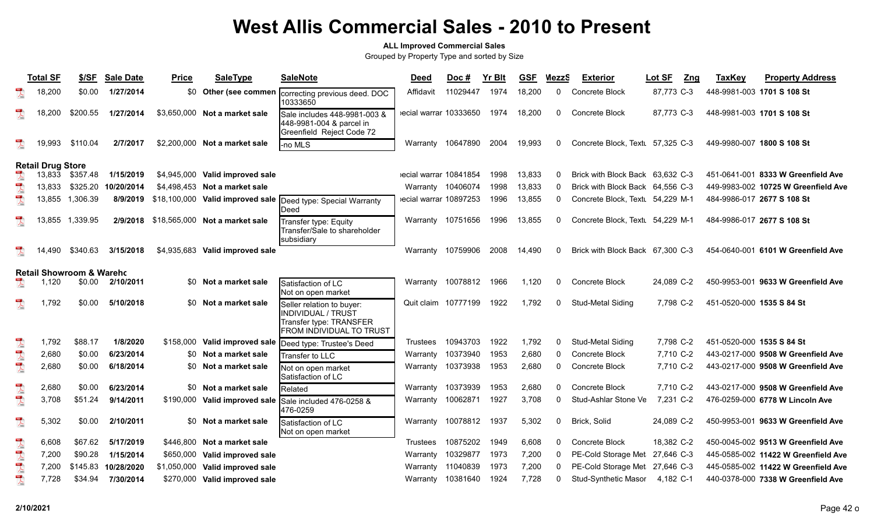#### **ALL Improved Commercial Sales**

|                          | <b>Total SF</b>          | \$/SF                               | <b>Sale Date</b> | <b>Price</b> | <b>SaleType</b>                 | <b>SaleNote</b>                                                                                                      | <b>Deed</b>           | Doc#     | <b>Yr Blt</b> | <b>GSF</b> | <b>MezzS</b> | <b>Exterior</b>                  | Lot SF<br>Zng | <b>TaxKey</b> | <b>Property Address</b>             |
|--------------------------|--------------------------|-------------------------------------|------------------|--------------|---------------------------------|----------------------------------------------------------------------------------------------------------------------|-----------------------|----------|---------------|------------|--------------|----------------------------------|---------------|---------------|-------------------------------------|
|                          | 18,200                   | \$0.00                              | 1/27/2014        | \$0          |                                 | Other (see commen   correcting previous deed. DOC<br>10333650                                                        | Affidavit             | 11029447 | 1974          | 18,200     | $\mathbf{0}$ | <b>Concrete Block</b>            | 87.773 C-3    |               | 448-9981-003 1701 S 108 St          |
|                          | 18,200                   | \$200.55                            | 1/27/2014        |              | \$3,650,000 Not a market sale   | Sale includes 448-9981-003 &<br>448-9981-004 & parcel in<br>Greenfield Reject Code 72                                | ecial warrar 10333650 |          | 1974          | 18,200     | $\mathbf{0}$ | Concrete Block                   | 87,773 C-3    |               | 448-9981-003 1701 S 108 St          |
|                          | 19,993                   | \$110.04                            | 2/7/2017         |              | \$2,200,000 Not a market sale   | -no MLS                                                                                                              | Warranty 10647890     |          | 2004          | 19,993     | 0            | Concrete Block, Text 57,325 C-3  |               |               | 449-9980-007 1800 S 108 St          |
|                          | <b>Retail Drug Store</b> |                                     |                  |              |                                 |                                                                                                                      |                       |          |               |            |              |                                  |               |               |                                     |
|                          | 13,833                   | \$357.48                            | 1/15/2019        | \$4,945,000  | Valid improved sale             |                                                                                                                      | ecial warrar 10841854 |          | 1998          | 13,833     | $\Omega$     | Brick with Block Back 63,632 C-3 |               |               | 451-0641-001 8333 W Greenfield Ave  |
| $\overline{\mathbf{r}}$  | 13,833                   | \$325.20                            | 10/20/2014       |              | \$4,498,453 Not a market sale   |                                                                                                                      | Warranty 10406074     |          | 1998          | 13,833     | 0            | Brick with Block Back 64,556 C-3 |               |               | 449-9983-002 10725 W Greenfield Ave |
| $\overline{\mathbf{r}}$  |                          | 13,855 1,306.39                     | 8/9/2019         |              |                                 | \$18,100,000 Valid improved sale  Deed type: Special Warranty<br>Deed                                                | ecial warrar 10897253 |          | 1996          | 13,855     | $\mathbf{0}$ | Concrete Block, Textu 54,229 M-1 |               |               | 484-9986-017 2677 S 108 St          |
|                          |                          | 13,855 1,339.95                     | 2/9/2018         |              | \$18,565,000 Not a market sale  | Transfer type: Equity<br>Transfer/Sale to shareholder<br>subsidiary                                                  | Warranty 10751656     |          | 1996          | 13,855     | $\mathbf{0}$ | Concrete Block, Text 54,229 M-1  |               |               | 484-9986-017 2677 S 108 St          |
|                          | 14,490                   | \$340.63                            | 3/15/2018        |              | \$4,935,683 Valid improved sale |                                                                                                                      | Warranty              | 10759906 | 2008          | 14,490     | $\Omega$     | Brick with Block Back 67,300 C-3 |               |               | 454-0640-001 6101 W Greenfield Ave  |
|                          |                          | <b>Retail Showroom &amp; Warehc</b> |                  |              |                                 |                                                                                                                      |                       |          |               |            |              |                                  |               |               |                                     |
|                          | 1,120                    | \$0.00                              | 2/10/2011        | <b>SO</b>    | Not a market sale               | Satisfaction of LC<br>Not on open market                                                                             | Warranty 10078812     |          | 1966          | 1,120      | 0            | Concrete Block                   | 24,089 C-2    |               | 450-9953-001 9633 W Greenfield Ave  |
|                          | 1,792                    | \$0.00                              | 5/10/2018        |              | \$0 Not a market sale           | Seller relation to buyer:<br><b>INDIVIDUAL / TRUST</b><br>Transfer type: TRANSFER<br><b>FROM INDIVIDUAL TO TRUST</b> | Quit claim 10777199   |          | 1922          | 1,792      | 0            | Stud-Metal Siding                | 7,798 C-2     |               | 451-0520-000 1535 S 84 St           |
|                          | 1,792                    | \$88.17                             | 1/8/2020         | \$158,000    |                                 | Valid improved sale  Deed type: Trustee's Deed                                                                       | Trustees              | 10943703 | 1922          | 1,792      | $\Omega$     | Stud-Metal Siding                | 7,798 C-2     |               | 451-0520-000 1535 S 84 St           |
|                          | 2,680                    | \$0.00                              | 6/23/2014        |              | \$0 Not a market sale           | Transfer to LLC                                                                                                      | Warranty              | 10373940 | 1953          | 2,680      | $\Omega$     | <b>Concrete Block</b>            | 7.710 C-2     |               | 443-0217-000 9508 W Greenfield Ave  |
| 大气点                      | 2,680                    | \$0.00                              | 6/18/2014        |              | \$0 Not a market sale           | Not on open market<br>Satisfaction of LC                                                                             | Warranty 10373938     |          | 1953          | 2,680      | $\mathbf{0}$ | Concrete Block                   | 7,710 C-2     |               | 443-0217-000 9508 W Greenfield Ave  |
| $\lambda$                | 2,680                    | \$0.00                              | 6/23/2014        |              | \$0 Not a market sale           | Related                                                                                                              | Warranty              | 10373939 | 1953          | 2,680      | $\Omega$     | Concrete Block                   | 7,710 C-2     |               | 443-0217-000 9508 W Greenfield Ave  |
| $\sum_{k=1}^{n}$         | 3,708                    | \$51.24                             | 9/14/2011        |              |                                 | \$190,000 Valid improved sale Sale included 476-0258 &<br>476-0259                                                   | Warranty 10062871     |          | 1927          | 3,708      | $\mathbf{0}$ | Stud-Ashlar Stone Ve             | 7,231 C-2     |               | 476-0259-000 6778 W Lincoln Ave     |
| $\overline{\mathbf{r}}$  | 5,302                    | \$0.00                              | 2/10/2011        |              | \$0 Not a market sale           | Satisfaction of LC<br>Not on open market                                                                             | Warranty 10078812     |          | 1937          | 5,302      | $\mathbf{0}$ | Brick, Solid                     | 24,089 C-2    |               | 450-9953-001 9633 W Greenfield Ave  |
| $\sum_{k=1}^{n}$         | 6,608                    | \$67.62                             | 5/17/2019        |              | \$446,800 Not a market sale     |                                                                                                                      | Trustees              | 10875202 | 1949          | 6,608      | 0            | Concrete Block                   | 18,382 C-2    |               | 450-0045-002 9513 W Greenfield Ave  |
| $\overline{\mathcal{A}}$ | 7,200                    | \$90.28                             | 1/15/2014        | \$650,000    | Valid improved sale             |                                                                                                                      | Warranty              | 10329877 | 1973          | 7,200      | $\mathbf{0}$ | PE-Cold Storage Met              | 27,646 C-3    |               | 445-0585-002 11422 W Greenfield Ave |
| $\sum_{\rm kink}$        | 7,200                    | \$145.83                            | 10/28/2020       | \$1,050,000  | Valid improved sale             |                                                                                                                      | Warranty              | 11040839 | 1973          | 7,200      |              | PE-Cold Storage Met              | 27,646 C-3    |               | 445-0585-002 11422 W Greenfield Ave |
| $\overline{\mathbf{r}}$  | 7,728                    | \$34.94                             | 7/30/2014        |              | \$270,000 Valid improved sale   |                                                                                                                      | Warranty 10381640     |          | 1924          | 7,728      | 0            | Stud-Synthetic Masor             | 4,182 C-1     |               | 440-0378-000 7338 W Greenfield Ave  |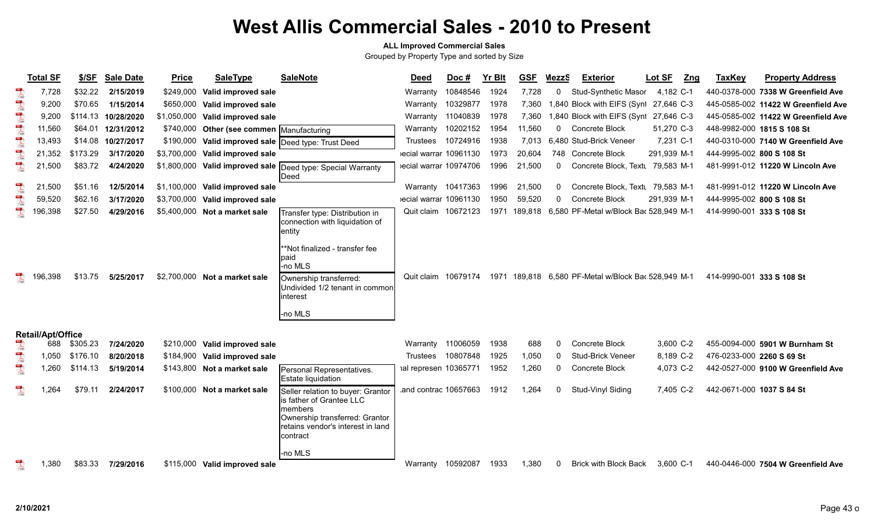#### **ALL Improved Commercial Sales**

|                                         | <b>Total SF</b>          | \$/SF    | <b>Sale Date</b> | <b>Price</b> | <b>SaleType</b>                   | <b>SaleNote</b>                                                                                                                                             | <b>Deed</b>           | Doc#     | <b>Yr Blt</b> | <b>GSF</b> | <b>MezzS</b> | <b>Exterior</b>                                     | <b>Lot SF</b> | <u>Zng</u> | <b>TaxKey</b>              | <b>Property Address</b>             |
|-----------------------------------------|--------------------------|----------|------------------|--------------|-----------------------------------|-------------------------------------------------------------------------------------------------------------------------------------------------------------|-----------------------|----------|---------------|------------|--------------|-----------------------------------------------------|---------------|------------|----------------------------|-------------------------------------|
| $\lambda$                               | 7,728                    | \$32.22  | 2/15/2019        | \$249,000    | Valid improved sale               |                                                                                                                                                             | Warranty              | 10848546 | 1924          | 7,728      | $\mathbf 0$  | <b>Stud-Synthetic Masor</b>                         | 4,182 C-1     |            |                            | 440-0378-000 7338 W Greenfield Ave  |
| $\overline{\mathcal{A}}$                | 9,200                    | \$70.65  | 1/15/2014        | \$650,000    | Valid improved sale               |                                                                                                                                                             | Warranty              | 10329877 | 1978          | 7,360      |              | 1,840 Block with EIFS (Synt 27,646 C-3              |               |            |                            | 445-0585-002 11422 W Greenfield Ave |
| $\frac{10}{\sqrt{2}}$                   | 9,200                    | \$114.13 | 10/28/2020       | \$1,050,000  | Valid improved sale               |                                                                                                                                                             | Warranty              | 11040839 | 1978          | 7,360      |              | 1,840 Block with EIFS (Synt 27,646 C-3              |               |            |                            | 445-0585-002 11422 W Greenfield Ave |
|                                         | 11,560                   | \$64.01  | 12/31/2012       | \$740,000    | Other (see commen   Manufacturing |                                                                                                                                                             | Warranty              | 10202152 | 1954          | 11,560     | $\mathbf{0}$ | <b>Concrete Block</b>                               | 51,270 C-3    |            | 448-9982-000 1815 S 108 St |                                     |
|                                         | 13,493                   | \$14.08  | 10/27/2017       | \$190,000    |                                   | Valid improved sale Deed type: Trust Deed                                                                                                                   | Trustees              | 10724916 | 1938          | 7,013      |              | 6,480 Stud-Brick Veneer                             | 7,231 C-1     |            |                            | 440-0310-000 7140 W Greenfield Ave  |
| $\sum_{k=1}^{100}$                      | 21,352                   | \$173.29 | 3/17/2020        | \$3,700,000  | Valid improved sale               |                                                                                                                                                             | ecial warrar 10961130 |          | 1973          | 20,604     |              | 748 Concrete Block                                  | 291,939 M-1   |            | 444-9995-002 800 S 108 St  |                                     |
| $\overline{\mathbf{r}}$                 | 21,500                   | \$83.72  | 4/24/2020        | \$1,800,000  |                                   | Valid improved sale Deed type: Special Warranty<br>Deed                                                                                                     | ecial warrar 10974706 |          | 1996          | 21,500     | $\Omega$     | Concrete Block, Textu 79,583 M-1                    |               |            |                            | 481-9991-012 11220 W Lincoln Ave    |
| $\sum_{\rm hot}$                        | 21,500                   | \$51.16  | 12/5/2014        | \$1,100,000  | Valid improved sale               |                                                                                                                                                             | Warranty 10417363     |          | 1996          | 21,500     | 0            | Concrete Block, Textu 79,583 M-1                    |               |            |                            | 481-9991-012 11220 W Lincoln Ave    |
| $\begin{array}{c}\n\hline\n\end{array}$ | 59,520                   | \$62.16  | 3/17/2020        | \$3,700,000  | Valid improved sale               |                                                                                                                                                             | ecial warrar 10961130 |          | 1950          | 59,520     | $\Omega$     | Concrete Block                                      | 291,939 M-1   |            | 444-9995-002 800 S 108 St  |                                     |
| $\overline{\mathcal{L}}$                | 196,398                  | \$27.50  | 4/29/2016        | \$5,400,000  | Not a market sale                 | Transfer type: Distribution in<br>connection with liquidation of<br>entity<br>**Not finalized - transfer fee<br>paid                                        | Quit claim 10672123   |          |               |            |              | 1971 189,818 6,580 PF-Metal w/Block Ba  528,949 M-1 |               |            | 414-9990-001 333 S 108 St  |                                     |
|                                         | 398<br>196               | \$13.75  | 5/25/2017        |              | \$2,700,000 Not a market sale     | -no MLS<br>Ownership transferred:<br>Undivided 1/2 tenant in common<br>nterest<br>-no MLS                                                                   | Quit claim 10679174   |          |               |            |              | 1971 189,818 6,580 PF-Metal w/Block Ba  528,949 M-1 |               |            | 414-9990-001 333 S 108 St  |                                     |
|                                         | <b>Retail/Apt/Office</b> |          |                  |              |                                   |                                                                                                                                                             |                       |          |               |            |              |                                                     |               |            |                            |                                     |
|                                         | 688                      | \$305.23 | 7/24/2020        | \$210,000    | Valid improved sale               |                                                                                                                                                             | Warranty              | 11006059 | 1938          | 688        | $\Omega$     | Concrete Block                                      | 3,600 C-2     |            |                            | 455-0094-000 5901 W Burnham St      |
| $\frac{1}{\sqrt{2}}$                    | 1.050                    | \$176.10 | 8/20/2018        | \$184,900    | Valid improved sale               |                                                                                                                                                             | <b>Trustees</b>       | 10807848 | 1925          | 1,050      | $\Omega$     | <b>Stud-Brick Veneer</b>                            | 8,189 C-2     |            | 476-0233-000 2260 S 69 St  |                                     |
| $\overline{\mathbb{A}}$                 | 1,260                    | \$114.13 | 5/19/2014        | \$143,800    | Not a market sale                 | Personal Representatives.<br>Estate liquidation                                                                                                             | ial represen 10365771 |          | 1952          | 1,260      | $\mathbf 0$  | Concrete Block                                      | 4,073 C-2     |            |                            | 442-0527-000 9100 W Greenfield Ave  |
| $\overline{\mathbf{r}}$                 | 1,264                    | \$79.11  | 2/24/2017        |              | \$100,000 Not a market sale       | Seller relation to buyer: Grantor<br>is father of Grantee LLC<br>nembers<br>Ownership transferred: Grantor<br>retains vendor's interest in land<br>contract | and contrac 10657663  |          | 1912          | 1,264      | 0            | Stud-Vinyl Siding                                   | 7,405 C-2     |            | 442-0671-000 1037 S 84 St  |                                     |
|                                         | 1,380                    | \$83.33  | 7/29/2016        |              | \$115,000 Valid improved sale     | -no MLS                                                                                                                                                     | Warranty              | 10592087 | 1933          | 1,380      | 0            | <b>Brick with Block Back</b>                        | 3,600 C-1     |            |                            | 440-0446-000 7504 W Greenfield Ave  |
|                                         |                          |          |                  |              |                                   |                                                                                                                                                             |                       |          |               |            |              |                                                     |               |            |                            |                                     |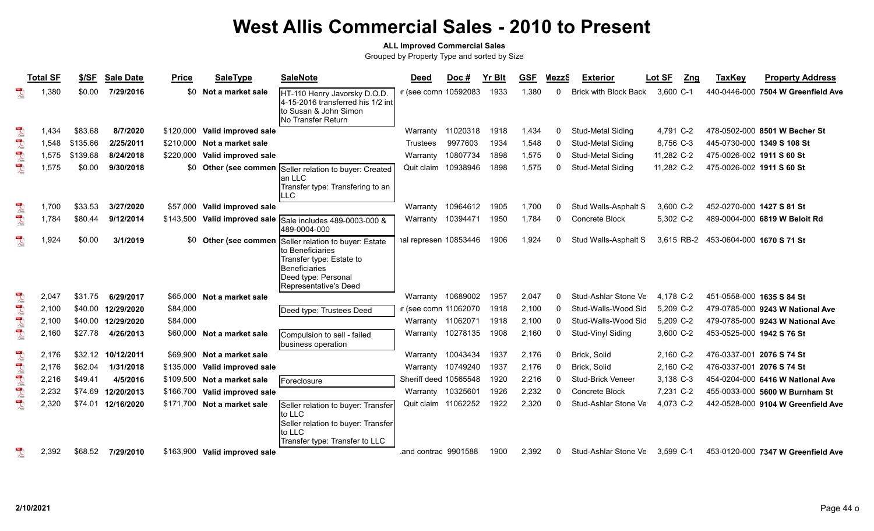### **ALL Improved Commercial Sales**

|                                           | <b>Total SF</b> | \$/SF    | <b>Sale Date</b> | <b>Price</b> | <b>SaleType</b>               | <b>SaleNote</b>                                                                                                                                            | <b>Deed</b>           | Doc#     | <b>Yr Blt</b> | <b>GSF</b> | <b>MezzS</b> | <b>Exterior</b>              | Lot SF<br>Zng | <b>TaxKey</b>             | <b>Property Address</b>            |
|-------------------------------------------|-----------------|----------|------------------|--------------|-------------------------------|------------------------------------------------------------------------------------------------------------------------------------------------------------|-----------------------|----------|---------------|------------|--------------|------------------------------|---------------|---------------------------|------------------------------------|
|                                           | 1,380           | \$0.00   | 7/29/2016        | \$0          | Not a market sale             | HT-110 Henry Javorsky D.O.D.<br>4-15-2016 transferred his 1/2 int<br>to Susan & John Simon<br>No Transfer Return                                           | r (see comn 10592083  |          | 1933          | 1.380      |              | <b>Brick with Block Back</b> | 3,600 C-1     |                           | 440-0446-000 7504 W Greenfield Ave |
| $\sum_{k \geq 0}$                         | 1.434           | \$83.68  | 8/7/2020         | \$120,000    | Valid improved sale           |                                                                                                                                                            | Warranty              | 11020318 | 1918          | 1.434      | 0            | <b>Stud-Metal Siding</b>     | 4,791 C-2     |                           | 478-0502-000 8501 W Becher St      |
| $\overline{\mathbf{r}}$                   | 1.548           | \$135.66 | 2/25/2011        | \$210,000    | Not a market sale             |                                                                                                                                                            | Trustees              | 9977603  | 1934          | 1,548      | $\Omega$     | Stud-Metal Siding            | 8,756 C-3     |                           | 445-0730-000 1349 S 108 St         |
| <b>All Report</b>                         | 1,575           | \$139.68 | 8/24/2018        | \$220,000    | Valid improved sale           |                                                                                                                                                            | Warranty              | 10807734 | 1898          | 1,575      | $\Omega$     | Stud-Metal Siding            | 11,282 C-2    | 475-0026-002 1911 S 60 St |                                    |
|                                           | 1,575           | \$0.00   | 9/30/2018        | \$0          |                               | Other (see commen Seller relation to buyer: Created<br>an LLC<br>Transfer type: Transfering to an<br>LLC                                                   | Quit claim            | 10938946 | 1898          | 1,575      | $\Omega$     | Stud-Metal Siding            | 11,282 C-2    | 475-0026-002 1911 S 60 St |                                    |
| $\sum_{k=0}^{n}$                          | 1.700           | \$33.53  | 3/27/2020        | \$57,000     | Valid improved sale           |                                                                                                                                                            | Warranty              | 10964612 | 1905          | 1,700      |              | Stud Walls-Asphalt S         | 3,600 C-2     | 452-0270-000 1427 S 81 St |                                    |
| $\overline{\mathbf{r}}$                   | 1,784           | \$80.44  | 9/12/2014        | \$143,500    | Valid improved sale           | Sale includes 489-0003-000 &<br>489-0004-000                                                                                                               | Warranty              | 10394471 | 1950          | 1,784      | $\Omega$     | Concrete Block               | 5,302 C-2     |                           | 489-0004-000 6819 W Beloit Rd      |
| $\mathbb{R}$                              | 1,924           | \$0.00   | 3/1/2019         | \$0          | Other (see commen             | Seller relation to buyer: Estate<br>to Beneficiaries<br>Transfer type: Estate to<br><b>I</b> Beneficiaries<br>Deed type: Personal<br>Representative's Deed | ial represen 10853446 |          | 1906          | 1,924      | 0            | Stud Walls-Asphalt S         | 3,615 RB-2    | 453-0604-000 1670 S 71 St |                                    |
| $\begin{array}{c}\n\hline\n\end{array}$   | 2.047           | \$31.75  | 6/29/2017        |              | \$65,000 Not a market sale    |                                                                                                                                                            | Warrantv              | 10689002 | 1957          | 2,047      | $\Omega$     | Stud-Ashlar Stone Ve         | 4,178 C-2     | 451-0558-000 1635 S 84 St |                                    |
| $\begin{array}{c} \mathbf{1} \end{array}$ | 2,100           | \$40.00  | 12/29/2020       | \$84,000     |                               | Deed type: Trustees Deed                                                                                                                                   | r (see comn 11062070  |          | 1918          | 2,100      | $\Omega$     | Stud-Walls-Wood Sid          | 5,209 C-2     |                           | 479-0785-000 9243 W National Ave   |
|                                           | 2,100           | \$40.00  | 12/29/2020       | \$84,000     |                               |                                                                                                                                                            | Warranty 11062071     |          | 1918          | 2,100      | $\Omega$     | Stud-Walls-Wood Sid          | 5,209 C-2     |                           | 479-0785-000 9243 W National Ave   |
| 大學                                        | 2,160           | \$27.78  | 4/26/2013        | \$60,000     | Not a market sale             | Compulsion to sell - failed<br>business operation                                                                                                          | Warranty              | 10278135 | 1908          | 2,160      | 0            | Stud-Vinyl Siding            | 3,600 C-2     | 453-0525-000 1942 S 76 St |                                    |
|                                           | 2.176           | \$32.12  | 10/12/2011       | \$69,900     | Not a market sale             |                                                                                                                                                            | Warranty              | 10043434 | 1937          | 2,176      | $\Omega$     | Brick, Solid                 | 2,160 C-2     | 476-0337-001 2076 S 74 St |                                    |
|                                           | 2,176           | \$62.04  | 1/31/2018        | \$135,000    | Valid improved sale           |                                                                                                                                                            | Warranty 10749240     |          | 1937          | 2,176      | $\Omega$     | Brick, Solid                 | 2,160 C-2     | 476-0337-001 2076 S 74 St |                                    |
|                                           | 2,216           | \$49.41  | 4/5/2016         | \$109,500    | Not a market sale             | Foreclosure                                                                                                                                                | Sheriff deed 10565548 |          | 1920          | 2,216      | $\Omega$     | Stud-Brick Veneer            | 3,138 C-3     |                           | 454-0204-000 6416 W National Ave   |
| 大气                                        | 2,232           | \$74.69  | 12/20/2013       | \$166,700    | Valid improved sale           |                                                                                                                                                            | Warranty 10325601     |          | 1926          | 2,232      | $\Omega$     | <b>Concrete Block</b>        | 7,231 C-2     |                           | 455-0033-000 5600 W Burnham St     |
|                                           | 2,320           | \$74.01  | 12/16/2020       | \$171,700    | Not a market sale             | Seller relation to buyer: Transfer<br>to LLC<br>Seller relation to buyer: Transfer<br>to LLC<br>Transfer type: Transfer to LLC                             | Quit claim            | 11062252 | 1922          | 2,320      |              | Stud-Ashlar Stone Ve         | 4,073 C-2     |                           | 442-0528-000 9104 W Greenfield Ave |
|                                           | 2,392           | \$68.52  | 7/29/2010        |              | \$163,900 Valid improved sale |                                                                                                                                                            | and contrac 9901588   |          | 1900          | 2,392      | <sup>0</sup> | Stud-Ashlar Stone Ve         | 3,599 C-1     |                           | 453-0120-000 7347 W Greenfield Ave |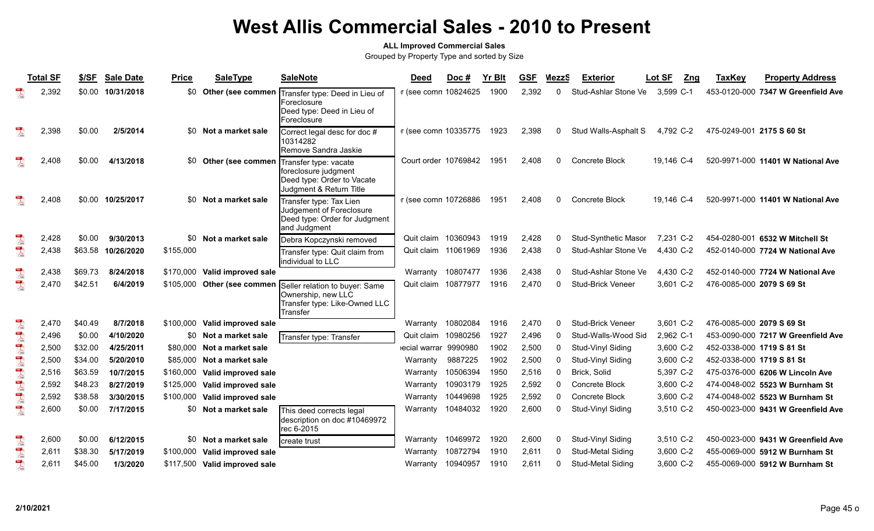### **ALL Improved Commercial Sales**

|                          | <b>Total SF</b> | \$/SF   | <b>Sale Date</b>  | <b>Price</b> | <b>SaleType</b>                               | <b>SaleNote</b>                                                                                      | Deed                 | Doc#     | <b>Yr Blt</b> | <b>GSF</b> | MezzS        | <b>Exterior</b>             | Lot SF<br><u>Zng</u> | <b>TaxKey</b>             | <b>Property Address</b>            |
|--------------------------|-----------------|---------|-------------------|--------------|-----------------------------------------------|------------------------------------------------------------------------------------------------------|----------------------|----------|---------------|------------|--------------|-----------------------------|----------------------|---------------------------|------------------------------------|
|                          | 2,392           |         | \$0.00 10/31/2018 |              | \$0 Other (see commen                         | Transfer type: Deed in Lieu of<br>IForeclosure<br>Deed type: Deed in Lieu of<br><b>IForeclosure</b>  | r (see comn 10824625 |          | 1900          | 2,392      | <sup>n</sup> | Stud-Ashlar Stone Ve        | 3.599 C-1            |                           | 453-0120-000 7347 W Greenfield Ave |
|                          | 2,398           | \$0.00  | 2/5/2014          |              | \$0 Not a market sale                         | Correct legal desc for doc #<br>10314282<br>Remove Sandra Jaskie                                     | r (see comn 10335775 |          | 1923          | 2,398      |              | Stud Walls-Asphalt S        | 4,792 C-2            | 475-0249-001 2175 S 60 St |                                    |
|                          | 2,408           | \$0.00  | 4/13/2018         |              | \$0 Other (see commen   Transfer type: vacate | foreclosure judgment<br>Deed type: Order to Vacate<br>Judgment & Return Title                        | Court order 10769842 |          | 1951          | 2,408      | <sup>n</sup> | Concrete Block              | 19,146 C-4           |                           | 520-9971-000 11401 W National Ave  |
| $\mathbb{R}$             | 2,408           |         | \$0.00 10/25/2017 |              | \$0 Not a market sale                         | Transfer type: Tax Lien<br>Judgement of Foreclosure<br>Deed type: Order for Judgment<br>and Judgment | r (see comn 10726886 |          | 1951          | 2,408      |              | Concrete Block              | 19.146 C-4           |                           | 520-9971-000 11401 W National Ave  |
| $\overline{\mathbf{r}}$  | 2,428           | \$0.00  | 9/30/2013         |              | \$0 Not a market sale                         | Debra Kopczynski removed                                                                             | Quit claim 10360943  |          | 1919          | 2.428      |              | <b>Stud-Synthetic Masor</b> | 7.231 C-2            |                           | 454-0280-001 6532 W Mitchell St    |
| $\overline{\mathbf{r}}$  | 2,438           | \$63.58 | 10/26/2020        | \$155,000    |                                               | Transfer type: Quit claim from<br>Individual to LLC                                                  | Quit claim 11061969  |          | 1936          | 2,438      |              | Stud-Ashlar Stone Ve        | 4,430 C-2            |                           | 452-0140-000 7724 W National Ave   |
| $\overline{\mathcal{X}}$ | 2,438           | \$69.73 | 8/24/2018         | \$170,000    | Valid improved sale                           |                                                                                                      | Warranty 10807477    |          | 1936          | 2,438      |              | Stud-Ashlar Stone Ve        | 4,430 C-2            |                           | 452-0140-000 7724 W National Ave   |
| $\overline{\mathbf{r}}$  | 2,470           | \$42.51 | 6/4/2019          | \$105,000    | Other (see commen                             | Seller relation to buyer: Same<br>Ownership, new LLC<br>Transfer type: Like-Owned LLC<br>Transfer    | Quit claim 10877977  |          | 1916          | 2,470      |              | Stud-Brick Veneer           | 3,601 C-2            | 476-0085-000 2079 S 69 St |                                    |
| $\overline{\mathbf{r}}$  | 2,470           | \$40.49 | 8/7/2018          |              | \$100,000 Valid improved sale                 |                                                                                                      | Warranty             | 10802084 | 1916          | 2,470      |              | <b>Stud-Brick Veneer</b>    | 3,601 C-2            | 476-0085-000 2079 S 69 St |                                    |
|                          | 2,496           | \$0.00  | 4/10/2020         |              | \$0 Not a market sale                         | Transfer type: Transfer                                                                              | Quit claim           | 10980256 | 1927          | 2,496      |              | Stud-Walls-Wood Sid         | 2,962 C-1            |                           | 453-0090-000 7217 W Greenfield Ave |
| $\overline{\mathbf{r}}$  | 2,500           | \$32.00 | 4/25/2011         | \$80,000     | Not a market sale                             |                                                                                                      | ecial warrar         | 9990980  | 1902          | 2,500      |              | Stud-Vinyl Siding           | 3,600 C-2            | 452-0338-000 1719 S 81 St |                                    |
| $\overline{\mathbf{r}}$  | 2,500           | \$34.00 | 5/20/2010         | \$85,000     | Not a market sale                             |                                                                                                      | Warranty             | 9887225  | 1902          | 2,500      |              | Stud-Vinyl Siding           | 3,600 C-2            | 452-0338-000 1719 S 81 St |                                    |
| $\mathbb{R}$             | 2.516           | \$63.59 | 10/7/2015         | \$160,000    | Valid improved sale                           |                                                                                                      | Warranty             | 10506394 | 1950          | 2,516      |              | Brick, Solid                | 5,397 C-2            |                           | 475-0376-000 6206 W Lincoln Ave    |
| 人气                       | 2,592           | \$48.23 | 8/27/2019         | \$125,000    | Valid improved sale                           |                                                                                                      | Warranty             | 10903179 | 1925          | 2,592      |              | Concrete Block              | 3,600 C-2            |                           | 474-0048-002 5523 W Burnham St     |
|                          | 2,592           | \$38.58 | 3/30/2015         | \$100,000    | Valid improved sale                           |                                                                                                      | Warranty             | 10449698 | 1925          | 2,592      |              | Concrete Block              | 3,600 C-2            |                           | 474-0048-002 5523 W Burnham St     |
| $\frac{1}{\sqrt{2}}$     | 2,600           | \$0.00  | 7/17/2015         |              | Not a market sale                             | This deed corrects legal<br>description on doc #10469972<br>rec 6-2015                               | Warranty             | 10484032 | 1920          | 2,600      |              | Stud-Vinyl Siding           | 3,510 C-2            |                           | 450-0023-000 9431 W Greenfield Ave |
|                          | 2,600           | \$0.00  | 6/12/2015         |              | \$0 Not a market sale                         | create trust                                                                                         | Warranty             | 10469972 | 1920          | 2,600      |              | Stud-Vinyl Siding           | 3,510 C-2            |                           | 450-0023-000 9431 W Greenfield Ave |
| $\overline{\mathbf{r}}$  | 2,611           | \$38.30 | 5/17/2019         | \$100,000    | Valid improved sale                           |                                                                                                      | Warranty             | 10872794 | 1910          | 2,611      |              | Stud-Metal Siding           | 3,600 C-2            |                           | 455-0069-000 5912 W Burnham St     |
| $\mathbb{R}$             | 2,611           | \$45.00 | 1/3/2020          | \$117,500    | Valid improved sale                           |                                                                                                      | Warranty             | 10940957 | 1910          | 2,611      |              | Stud-Metal Siding           | 3.600 C-2            |                           | 455-0069-000 5912 W Burnham St     |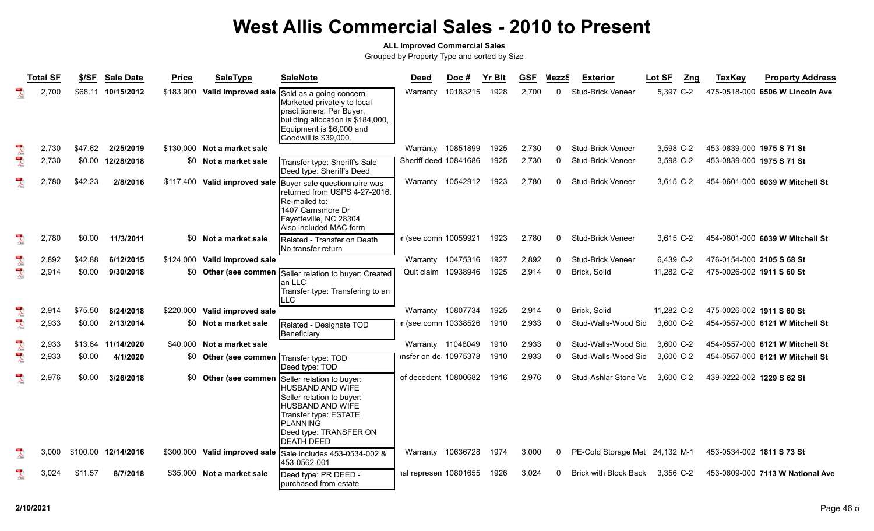### **ALL Improved Commercial Sales**

|                                                                                                                                                                                                                                                                                                                                                                             | <b>Total SF</b> | \$/SF   | <b>Sale Date</b>    | <b>Price</b> | <b>SaleType</b>               | <b>SaleNote</b>                                                                                                                                                                    | <b>Deed</b>            | Doc#     | <b>Yr Blt</b> | <b>GSF</b> | <b>MezzS</b> | <b>Exterior</b>                | Lot SF      | Zng | <b>TaxKey</b>             | <b>Property Address</b>          |
|-----------------------------------------------------------------------------------------------------------------------------------------------------------------------------------------------------------------------------------------------------------------------------------------------------------------------------------------------------------------------------|-----------------|---------|---------------------|--------------|-------------------------------|------------------------------------------------------------------------------------------------------------------------------------------------------------------------------------|------------------------|----------|---------------|------------|--------------|--------------------------------|-------------|-----|---------------------------|----------------------------------|
|                                                                                                                                                                                                                                                                                                                                                                             | 2.700           |         | \$68.11 10/15/2012  | \$183,900    | Valid improved sale           | Sold as a going concern.<br>Marketed privately to local<br>practitioners. Per Buyer,<br>building allocation is \$184,000,<br>Equipment is \$6,000 and<br>Goodwill is \$39,000.     | Warranty               | 10183215 | 1928          | 2.700      | 0            | Stud-Brick Veneer              | 5,397 C-2   |     |                           | 475-0518-000 6506 W Lincoln Ave  |
| $\sum_{n=1}^{\infty}$                                                                                                                                                                                                                                                                                                                                                       | 2,730           | \$47.62 | 2/25/2019           |              | \$130,000 Not a market sale   |                                                                                                                                                                                    | Warranty 10851899      |          | 1925          | 2,730      | 0            | <b>Stud-Brick Veneer</b>       | 3,598 C-2   |     | 453-0839-000 1975 S 71 St |                                  |
| $\mathbb{R}$                                                                                                                                                                                                                                                                                                                                                                | 2,730           | \$0.00  | 12/28/2018          |              | \$0 Not a market sale         | Transfer type: Sheriff's Sale<br>Deed type: Sheriff's Deed                                                                                                                         | Sheriff deed 10841686  |          | 1925          | 2,730      | 0            | <b>Stud-Brick Veneer</b>       | 3.598 C-2   |     | 453-0839-000 1975 S 71 St |                                  |
| $\frac{1}{\sqrt{2}}$                                                                                                                                                                                                                                                                                                                                                        | 2,780           | \$42.23 | 2/8/2016            |              | \$117,400 Valid improved sale | Buyer sale questionnaire was<br>returned from USPS 4-27-2016.<br>Re-mailed to:<br>1407 Carnsmore Dr<br>Fayetteville, NC 28304<br>Also included MAC form                            | Warranty 10542912      |          | 1923          | 2.780      | 0            | <b>Stud-Brick Veneer</b>       | $3.615$ C-2 |     |                           | 454-0601-000 6039 W Mitchell St  |
| $\overline{\mathcal{L}}$                                                                                                                                                                                                                                                                                                                                                    | 2,780           | \$0.00  | 11/3/2011           |              | \$0 Not a market sale         | Related - Transfer on Death<br>No transfer return                                                                                                                                  | r (see comn 10059921   |          | 1923          | 2,780      | 0            | <b>Stud-Brick Veneer</b>       | 3,615 C-2   |     |                           | 454-0601-000 6039 W Mitchell St  |
| $\begin{picture}(130,10) \put(0,0){\vector(1,0){10}} \put(15,0){\vector(1,0){10}} \put(15,0){\vector(1,0){10}} \put(15,0){\vector(1,0){10}} \put(15,0){\vector(1,0){10}} \put(15,0){\vector(1,0){10}} \put(15,0){\vector(1,0){10}} \put(15,0){\vector(1,0){10}} \put(15,0){\vector(1,0){10}} \put(15,0){\vector(1,0){10}} \put(15,0){\vector(1,0){10}} \put(15,0){\vector($ | 2,892           | \$42.88 | 6/12/2015           |              | \$124,000 Valid improved sale |                                                                                                                                                                                    | Warranty 10475316      |          | 1927          | 2,892      | 0            | <b>Stud-Brick Veneer</b>       | 6.439 C-2   |     | 476-0154-000 2105 S 68 St |                                  |
|                                                                                                                                                                                                                                                                                                                                                                             | 2,914           | \$0.00  | 9/30/2018           | \$0          | Other (see commen             | Seller relation to buyer: Created<br>an LLC<br>Transfer type: Transfering to an<br>LLC                                                                                             | Quit claim 10938946    |          | 1925          | 2,914      | $\Omega$     | Brick, Solid                   | 11,282 C-2  |     | 475-0026-002 1911 S 60 St |                                  |
|                                                                                                                                                                                                                                                                                                                                                                             | 2,914           | \$75.50 | 8/24/2018           | \$220,000    | Valid improved sale           |                                                                                                                                                                                    | Warranty 10807734      |          | 1925          | 2,914      | 0            | Brick, Solid                   | 11,282 C-2  |     | 475-0026-002 1911 S 60 St |                                  |
|                                                                                                                                                                                                                                                                                                                                                                             | 2,933           | \$0.00  | 2/13/2014           |              | \$0 Not a market sale         | Related - Designate TOD<br>Beneficiary                                                                                                                                             | r (see comn 10338526   |          | 1910          | 2,933      | $\Omega$     | Stud-Walls-Wood Sid            | 3,600 C-2   |     |                           | 454-0557-000 6121 W Mitchell St  |
|                                                                                                                                                                                                                                                                                                                                                                             | 2,933           |         | \$13.64 11/14/2020  | \$40,000     | Not a market sale             |                                                                                                                                                                                    | Warranty 11048049      |          | 1910          | 2,933      | $\Omega$     | Stud-Walls-Wood Sid            | 3,600 C-2   |     |                           | 454-0557-000 6121 W Mitchell St  |
|                                                                                                                                                                                                                                                                                                                                                                             | 2,933           | \$0.00  | 4/1/2020            | \$0.         | Other (see commen             | Transfer type: TOD<br>Deed type: TOD                                                                                                                                               | insfer on de: 10975378 |          | 1910          | 2,933      | $\Omega$     | Stud-Walls-Wood Sid            | 3,600 C-2   |     |                           | 454-0557-000 6121 W Mitchell St  |
| $\mathbb{R}$                                                                                                                                                                                                                                                                                                                                                                | 2,976           | \$0.00  | 3/26/2018           | \$0.         | Other (see commen             | Seller relation to buyer:<br>HUSBAND AND WIFE<br>Seller relation to buyer:<br>HUSBAND AND WIFE<br>Transfer type: ESTATE<br>PLANNING<br>Deed type: TRANSFER ON<br><b>DEATH DEED</b> | of decedent: 10800682  |          | 1916          | 2,976      | $\Omega$     | Stud-Ashlar Stone Ve           | 3,600 C-2   |     | 439-0222-002 1229 S 62 St |                                  |
| $\lambda$                                                                                                                                                                                                                                                                                                                                                                   | 3.000           |         | \$100.00 12/14/2016 | \$300,000    | Valid improved sale           | Sale includes 453-0534-002 &<br>453-0562-001                                                                                                                                       | Warranty 10636728      |          | 1974          | 3,000      | 0            | PE-Cold Storage Met 24,132 M-1 |             |     | 453-0534-002 1811 S 73 St |                                  |
| $\frac{1}{\sqrt{2}}$                                                                                                                                                                                                                                                                                                                                                        | 3,024           | \$11.57 | 8/7/2018            | \$35.000     | Not a market sale             | Deed type: PR DEED -<br>purchased from estate                                                                                                                                      | ial represen 10801655  |          | 1926          | 3,024      |              | <b>Brick with Block Back</b>   | 3,356 C-2   |     |                           | 453-0609-000 7113 W National Ave |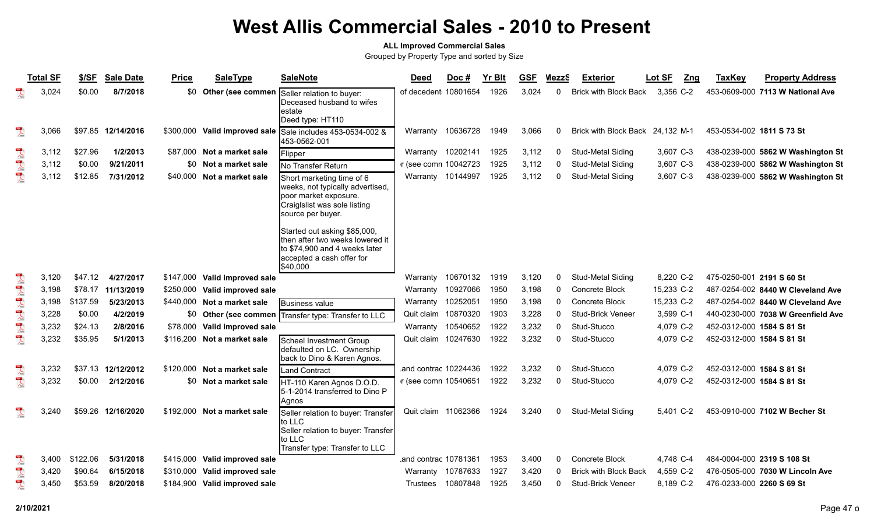### **ALL Improved Commercial Sales**

|                                                                                                                                                                                                                                                                                                                                                                                                                                   | <b>Total SF</b> | \$/SF    | <b>Sale Date</b> | <b>Price</b> | <b>SaleType</b>               | <b>SaleNote</b>                                                                                                                             | Deed                  | Doc#     | <b>Yr Blt</b> | <b>GSF</b> | <b>MezzS</b> | <b>Exterior</b>                  | Lot SF<br>Zng | <b>TaxKey</b>             | <b>Property Address</b>            |
|-----------------------------------------------------------------------------------------------------------------------------------------------------------------------------------------------------------------------------------------------------------------------------------------------------------------------------------------------------------------------------------------------------------------------------------|-----------------|----------|------------------|--------------|-------------------------------|---------------------------------------------------------------------------------------------------------------------------------------------|-----------------------|----------|---------------|------------|--------------|----------------------------------|---------------|---------------------------|------------------------------------|
|                                                                                                                                                                                                                                                                                                                                                                                                                                   | 3,024           | \$0.00   | 8/7/2018         | \$0          | Other (see commen             | Seller relation to buyer:<br>Deceased husband to wifes<br>estate<br>Deed type: HT110                                                        | of decedent: 10801654 |          | 1926          | 3,024      | $\Omega$     | <b>Brick with Block Back</b>     | 3,356 C-2     |                           | 453-0609-000 7113 W National Ave   |
| $\overline{\mathbf{r}}$                                                                                                                                                                                                                                                                                                                                                                                                           | 3,066           | \$97.85  | 12/14/2016       | \$300,000    | Valid improved sale           | Sale includes 453-0534-002 &<br>453-0562-001                                                                                                | Warranty 10636728     |          | 1949          | 3,066      | $\Omega$     | Brick with Block Back 24,132 M-1 |               | 453-0534-002 1811 S 73 St |                                    |
| $\sum_{k=1}^{n}$                                                                                                                                                                                                                                                                                                                                                                                                                  | 3,112           | \$27.96  | 1/2/2013         |              | \$87,000 Not a market sale    | Flipper                                                                                                                                     | Warranty 10202141     |          | 1925          | 3,112      | 0            | Stud-Metal Siding                | 3,607 C-3     |                           | 438-0239-000 5862 W Washington St  |
| $\begin{array}{c}\n\frac{1}{\sqrt{2}} \\ \frac{1}{\sqrt{2}}\n\end{array}$                                                                                                                                                                                                                                                                                                                                                         | 3,112           | \$0.00   | 9/21/2011        |              | \$0 Not a market sale         | No Transfer Return                                                                                                                          | r (see comn 10042723  |          | 1925          | 3,112      | $\Omega$     | Stud-Metal Siding                | 3,607 C-3     |                           | 438-0239-000 5862 W Washington St  |
| $\frac{1}{\sqrt{2}}$                                                                                                                                                                                                                                                                                                                                                                                                              | 3,112           | \$12.85  | 7/31/2012        | \$40,000     | Not a market sale             | Short marketing time of 6<br>weeks, not typically advertised,<br>poor market exposure.<br>Craiglslist was sole listing<br>source per buyer. | Warranty 10144997     |          | 1925          | 3,112      | $\Omega$     | Stud-Metal Siding                | 3,607 C-3     |                           | 438-0239-000 5862 W Washington St  |
|                                                                                                                                                                                                                                                                                                                                                                                                                                   |                 |          |                  |              |                               | Started out asking \$85,000,<br>hen after two weeks lowered it<br>to \$74,900 and 4 weeks later<br>accepted a cash offer for<br>\$40,000    |                       |          |               |            |              |                                  |               |                           |                                    |
| $\begin{picture}(20,20) \put(0,0){\vector(0,1){30}} \put(15,0){\vector(0,1){30}} \put(15,0){\vector(0,1){30}} \put(15,0){\vector(0,1){30}} \put(15,0){\vector(0,1){30}} \put(15,0){\vector(0,1){30}} \put(15,0){\vector(0,1){30}} \put(15,0){\vector(0,1){30}} \put(15,0){\vector(0,1){30}} \put(15,0){\vector(0,1){30}} \put(15,0){\vector(0,1){30}} \put(15,0){\vector(0$                                                       | 3,120           | \$47.12  | 4/27/2017        | \$147,000    | Valid improved sale           |                                                                                                                                             | Warranty              | 10670132 | 1919          | 3,120      | 0            | Stud-Metal Siding                | 8,220 C-2     | 475-0250-001 2191 S 60 St |                                    |
| $\begin{array}{c}\n\frac{1}{2} \\ \frac{1}{2} \\ \frac{1}{2} \\ \frac{1}{2} \\ \frac{1}{2} \\ \frac{1}{2} \\ \frac{1}{2} \\ \frac{1}{2} \\ \frac{1}{2} \\ \frac{1}{2} \\ \frac{1}{2} \\ \frac{1}{2} \\ \frac{1}{2} \\ \frac{1}{2} \\ \frac{1}{2} \\ \frac{1}{2} \\ \frac{1}{2} \\ \frac{1}{2} \\ \frac{1}{2} \\ \frac{1}{2} \\ \frac{1}{2} \\ \frac{1}{2} \\ \frac{1}{2} \\ \frac{1}{2} \\ \frac{1}{2} \\ \frac{1}{2} \\ \frac{1$ | 3,198           | \$78.17  | 11/13/2019       |              | \$250,000 Valid improved sale |                                                                                                                                             | Warranty              | 10927066 | 1950          | 3,198      | $\mathbf{0}$ | <b>Concrete Block</b>            | 15,233 C-2    |                           | 487-0254-002 8440 W Cleveland Ave  |
| $\sum_{\rm kink}$                                                                                                                                                                                                                                                                                                                                                                                                                 | 3,198           | \$137.59 | 5/23/2013        | \$440,000    | Not a market sale             | Business value                                                                                                                              | Warranty              | 10252051 | 1950          | 3,198      | $\mathbf{0}$ | <b>Concrete Block</b>            | 15,233 C-2    |                           | 487-0254-002 8440 W Cleveland Ave  |
|                                                                                                                                                                                                                                                                                                                                                                                                                                   | 3,228           | \$0.00   | 4/2/2019         |              | \$0 Other (see commen         | Transfer type: Transfer to LLC                                                                                                              | Quit claim 10870320   |          | 1903          | 3,228      | $\Omega$     | <b>Stud-Brick Veneer</b>         | 3,599 C-1     |                           | 440-0230-000 7038 W Greenfield Ave |
| 人民                                                                                                                                                                                                                                                                                                                                                                                                                                | 3,232           | \$24.13  | 2/8/2016         |              | \$78,000 Valid improved sale  |                                                                                                                                             | Warranty 10540652     |          | 1922          | 3,232      | $\Omega$     | Stud-Stucco                      | 4,079 C-2     | 452-0312-000 1584 S 81 St |                                    |
| $\overline{\mathbf{r}}$                                                                                                                                                                                                                                                                                                                                                                                                           | 3,232           | \$35.95  | 5/1/2013         | \$116,200    | Not a market sale             | Scheel Investment Group<br>defaulted on LC. Ownership<br>back to Dino & Karen Agnos.                                                        | Quit claim 10247630   |          | 1922          | 3,232      | $\mathbf{0}$ | Stud-Stucco                      | 4,079 C-2     | 452-0312-000 1584 S 81 St |                                    |
| $\lambda$                                                                                                                                                                                                                                                                                                                                                                                                                         | 3,232           | \$37.13  | 12/12/2012       | \$120,000    | Not a market sale             | <b>Land Contract</b>                                                                                                                        | and contrac 10224436. |          | 1922          | 3,232      | 0            | Stud-Stucco                      | 4,079 C-2     | 452-0312-000 1584 S 81 St |                                    |
| $\begin{array}{c}\n\hline\n\end{array}$                                                                                                                                                                                                                                                                                                                                                                                           | 3,232           | \$0.00   | 2/12/2016        |              | \$0 Not a market sale         | HT-110 Karen Agnos D.O.D.<br>5-1-2014 transferred to Dino P<br>Agnos                                                                        | r (see comn 10540651  |          | 1922          | 3,232      | $\Omega$     | Stud-Stucco                      | 4,079 C-2     | 452-0312-000 1584 S 81 St |                                    |
| $\mathbb{R}$                                                                                                                                                                                                                                                                                                                                                                                                                      | 3,240           | \$59.26  | 12/16/2020       | \$192,000    | Not a market sale             | Seller relation to buyer: Transfer<br>to LLC<br>Seller relation to buyer: Transfer<br>to LLC<br>Transfer type: Transfer to LLC              | Quit claim 11062366   |          | 1924          | 3,240      | $\mathbf{0}$ | Stud-Metal Siding                | 5,401 C-2     |                           | 453-0910-000 7102 W Becher St      |
| $\sum_{k=0}^{n}$                                                                                                                                                                                                                                                                                                                                                                                                                  | 3,400           | \$122.06 | 5/31/2018        |              | \$415,000 Valid improved sale |                                                                                                                                             | and contrac 10781361  |          | 1953          | 3,400      | 0            | Concrete Block                   | 4,748 C-4     |                           | 484-0004-000 2319 S 108 St         |
| $\sum_{k=0}^{n}$                                                                                                                                                                                                                                                                                                                                                                                                                  | 3,420           | \$90.64  | 6/15/2018        | \$310,000    | Valid improved sale           |                                                                                                                                             | Warranty              | 10787633 | 1927          | 3,420      | $\Omega$     | <b>Brick with Block Back</b>     | 4,559 C-2     |                           | 476-0505-000 7030 W Lincoln Ave    |
| $\begin{picture}(20,20) \put(0,0){\vector(0,1){10}} \put(15,0){\vector(0,1){10}} \put(15,0){\vector(0,1){10}} \put(15,0){\vector(0,1){10}} \put(15,0){\vector(0,1){10}} \put(15,0){\vector(0,1){10}} \put(15,0){\vector(0,1){10}} \put(15,0){\vector(0,1){10}} \put(15,0){\vector(0,1){10}} \put(15,0){\vector(0,1){10}} \put(15,0){\vector(0,1){10}} \put(15,0){\vector(0$                                                       | 3,450           | \$53.59  | 8/20/2018        |              | \$184,900 Valid improved sale |                                                                                                                                             | Trustees              | 10807848 | 1925          | 3,450      | $\Omega$     | <b>Stud-Brick Veneer</b>         | 8,189 C-2     | 476-0233-000 2260 S 69 St |                                    |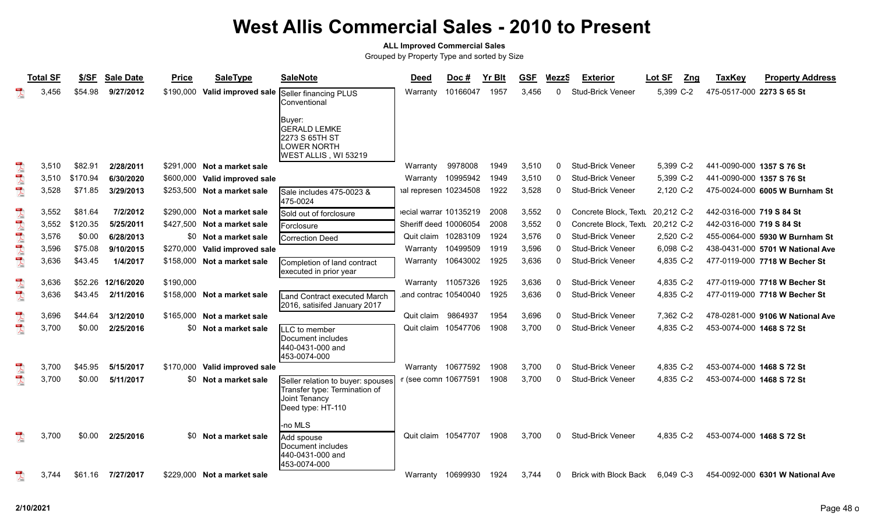### **ALL Improved Commercial Sales**

|                         | <b>Total SF</b> | \$/SF    | <b>Sale Date</b> | <b>Price</b> | <b>SaleType</b>               | <b>SaleNote</b>                                                                                          | <b>Deed</b>           | Doc#     | <b>Yr Blt</b> | <b>GSF</b> | <b>MezzS</b> | <b>Exterior</b>              | Lot SF<br>Zng | <b>TaxKey</b>             | <b>Property Address</b>          |
|-------------------------|-----------------|----------|------------------|--------------|-------------------------------|----------------------------------------------------------------------------------------------------------|-----------------------|----------|---------------|------------|--------------|------------------------------|---------------|---------------------------|----------------------------------|
| $\mathbb{R}$            | 3,456           | \$54.98  | 9/27/2012        | \$190,000    | Valid improved sale           | Seller financing PLUS<br>Conventional                                                                    | Warranty              | 10166047 | 1957          | 3,456      | $\Omega$     | <b>Stud-Brick Veneer</b>     | 5,399 C-2     | 475-0517-000 2273 S 65 St |                                  |
|                         |                 |          |                  |              |                               | Buyer:<br><b>GERALD LEMKE</b><br>2273 S 65TH ST<br>LOWER NORTH<br>WEST ALLIS, WI 53219                   |                       |          |               |            |              |                              |               |                           |                                  |
| $\lambda$               | 3,510           | \$82.91  | 2/28/2011        |              | \$291,000 Not a market sale   |                                                                                                          | Warranty              | 9978008  | 1949          | 3,510      | $\Omega$     | <b>Stud-Brick Veneer</b>     | 5,399 C-2     | 441-0090-000 1357 S 76 St |                                  |
| <b>A</b>                | 3,510           | \$170.94 | 6/30/2020        |              | \$600,000 Valid improved sale |                                                                                                          | Warranty              | 10995942 | 1949          | 3,510      | $\Omega$     | <b>Stud-Brick Veneer</b>     | 5,399 C-2     | 441-0090-000 1357 S 76 St |                                  |
|                         | 3,528           | \$71.85  | 3/29/2013        |              | \$253,500 Not a market sale   | Sale includes 475-0023 &<br>475-0024                                                                     | ial represen 10234508 |          | 1922          | 3,528      | 0            | <b>Stud-Brick Veneer</b>     | 2,120 C-2     |                           | 475-0024-000 6005 W Burnham St   |
|                         | 3,552           | \$81.64  | 7/2/2012         |              | \$290,000 Not a market sale   | Sold out of forclosure                                                                                   | ecial warrar 10135219 |          | 2008          | 3,552      | 0            | Concrete Block, Textu        | 20,212 C-2    | 442-0316-000 719 S 84 St  |                                  |
|                         | 3,552           | \$120.35 | 5/25/2011        |              | \$427,500 Not a market sale   | Forclosure                                                                                               | Sheriff deed 10006054 |          | 2008          | 3,552      | $\mathbf{0}$ | Concrete Block, Textu        | 20,212 C-2    | 442-0316-000 719 S 84 St  |                                  |
| 大學                      | 3,576           | \$0.00   | 6/28/2013        |              | \$0 Not a market sale         | Correction Deed                                                                                          | Quit claim 10283109   |          | 1924          | 3,576      | $\Omega$     | <b>Stud-Brick Veneer</b>     | 2,520 C-2     |                           | 455-0064-000 5930 W Burnham St   |
|                         | 3,596           | \$75.08  | 9/10/2015        |              | \$270,000 Valid improved sale |                                                                                                          | Warranty              | 10499509 | 1919          | 3,596      | $\Omega$     | <b>Stud-Brick Veneer</b>     | 6,098 C-2     |                           | 438-0431-000 5701 W National Ave |
| $\overline{\mathbf{r}}$ | 3,636           | \$43.45  | 1/4/2017         |              | \$158,000 Not a market sale   | Completion of land contract<br>executed in prior year                                                    | Warranty              | 10643002 | 1925          | 3,636      | $\Omega$     | <b>Stud-Brick Veneer</b>     | 4,835 C-2     |                           | 477-0119-000 7718 W Becher St    |
| $\sum_{n=1}^{\infty}$   | 3,636           | \$52.26  | 12/16/2020       | \$190,000    |                               |                                                                                                          | Warranty 11057326     |          | 1925          | 3,636      | 0            | <b>Stud-Brick Veneer</b>     | 4,835 C-2     |                           | 477-0119-000 7718 W Becher St    |
| $\sum_{k=0}^{100}$      | 3,636           | \$43.45  | 2/11/2016        |              | \$158,000 Not a market sale   | Land Contract executed March<br>2016, satisifed January 2017                                             | and contrac 10540040  |          | 1925          | 3,636      | $\mathbf 0$  | <b>Stud-Brick Veneer</b>     | 4,835 C-2     |                           | 477-0119-000 7718 W Becher St    |
| $\overline{\mathbf{r}}$ | 3,696           | \$44.64  | 3/12/2010        |              | \$165,000 Not a market sale   |                                                                                                          | Quit claim            | 9864937  | 1954          | 3,696      | $\mathbf{0}$ | Stud-Brick Veneer            | 7,362 C-2     |                           | 478-0281-000 9106 W National Ave |
| $\overline{\mathbf{r}}$ | 3,700           | \$0.00   | 2/25/2016        |              | <b>\$0</b> Not a market sale  | LLC to member<br>Document includes<br>440-0431-000 and<br>453-0074-000                                   | Quit claim 10547706   |          | 1908          | 3,700      | $\Omega$     | Stud-Brick Veneer            | 4,835 C-2     | 453-0074-000 1468 S 72 St |                                  |
| $\sum_{k=0}^{100}$      | 3,700           | \$45.95  | 5/15/2017        | \$170,000    | Valid improved sale           |                                                                                                          | Warranty 10677592     |          | 1908          | 3,700      | $\Omega$     | <b>Stud-Brick Veneer</b>     | 4,835 C-2     | 453-0074-000 1468 S 72 St |                                  |
| $\frac{10}{\sqrt{25}}$  | 3,700           | \$0.00   | 5/11/2017        | \$0          | Not a market sale             | Seller relation to buyer: spouses<br>Transfer type: Termination of<br>Joint Tenancy<br>Deed type: HT-110 | r (see comn 10677591  |          | 1908          | 3,700      | $\Omega$     | <b>Stud-Brick Veneer</b>     | 4,835 C-2     | 453-0074-000 1468 S 72 St |                                  |
|                         |                 |          |                  |              |                               | -no MLS                                                                                                  |                       |          |               |            |              |                              |               |                           |                                  |
| $\mathbb{R}$            | 3,700           | \$0.00   | 2/25/2016        |              | \$0 Not a market sale         | Add spouse<br>Document includes<br>440-0431-000 and<br>453-0074-000                                      | Quit claim 10547707   |          | 1908          | 3,700      | $\Omega$     | <b>Stud-Brick Veneer</b>     | 4,835 C-2     | 453-0074-000 1468 S 72 St |                                  |
| $\mathbb{R}$            | 3,744           | \$61.16  | 7/27/2017        |              | \$229,000 Not a market sale   |                                                                                                          | Warranty 10699930     |          | 1924          | 3,744      | 0            | <b>Brick with Block Back</b> | 6,049 C-3     |                           | 454-0092-000 6301 W National Ave |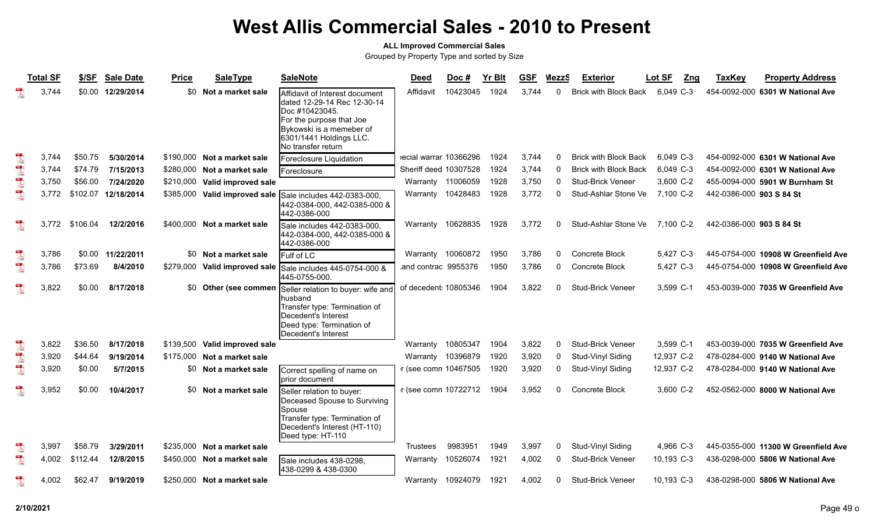#### **ALL Improved Commercial Sales**

|                                                                                                                                                                                                                                                                                                                                                                             | <b>Total SF</b> | \$/SF    | <b>Sale Date</b>  | <b>Price</b> | <b>SaleType</b>               | <b>SaleNote</b>                                                                                                                                                                            | Deed                  | Doc#              | <b>Yr Blt</b> | <b>GSF</b> | <b>MezzS</b> | <b>Exterior</b>              | Lot SF<br>Zng | <b>TaxKey</b>            | <b>Property Address</b>             |
|-----------------------------------------------------------------------------------------------------------------------------------------------------------------------------------------------------------------------------------------------------------------------------------------------------------------------------------------------------------------------------|-----------------|----------|-------------------|--------------|-------------------------------|--------------------------------------------------------------------------------------------------------------------------------------------------------------------------------------------|-----------------------|-------------------|---------------|------------|--------------|------------------------------|---------------|--------------------------|-------------------------------------|
|                                                                                                                                                                                                                                                                                                                                                                             | 3,744           |          | \$0.00 12/29/2014 | \$0          | Not a market sale             | IAffidavit of Interest document<br>ldated 12-29-14 Rec 12-30-14<br>Doc #10423045.<br>For the purpose that Joe<br>Bykowski is a memeber of<br>6301/1441 Holdings LLC.<br>No transfer return | Affidavit             | 10423045          | 1924          | 3.744      | $\Omega$     | <b>Brick with Block Back</b> | 6.049 C-3     |                          | 454-0092-000 6301 W National Ave    |
| $\frac{1}{\sqrt{2}}$                                                                                                                                                                                                                                                                                                                                                        | 3,744           | \$50.75  | 5/30/2014         |              | \$190,000 Not a market sale   | Foreclosure Liquidation                                                                                                                                                                    | ecial warrar 10366296 |                   | 1924          | 3,744      |              | <b>Brick with Block Back</b> | 6,049 C-3     |                          | 454-0092-000 6301 W National Ave    |
|                                                                                                                                                                                                                                                                                                                                                                             | 3,744           | \$74.79  | 7/15/2013         |              | \$280,000 Not a market sale   | Foreclosure                                                                                                                                                                                | Sheriff deed 10307528 |                   | 1924          | 3,744      | 0            | <b>Brick with Block Back</b> | 6,049 C-3     |                          | 454-0092-000 6301 W National Ave    |
| 人民                                                                                                                                                                                                                                                                                                                                                                          | 3,750           | \$56.00  | 7/24/2020         |              | \$210,000 Valid improved sale |                                                                                                                                                                                            |                       | Warranty 11006059 | 1928          | 3,750      | $\Omega$     | Stud-Brick Veneer            | 3,600 C-2     |                          | 455-0094-000 5901 W Burnham St      |
|                                                                                                                                                                                                                                                                                                                                                                             | 3,772           | \$102.07 | 12/18/2014        |              |                               | \$385,000 Valid improved sale Sale includes 442-0383-000,<br>442-0384-000, 442-0385-000 &<br>442-0386-000                                                                                  |                       | Warranty 10428483 | 1928          | 3,772      | $\Omega$     | Stud-Ashlar Stone Ve         | 7,100 C-2     | 442-0386-000 903 S 84 St |                                     |
|                                                                                                                                                                                                                                                                                                                                                                             | 3,772           | \$106.04 | 12/2/2016         |              | \$400,000 Not a market sale   | <b>S</b> ale includes 442-0383-000.<br>442-0384-000, 442-0385-000 &<br>442-0386-000                                                                                                        |                       | Warranty 10628835 | 1928          | 3,772      | 0            | Stud-Ashlar Stone Ve         | 7,100 C-2     | 442-0386-000 903 S 84 St |                                     |
| $\lambda$                                                                                                                                                                                                                                                                                                                                                                   | 3,786           | \$0.00   | 11/22/2011        |              | \$0 Not a market sale         | <b>Fulf of LC</b>                                                                                                                                                                          |                       | Warranty 10060872 | 1950          | 3,786      | 0            | Concrete Block               | 5,427 C-3     |                          | 445-0754-000 10908 W Greenfield Ave |
| $\mathbb{R}$                                                                                                                                                                                                                                                                                                                                                                | 3,786           | \$73.69  | 8/4/2010          |              |                               | \$279,000 Valid improved sale Sale includes 445-0754-000 &<br>445-0755-000.                                                                                                                | and contrac 9955376   |                   | 1950          | 3,786      | 0            | Concrete Block               | 5,427 C-3     |                          | 445-0754-000 10908 W Greenfield Ave |
| $\begin{picture}(20,20) \put(0,0){\vector(1,0){10}} \put(15,0){\vector(1,0){10}} \put(15,0){\vector(1,0){10}} \put(15,0){\vector(1,0){10}} \put(15,0){\vector(1,0){10}} \put(15,0){\vector(1,0){10}} \put(15,0){\vector(1,0){10}} \put(15,0){\vector(1,0){10}} \put(15,0){\vector(1,0){10}} \put(15,0){\vector(1,0){10}} \put(15,0){\vector(1,0){10}} \put(15,0){\vector(1$ | 3,822           | \$0.00   | 8/17/2018         |              |                               | Other (see commen Seller relation to buyer: wife and<br>husband<br>Transfer type: Termination of<br>IDecedent's Interest<br>Deed type: Termination of<br>Decedent's Interest               | of decedent: 10805346 |                   | 1904          | 3,822      | 0            | <b>Stud-Brick Veneer</b>     | 3.599 C-1     |                          | 453-0039-000 7035 W Greenfield Ave  |
|                                                                                                                                                                                                                                                                                                                                                                             | 3,822           | \$36.50  | 8/17/2018         |              | \$139,500 Valid improved sale |                                                                                                                                                                                            | Warranty              | 10805347          | 1904          | 3,822      | 0            | <b>Stud-Brick Veneer</b>     | 3,599 C-1     |                          | 453-0039-000 7035 W Greenfield Ave  |
|                                                                                                                                                                                                                                                                                                                                                                             | 3,920           | \$44.64  | 9/19/2014         |              | \$175,000 Not a market sale   |                                                                                                                                                                                            |                       | Warranty 10396879 | 1920          | 3,920      | 0            | Stud-Vinyl Siding            | 12,937 C-2    |                          | 478-0284-000 9140 W National Ave    |
|                                                                                                                                                                                                                                                                                                                                                                             | 3,920           | \$0.00   | 5/7/2015          | \$0          | Not a market sale             | Correct spelling of name on<br>prior document                                                                                                                                              | r (see comn 10467505  |                   | 1920          | 3,920      | 0            | Stud-Vinyl Siding            | 12,937 C-2    |                          | 478-0284-000 9140 W National Ave    |
| $\mathbb{R}$                                                                                                                                                                                                                                                                                                                                                                | 3,952           | \$0.00   | 10/4/2017         |              | \$0 Not a market sale         | Seller relation to buyer:<br>Deceased Spouse to Surviving<br>Spouse<br>Transfer type: Termination of<br>Decedent's Interest (HT-110)<br>Deed type: HT-110                                  | r (see comn 10722712  |                   | 1904          | 3,952      | 0            | Concrete Block               | 3.600 C-2     |                          | 452-0562-000 8000 W National Ave    |
| $\lambda$                                                                                                                                                                                                                                                                                                                                                                   | 3,997           | \$58.79  | 3/29/2011         |              | \$235,000 Not a market sale   |                                                                                                                                                                                            | <b>Trustees</b>       | 9983951           | 1949          | 3,997      | 0            | Stud-Vinyl Siding            | 4,966 C-3     |                          | 445-0355-000 11300 W Greenfield Ave |
| $\overline{\mathbf{r}}$                                                                                                                                                                                                                                                                                                                                                     | 4,002           | \$112.44 | 12/8/2015         |              | \$450,000 Not a market sale   | Sale includes 438-0298,<br>438-0299 & 438-0300                                                                                                                                             | Warranty              | 10526074          | 1921          | 4,002      | $\mathbf{0}$ | Stud-Brick Veneer            | 10,193 C-3    |                          | 438-0298-000 5806 W National Ave    |
|                                                                                                                                                                                                                                                                                                                                                                             | 4,002           | \$62.47  | 9/19/2019         |              | \$250,000 Not a market sale   |                                                                                                                                                                                            |                       | Warranty 10924079 | 1921          | 4,002      | 0            | Stud-Brick Veneer            | 10,193 C-3    |                          | 438-0298-000 5806 W National Ave    |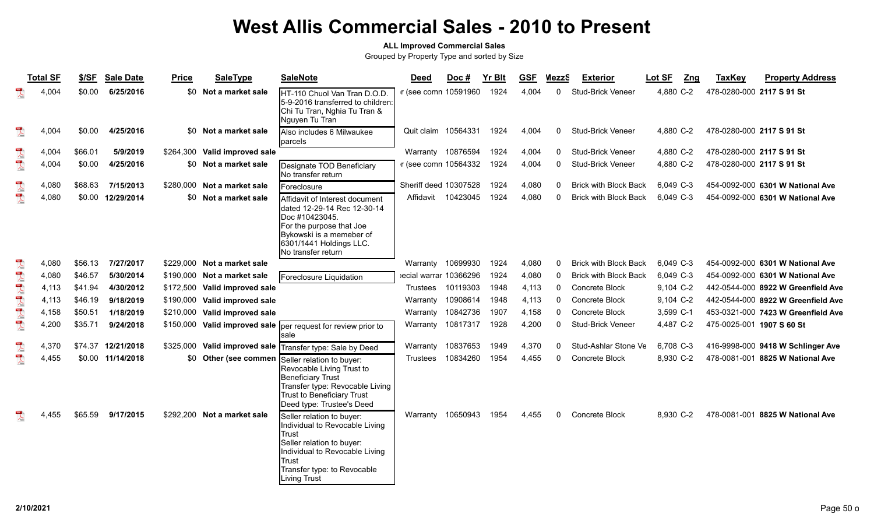### **ALL Improved Commercial Sales**

|                                                                                                                                                                                                                                                                                                                                                     | <b>Total SF</b> | \$/SF   | <b>Sale Date</b>   | <b>Price</b> | <b>SaleType</b>               | <b>SaleNote</b>                                                                                                                                                                                                  | <b>Deed</b>           | Doc#               | <b>Yr Blt</b> | <b>GSF</b> | MezzS        | <b>Exterior</b>              | Lot SF<br>Zng | <b>TaxKey</b>             | <b>Property Address</b>            |
|-----------------------------------------------------------------------------------------------------------------------------------------------------------------------------------------------------------------------------------------------------------------------------------------------------------------------------------------------------|-----------------|---------|--------------------|--------------|-------------------------------|------------------------------------------------------------------------------------------------------------------------------------------------------------------------------------------------------------------|-----------------------|--------------------|---------------|------------|--------------|------------------------------|---------------|---------------------------|------------------------------------|
|                                                                                                                                                                                                                                                                                                                                                     | 4,004           | \$0.00  | 6/25/2016          | \$0          | Not a market sale             | IHT-110 Chuol Van Tran D.O.D.<br>5-9-2016 transferred to children:<br>Chi Tu Tran, Nghia Tu Tran &<br>Nguyen Tu Tran                                                                                             | r (see comn 10591960  |                    | 1924          | 4,004      | $\Omega$     | <b>Stud-Brick Veneer</b>     | 4,880 C-2     | 478-0280-000 2117 S 91 St |                                    |
| $\sum_{\text{back}}$                                                                                                                                                                                                                                                                                                                                | 4,004           | \$0.00  | 4/25/2016          | \$0          | Not a market sale             | Also includes 6 Milwaukee<br>parcels                                                                                                                                                                             | Quit claim 10564331   |                    | 1924          | 4,004      | $\mathbf{0}$ | <b>Stud-Brick Veneer</b>     | 4.880 C-2     | 478-0280-000 2117 S 91 St |                                    |
|                                                                                                                                                                                                                                                                                                                                                     | 4,004           | \$66.01 | 5/9/2019           |              | \$264,300 Valid improved sale |                                                                                                                                                                                                                  | Warranty 10876594     |                    | 1924          | 4,004      | $\mathbf{0}$ | <b>Stud-Brick Veneer</b>     | 4,880 C-2     | 478-0280-000 2117 S 91 St |                                    |
|                                                                                                                                                                                                                                                                                                                                                     | 4,004           | \$0.00  | 4/25/2016          | \$0          | Not a market sale             | Designate TOD Beneficiary<br>No transfer return                                                                                                                                                                  | r (see comn 10564332  |                    | 1924          | 4,004      | 0            | <b>Stud-Brick Veneer</b>     | 4,880 C-2     | 478-0280-000 2117 S 91 St |                                    |
| $\begin{picture}(130,10) \put(0,0){\line(1,0){10}} \put(15,0){\line(1,0){10}} \put(15,0){\line(1,0){10}} \put(15,0){\line(1,0){10}} \put(15,0){\line(1,0){10}} \put(15,0){\line(1,0){10}} \put(15,0){\line(1,0){10}} \put(15,0){\line(1,0){10}} \put(15,0){\line(1,0){10}} \put(15,0){\line(1,0){10}} \put(15,0){\line(1,0){10}} \put(15,0){\line($ | 4,080           | \$68.63 | 7/15/2013          | \$280,000    | Not a market sale             | Foreclosure                                                                                                                                                                                                      | Sheriff deed 10307528 |                    | 1924          | 4,080      | $\Omega$     | <b>Brick with Block Back</b> | 6,049 C-3     |                           | 454-0092-000 6301 W National Ave   |
|                                                                                                                                                                                                                                                                                                                                                     | 4,080           |         | \$0.00 12/29/2014  | \$0          | Not a market sale             | Affidavit of Interest document<br>ldated 12-29-14 Rec 12-30-14<br>Doc #10423045.<br>For the purpose that Joe<br>Bykowski is a memeber of<br>6301/1441 Holdings LLC.<br>No transfer return                        |                       | Affidavit 10423045 | 1924          | 4,080      | $\Omega$     | <b>Brick with Block Back</b> | 6,049 C-3     |                           | 454-0092-000 6301 W National Ave   |
|                                                                                                                                                                                                                                                                                                                                                     | 4,080           | \$56.13 | 7/27/2017          | \$229,000    | Not a market sale             |                                                                                                                                                                                                                  | Warranty              | 10699930           | 1924          | 4,080      | $\Omega$     | <b>Brick with Block Back</b> | 6,049 C-3     |                           | 454-0092-000 6301 W National Ave   |
| 1.4 大气之气                                                                                                                                                                                                                                                                                                                                            | 4,080           | \$46.57 | 5/30/2014          |              | \$190,000 Not a market sale   | Foreclosure Liquidation                                                                                                                                                                                          | ecial warrar 10366296 |                    | 1924          | 4,080      | $\Omega$     | <b>Brick with Block Back</b> | 6,049 C-3     |                           | 454-0092-000 6301 W National Ave   |
|                                                                                                                                                                                                                                                                                                                                                     | 4,113           | \$41.94 | 4/30/2012          | \$172,500    | Valid improved sale           |                                                                                                                                                                                                                  | Trustees              | 10119303           | 1948          | 4,113      | $\mathbf{0}$ | Concrete Block               | 9,104 C-2     |                           | 442-0544-000 8922 W Greenfield Ave |
|                                                                                                                                                                                                                                                                                                                                                     | 4,113           | \$46.19 | 9/18/2019          | \$190,000    | Valid improved sale           |                                                                                                                                                                                                                  | Warranty              | 10908614           | 1948          | 4,113      | $\Omega$     | Concrete Block               | 9,104 C-2     |                           | 442-0544-000 8922 W Greenfield Ave |
|                                                                                                                                                                                                                                                                                                                                                     | 4,158           | \$50.51 | 1/18/2019          | \$210,000    | Valid improved sale           |                                                                                                                                                                                                                  | Warranty              | 10842736           | 1907          | 4,158      | $\mathbf{0}$ | Concrete Block               | 3,599 C-1     |                           | 453-0321-000 7423 W Greenfield Ave |
|                                                                                                                                                                                                                                                                                                                                                     | 4,200           | \$35.71 | 9/24/2018          | \$150,000    |                               | Valid improved sale  per request for review prior to<br>sale                                                                                                                                                     | Warranty              | 10817317           | 1928          | 4,200      | 0            | <b>Stud-Brick Veneer</b>     | 4,487 C-2     | 475-0025-001 1907 S 60 St |                                    |
|                                                                                                                                                                                                                                                                                                                                                     | 4,370           |         | \$74.37 12/21/2018 | \$325,000    |                               | Valid improved sale Transfer type: Sale by Deed                                                                                                                                                                  | Warranty              | 10837653           | 1949          | 4,370      | $\mathbf{0}$ | Stud-Ashlar Stone Ve         | 6,708 C-3     |                           | 416-9998-000 9418 W Schlinger Ave  |
|                                                                                                                                                                                                                                                                                                                                                     | 4,455           |         | \$0.00 11/14/2018  | \$0          | Other (see commen             | Seller relation to buyer:<br>Revocable Living Trust to<br><b>Beneficiary Trust</b><br>Transfer type: Revocable Living<br><b>Trust to Beneficiary Trust</b><br>Deed type: Trustee's Deed                          | Trustees              | 10834260           | 1954          | 4,455      | $\mathbf{0}$ | Concrete Block               | 8.930 C-2     |                           | 478-0081-001 8825 W National Ave   |
|                                                                                                                                                                                                                                                                                                                                                     | 4,455           | \$65.59 | 9/17/2015          | \$292,200    | Not a market sale             | Seller relation to buyer:<br>Individual to Revocable Living<br><b>Trust</b><br>Seller relation to buyer:<br>Individual to Revocable Living<br><b>Trust</b><br>Transfer type: to Revocable<br><b>Living Trust</b> | Warranty              | 10650943           | 1954          | 4,455      | $\mathbf{0}$ | Concrete Block               | 8,930 C-2     |                           | 478-0081-001 8825 W National Ave   |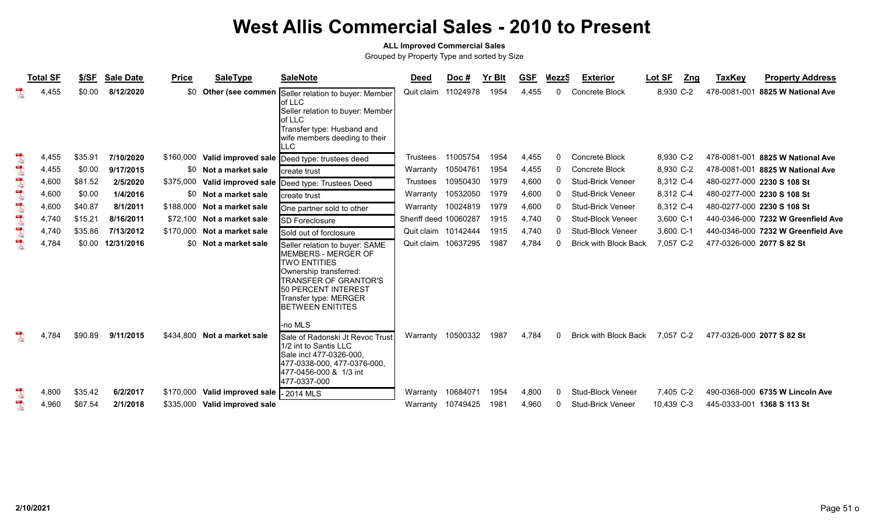### **ALL Improved Commercial Sales**

|                                                                                                                                                                                                                                                                                                                                                                                                                                   | <b>Total SF</b> | \$/SF   | <b>Sale Date</b> | <b>Price</b> | <b>SaleType</b>                 | <b>SaleNote</b>                                                                                                                                                                                                    | <b>Deed</b>           | Doc#     | <b>Yr Blt</b> | <b>GSF</b> | MezzS        | <b>Exterior</b>              | Lot SF<br>Zng | <b>TaxKey</b>             | <b>Property Address</b>            |
|-----------------------------------------------------------------------------------------------------------------------------------------------------------------------------------------------------------------------------------------------------------------------------------------------------------------------------------------------------------------------------------------------------------------------------------|-----------------|---------|------------------|--------------|---------------------------------|--------------------------------------------------------------------------------------------------------------------------------------------------------------------------------------------------------------------|-----------------------|----------|---------------|------------|--------------|------------------------------|---------------|---------------------------|------------------------------------|
| $\lambda$                                                                                                                                                                                                                                                                                                                                                                                                                         | 4,455           | \$0.00  | 8/12/2020        | \$0          | Other (see commen               | Seller relation to buyer: Member<br>of LLC<br>Seller relation to buyer: Member<br>of LLC<br>Transfer type: Husband and<br>wife members deeding to their<br>ILLC                                                    | Quit claim            | 11024978 | 1954          | 4,455      | <sup>0</sup> | Concrete Block               | 8,930 C-2     | 478-0081-001              | 8825 W National Ave                |
| $\frac{1}{\sqrt{2}}$                                                                                                                                                                                                                                                                                                                                                                                                              | 4,455           | \$35.91 | 7/10/2020        | \$160,000    | Valid improved sale             | Deed type: trustees deed                                                                                                                                                                                           | <b>Trustees</b>       | 11005754 | 1954          | 4,455      | 0            | Concrete Block               | 8,930 C-2     |                           | 478-0081-001 8825 W National Ave   |
| $\begin{array}{c}\n\frac{1}{2} \\ \frac{1}{2} \\ \frac{1}{2} \\ \frac{1}{2} \\ \frac{1}{2} \\ \frac{1}{2} \\ \frac{1}{2} \\ \frac{1}{2} \\ \frac{1}{2} \\ \frac{1}{2} \\ \frac{1}{2} \\ \frac{1}{2} \\ \frac{1}{2} \\ \frac{1}{2} \\ \frac{1}{2} \\ \frac{1}{2} \\ \frac{1}{2} \\ \frac{1}{2} \\ \frac{1}{2} \\ \frac{1}{2} \\ \frac{1}{2} \\ \frac{1}{2} \\ \frac{1}{2} \\ \frac{1}{2} \\ \frac{1}{2} \\ \frac{1}{2} \\ \frac{1$ | 4,455           | \$0.00  | 9/17/2015        |              | \$0 Not a market sale           | create trust                                                                                                                                                                                                       | Warranty              | 10504761 | 1954          | 4,455      | <sup>0</sup> | Concrete Block               | 8,930 C-2     |                           | 478-0081-001 8825 W National Ave   |
| $\begin{array}{c}\n\frac{1}{2} \\ \frac{1}{2} \\ \frac{1}{2} \\ \frac{1}{2} \\ \frac{1}{2} \\ \frac{1}{2} \\ \frac{1}{2} \\ \frac{1}{2} \\ \frac{1}{2} \\ \frac{1}{2} \\ \frac{1}{2} \\ \frac{1}{2} \\ \frac{1}{2} \\ \frac{1}{2} \\ \frac{1}{2} \\ \frac{1}{2} \\ \frac{1}{2} \\ \frac{1}{2} \\ \frac{1}{2} \\ \frac{1}{2} \\ \frac{1}{2} \\ \frac{1}{2} \\ \frac{1}{2} \\ \frac{1}{2} \\ \frac{1}{2} \\ \frac{1}{2} \\ \frac{1$ | 4,600           | \$81.52 | 2/5/2020         | \$375,000    | Valid improved sale             | Deed type: Trustees Deed                                                                                                                                                                                           | <b>Trustees</b>       | 10950430 | 1979          | 4,600      | <sup>0</sup> | <b>Stud-Brick Veneer</b>     | 8,312 C-4     |                           | 480-0277-000 2230 S 108 St         |
| $\begin{array}{c}\n\hline\n\end{array}$                                                                                                                                                                                                                                                                                                                                                                                           | 4,600           | \$0.00  | 1/4/2016         |              | \$0 Not a market sale           | Icreate trust                                                                                                                                                                                                      | Warranty              | 10532050 | 1979          | 4,600      | <sup>n</sup> | <b>Stud-Brick Veneer</b>     | 8.312 C-4     |                           | 480-0277-000 2230 S 108 St         |
| $\frac{1}{\sqrt{2}}$                                                                                                                                                                                                                                                                                                                                                                                                              | 4,600           | \$40.87 | 8/1/2011         | \$188,000    | Not a market sale               | One partner sold to other                                                                                                                                                                                          | Warranty              | 10024819 | 1979          | 4,600      | <sup>0</sup> | Stud-Brick Veneer            | 8,312 C-4     |                           | 480-0277-000 2230 S 108 St         |
| $\frac{1}{\sqrt{2}}$                                                                                                                                                                                                                                                                                                                                                                                                              | 4,740           | \$15.21 | 8/16/2011        | \$72,100     | Not a market sale               | <b>SD Foreclosure</b>                                                                                                                                                                                              | Sheriff deed 10060287 |          | 1915          | 4,740      | 0            | Stud-Block Veneer            | 3,600 C-1     |                           | 440-0346-000 7232 W Greenfield Ave |
| $\frac{1}{\sqrt{2}}$                                                                                                                                                                                                                                                                                                                                                                                                              | 4,740           | \$35.86 | 7/13/2012        | \$170,000    | Not a market sale               | Sold out of forclosure                                                                                                                                                                                             | Quit claim 10142444   |          | 1915          | 4,740      | <sup>n</sup> | <b>Stud-Block Veneer</b>     | 3,600 C-1     |                           | 440-0346-000 7232 W Greenfield Ave |
| $\overline{\mathbf{r}}$                                                                                                                                                                                                                                                                                                                                                                                                           | 4,784           | \$0.00  | 12/31/2016       | \$0          | Not a market sale               | Seller relation to buyer: SAME<br>MEMBERS - MERGER OF<br><b>TWO ENTITIES</b><br>Ownership transferred:<br><b>TRANSFER OF GRANTOR'S</b><br>150 PERCENT INTEREST<br>Transfer type: MERGER<br><b>BETWEEN ENITITES</b> | Quit claim 10637295   |          | 1987          | 4,784      |              | <b>Brick with Block Back</b> | 7,057 C-2     | 477-0326-000 2077 S 82 St |                                    |
| 人                                                                                                                                                                                                                                                                                                                                                                                                                                 | 4,784           | \$90.89 | 9/11/2015        | \$434.800    | Not a market sale               | -no MLS<br>Sale of Radonski Jt Revoc Trust<br>1/2 int to Santis LLC<br><b>Sale incl 477-0326-000.</b><br>l477-0338-000. 477-0376-000.<br>477-0456-000 & 1/3 int<br>477-0337-000                                    | Warranty              | 10500332 | 1987          | 4,784      | ŋ            | <b>Brick with Block Back</b> | 7.057 C-2     | 477-0326-000 2077 S 82 St |                                    |
| $\sum_{k=1}^{n}$                                                                                                                                                                                                                                                                                                                                                                                                                  | 4,800           | \$35.42 | 6/2/2017         | \$170,000    | Valid improved sale  - 2014 MLS |                                                                                                                                                                                                                    | Warranty              | 10684071 | 1954          | 4,800      | <sup>n</sup> | Stud-Block Veneer            | 7,405 C-2     |                           | 490-0368-000 6735 W Lincoln Ave    |
| $\frac{1}{\sqrt{2}}$                                                                                                                                                                                                                                                                                                                                                                                                              | 4,960           | \$67.54 | 2/1/2018         | \$335,000    | Valid improved sale             |                                                                                                                                                                                                                    | Warranty 10749425     |          | 1981          | 4,960      | <sup>0</sup> | Stud-Brick Veneer            | 10,439 C-3    |                           | 445-0333-001 1368 S 113 St         |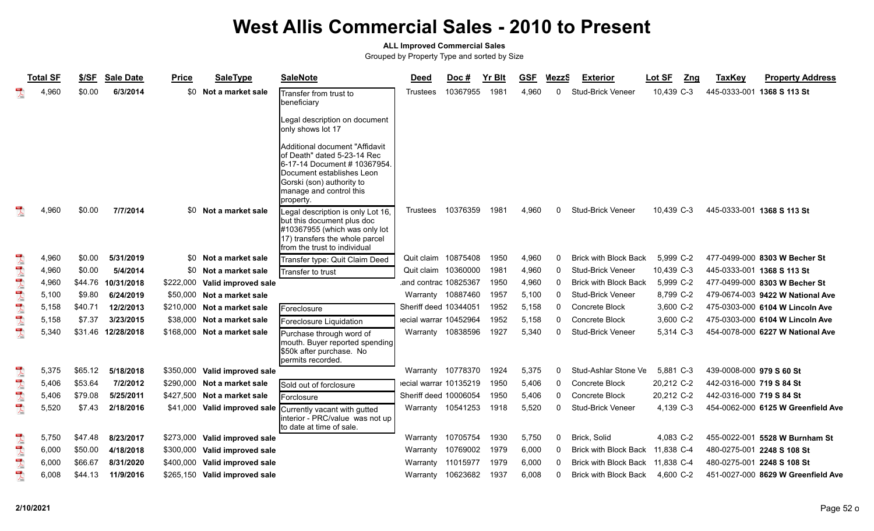### **ALL Improved Commercial Sales**

|                                                                                                                                                                                                                                                                                                                                                                                                                             | <b>Total SF</b> | \$/SF   | <b>Sale Date</b> | <b>Price</b> | <b>SaleType</b>               | <b>SaleNote</b>                                                                                                                                                                                 | <b>Deed</b>           | Doc#     | <b>Yr Blt</b> | <b>GSF</b> | MezzS        | <b>Exterior</b>              | Lot SF<br>Zng | <b>TaxKey</b>            | <b>Property Address</b>            |
|-----------------------------------------------------------------------------------------------------------------------------------------------------------------------------------------------------------------------------------------------------------------------------------------------------------------------------------------------------------------------------------------------------------------------------|-----------------|---------|------------------|--------------|-------------------------------|-------------------------------------------------------------------------------------------------------------------------------------------------------------------------------------------------|-----------------------|----------|---------------|------------|--------------|------------------------------|---------------|--------------------------|------------------------------------|
| $\frac{1}{\sqrt{2}}$                                                                                                                                                                                                                                                                                                                                                                                                        | 4,960           | \$0.00  | 6/3/2014         | \$0          | Not a market sale             | Transfer from trust to<br>beneficiary                                                                                                                                                           | Trustees              | 10367955 | 1981          | 4,960      | $\mathbf{0}$ | <b>Stud-Brick Veneer</b>     | 10,439 C-3    |                          | 445-0333-001 1368 S 113 St         |
|                                                                                                                                                                                                                                                                                                                                                                                                                             |                 |         |                  |              |                               | Legal description on document<br>only shows lot 17                                                                                                                                              |                       |          |               |            |              |                              |               |                          |                                    |
|                                                                                                                                                                                                                                                                                                                                                                                                                             |                 |         |                  |              |                               | Additional document "Affidavit<br>of Death" dated 5-23-14 Rec<br>6-17-14 Document # 10367954.<br>Document establishes Leon<br>Gorski (son) authority to<br>manage and control this<br>property. |                       |          |               |            |              |                              |               |                          |                                    |
| $\mathbb{R}$                                                                                                                                                                                                                                                                                                                                                                                                                | 4,960           | \$0.00  | 7/7/2014         |              | \$0 Not a market sale         | Legal description is only Lot 16,<br>but this document plus doc<br>$\#10367955$ (which was only lot<br>17) transfers the whole parcel<br>Ifrom the trust to individual                          | Trustees              | 10376359 | 1981          | 4,960      | $\mathbf{0}$ | <b>Stud-Brick Veneer</b>     | 10,439 C-3    |                          | 445-0333-001 1368 S 113 St         |
| $\sum_{k=0}^{100}$                                                                                                                                                                                                                                                                                                                                                                                                          | 4,960           | \$0.00  | 5/31/2019        |              | \$0 Not a market sale         | Transfer type: Quit Claim Deed                                                                                                                                                                  | Quit claim 10875408   |          | 1950          | 4,960      | 0            | <b>Brick with Block Back</b> | 5,999 C-2     |                          | 477-0499-000 8303 W Becher St      |
|                                                                                                                                                                                                                                                                                                                                                                                                                             | 4,960           | \$0.00  | 5/4/2014         |              | \$0 Not a market sale         | Transfer to trust                                                                                                                                                                               | Quit claim 10360000   |          | 1981          | 4,960      | 0            | <b>Stud-Brick Veneer</b>     | 10,439 C-3    |                          | 445-0333-001 1368 S 113 St         |
| 大学                                                                                                                                                                                                                                                                                                                                                                                                                          | 4,960           | \$44.76 | 10/31/2018       | \$222.000    | Valid improved sale           |                                                                                                                                                                                                 | and contrac 10825367  |          | 1950          | 4,960      | 0            | <b>Brick with Block Back</b> | 5,999 C-2     |                          | 477-0499-000 8303 W Becher St      |
|                                                                                                                                                                                                                                                                                                                                                                                                                             | 5,100           | \$9.80  | 6/24/2019        | \$50,000     | Not a market sale             |                                                                                                                                                                                                 | Warranty              | 10887460 | 1957          | 5,100      | 0            | <b>Stud-Brick Veneer</b>     | 8,799 C-2     |                          | 479-0674-003 9422 W National Ave   |
|                                                                                                                                                                                                                                                                                                                                                                                                                             | 5,158           | \$40.71 | 12/2/2013        | \$210.000    | Not a market sale             | Foreclosure                                                                                                                                                                                     | Sheriff deed 10344051 |          | 1952          | 5,158      | $\Omega$     | Concrete Block               | 3,600 C-2     |                          | 475-0303-000 6104 W Lincoln Ave    |
| <b>A</b>                                                                                                                                                                                                                                                                                                                                                                                                                    | 5,158           | \$7.37  | 3/23/2015        | \$38,000     | Not a market sale             | Foreclosure Liquidation                                                                                                                                                                         | ecial warrar 10452964 |          | 1952          | 5,158      | $\Omega$     | Concrete Block               | 3,600 C-2     |                          | 475-0303-000 6104 W Lincoln Ave    |
|                                                                                                                                                                                                                                                                                                                                                                                                                             | 5,340           | \$31.46 | 12/28/2018       |              | \$168,000 Not a market sale   | Purchase through word of<br>mouth. Buyer reported spending<br>\$50k after purchase. No<br>permits recorded.                                                                                     | Warranty 10838596     |          | 1927          | 5,340      | 0            | <b>Stud-Brick Veneer</b>     | 5,314 C-3     |                          | 454-0078-000 6227 W National Ave   |
| $\overline{\mathbf{r}}$                                                                                                                                                                                                                                                                                                                                                                                                     | 5,375           | \$65.12 | 5/18/2018        |              | \$350,000 Valid improved sale |                                                                                                                                                                                                 | Warranty 10778370     |          | 1924          | 5,375      | $\mathbf{0}$ | Stud-Ashlar Stone Ve         | 5,881 C-3     | 439-0008-000 979 S 60 St |                                    |
| $\frac{1}{\sqrt{2}}$                                                                                                                                                                                                                                                                                                                                                                                                        | 5,406           | \$53.64 | 7/2/2012         |              | \$290,000 Not a market sale   | Sold out of forclosure                                                                                                                                                                          | ecial warrar 10135219 |          | 1950          | 5,406      | $\mathbf{0}$ | Concrete Block               | 20,212 C-2    | 442-0316-000 719 S 84 St |                                    |
| $\sum_{k=1}^{n}$                                                                                                                                                                                                                                                                                                                                                                                                            | 5,406           | \$79.08 | 5/25/2011        |              | \$427,500 Not a market sale   | Forclosure                                                                                                                                                                                      | Sheriff deed 10006054 |          | 1950          | 5,406      | $\Omega$     | Concrete Block               | 20,212 C-2    | 442-0316-000 719 S 84 St |                                    |
| $\begin{array}{c} \mathbf{1} \mathbf{1} \mathbf{1} \mathbf{1} \mathbf{1} \mathbf{1} \mathbf{1} \mathbf{1} \mathbf{1} \mathbf{1} \mathbf{1} \mathbf{1} \mathbf{1} \mathbf{1} \mathbf{1} \mathbf{1} \mathbf{1} \mathbf{1} \mathbf{1} \mathbf{1} \mathbf{1} \mathbf{1} \mathbf{1} \mathbf{1} \mathbf{1} \mathbf{1} \mathbf{1} \mathbf{1} \mathbf{1} \mathbf{1} \mathbf{1} \mathbf{1} \mathbf{1} \mathbf{1} \mathbf{1} \mathbf$ | 5,520           | \$7.43  | 2/18/2016        | \$41,000     |                               | Valid improved sale Currently vacant with gutted<br>interior - PRC/value was not up<br>to date at time of sale.                                                                                 | Warranty 10541253     |          | 1918          | 5,520      | 0            | <b>Stud-Brick Veneer</b>     | 4,139 C-3     |                          | 454-0062-000 6125 W Greenfield Ave |
| $\sum_{n=1}^{\infty}$                                                                                                                                                                                                                                                                                                                                                                                                       | 5,750           | \$47.48 | 8/23/2017        |              | \$273,000 Valid improved sale |                                                                                                                                                                                                 | Warranty              | 10705754 | 1930          | 5,750      | 0            | Brick, Solid                 | 4,083 C-2     |                          | 455-0022-001 5528 W Burnham St     |
| $\sum_{k=1}^{100}$                                                                                                                                                                                                                                                                                                                                                                                                          | 6,000           | \$50.00 | 4/18/2018        | \$300,000    | Valid improved sale           |                                                                                                                                                                                                 | Warranty              | 10769002 | 1979          | 6,000      | 0            | <b>Brick with Block Back</b> | 11,838 C-4    |                          | 480-0275-001 2248 S 108 St         |
| $\overline{\mathbf{r}}$                                                                                                                                                                                                                                                                                                                                                                                                     | 6,000           | \$66.67 | 8/31/2020        | \$400,000    | Valid improved sale           |                                                                                                                                                                                                 | Warranty              | 11015977 | 1979          | 6,000      | 0            | <b>Brick with Block Back</b> | 11.838 C-4    |                          | 480-0275-001 2248 S 108 St         |
| $\mathbb{T}$                                                                                                                                                                                                                                                                                                                                                                                                                | 6,008           | \$44.13 | 11/9/2016        |              | \$265,150 Valid improved sale |                                                                                                                                                                                                 | Warranty              | 10623682 | 1937          | 6.008      | 0            | <b>Brick with Block Back</b> | 4,600 C-2     |                          | 451-0027-000 8629 W Greenfield Ave |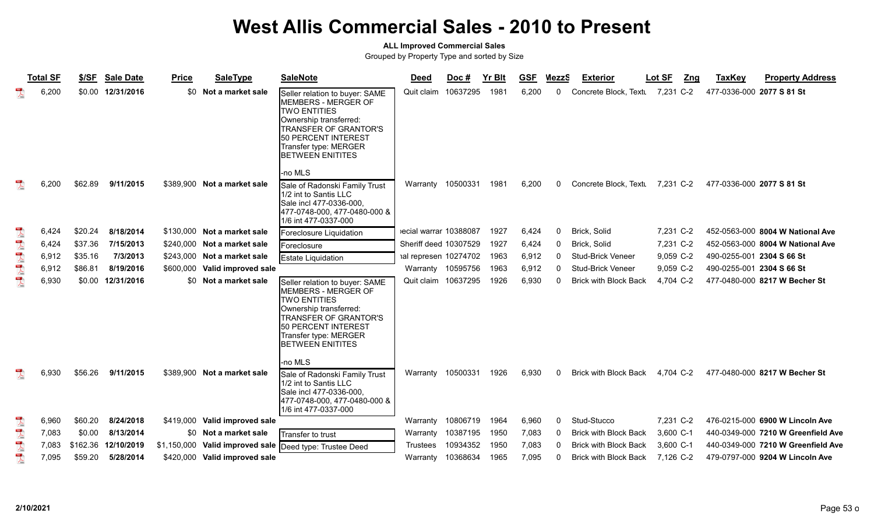#### **ALL Improved Commercial Sales**

|                                         | <b>Total SF</b> | \$/SF    | <b>Sale Date</b>  | <b>Price</b> | <b>SaleType</b>               | <b>SaleNote</b>                                                                                                                                                                                                          | <b>Deed</b>           | Doc #    | <b>Yr Blt</b> | <b>GSF</b> | MezzS        | <b>Exterior</b>              | Lot SF<br>Zng | <b>TaxKey</b>             | <b>Property Address</b>            |
|-----------------------------------------|-----------------|----------|-------------------|--------------|-------------------------------|--------------------------------------------------------------------------------------------------------------------------------------------------------------------------------------------------------------------------|-----------------------|----------|---------------|------------|--------------|------------------------------|---------------|---------------------------|------------------------------------|
|                                         | 6,200           |          | \$0.00 12/31/2016 | \$0          | Not a market sale             | Seller relation to buyer: SAME<br><b>MEMBERS - MERGER OF</b><br><b>TWO ENTITIES</b><br>Ownership transferred:<br><b>TRANSFER OF GRANTOR'S</b><br>50 PERCENT INTEREST<br>Transfer type: MERGER<br><b>BETWEEN ENITITES</b> | Quit claim            | 10637295 | 1981          | 6,200      | $\Omega$     | Concrete Block, Textu        | 7,231 C-2     | 477-0336-000 2077 S 81 St |                                    |
|                                         |                 |          |                   |              |                               | -no MLS                                                                                                                                                                                                                  |                       |          |               |            |              |                              |               |                           |                                    |
| $\mathcal{L}$                           | 6,200           | \$62.89  | 9/11/2015         |              | \$389,900 Not a market sale   | Sale of Radonski Family Trust<br>1/2 int to Santis LLC<br>Sale incl 477-0336-000,<br>477-0748-000, 477-0480-000 &<br>1/6 int 477-0337-000                                                                                | Warranty 10500331     |          | 1981          | 6,200      | $\mathbf 0$  | Concrete Block, Textu        | 7,231 C-2     | 477-0336-000 2077 S 81 St |                                    |
| $\sum_{k=1}^{100}$                      | 6.424           | \$20.24  | 8/18/2014         |              | \$130,000 Not a market sale   | Foreclosure Liquidation                                                                                                                                                                                                  | ecial warrar 10388087 |          | 1927          | 6,424      | $\mathbf 0$  | Brick, Solid                 | 7,231 C-2     |                           | 452-0563-000 8004 W National Ave   |
| $\frac{1}{\sqrt{2}}$                    | 6,424           | \$37.36  | 7/15/2013         |              | \$240,000 Not a market sale   | Foreclosure                                                                                                                                                                                                              | Sheriff deed 10307529 |          | 1927          | 6,424      | 0            | <b>Brick, Solid</b>          | 7,231 C-2     |                           | 452-0563-000 8004 W National Ave   |
| $\overline{\mathbf{r}}$                 | 6,912           | \$35.16  | 7/3/2013          |              | \$243,000 Not a market sale   | Estate Liquidation                                                                                                                                                                                                       | ial represen 10274702 |          | 1963          | 6,912      | $\Omega$     | Stud-Brick Veneer            | 9,059 C-2     | 490-0255-001 2304 S 66 St |                                    |
| $\begin{array}{c}\n\hline\n\end{array}$ | 6,912           | \$86.81  | 8/19/2016         |              | \$600,000 Valid improved sale |                                                                                                                                                                                                                          | Warranty 10595756     |          | 1963          | 6,912      | $\mathbf{0}$ | <b>Stud-Brick Veneer</b>     | 9,059 C-2     | 490-0255-001 2304 S 66 St |                                    |
| $\mathbb{R}$                            | 6,930           |          | \$0.00 12/31/2016 | \$0          | Not a market sale             | Seller relation to buyer: SAME<br>MEMBERS - MERGER OF<br><b>TWO ENTITIES</b><br>Ownership transferred:<br><b>TRANSFER OF GRANTOR'S</b><br>50 PERCENT INTEREST<br>Transfer type: MERGER<br><b>BETWEEN ENITITES</b>        | Quit claim 10637295   |          | 1926          | 6,930      | $\Omega$     | <b>Brick with Block Back</b> | 4,704 C-2     |                           | 477-0480-000 8217 W Becher St      |
|                                         | 6,930           | \$56.26  | 9/11/2015         |              | \$389,900 Not a market sale   | -no MLS<br>Sale of Radonski Family Trust<br>1/2 int to Santis LLC<br>Sale incl 477-0336-000.<br>477-0748-000, 477-0480-000 &<br>1/6 int 477-0337-000                                                                     | Warranty 10500331     |          | 1926          | 6,930      | $\mathbf{0}$ | <b>Brick with Block Back</b> | 4,704 C-2     |                           | 477-0480-000 8217 W Becher St      |
| $\sum_{k=1}^{100}$                      | 6,960           | \$60.20  | 8/24/2018         |              | \$419,000 Valid improved sale |                                                                                                                                                                                                                          | Warranty 10806719     |          | 1964          | 6,960      | $\mathbf 0$  | Stud-Stucco                  | 7,231 C-2     |                           | 476-0215-000 6900 W Lincoln Ave    |
| $\overline{\mathbf{r}}$                 | 7,083           | \$0.00   | 8/13/2014         | \$0          | Not a market sale             | Transfer to trust                                                                                                                                                                                                        | Warranty              | 10387195 | 1950          | 7,083      | $\Omega$     | <b>Brick with Block Back</b> | 3,600 C-1     |                           | 440-0349-000 7210 W Greenfield Ave |
| $\overline{\mathbf{r}}$                 | 7,083           | \$162.36 | 12/10/2019        | \$1,150,000  |                               | Valid improved sale  Deed type: Trustee Deed                                                                                                                                                                             | Trustees              | 10934352 | 1950          | 7,083      | $\Omega$     | <b>Brick with Block Back</b> | 3,600 C-1     |                           | 440-0349-000 7210 W Greenfield Ave |
| $\mathbb{R}$                            | 7.095           | \$59.20  | 5/28/2014         |              | \$420,000 Valid improved sale |                                                                                                                                                                                                                          | Warranty 10368634     |          | 1965          | 7.095      | $\Omega$     | <b>Brick with Block Back</b> | 7,126 C-2     |                           | 479-0797-000 9204 W Lincoln Ave    |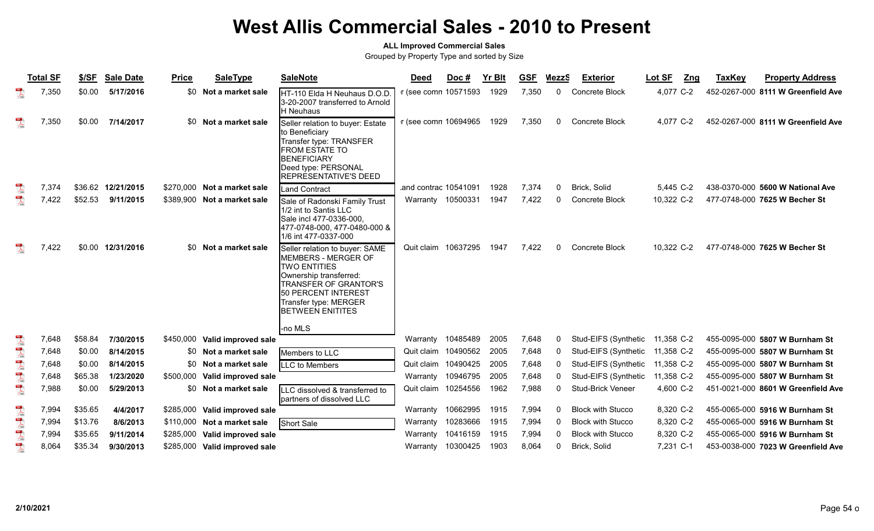### **ALL Improved Commercial Sales**

|                         | <b>Total SF</b> | \$/SF   | <b>Sale Date</b>   | <b>Price</b> | <b>SaleType</b>               | <b>SaleNote</b>                                                                                                                                                                                                       | <b>Deed</b>          | Doc#               | <b>Yr Blt</b> | <b>GSF</b> | <b>MezzS</b> | <b>Exterior</b>          | Lot SF<br>Zng | <b>TaxKey</b> | <b>Property Address</b>            |
|-------------------------|-----------------|---------|--------------------|--------------|-------------------------------|-----------------------------------------------------------------------------------------------------------------------------------------------------------------------------------------------------------------------|----------------------|--------------------|---------------|------------|--------------|--------------------------|---------------|---------------|------------------------------------|
| $\frac{1}{\sqrt{2}}$    | 7,350           | \$0.00  | 5/17/2016          | \$0          | Not a market sale             | HT-110 Elda H Neuhaus D.O.D.<br>3-20-2007 transferred to Arnold<br><b>H</b> Neuhaus                                                                                                                                   |                      | (see comn 10571593 | 1929          | 7,350      | 0            | Concrete Block           | 4,077 C-2     |               | 452-0267-000 8111 W Greenfield Ave |
| 人                       | 7,350           | \$0.00  | 7/14/2017          |              | \$0 Not a market sale         | Seller relation to buyer: Estate<br>to Beneficiary<br>Transfer type: TRANSFER<br><b>FROM ESTATE TO</b><br><b>BENEFICIARY</b><br>Deed type: PERSONAL<br>REPRESENTATIVE'S DEED                                          | r (see comn 10694965 |                    | 1929          | 7,350      | 0            | <b>Concrete Block</b>    | 4,077 C-2     |               | 452-0267-000 8111 W Greenfield Ave |
| $\overline{\mathbf{r}}$ | 7,374           |         | \$36.62 12/21/2015 |              | \$270,000 Not a market sale   | <b>Land Contract</b>                                                                                                                                                                                                  | and contrac 10541091 |                    | 1928          | 7,374      | 0            | Brick, Solid             | 5,445 C-2     |               | 438-0370-000 5600 W National Ave   |
| $\frac{1}{\sqrt{2}}$    | 7,422           | \$52.53 | 9/11/2015          |              | \$389,900 Not a market sale   | Sale of Radonski Family Trust<br>1/2 int to Santis LLC<br>Sale incl 477-0336-000,<br>477-0748-000, 477-0480-000 &<br>1/6 int 477-0337-000                                                                             |                      | Warranty 10500331  | 1947          | 7,422      | $\Omega$     | <b>Concrete Block</b>    | 10,322 C-2    |               | 477-0748-000 7625 W Becher St      |
|                         | 7,422           |         | \$0.00 12/31/2016  | \$0          | Not a market sale             | Seller relation to buyer: SAME<br>MEMBERS - MERGER OF<br><b>TWO ENTITIES</b><br>Ownership transferred:<br>TRANSFER OF GRANTOR'S<br>50 PERCENT INTEREST<br>Transfer type: MERGER<br><b>BETWEEN ENITITES</b><br>-no MLS | Quit claim 10637295  |                    | 1947          | 7,422      | 0            | Concrete Block           | 10,322 C-2    |               | 477-0748-000 7625 W Becher St      |
| $\sum_{k=0}^{n}$        | 7,648           | \$58.84 | 7/30/2015          | \$450,000    | Valid improved sale           |                                                                                                                                                                                                                       |                      | Warranty 10485489  | 2005          | 7,648      | 0            | Stud-EIFS (Synthetic     | 11,358 C-2    |               | 455-0095-000 5807 W Burnham St     |
| $\mathbb{R}$            | 7,648           | \$0.00  | 8/14/2015          |              | \$0 Not a market sale         | Members to LLC                                                                                                                                                                                                        | Quit claim 10490562  |                    | 2005          | 7,648      | 0            | Stud-EIFS (Synthetic     | 11,358 C-2    |               | 455-0095-000 5807 W Burnham St     |
|                         | 7,648           | \$0.00  | 8/14/2015          |              | \$0 Not a market sale         | LLC to Members                                                                                                                                                                                                        | Quit claim 10490425  |                    | 2005          | 7,648      | 0            | Stud-EIFS (Synthetic     | 11,358 C-2    |               | 455-0095-000 5807 W Burnham St     |
|                         | 7,648           | \$65.38 | 1/23/2020          |              | \$500,000 Valid improved sale |                                                                                                                                                                                                                       | Warranty 10946795    |                    | 2005          | 7,648      | 0            | Stud-EIFS (Synthetic     | 11,358 C-2    |               | 455-0095-000 5807 W Burnham St     |
| $\sum_{k=1}^{n}$        | 7,988           | \$0.00  | 5/29/2013          |              | \$0 Not a market sale         | LLC dissolved & transferred to<br>Ipartners of dissolved LLC                                                                                                                                                          | Quit claim 10254556  |                    | 1962          | 7,988      | $\mathbf{0}$ | Stud-Brick Veneer        | 4,600 C-2     |               | 451-0021-000 8601 W Greenfield Ave |
| $\sum_{k=1}^{100}$      | 7,994           | \$35.65 | 4/4/2017           | \$285,000    | Valid improved sale           |                                                                                                                                                                                                                       | Warranty             | 10662995           | 1915          | 7,994      | 0            | <b>Block with Stucco</b> | 8,320 C-2     |               | 455-0065-000 5916 W Burnham St     |
| $\overline{\mathbf{r}}$ | 7,994           | \$13.76 | 8/6/2013           | \$110,000    | Not a market sale             | Short Sale                                                                                                                                                                                                            | Warranty             | 10283666           | 1915          | 7,994      | 0            | <b>Block with Stucco</b> | 8.320 C-2     |               | 455-0065-000 5916 W Burnham St     |
| $\sum_{k=0}^{n}$        | 7,994           | \$35.65 | 9/11/2014          | \$285,000    | Valid improved sale           |                                                                                                                                                                                                                       | Warranty             | 10416159           | 1915          | 7,994      |              | <b>Block with Stucco</b> | 8,320 C-2     |               | 455-0065-000 5916 W Burnham St     |
| $\frac{1}{\lambda}$     | 8,064           | \$35.34 | 9/30/2013          |              | \$285,000 Valid improved sale |                                                                                                                                                                                                                       |                      | Warranty 10300425  | 1903          | 8,064      | 0            | Brick, Solid             | 7,231 C-1     |               | 453-0038-000 7023 W Greenfield Ave |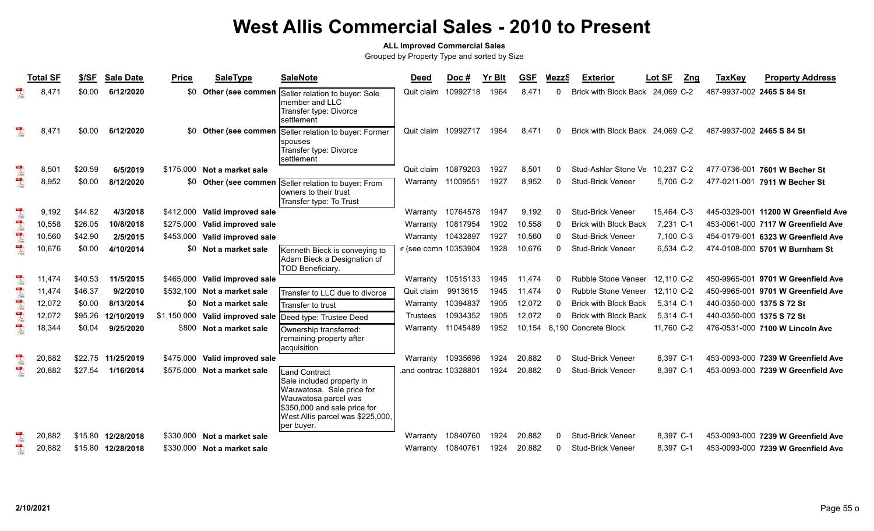### **ALL Improved Commercial Sales**

|                                                                                                                                                                                                                                                                                                                                                                             | <b>Total SF</b> | \$/SF   | <b>Sale Date</b> | <b>Price</b> | <b>SaleType</b>             | <b>SaleNote</b>                                                                                                                                                                           | <b>Deed</b>          | Doc#     | <b>Yr Blt</b> | <b>GSF</b> | <b>MezzS</b> | <b>Exterior</b>                  | Lot SF<br><u>Zng</u> | <b>TaxKey</b>             | <b>Property Address</b>             |
|-----------------------------------------------------------------------------------------------------------------------------------------------------------------------------------------------------------------------------------------------------------------------------------------------------------------------------------------------------------------------------|-----------------|---------|------------------|--------------|-----------------------------|-------------------------------------------------------------------------------------------------------------------------------------------------------------------------------------------|----------------------|----------|---------------|------------|--------------|----------------------------------|----------------------|---------------------------|-------------------------------------|
|                                                                                                                                                                                                                                                                                                                                                                             | 8,471           | \$0.00  | 6/12/2020        | \$0          | Other (see commen           | Seller relation to buyer: Sole<br>member and LLC<br>Transfer type: Divorce<br>settlement                                                                                                  | Quit claim           | 10992718 | 1964          | 8,471      | $\Omega$     | Brick with Block Back 24,069 C-2 |                      | 487-9937-002 2465 S 84 St |                                     |
|                                                                                                                                                                                                                                                                                                                                                                             | 8.471           | \$0.00  | 6/12/2020        | <b>SO</b>    | Other (see commen           | Seller relation to buyer: Former<br>spouses<br>Transfer type: Divorce<br>Isettlement                                                                                                      | Quit claim 10992717  |          | 1964          | 8.471      | $\Omega$     | Brick with Block Back 24.069 C-2 |                      | 487-9937-002 2465 S 84 St |                                     |
| $\lambda$                                                                                                                                                                                                                                                                                                                                                                   | 8,501           | \$20.59 | 6/5/2019         |              | \$175,000 Not a market sale |                                                                                                                                                                                           | Quit claim 10879203  |          | 1927          | 8,501      |              | Stud-Ashlar Stone Ve             | 10,237 C-2           |                           | 477-0736-001 7601 W Becher St       |
| $\overline{\mathbf{r}}$                                                                                                                                                                                                                                                                                                                                                     | 8,952           | \$0.00  | 8/12/2020        | <b>SO</b>    | Other (see commen           | Seller relation to buyer: From<br>owners to their trust<br>Transfer type: To Trust                                                                                                        | Warranty 11009551    |          | 1927          | 8,952      | $\mathbf{0}$ | <b>Stud-Brick Veneer</b>         | 5,706 C-2            |                           | 477-0211-001 7911 W Becher St       |
| $\sum_{n=1}^{\infty}$                                                                                                                                                                                                                                                                                                                                                       | 9,192           | \$44.82 | 4/3/2018         | \$412,000    | Valid improved sale         |                                                                                                                                                                                           | Warranty             | 10764578 | 1947          | 9,192      |              | <b>Stud-Brick Veneer</b>         | 15,464 C-3           |                           | 445-0329-001 11200 W Greenfield Ave |
| $\begin{array}{c}\n\hline\n\end{array}$                                                                                                                                                                                                                                                                                                                                     | 10,558          | \$26.05 | 10/8/2018        | \$275,000    | Valid improved sale         |                                                                                                                                                                                           | Warranty             | 10817954 | 1902          | 10,558     | $\Omega$     | <b>Brick with Block Back</b>     | 7,231 C-1            |                           | 453-0061-000 7117 W Greenfield Ave  |
| $\begin{array}{c}\n\hline\n\end{array}$                                                                                                                                                                                                                                                                                                                                     | 10,560          | \$42.90 | 2/5/2015         | \$453,000    | Valid improved sale         |                                                                                                                                                                                           | Warranty             | 10432897 | 1927          | 10,560     |              | <b>Stud-Brick Veneer</b>         | 7,100 C-3            |                           | 454-0179-001 6323 W Greenfield Ave  |
| $\overline{\mathbf{r}}$                                                                                                                                                                                                                                                                                                                                                     | 10,676          | \$0.00  | 4/10/2014        |              | \$0 Not a market sale       | Kenneth Bieck is conveying to<br>Adam Bieck a Designation of<br>TOD Beneficiary.                                                                                                          | r (see comn 10353904 |          | 1928          | 10,676     | $\Omega$     | <b>Stud-Brick Veneer</b>         | 6.534 C-2            |                           | 474-0108-000 5701 W Burnham St      |
| $\sum_{k=1}^{100}$                                                                                                                                                                                                                                                                                                                                                          | 11.474          | \$40.53 | 11/5/2015        | \$465,000    | Valid improved sale         |                                                                                                                                                                                           | Warranty             | 10515133 | 1945          | 11.474     |              | Rubble Stone Veneer              | 12.110 C-2           |                           | 450-9965-001 9701 W Greenfield Ave  |
| $\overline{\mathbf{r}}$                                                                                                                                                                                                                                                                                                                                                     | 11,474          | \$46.37 | 9/2/2010         |              | \$532,100 Not a market sale | Transfer to LLC due to divorce                                                                                                                                                            | Quit claim           | 9913615  | 1945          | 11,474     |              | <b>Rubble Stone Veneer</b>       | 12,110 C-2           |                           | 450-9965-001 9701 W Greenfield Ave  |
| $\overline{\mathcal{L}}$                                                                                                                                                                                                                                                                                                                                                    | 12,072          | \$0.00  | 8/13/2014        |              | \$0 Not a market sale       | Transfer to trust                                                                                                                                                                         | Warranty             | 10394837 | 1905          | 12,072     |              | <b>Brick with Block Back</b>     | 5,314 C-1            | 440-0350-000 1375 S 72 St |                                     |
| $\sum_{i=1}^{n}$                                                                                                                                                                                                                                                                                                                                                            | 12,072          | \$95.26 | 12/10/2019       | \$1,150,000  | Valid improved sale         | Deed type: Trustee Deed                                                                                                                                                                   | Trustees             | 10934352 | 1905          | 12,072     | <sup>0</sup> | <b>Brick with Block Back</b>     | 5,314 C-1            | 440-0350-000 1375 S 72 St |                                     |
| $\begin{picture}(20,20) \put(0,0){\vector(1,0){10}} \put(15,0){\vector(1,0){10}} \put(15,0){\vector(1,0){10}} \put(15,0){\vector(1,0){10}} \put(15,0){\vector(1,0){10}} \put(15,0){\vector(1,0){10}} \put(15,0){\vector(1,0){10}} \put(15,0){\vector(1,0){10}} \put(15,0){\vector(1,0){10}} \put(15,0){\vector(1,0){10}} \put(15,0){\vector(1,0){10}} \put(15,0){\vector(1$ | 18,344          | \$0.04  | 9/25/2020        | \$800        | Not a market sale           | Ownership transferred:<br>remaining property after<br>lacquisition                                                                                                                        | Warranty             | 11045489 | 1952          | 10,154     |              | 8,190 Concrete Block             | 11,760 C-2           |                           | 476-0531-000 7100 W Lincoln Ave     |
|                                                                                                                                                                                                                                                                                                                                                                             | 20.882          | \$22.75 | 11/25/2019       | \$475,000    | Valid improved sale         |                                                                                                                                                                                           | Warranty 10935696    |          | 1924          | 20,882     | $\Omega$     | <b>Stud-Brick Veneer</b>         | 8,397 C-1            |                           | 453-0093-000 7239 W Greenfield Ave  |
| $\overline{\mathbf{r}}$                                                                                                                                                                                                                                                                                                                                                     | 20,882          | \$27.54 | 1/16/2014        | \$575,000    | Not a market sale           | <b>Land Contract</b><br>Sale included property in<br>Wauwatosa. Sale price for<br>Wauwatosa parcel was<br>\$350,000 and sale price for<br>West Allis parcel was \$225,000,<br>lper buyer. | and contrac 10328801 |          | 1924          | 20,882     | $\Omega$     | <b>Stud-Brick Veneer</b>         | 8.397 C-1            |                           | 453-0093-000 7239 W Greenfield Ave  |
|                                                                                                                                                                                                                                                                                                                                                                             | 20,882          | \$15.80 | 12/28/2018       |              | \$330,000 Not a market sale |                                                                                                                                                                                           | Warranty             | 10840760 | 1924          | 20,882     |              | Stud-Brick Veneer                | 8.397 C-1            |                           | 453-0093-000 7239 W Greenfield Ave  |
| $\mathbb{R}$                                                                                                                                                                                                                                                                                                                                                                | 20,882          | \$15.80 | 12/28/2018       |              | \$330,000 Not a market sale |                                                                                                                                                                                           | Warranty             | 10840761 | 1924          | 20,882     |              | <b>Stud-Brick Veneer</b>         | 8,397 C-1            |                           | 453-0093-000 7239 W Greenfield Ave  |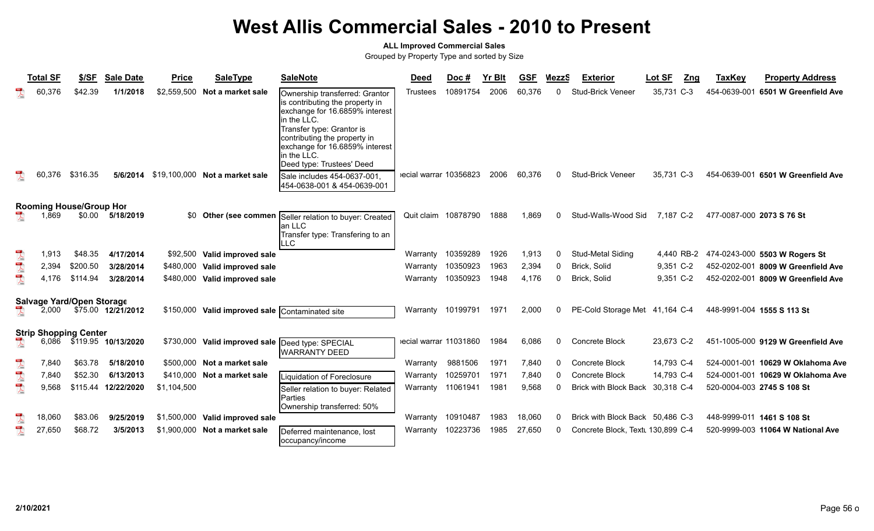### **ALL Improved Commercial Sales**

|                          | <b>Total SF</b>  | \$/SF                            | <b>Sale Date</b>     | <b>Price</b> | <b>SaleType</b>                                                 | <b>SaleNote</b>                                                                                                                                                                                                                                               | <b>Deed</b>                              | Doc#     | <b>Yr Blt</b> | <b>GSF</b>       | <b>MezzS</b> | <b>Exterior</b>                                      | Lot SF<br>Zng                 | <b>TaxKey</b>             | <b>Property Address</b>                                     |
|--------------------------|------------------|----------------------------------|----------------------|--------------|-----------------------------------------------------------------|---------------------------------------------------------------------------------------------------------------------------------------------------------------------------------------------------------------------------------------------------------------|------------------------------------------|----------|---------------|------------------|--------------|------------------------------------------------------|-------------------------------|---------------------------|-------------------------------------------------------------|
|                          | 60,376<br>60,376 | \$42.39<br>\$316.35              | 1/1/2018<br>5/6/2014 |              | \$2,559,500 Not a market sale<br>\$19,100,000 Not a market sale | Ownership transferred: Grantor<br>is contributing the property in<br>exchange for 16.6859% interest<br>in the LLC.<br>Transfer type: Grantor is<br>contributing the property in<br>exchange for 16.6859% interest<br>in the LLC.<br>Deed type: Trustees' Deed | <b>Trustees</b><br>ecial warrar 10356823 | 10891754 | 2006<br>2006  | 60,376<br>60,376 |              | <b>Stud-Brick Veneer</b><br><b>Stud-Brick Veneer</b> | 35,731<br>$C-3$<br>35,731 C-3 | 454-0639-001              | 6501 W Greenfield Ave<br>454-0639-001 6501 W Greenfield Ave |
|                          |                  |                                  |                      |              |                                                                 | Sale includes 454-0637-001<br>454-0638-001 & 454-0639-001                                                                                                                                                                                                     |                                          |          |               |                  |              |                                                      |                               |                           |                                                             |
|                          |                  | <b>Rooming House/Group Hor</b>   |                      |              |                                                                 |                                                                                                                                                                                                                                                               |                                          |          |               |                  |              |                                                      |                               |                           |                                                             |
|                          | .869             |                                  | $$0.00$ $5/18/2019$  |              | \$0 Other (see commen                                           | Seller relation to buyer: Created<br>an LLC<br>Transfer type: Transfering to an<br>LLC                                                                                                                                                                        | Quit claim 10878790                      |          | 1888          | 1,869            |              | Stud-Walls-Wood Sid                                  | 7,187 C-2                     | 477-0087-000 2073 S 76 St |                                                             |
| $\sum_{k=1}^{n}$         | 1,913            | \$48.35                          | 4/17/2014            | \$92,500     | Valid improved sale                                             |                                                                                                                                                                                                                                                               | Warranty                                 | 10359289 | 1926          | 1,913            |              | Stud-Metal Siding                                    | 4,440 RB-2                    |                           | 474-0243-000 5503 W Rogers St                               |
| $\overline{\mathbf{r}}$  | 2,394            | \$200.50                         | 3/28/2014            | \$480,000    | Valid improved sale                                             |                                                                                                                                                                                                                                                               | Warranty                                 | 10350923 | 1963          | 2,394            |              | Brick, Solid                                         | 9,351 C-2                     |                           | 452-0202-001 8009 W Greenfield Ave                          |
| $\sum_{k=0}^{n}$         | 4.176            | \$114.94                         | 3/28/2014            | \$480,000    | Valid improved sale                                             |                                                                                                                                                                                                                                                               | Warranty                                 | 10350923 | 1948          | 4,176            |              | Brick, Solid                                         | 9,351 C-2                     |                           | 452-0202-001 8009 W Greenfield Ave                          |
|                          |                  | <b>Salvage Yard/Open Storage</b> |                      |              |                                                                 |                                                                                                                                                                                                                                                               |                                          |          |               |                  |              |                                                      |                               |                           |                                                             |
|                          | 2,000            |                                  | \$75.00 12/21/2012   |              | \$150,000 Valid improved sale Contaminated site                 |                                                                                                                                                                                                                                                               | Warranty                                 | 10199791 | 1971          | 2,000            |              | PE-Cold Storage Met 41,164 C-4                       |                               |                           | 448-9991-004 1555 S 113 St                                  |
|                          |                  | <b>Strip Shopping Center</b>     |                      |              |                                                                 |                                                                                                                                                                                                                                                               |                                          |          |               |                  |              |                                                      |                               |                           |                                                             |
|                          | 6,086            |                                  | \$119.95 10/13/2020  |              | \$730,000 Valid improved sale  Deed type: SPECIAL               | <b>WARRANTY DEED</b>                                                                                                                                                                                                                                          | ecial warrar 11031860                    |          | 1984          | 6,086            | 0            | Concrete Block                                       | 23,673 C-2                    |                           | 451-1005-000 9129 W Greenfield Ave                          |
| $\overline{\phantom{a}}$ | 7.840            | \$63.78                          | 5/18/2010            |              | \$500,000 Not a market sale                                     |                                                                                                                                                                                                                                                               | Warranty                                 | 9881506  | 1971          | 7,840            |              | Concrete Block                                       | 14,793 C-4                    |                           | 524-0001-001 10629 W Oklahoma Ave                           |
| $\overline{\mathbf{r}}$  | 7,840            | \$52.30                          | 6/13/2013            |              | \$410,000 Not a market sale                                     | Liquidation of Foreclosure                                                                                                                                                                                                                                    | Warranty                                 | 10259701 | 1971          | 7,840            |              | Concrete Block                                       | 14,793 C-4                    |                           | 524-0001-001 10629 W Oklahoma Ave                           |
| $\overline{\mathbf{r}}$  | 9,568            | \$115.44                         | 12/22/2020           | \$1,104,500  |                                                                 | Seller relation to buyer: Related<br>Parties<br>Ownership transferred: 50%                                                                                                                                                                                    | Warranty                                 | 11061941 | 1981          | 9,568            |              | <b>Brick with Block Back</b>                         | 30,318 C-4                    |                           | 520-0004-003 2745 S 108 St                                  |
| $\sum_{\text{back}}$     | 18,060           | \$83.06                          | 9/25/2019            |              | \$1,500,000 Valid improved sale                                 |                                                                                                                                                                                                                                                               | Warranty                                 | 10910487 | 1983          | 18,060           |              | Brick with Block Back 50,486 C-3                     |                               |                           | 448-9999-011 1461 S 108 St                                  |
| $\overline{\mathcal{X}}$ | 27,650           | \$68.72                          | 3/5/2013             | \$1,900,000  | Not a market sale                                               | Deferred maintenance, lost<br>occupancy/income                                                                                                                                                                                                                | Warranty                                 | 10223736 | 1985          | 27,650           |              | Concrete Block, Textu 130,899 C-4                    |                               |                           | 520-9999-003 11064 W National Ave                           |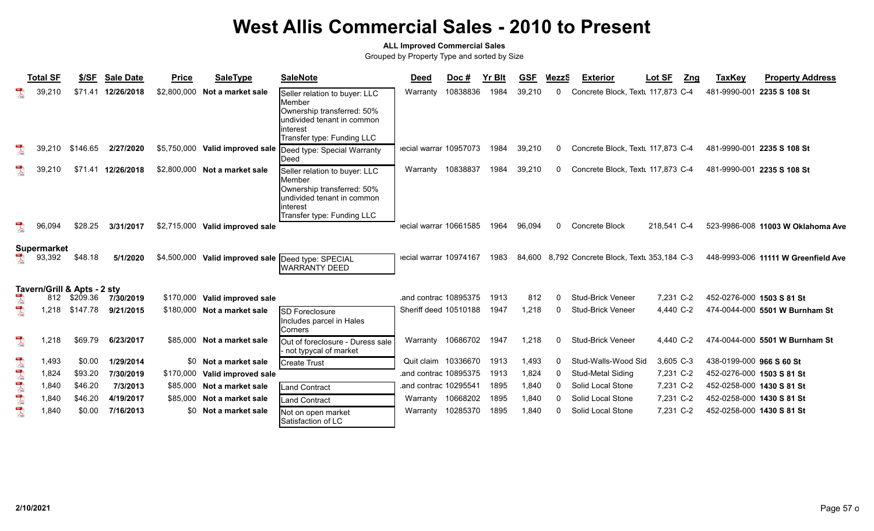### **ALL Improved Commercial Sales**

|                          | <b>Total SF</b>              | \$/SF                                   | <b>Sale Date</b> | <b>Price</b> | <b>SaleType</b>                         | <b>SaleNote</b>                                                                                                                                | <b>Deed</b>           | Doc#                | <b>Yr Blt</b> | <b>GSF</b> | MezzS    | <b>Exterior</b>                                | Lot SF<br>Zng | <b>TaxKey</b>            | <b>Property Address</b>             |
|--------------------------|------------------------------|-----------------------------------------|------------------|--------------|-----------------------------------------|------------------------------------------------------------------------------------------------------------------------------------------------|-----------------------|---------------------|---------------|------------|----------|------------------------------------------------|---------------|--------------------------|-------------------------------------|
|                          | 39.210                       | \$71.41                                 | 12/26/2018       | \$2,800,000  | Not a market sale                       | Seller relation to buyer: LLC<br>IMember<br>Ownership transferred: 50%<br>undivided tenant in common<br>interest<br>Transfer type: Funding LLC | Warranty              | 10838836            | 1984          | 39,210     | 0        | Concrete Block, Textu 117,873 C-4              |               |                          | 481-9990-001 2235 S 108 St          |
|                          | 39,210                       | \$146.65                                | 2/27/2020        | \$5,750,000  | Valid improved sale                     | Deed type: Special Warranty<br>Deed                                                                                                            | ecial warrar 10957073 |                     | 1984          | 39,210     | 0        | Concrete Block, Text( 117,873 C-4              |               |                          | 481-9990-001 2235 S 108 St          |
| $\overline{\mathcal{L}}$ | 39,210                       | \$71.41                                 | 12/26/2018       |              | \$2,800,000 Not a market sale           | Seller relation to buyer: LLC<br>IMember<br>Ownership transferred: 50%<br>undivided tenant in common<br>interest<br>Transfer type: Funding LLC | Warranty              | 10838837            | 1984          | 39,210     | 0        | Concrete Block, Text, 117,873 C-4              |               |                          | 481-9990-001 2235 S 108 St          |
|                          | 96.094                       | \$28.25                                 | 3/31/2017        | \$2,715,000  | Valid improved sale                     |                                                                                                                                                | ecial warrar 10661585 |                     | 1964          | 96,094     | 0        | Concrete Block                                 | 218.541 C-4   |                          | 523-9986-008 11003 W Oklahoma Ave   |
|                          | <b>Supermarket</b><br>93,392 | \$48.18                                 | 5/1/2020         | \$4,500,000  | Valid improved sale  Deed type: SPECIAL | <b>WARRANTY DEED</b>                                                                                                                           | ecial warrar 10974167 |                     | 1983          |            |          | 84,600 8,792 Concrete Block, Textl 353,184 C-3 |               |                          | 448-9993-006 11111 W Greenfield Ave |
|                          | 812                          | Tavern/Grill & Apts - 2 sty<br>\$209.36 | 7/30/2019        | \$170,000    | Valid improved sale                     |                                                                                                                                                | and contrac 10895375  |                     | 1913          | 812        | 0        | <b>Stud-Brick Veneer</b>                       | 7,231 C-2     |                          | 452-0276-000 1503 S 81 St           |
| $\frac{105}{\sqrt{25}}$  | 1.218                        | \$147.78                                | 9/21/2015        |              | \$180,000 Not a market sale             | <b>SD Foreclosure</b><br>Includes parcel in Hales<br>Corners                                                                                   | Sheriff deed 10510188 |                     | 1947          | 1,218      | 0        | <b>Stud-Brick Veneer</b>                       | 4,440 C-2     |                          | 474-0044-000 5501 W Burnham St      |
| $\sum_{i=1}^{n}$         | 1.218                        | \$69.79                                 | 6/23/2017        |              | \$85,000 Not a market sale              | Out of foreclosure - Duress sale<br>not typycal of market                                                                                      | Warranty              | 10686702            | 1947          | 1,218      | 0        | <b>Stud-Brick Veneer</b>                       | 4,440 C-2     |                          | 474-0044-000 5501 W Burnham St      |
| $\sum_{k=0}^{n}$         | 1,493                        | \$0.00                                  | 1/29/2014        |              | \$0 Not a market sale                   | <b>Create Trust</b>                                                                                                                            |                       | Quit claim 10336670 | 1913          | 1,493      | 0        | Stud-Walls-Wood Sid                            | 3,605 C-3     | 438-0199-000 966 S 60 St |                                     |
| $\frac{1}{\sqrt{2}}$     | 1,824                        | \$93.20                                 | 7/30/2019        | \$170,000    | Valid improved sale                     |                                                                                                                                                | and contrac 10895375  |                     | 1913          | 1,824      | 0        | Stud-Metal Siding                              | 7,231 C-2     |                          | 452-0276-000 1503 S 81 St           |
| $\sum_{k=1}^{100}$       | 1,840                        | \$46.20                                 | 7/3/2013         | \$85,000     | Not a market sale                       | Land Contract                                                                                                                                  | and contrac 10295541  |                     | 1895          | 1,840      | $\Omega$ | Solid Local Stone                              | 7,231 C-2     |                          | 452-0258-000 1430 S 81 St           |
| $\overline{\mathbf{r}}$  | 1,840                        | \$46.20                                 | 4/19/2017        | \$85.000     | Not a market sale                       | <b>Land Contract</b>                                                                                                                           | Warranty              | 10668202            | 1895          | 1,840      | 0        | Solid Local Stone                              | 7,231 C-2     |                          | 452-0258-000 1430 S 81 St           |
| $\sum_{k=0}^{n}$         | 1,840                        | \$0.00                                  | 7/16/2013        |              | \$0 Not a market sale                   | Not on open market<br>Satisfaction of LC                                                                                                       | Warranty              | 10285370            | 1895          | 1,840      | 0        | Solid Local Stone                              | 7,231 C-2     |                          | 452-0258-000 1430 S 81 St           |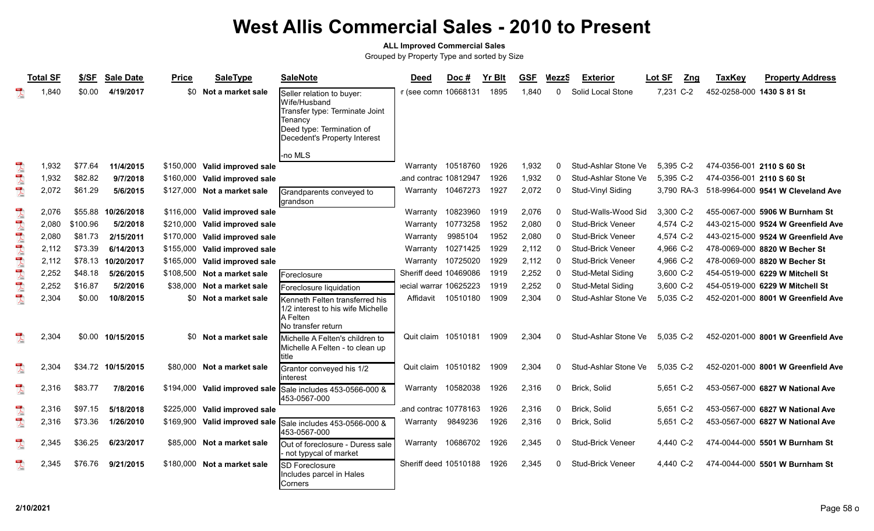### **ALL Improved Commercial Sales**

|                                                                                                                                                                                                                                                                                                                                                     | <b>Total SF</b> | \$/SF    | <b>Sale Date</b>   | <b>Price</b>           | <b>SaleType</b>                                    | <b>SaleNote</b>                                                                                                                                     | <b>Deed</b>                      | Doc#              | <b>Yr Blt</b> | <b>GSF</b> | <b>MezzS</b> | <b>Exterior</b>          | Lot SF<br>Zng | <b>TaxKey</b>             | <b>Property Address</b>            |
|-----------------------------------------------------------------------------------------------------------------------------------------------------------------------------------------------------------------------------------------------------------------------------------------------------------------------------------------------------|-----------------|----------|--------------------|------------------------|----------------------------------------------------|-----------------------------------------------------------------------------------------------------------------------------------------------------|----------------------------------|-------------------|---------------|------------|--------------|--------------------------|---------------|---------------------------|------------------------------------|
|                                                                                                                                                                                                                                                                                                                                                     | 1,840           | \$0.00   | 4/19/2017          |                        | \$0 Not a market sale                              | Seller relation to buyer:<br>Wife/Husband<br>Transfer type: Terminate Joint<br>Tenancv<br>Deed type: Termination of<br>Decedent's Property Interest | r (see comn 10668131             |                   | 1895          | 1,840      | $\Omega$     | Solid Local Stone        | 7,231 C-2     | 452-0258-000 1430 S 81 St |                                    |
|                                                                                                                                                                                                                                                                                                                                                     | 1.932           | \$77.64  | 11/4/2015          |                        |                                                    | -no MLS                                                                                                                                             |                                  | 10518760          | 1926          | 1,932      |              | Stud-Ashlar Stone Ve     | 5.395 C-2     | 474-0356-001 2110 S 60 St |                                    |
| $\sum_{k=1}^{100}$                                                                                                                                                                                                                                                                                                                                  | 1,932           | \$82.82  | 9/7/2018           | \$150,000<br>\$160,000 | Valid improved sale                                |                                                                                                                                                     | Warranty<br>and contrac 10812947 |                   | 1926          | 1,932      |              | Stud-Ashlar Stone Ve     | 5,395 C-2     | 474-0356-001 2110 S 60 St |                                    |
| $\begin{array}{c}\n\frac{1}{\sqrt{2}} \\ \frac{1}{\sqrt{2}}\n\end{array}$                                                                                                                                                                                                                                                                           | 2,072           | \$61.29  | 5/6/2015           |                        | Valid improved sale<br>\$127,000 Not a market sale |                                                                                                                                                     |                                  | Warranty 10467273 | 1927          | 2,072      |              | Stud-Vinyl Siding        | 3,790 RA-3    |                           | 518-9964-000 9541 W Cleveland Ave  |
| $\begin{picture}(20,20) \put(0,0){\line(1,0){10}} \put(15,0){\line(1,0){10}} \put(15,0){\line(1,0){10}} \put(15,0){\line(1,0){10}} \put(15,0){\line(1,0){10}} \put(15,0){\line(1,0){10}} \put(15,0){\line(1,0){10}} \put(15,0){\line(1,0){10}} \put(15,0){\line(1,0){10}} \put(15,0){\line(1,0){10}} \put(15,0){\line(1,0){10}} \put(15,0){\line(1$ |                 |          |                    |                        |                                                    | Grandparents conveyed to<br>grandson                                                                                                                |                                  |                   |               |            |              |                          |               |                           |                                    |
|                                                                                                                                                                                                                                                                                                                                                     | 2.076           | \$55.88  | 10/26/2018         | \$116,000              | Valid improved sale                                |                                                                                                                                                     | Warranty                         | 10823960          | 1919          | 2,076      |              | Stud-Walls-Wood Sid      | 3,300 C-2     |                           | 455-0067-000 5906 W Burnham St     |
| 医大型                                                                                                                                                                                                                                                                                                                                                 | 2,080           | \$100.96 | 5/2/2018           | \$210,000              | Valid improved sale                                |                                                                                                                                                     | Warranty                         | 10773258          | 1952          | 2,080      |              | <b>Stud-Brick Veneer</b> | 4,574 C-2     |                           | 443-0215-000 9524 W Greenfield Ave |
|                                                                                                                                                                                                                                                                                                                                                     | 2,080           | \$81.73  | 2/15/2011          | \$170,000              | Valid improved sale                                |                                                                                                                                                     | Warranty                         | 9985104           | 1952          | 2,080      |              | Stud-Brick Veneer        | 4.574 C-2     |                           | 443-0215-000 9524 W Greenfield Ave |
|                                                                                                                                                                                                                                                                                                                                                     | 2,112           | \$73.39  | 6/14/2013          | \$155,000              | Valid improved sale                                |                                                                                                                                                     | Warranty                         | 10271425          | 1929          | 2,112      | <sup>0</sup> | <b>Stud-Brick Veneer</b> | 4,966 C-2     |                           | 478-0069-000 8820 W Becher St      |
| $\sum_{k=0}^{n}$                                                                                                                                                                                                                                                                                                                                    | 2,112           | \$78.13  | 10/20/2017         | \$165,000              | Valid improved sale                                |                                                                                                                                                     | Warranty                         | 10725020          | 1929          | 2,112      |              | Stud-Brick Veneer        | 4,966 C-2     |                           | 478-0069-000 8820 W Becher St      |
|                                                                                                                                                                                                                                                                                                                                                     | 2,252           | \$48.18  | 5/26/2015          | \$108,500              | Not a market sale                                  | Foreclosure                                                                                                                                         | Sheriff deed 10469086            |                   | 1919          | 2,252      |              | Stud-Metal Siding        | 3,600 C-2     |                           | 454-0519-000 6229 W Mitchell St    |
| 人气                                                                                                                                                                                                                                                                                                                                                  | 2,252           | \$16.87  | 5/2/2016           | \$38.000               | Not a market sale                                  | Foreclosure liquidation                                                                                                                             | ecial warrar 10625223            |                   | 1919          | 2,252      |              | Stud-Metal Siding        | 3,600 C-2     |                           | 454-0519-000 6229 W Mitchell St    |
|                                                                                                                                                                                                                                                                                                                                                     | 2,304           | \$0.00   | 10/8/2015          |                        | \$0 Not a market sale                              | Kenneth Felten transferred his<br>1/2 interest to his wife Michelle<br>A Felten<br>INo transfer return                                              | Affidavit                        | 10510180          | 1909          | 2,304      |              | Stud-Ashlar Stone Ve     | 5,035 C-2     |                           | 452-0201-000 8001 W Greenfield Ave |
| $\overline{\mathbf{r}}$                                                                                                                                                                                                                                                                                                                             | 2,304           |          | \$0.00 10/15/2015  |                        | \$0 Not a market sale                              | IMichelle A Felten's children to<br>Michelle A Felten - to clean up<br>ltitle                                                                       | Quit claim 10510181              |                   | 1909          | 2,304      | 0            | Stud-Ashlar Stone Ve     | 5,035 C-2     |                           | 452-0201-000 8001 W Greenfield Ave |
| $\lambda$                                                                                                                                                                                                                                                                                                                                           | 2,304           |          | \$34.72 10/15/2015 |                        | \$80,000 Not a market sale                         | Grantor conveyed his 1/2<br>linterest                                                                                                               | Quit claim 10510182              |                   | 1909          | 2,304      | $\Omega$     | Stud-Ashlar Stone Ve     | 5,035 C-2     |                           | 452-0201-000 8001 W Greenfield Ave |
| $\sum_{k=1}^{100}$                                                                                                                                                                                                                                                                                                                                  | 2,316           | \$83.77  | 7/8/2016           | \$194,000              |                                                    | Valid improved sale Sale includes 453-0566-000 &<br>453-0567-000                                                                                    | Warranty                         | 10582038          | 1926          | 2,316      | 0            | Brick, Solid             | 5,651 C-2     |                           | 453-0567-000 6827 W National Ave   |
| $\frac{105}{\sqrt{100}}$                                                                                                                                                                                                                                                                                                                            | 2,316           | \$97.15  | 5/18/2018          | \$225,000              | Valid improved sale                                |                                                                                                                                                     | and contrac 10778163             |                   | 1926          | 2,316      |              | Brick, Solid             | 5,651 C-2     |                           | 453-0567-000 6827 W National Ave   |
| $\sum_{k=1}^{n}$                                                                                                                                                                                                                                                                                                                                    | 2,316           | \$73.36  | 1/26/2010          | \$169,900              |                                                    | Valid improved sale Sale includes 453-0566-000 &<br>453-0567-000                                                                                    | Warranty                         | 9849236           | 1926          | 2,316      | 0            | Brick, Solid             | 5,651 C-2     |                           | 453-0567-000 6827 W National Ave   |
| $\overline{\mathcal{L}}$                                                                                                                                                                                                                                                                                                                            | 2,345           | \$36.25  | 6/23/2017          |                        | \$85,000 Not a market sale                         | Out of foreclosure - Duress sale<br>- not typycal of market                                                                                         | Warranty                         | 10686702          | 1926          | 2,345      |              | <b>Stud-Brick Veneer</b> | 4.440 C-2     |                           | 474-0044-000 5501 W Burnham St     |
| $\mathbb{R}$                                                                                                                                                                                                                                                                                                                                        | 2,345           | \$76.76  | 9/21/2015          |                        | \$180,000 Not a market sale                        | SD Foreclosure<br>Includes parcel in Hales<br><b>Corners</b>                                                                                        | Sheriff deed 10510188            |                   | 1926          | 2,345      | $\Omega$     | <b>Stud-Brick Veneer</b> | 4.440 C-2     |                           | 474-0044-000 5501 W Burnham St     |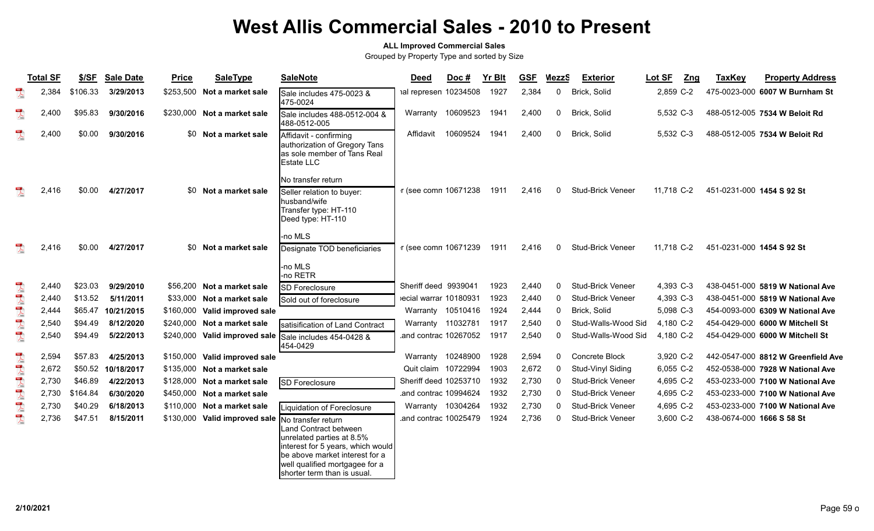#### **ALL Improved Commercial Sales**

|                          | <b>Total SF</b> | \$/SF    | <b>Sale Date</b> | <b>Price</b> | <b>SaleType</b>                                  | <b>SaleNote</b>                                                                                                                                                                            | Deed                  | Doc#              | <b>Yr Blt</b> | <b>GSF</b> | <b>MezzS</b> | <b>Exterior</b>          | Lot SF<br>Zng | <b>TaxKey</b>             | <b>Property Address</b>            |
|--------------------------|-----------------|----------|------------------|--------------|--------------------------------------------------|--------------------------------------------------------------------------------------------------------------------------------------------------------------------------------------------|-----------------------|-------------------|---------------|------------|--------------|--------------------------|---------------|---------------------------|------------------------------------|
| $\sum_{i=1}^{n}$         | 2,384           | \$106.33 | 3/29/2013        |              | \$253,500 Not a market sale                      | Sale includes 475-0023 &<br>475-0024                                                                                                                                                       | ial represen 10234508 |                   | 1927          | 2,384      | $\mathbf 0$  | Brick, Solid             | 2,859 C-2     |                           | 475-0023-000 6007 W Burnham St     |
| $\mathbb{R}$             | 2,400           | \$95.83  | 9/30/2016        |              | \$230,000 Not a market sale                      | Sale includes 488-0512-004 &<br>488-0512-005                                                                                                                                               |                       | Warranty 10609523 | 1941          | 2,400      | $\mathbf 0$  | Brick, Solid             | 5,532 C-3     |                           | 488-0512-005 7534 W Beloit Rd      |
| $\overline{\mathbf{r}}$  | 2,400           | \$0.00   | 9/30/2016        |              | \$0 Not a market sale                            | Affidavit - confirming<br>authorization of Gregory Tans<br>as sole member of Tans Real<br>Estate LLC                                                                                       | Affidavit             | 10609524          | 1941          | 2,400      | 0            | Brick, Solid             | 5,532 C-3     |                           | 488-0512-005 7534 W Beloit Rd      |
| $\frac{100}{\sqrt{100}}$ | 2,416           | \$0.00   | 4/27/2017        |              | \$0 Not a market sale                            | No transfer return<br>Seller relation to buyer:<br>husband/wife<br>Transfer type: HT-110<br>Deed type: HT-110                                                                              | r (see comn 10671238  |                   | 1911          | 2,416      | $\Omega$     | <b>Stud-Brick Veneer</b> | 11,718 C-2    | 451-0231-000 1454 S 92 St |                                    |
| $\frac{100}{\sqrt{100}}$ | 2,416           | \$0.00   | 4/27/2017        | \$0          | Not a market sale                                | -no MLS<br>Designate TOD beneficiaries<br>-no MLS                                                                                                                                          | r (see comn 10671239  |                   | 1911          | 2,416      | 0            | <b>Stud-Brick Veneer</b> | 11,718 C-2    | 451-0231-000 1454 S 92 St |                                    |
|                          |                 |          |                  |              | \$56,200 Not a market sale                       | -no RETR                                                                                                                                                                                   | Sheriff deed 9939041  |                   | 1923          |            | $\mathbf{0}$ | <b>Stud-Brick Veneer</b> | 4,393 C-3     |                           |                                    |
| 人民工会议                    | 2,440           | \$23.03  | 9/29/2010        |              |                                                  | <b>SD Foreclosure</b>                                                                                                                                                                      |                       |                   |               | 2,440      |              |                          |               |                           | 438-0451-000 5819 W National Ave   |
|                          | 2,440           | \$13.52  | 5/11/2011        |              | \$33,000 Not a market sale                       | Sold out of foreclosure                                                                                                                                                                    | ecial warrar 10180931 |                   | 1923          | 2,440      | $\mathbf{0}$ | Stud-Brick Veneer        | 4,393 C-3     |                           | 438-0451-000 5819 W National Ave   |
|                          | 2,444           | \$65.47  | 10/21/2015       |              | \$160,000 Valid improved sale                    |                                                                                                                                                                                            | Warranty 10510416     |                   | 1924          | 2,444      | $\mathbf 0$  | Brick, Solid             | 5,098 C-3     |                           | 454-0093-000 6309 W National Ave   |
|                          | 2,540           | \$94.49  | 8/12/2020        |              | \$240,000 Not a market sale                      | satisification of Land Contract                                                                                                                                                            |                       | Warranty 11032781 | 1917          | 2,540      | $\mathbf{0}$ | Stud-Walls-Wood Sid      | 4,180 C-2     |                           | 454-0429-000 6000 W Mitchell St    |
|                          | 2,540           | \$94.49  | 5/22/2013        |              |                                                  | \$240,000 Valid improved sale Sale includes 454-0428 &<br>454-0429                                                                                                                         | and contrac 10267052  |                   | 1917          | 2,540      | $\Omega$     | Stud-Walls-Wood Sid      | 4,180 C-2     |                           | 454-0429-000 6000 W Mitchell St    |
| $\sum_{\text{block}}$    | 2,594           | \$57.83  | 4/25/2013        |              | \$150,000 Valid improved sale                    |                                                                                                                                                                                            |                       | Warranty 10248900 | 1928          | 2,594      | $\mathbf 0$  | Concrete Block           | 3,920 C-2     |                           | 442-0547-000 8812 W Greenfield Ave |
|                          | 2,672           | \$50.52  | 10/18/2017       |              | \$135,000 Not a market sale                      |                                                                                                                                                                                            | Quit claim 10722994   |                   | 1903          | 2,672      | $\mathbf 0$  | Stud-Vinyl Siding        | 6,055 C-2     |                           | 452-0538-000 7928 W National Ave   |
|                          | 2,730           | \$46.89  | 4/22/2013        |              | \$128,000 Not a market sale                      | SD Foreclosure                                                                                                                                                                             | Sheriff deed 10253710 |                   | 1932          | 2,730      | $\Omega$     | <b>Stud-Brick Veneer</b> | 4,695 C-2     |                           | 453-0233-000 7100 W National Ave   |
|                          | 2,730           | \$164.84 | 6/30/2020        |              | \$450,000 Not a market sale                      |                                                                                                                                                                                            | .and contrac 10994624 |                   | 1932          | 2,730      | $\mathbf{0}$ | <b>Stud-Brick Veneer</b> | 4,695 C-2     |                           | 453-0233-000 7100 W National Ave   |
|                          | 2,730           | \$40.29  | 6/18/2013        |              | \$110,000 Not a market sale                      | Liquidation of Foreclosure                                                                                                                                                                 |                       | Warranty 10304264 | 1932          | 2,730      | $\mathbf{0}$ | <b>Stud-Brick Veneer</b> | 4,695 C-2     |                           | 453-0233-000 7100 W National Ave   |
| 人名麦克夫人                   | 2,736           | \$47.51  | 8/15/2011        |              | \$130,000 Valid improved sale No transfer return | Land Contract between<br>unrelated parties at 8.5%<br>interest for 5 years, which would<br>be above market interest for a<br>well qualified mortgagee for a<br>shorter term than is usual. | and contrac 10025479  |                   | 1924          | 2,736      | $\mathbf{0}$ | <b>Stud-Brick Veneer</b> | 3,600 C-2     | 438-0674-000 1666 S 58 St |                                    |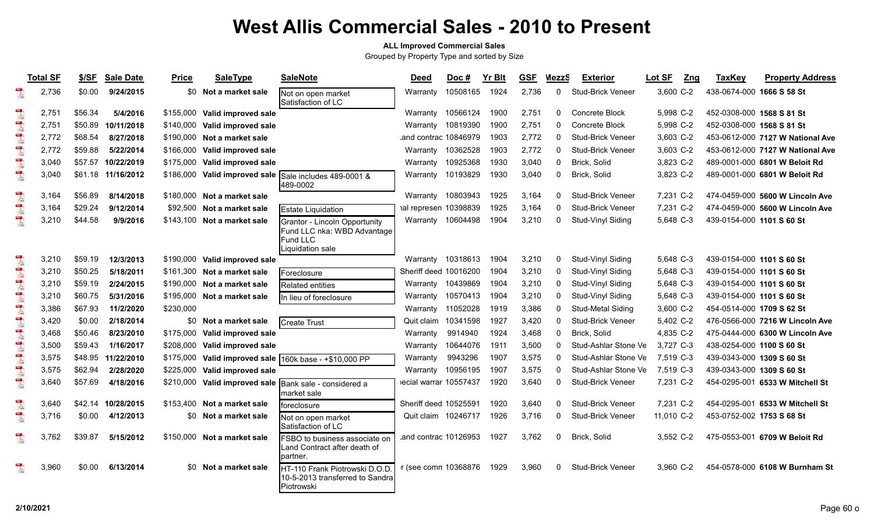#### **ALL Improved Commercial Sales**

|                                                                                                                                                                                                                                                                                                                                                                                                                                   | <b>Total SF</b> | \$/SF   | <b>Sale Date</b>   | <b>Price</b> | <b>SaleType</b>               | <b>SaleNote</b>                                                                              | <b>Deed</b>                  | Doc#     | <b>Yr Blt</b> | <b>GSF</b> | <b>MezzS</b> | <b>Exterior</b>          | Lot SF     | Zng | <b>TaxKey</b>             | <b>Property Address</b>          |
|-----------------------------------------------------------------------------------------------------------------------------------------------------------------------------------------------------------------------------------------------------------------------------------------------------------------------------------------------------------------------------------------------------------------------------------|-----------------|---------|--------------------|--------------|-------------------------------|----------------------------------------------------------------------------------------------|------------------------------|----------|---------------|------------|--------------|--------------------------|------------|-----|---------------------------|----------------------------------|
| $\mathbb{R}$                                                                                                                                                                                                                                                                                                                                                                                                                      | 2,736           | \$0.00  | 9/24/2015          | \$0          | Not a market sale             | Not on open market<br>Satisfaction of LC                                                     | Warranty                     | 10508165 | 1924          | 2,736      | $\mathbf{0}$ | Stud-Brick Veneer        | 3,600 C-2  |     | 438-0674-000 1666 S 58 St |                                  |
| $\begin{array}{c}\n\frac{1}{2} \\ \frac{1}{2} \\ \frac{1}{2} \\ \frac{1}{2} \\ \frac{1}{2} \\ \frac{1}{2} \\ \frac{1}{2} \\ \frac{1}{2} \\ \frac{1}{2} \\ \frac{1}{2} \\ \frac{1}{2} \\ \frac{1}{2} \\ \frac{1}{2} \\ \frac{1}{2} \\ \frac{1}{2} \\ \frac{1}{2} \\ \frac{1}{2} \\ \frac{1}{2} \\ \frac{1}{2} \\ \frac{1}{2} \\ \frac{1}{2} \\ \frac{1}{2} \\ \frac{1}{2} \\ \frac{1}{2} \\ \frac{1}{2} \\ \frac{1}{2} \\ \frac{1$ | 2,751           | \$56.34 | 5/4/2016           |              | \$155,000 Valid improved sale |                                                                                              | Warranty                     | 10566124 | 1900          | 2,751      | $\Omega$     | Concrete Block           | 5,998 C-2  |     | 452-0308-000 1568 S 81 St |                                  |
| $\begin{picture}(20,20) \put(0,0){\vector(0,1){10}} \put(15,0){\vector(0,1){10}} \put(15,0){\vector(0,1){10}} \put(15,0){\vector(0,1){10}} \put(15,0){\vector(0,1){10}} \put(15,0){\vector(0,1){10}} \put(15,0){\vector(0,1){10}} \put(15,0){\vector(0,1){10}} \put(15,0){\vector(0,1){10}} \put(15,0){\vector(0,1){10}} \put(15,0){\vector(0,1){10}} \put(15,0){\vector(0$                                                       | 2,751           | \$50.89 | 10/11/2018         | \$140.000    | Valid improved sale           |                                                                                              | Warranty                     | 10819390 | 1900          | 2,751      | $\Omega$     | Concrete Block           | 5,998 C-2  |     | 452-0308-000 1568 S 81 St |                                  |
| $\begin{array}{c} \mathbf{10} \\ \hline \end{array}$                                                                                                                                                                                                                                                                                                                                                                              | 2,772           | \$68.54 | 8/27/2018          | \$190,000    | Not a market sale             |                                                                                              | and contrac 10846979         |          | 1903          | 2,772      | $\mathbf{0}$ | Stud-Brick Veneer        | 3,603 C-2  |     |                           | 453-0612-000 7127 W National Ave |
| $\sum_{i=1}^{n}$                                                                                                                                                                                                                                                                                                                                                                                                                  | 2,772           | \$59.88 | 5/22/2014          | \$166,000    | Valid improved sale           |                                                                                              | Warranty                     | 10362528 | 1903          | 2,772      | $\mathbf{0}$ | <b>Stud-Brick Veneer</b> | 3,603 C-2  |     |                           | 453-0612-000 7127 W National Ave |
| $\mathbb{Z}$                                                                                                                                                                                                                                                                                                                                                                                                                      | 3,040           | \$57.57 | 10/22/2019         | \$175,000    | Valid improved sale           |                                                                                              | Warranty                     | 10925368 | 1930          | 3,040      | 0            | Brick, Solid             | 3,823 C-2  |     |                           | 489-0001-000 6801 W Beloit Rd    |
| $\mathbb{R}$                                                                                                                                                                                                                                                                                                                                                                                                                      | 3,040           |         | \$61.18 11/16/2012 | \$186,000    |                               | Valid improved sale $\sqrt{2}$ Sale includes 489-0001 &<br>489-0002                          | Warranty                     | 10193829 | 1930          | 3,040      | 0            | Brick, Solid             | 3,823 C-2  |     |                           | 489-0001-000 6801 W Beloit Rd    |
| $\sum_{i=1}^{n}$                                                                                                                                                                                                                                                                                                                                                                                                                  | 3,164           | \$56.89 | 8/14/2018          |              | \$180,000 Not a market sale   |                                                                                              | Warranty                     | 10803943 | 1925          | 3,164      | $\Omega$     | Stud-Brick Veneer        | 7,231 C-2  |     |                           | 474-0459-000 5600 W Lincoln Ave  |
| $\begin{array}{c}\n\frac{1}{2} \\ \frac{1}{2} \\ \frac{1}{2} \\ \frac{1}{2} \\ \frac{1}{2} \\ \frac{1}{2} \\ \frac{1}{2} \\ \frac{1}{2} \\ \frac{1}{2} \\ \frac{1}{2} \\ \frac{1}{2} \\ \frac{1}{2} \\ \frac{1}{2} \\ \frac{1}{2} \\ \frac{1}{2} \\ \frac{1}{2} \\ \frac{1}{2} \\ \frac{1}{2} \\ \frac{1}{2} \\ \frac{1}{2} \\ \frac{1}{2} \\ \frac{1}{2} \\ \frac{1}{2} \\ \frac{1}{2} \\ \frac{1}{2} \\ \frac{1}{2} \\ \frac{1$ | 3,164           | \$29.24 | 9/12/2014          | \$92.500     | Not a market sale             | Estate Liquidation                                                                           | ial represen 10398839        |          | 1925          | 3,164      | $\mathbf{0}$ | Stud-Brick Veneer        | 7,231 C-2  |     |                           | 474-0459-000 5600 W Lincoln Ave  |
| $\begin{array}{c} \mathbf{1} \mathbf{1} \mathbf{1} \mathbf{1} \mathbf{1} \mathbf{1} \mathbf{1} \mathbf{1} \mathbf{1} \mathbf{1} \mathbf{1} \mathbf{1} \mathbf{1} \mathbf{1} \mathbf{1} \mathbf{1} \mathbf{1} \mathbf{1} \mathbf{1} \mathbf{1} \mathbf{1} \mathbf{1} \mathbf{1} \mathbf{1} \mathbf{1} \mathbf{1} \mathbf{1} \mathbf{1} \mathbf{1} \mathbf{1} \mathbf{1} \mathbf{1} \mathbf{1} \mathbf{1} \mathbf{1} \mathbf$       | 3,210           | \$44.58 | 9/9/2016           | \$143,100    | Not a market sale             | Grantor - Lincoln Opportunity<br>Fund LLC nka: WBD Advantage<br>Fund LLC<br>Liquidation sale | Warranty 10604498            |          | 1904          | 3,210      | $\mathbf{0}$ | Stud-Vinyl Siding        | 5,648 C-3  |     | 439-0154-000 1101 S 60 St |                                  |
| $\sum_{k=0}^{n}$                                                                                                                                                                                                                                                                                                                                                                                                                  | 3,210           | \$59.19 | 12/3/2013          |              | \$190,000 Valid improved sale |                                                                                              | Warranty 10318613            |          | 1904          | 3,210      | $\mathbf{0}$ | Stud-Vinyl Siding        | 5,648 C-3  |     | 439-0154-000 1101 S 60 St |                                  |
| $\overline{\lambda}$                                                                                                                                                                                                                                                                                                                                                                                                              | 3,210           | \$50.25 | 5/18/2011          | \$161.300    | Not a market sale             | Foreclosure                                                                                  | Sheriff deed 10016200        |          | 1904          | 3,210      | $\mathbf{0}$ | Stud-Vinyl Siding        | 5,648 C-3  |     | 439-0154-000 1101 S 60 St |                                  |
| $\sum_{k \in \mathbb{N}}$                                                                                                                                                                                                                                                                                                                                                                                                         | 3,210           | \$59.19 | 2/24/2015          | \$190.000    | Not a market sale             | Related entities                                                                             | Warranty                     | 10439869 | 1904          | 3,210      | 0            | Stud-Vinyl Siding        | 5,648 C-3  |     | 439-0154-000 1101 S 60 St |                                  |
|                                                                                                                                                                                                                                                                                                                                                                                                                                   | 3,210           | \$60.75 | 5/31/2016          |              | \$195,000 Not a market sale   | In lieu of foreclosure                                                                       | Warranty                     | 10570413 | 1904          | 3,210      | $\mathbf{0}$ | Stud-Vinyl Siding        | 5,648 C-3  |     | 439-0154-000 1101 S 60 St |                                  |
| 人气                                                                                                                                                                                                                                                                                                                                                                                                                                | 3,386           | \$67.93 | 11/2/2020          | \$230,000    |                               |                                                                                              | Warranty                     | 11052028 | 1919          | 3,386      | $\mathbf{0}$ | Stud-Metal Siding        | 3,600 C-2  |     | 454-0514-000 1709 S 62 St |                                  |
|                                                                                                                                                                                                                                                                                                                                                                                                                                   | 3,420           | \$0.00  | 2/18/2014          | \$0          | Not a market sale             | Create Trust                                                                                 | Quit claim 10341598          |          | 1927          | 3,420      | $\mathbf 0$  | <b>Stud-Brick Veneer</b> | 5,402 C-2  |     |                           | 476-0566-000 7216 W Lincoln Ave  |
| 人气                                                                                                                                                                                                                                                                                                                                                                                                                                | 3,468           | \$50.46 | 8/23/2010          | \$175,000    | Valid improved sale           |                                                                                              | Warranty                     | 9914940  | 1924          | 3,468      | 0            | Brick, Solid             | 4,835 C-2  |     |                           | 475-0444-000 6300 W Lincoln Ave  |
|                                                                                                                                                                                                                                                                                                                                                                                                                                   | 3,500           | \$59.43 | 1/16/2017          | \$208,000    | Valid improved sale           |                                                                                              | Warranty                     | 10644076 | 1911          | 3,500      | $\Omega$     | Stud-Ashlar Stone Ve     | 3,727 C-3  |     | 438-0254-000 1100 S 60 St |                                  |
|                                                                                                                                                                                                                                                                                                                                                                                                                                   | 3,575           | \$48.95 | 11/22/2010         | \$175,000    |                               | Valid improved sale 160k base - +\$10,000 PP                                                 | Warranty                     | 9943296  | 1907          | 3,575      | 0            | Stud-Ashlar Stone Ve     | 7,519 C-3  |     | 439-0343-000 1309 S 60 St |                                  |
| 人气                                                                                                                                                                                                                                                                                                                                                                                                                                | 3,575           | \$62.94 | 2/28/2020          | \$225,000    | Valid improved sale           |                                                                                              | Warranty                     | 10956195 | 1907          | 3,575      | 0            | Stud-Ashlar Stone Ve     | 7,519 C-3  |     | 439-0343-000 1309 S 60 St |                                  |
|                                                                                                                                                                                                                                                                                                                                                                                                                                   | 3,640           | \$57.69 | 4/18/2016          | \$210,000    |                               | Valid improved sale Bank sale - considered a<br>market sale                                  | ecial warrar 10557437        |          | 1920          | 3,640      | $\mathbf{0}$ | Stud-Brick Veneer        | 7,231 C-2  |     |                           | 454-0295-001 6533 W Mitchell St  |
| 人气                                                                                                                                                                                                                                                                                                                                                                                                                                | 3,640           | \$42.14 | 10/28/2015         | \$153.400    | Not a market sale             | foreclosure                                                                                  | <b>Sheriff deed 10525591</b> |          | 1920          | 3,640      | $\Omega$     | <b>Stud-Brick Veneer</b> | 7,231 C-2  |     |                           | 454-0295-001 6533 W Mitchell St  |
|                                                                                                                                                                                                                                                                                                                                                                                                                                   | 3,716           | \$0.00  | 4/12/2013          | \$0          | Not a market sale             | Not on open market<br>Satisfaction of LC                                                     | Quit claim 10246717          |          | 1926          | 3,716      | $\mathbf{0}$ | <b>Stud-Brick Veneer</b> | 11.010 C-2 |     | 453-0752-002 1753 S 68 St |                                  |
| $\begin{array}{c} \mathbf{1} \mathbf{1} \mathbf{1} \mathbf{1} \mathbf{1} \mathbf{1} \mathbf{1} \mathbf{1} \mathbf{1} \mathbf{1} \mathbf{1} \mathbf{1} \mathbf{1} \mathbf{1} \mathbf{1} \mathbf{1} \mathbf{1} \mathbf{1} \mathbf{1} \mathbf{1} \mathbf{1} \mathbf{1} \mathbf{1} \mathbf{1} \mathbf{1} \mathbf{1} \mathbf{1} \mathbf{1} \mathbf{1} \mathbf{1} \mathbf{1} \mathbf{1} \mathbf{1} \mathbf{1} \mathbf{1} \mathbf$       | 3,762           | \$39.87 | 5/15/2012          | \$150,000    | Not a market sale             | FSBO to business associate on<br>Land Contract after death of<br>partner.                    | and contrac 10126953         |          | 1927          | 3,762      | 0            | Brick, Solid             | 3,552 C-2  |     |                           | 475-0553-001 6709 W Beloit Rd    |
| $\overline{\mathbf{r}}$                                                                                                                                                                                                                                                                                                                                                                                                           | 3,960           | \$0.00  | 6/13/2014          | \$0          | Not a market sale             | HT-110 Frank Piotrowski D.O.D.<br>10-5-2013 transferred to Sandra<br>Piotrowski              | r (see comn 10368876         |          | 1929          | 3,960      | $\Omega$     | Stud-Brick Veneer        | 3.960 C-2  |     |                           | 454-0578-000 6108 W Burnham St   |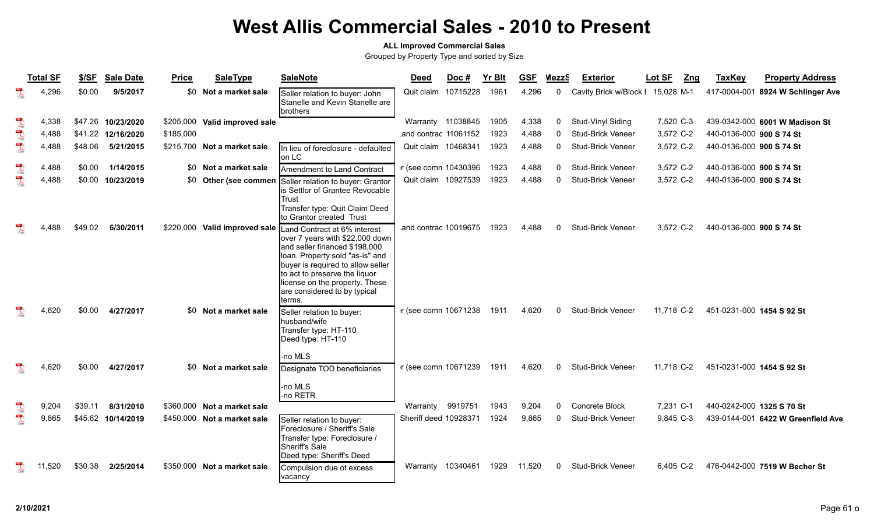### **ALL Improved Commercial Sales**

|                          | <b>Total SF</b> | \$/SF   | <b>Sale Date</b>   | <b>Price</b> | <b>SaleType</b>               | <b>SaleNote</b>                                                                                                                                                                                                                                                                       | <b>Deed</b>           | Doc # | <b>Yr Blt</b> | <b>GSF</b> | MezzS        | <b>Exterior</b>                   | Lot SF<br>Zng | <b>TaxKey</b>             | <b>Property Address</b>            |
|--------------------------|-----------------|---------|--------------------|--------------|-------------------------------|---------------------------------------------------------------------------------------------------------------------------------------------------------------------------------------------------------------------------------------------------------------------------------------|-----------------------|-------|---------------|------------|--------------|-----------------------------------|---------------|---------------------------|------------------------------------|
|                          | 4,296           | \$0.00  | 9/5/2017           |              | \$0 Not a market sale         | Seller relation to buyer: John<br>Stanelle and Kevin Stanelle are<br><b>brothers</b>                                                                                                                                                                                                  | Quit claim 10715228   |       | 1961          | 4,296      | $\mathbf{0}$ | Cavity Brick w/Block I 15,028 M-1 |               |                           | 417-0004-001 8924 W Schlinger Ave  |
|                          | 4,338           |         | \$47.26 10/23/2020 |              | \$205,000 Valid improved sale |                                                                                                                                                                                                                                                                                       | Warranty 11038845     |       | 1905          | 4,338      | 0            | Stud-Vinyl Siding                 | 7,520 C-3     |                           | 439-0342-000 6001 W Madison St     |
| 人民                       | 4,488           |         | \$41.22 12/16/2020 | \$185,000    |                               |                                                                                                                                                                                                                                                                                       | and contrac 11061152  |       | 1923          | 4,488      | $\mathbf{0}$ | <b>Stud-Brick Veneer</b>          | 3,572 C-2     | 440-0136-000 900 S 74 St  |                                    |
|                          | 4,488           | \$48.06 | 5/21/2015          |              | \$215,700 Not a market sale   | In lieu of foreclosure - defaulted<br>on LC                                                                                                                                                                                                                                           | Quit claim 10468341   |       | 1923          | 4,488      | $\Omega$     | <b>Stud-Brick Veneer</b>          | 3,572 C-2     | 440-0136-000 900 S 74 St  |                                    |
| 大學                       | 4,488           | \$0.00  | 1/14/2015          |              | \$0 Not a market sale         | Amendment to Land Contract                                                                                                                                                                                                                                                            | r (see comn 10430396  |       | 1923          | 4,488      | <sup>0</sup> | Stud-Brick Veneer                 | 3,572 C-2     | 440-0136-000 900 S 74 St  |                                    |
|                          | 4,488           |         | \$0.00 10/23/2019  |              | \$0 Other (see commen         | Seller relation to buyer: Grantor<br>is Settlor of Grantee Revocable<br>Trust<br>Transfer type: Quit Claim Deed<br>to Grantor created Trust                                                                                                                                           | Quit claim 10927539   |       | 1923          | 4,488      | $\mathbf{0}$ | <b>Stud-Brick Veneer</b>          | 3,572 C-2     | 440-0136-000 900 S 74 St  |                                    |
|                          | 4,488           | \$49.02 | 6/30/2011          | \$220,000    | Valid improved sale           | Land Contract at 6% interest<br>over 7 years with \$22,000 down<br>and seller financed \$198,000<br>loan. Property sold "as-is" and<br>buyer is required to allow seller<br>to act to preserve the liquor<br>license on the property. These<br>are considered to by typical<br>terms. | and contrac 10019675. |       | 1923          | 4,488      | $\Omega$     | <b>Stud-Brick Veneer</b>          | 3,572 C-2     | 440-0136-000 900 S 74 St  |                                    |
|                          | 4,620           | \$0.00  | 4/27/2017          | \$0          | Not a market sale             | Seller relation to buyer:<br>husband/wife<br>Transfer type: HT-110<br>Deed type: HT-110                                                                                                                                                                                               | r (see comn 10671238  |       | 1911          | 4,620      | 0            | <b>Stud-Brick Veneer</b>          | 11,718 C-2    | 451-0231-000 1454 S 92 St |                                    |
|                          | 4,620           | \$0.00  | 4/27/2017          | \$0          | Not a market sale             | -no MLS                                                                                                                                                                                                                                                                               | r (see comn 10671239  |       | 1911          | 4,620      | $\Omega$     | <b>Stud-Brick Veneer</b>          | 11,718 C-2    | 451-0231-000 1454 S 92 St |                                    |
|                          |                 |         |                    |              |                               | Designate TOD beneficiaries<br>-no MLS<br>-no RETR                                                                                                                                                                                                                                    |                       |       |               |            |              |                                   |               |                           |                                    |
| $\overline{\mathcal{A}}$ | 9,204           | \$39.11 | 8/31/2010          |              | \$360,000 Not a market sale   |                                                                                                                                                                                                                                                                                       | Warranty 9919751      |       | 1943          | 9,204      | $\Omega$     | Concrete Block                    | 7,231 C-1     | 440-0242-000 1325 S 70 St |                                    |
| $\mathbb{R}$             | 9,865           |         | \$45.62 10/14/2019 |              | \$450,000 Not a market sale   | Seller relation to buyer:<br>Foreclosure / Sheriff's Sale<br>Transfer type: Foreclosure /<br>Sheriff's Sale<br>Deed type: Sheriff's Deed                                                                                                                                              | Sheriff deed 10928371 |       | 1924          | 9,865      | $\Omega$     | <b>Stud-Brick Veneer</b>          | 9,845 C-3     |                           | 439-0144-001 6422 W Greenfield Ave |
|                          | .520<br>11      | \$30.38 | 2/25/2014          |              | \$350,000 Not a market sale   | Compulsion due ot excess<br>vacancy                                                                                                                                                                                                                                                   | Warranty 10340461     |       | 1929          | 11,520     | $\Omega$     | <b>Stud-Brick Veneer</b>          | 6.405 C-2     |                           | 476-0442-000 7519 W Becher St      |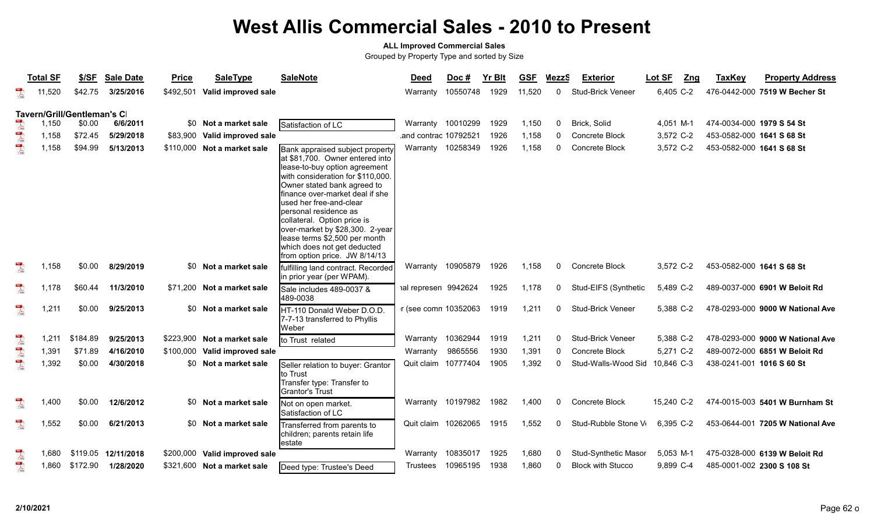### **ALL Improved Commercial Sales**

|                         | <b>Total SF</b> | \$/SF                                 | <b>Sale Date</b>    | <b>Price</b> | <b>SaleType</b>               | <b>SaleNote</b>                                                                                                                                                                                                                                                                                                                                                   | Deed                 | Doc#     | <b>Yr Blt</b> | <b>GSF</b> | <b>MezzS</b> | <b>Exterior</b>             | Lot SF     | Zng | <b>TaxKey</b>             | <b>Property Address</b>          |
|-------------------------|-----------------|---------------------------------------|---------------------|--------------|-------------------------------|-------------------------------------------------------------------------------------------------------------------------------------------------------------------------------------------------------------------------------------------------------------------------------------------------------------------------------------------------------------------|----------------------|----------|---------------|------------|--------------|-----------------------------|------------|-----|---------------------------|----------------------------------|
|                         | 11,520          | \$42.75                               | 3/25/2016           | \$492,501    | Valid improved sale           |                                                                                                                                                                                                                                                                                                                                                                   | Warranty             | 10550748 | 1929          | 11,520     | $\mathbf{0}$ | <b>Stud-Brick Veneer</b>    | 6,405 C-2  |     |                           | 476-0442-000 7519 W Becher St    |
|                         |                 |                                       |                     |              |                               |                                                                                                                                                                                                                                                                                                                                                                   |                      |          |               |            |              |                             |            |     |                           |                                  |
|                         | 1,150           | Tavern/Grill/Gentleman's Cl<br>\$0.00 | 6/6/2011            |              | \$0 Not a market sale         | Satisfaction of LC                                                                                                                                                                                                                                                                                                                                                | Warranty 10010299    |          | 1929          | 1,150      | 0            | Brick, Solid                | 4,051 M-1  |     | 474-0034-000 1979 S 54 St |                                  |
| $\overline{\mathbf{r}}$ | 1,158           | \$72.45                               | 5/29/2018           | \$83,900     | Valid improved sale           |                                                                                                                                                                                                                                                                                                                                                                   | and contrac 10792521 |          | 1926          | 1,158      | $\Omega$     | <b>Concrete Block</b>       | 3,572 C-2  |     | 453-0582-000 1641 S 68 St |                                  |
| $\overline{\mathbf{r}}$ | 1,158           | \$94.99                               | 5/13/2013           | \$110,000    | Not a market sale             | Bank appraised subject property<br>at \$81,700. Owner entered into<br>lease-to-buy option agreement<br>with consideration for \$110,000.<br>Owner stated bank agreed to<br>finance over-market deal if she<br>used her free-and-clear<br>personal residence as<br>collateral. Option price is<br>over-market by \$28,300. 2-year<br>lease terms \$2,500 per month | Warranty 10258349    |          | 1926          | 1,158      | $\Omega$     | Concrete Block              | 3,572 C-2  |     | 453-0582-000 1641 S 68 St |                                  |
|                         |                 |                                       |                     |              |                               | which does not get deducted<br>from option price. JW 8/14/13                                                                                                                                                                                                                                                                                                      |                      |          |               |            |              |                             |            |     |                           |                                  |
| $\overline{\mathbf{r}}$ | 1,158           | \$0.00                                | 8/29/2019           | \$0          | Not a market sale             | fulfilling land contract. Recorded<br>in prior year (per WPAM).                                                                                                                                                                                                                                                                                                   | Warranty 10905879    |          | 1926          | 1,158      | $\Omega$     | Concrete Block              | 3,572 C-2  |     | 453-0582-000 1641 S 68 St |                                  |
| $\overline{\mathbf{r}}$ | 1,178           | \$60.44                               | 11/3/2010           | \$71,200     | Not a market sale             | Sale includes 489-0037 &<br>489-0038                                                                                                                                                                                                                                                                                                                              | ial represen 9942624 |          | 1925          | 1,178      | 0            | Stud-EIFS (Synthetic        | 5,489 C-2  |     |                           | 489-0037-000 6901 W Beloit Rd    |
|                         | 1,211           | \$0.00                                | 9/25/2013           | \$0          | Not a market sale             | HT-110 Donald Weber D.O.D.<br>7-7-13 transferred to Phyllis<br>Weber                                                                                                                                                                                                                                                                                              | r (see comn 10352063 |          | 1919          | 1,211      | $\Omega$     | <b>Stud-Brick Veneer</b>    | 5,388 C-2  |     |                           | 478-0293-000 9000 W National Ave |
| $\overline{\mathbf{r}}$ | 1,211           | \$184.89                              | 9/25/2013           | \$223,900    | Not a market sale             | to Trust related                                                                                                                                                                                                                                                                                                                                                  | Warranty             | 10362944 | 1919          | 1,211      | $\Omega$     | Stud-Brick Veneer           | 5,388 C-2  |     |                           | 478-0293-000 9000 W National Ave |
|                         | 1,391           | \$71.89                               | 4/16/2010           | \$100,000    | Valid improved sale           |                                                                                                                                                                                                                                                                                                                                                                   | Warranty             | 9865556  | 1930          | 1,391      | $\Omega$     | Concrete Block              | 5,271 C-2  |     |                           | 489-0072-000 6851 W Beloit Rd    |
|                         | 1,392           | \$0.00                                | 4/30/2018           |              | \$0 Not a market sale         | Seller relation to buyer: Grantor<br>lto Trust<br>Transfer type: Transfer to<br><b>Grantor's Trust</b>                                                                                                                                                                                                                                                            | Quit claim 10777404  |          | 1905          | 1,392      | $\Omega$     | Stud-Walls-Wood Sid         | 10,846 C-3 |     | 438-0241-001 1016 S 60 St |                                  |
| $\lambda$               | 1,400           | \$0.00                                | 12/6/2012           | SO.          | Not a market sale             | Not on open market.<br>Satisfaction of LC                                                                                                                                                                                                                                                                                                                         | Warranty 10197982    |          | 1982          | 1,400      | $\Omega$     | Concrete Block              | 15.240 C-2 |     |                           | 474-0015-003 5401 W Burnham St   |
| $\overline{\mathbf{r}}$ | 1,552           | \$0.00                                | 6/21/2013           | SO.          | Not a market sale             | Transferred from parents to<br>children; parents retain life<br>lestate                                                                                                                                                                                                                                                                                           | Quit claim 10262065  |          | 1915          | 1,552      | 0            | Stud-Rubble Stone V         | 6.395 C-2  |     |                           | 453-0644-001 7205 W National Ave |
| $\overline{\mathbf{r}}$ | 1.680           |                                       | \$119.05 12/11/2018 |              | \$200,000 Valid improved sale |                                                                                                                                                                                                                                                                                                                                                                   | Warranty             | 10835017 | 1925          | 1.680      | 0            | <b>Stud-Synthetic Masor</b> | 5,053 M-1  |     |                           | 475-0328-000 6139 W Beloit Rd    |
| $\lambda$               | 1,860           | \$172.90                              | 1/28/2020           |              | \$321,600 Not a market sale   | Deed type: Trustee's Deed                                                                                                                                                                                                                                                                                                                                         | Trustees             | 10965195 | 1938          | 1.860      | 0            | <b>Block with Stucco</b>    | 9.899 C-4  |     |                           | 485-0001-002 2300 S 108 St       |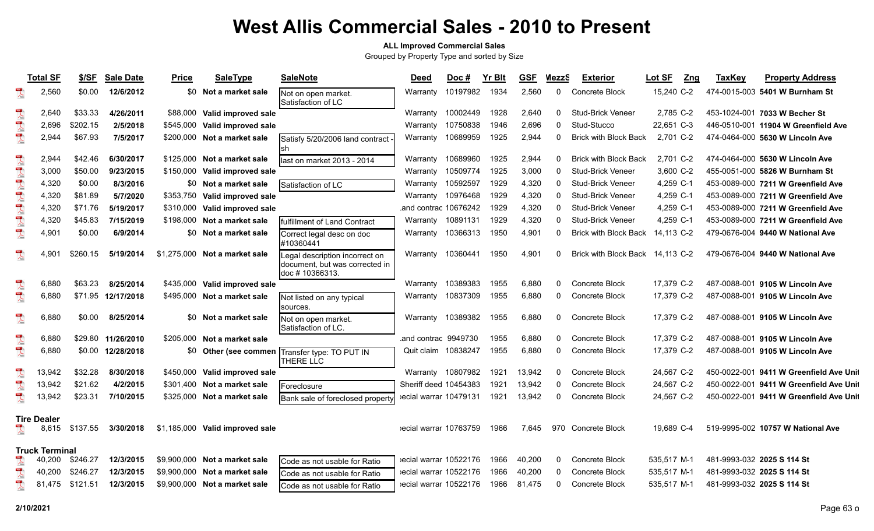#### **ALL Improved Commercial Sales**

|                                                                 | <b>Total SF</b>             | \$/SF    | <b>Sale Date</b>   | <b>Price</b> | <b>SaleType</b>               | <b>SaleNote</b>                                                                   | Deed                  | Doc#     | <b>Yr Blt</b> | <b>GSF</b> | MezzS        | <b>Exterior</b>                  | Lot SF      | Zng | <b>TaxKey</b> | <b>Property Address</b>                 |
|-----------------------------------------------------------------|-----------------------------|----------|--------------------|--------------|-------------------------------|-----------------------------------------------------------------------------------|-----------------------|----------|---------------|------------|--------------|----------------------------------|-------------|-----|---------------|-----------------------------------------|
| $\sum_{\text{base}}$                                            | 2,560                       | \$0.00   | 12/6/2012          | \$0          | Not a market sale             | Not on open market.<br>Satisfaction of LC                                         | Warranty              | 10197982 | 1934          | 2,560      | $\mathbf{0}$ | Concrete Block                   | 15.240 C-2  |     |               | 474-0015-003 5401 W Burnham St          |
|                                                                 | 2,640                       | \$33.33  | 4/26/2011          | \$88,000     | Valid improved sale           |                                                                                   | Warranty              | 10002449 | 1928          | 2,640      | $\Omega$     | <b>Stud-Brick Veneer</b>         | 2.785 C-2   |     |               | 453-1024-001 7033 W Becher St           |
|                                                                 | 2,696                       | \$202.15 | 2/5/2018           | \$545,000    | Valid improved sale           |                                                                                   | Warranty              | 10750838 | 1946          | 2,696      | $\Omega$     | Stud-Stucco                      | 22,651 C-3  |     |               | 446-0510-001 11904 W Greenfield Ave     |
|                                                                 | 2,944                       | \$67.93  | 7/5/2017           | \$200,000    | Not a market sale             | Satisfy 5/20/2006 land contract                                                   | Warranty              | 10689959 | 1925          | 2,944      | 0            | <b>Brick with Block Back</b>     | 2,701 C-2   |     |               | 474-0464-000 5630 W Lincoln Ave         |
| $\overline{\mathbf{r}}$                                         | 2,944                       | \$42.46  | 6/30/2017          | \$125.000    | Not a market sale             | last on market 2013 - 2014                                                        | Warranty              | 10689960 | 1925          | 2,944      | $\Omega$     | <b>Brick with Block Back</b>     | 2,701 C-2   |     |               | 474-0464-000 5630 W Lincoln Ave         |
| $\begin{array}{c}\n\hline\n\end{array}\n\bigg\rbrace_{\rm tot}$ | 3,000                       | \$50.00  | 9/23/2015          | \$150,000    | Valid improved sale           |                                                                                   | Warranty              | 10509774 | 1925          | 3,000      | $\Omega$     | <b>Stud-Brick Veneer</b>         | 3,600 C-2   |     |               | 455-0051-000 5826 W Burnham St          |
|                                                                 | 4,320                       | \$0.00   | 8/3/2016           | \$0          | Not a market sale             | Satisfaction of LC                                                                | Warranty              | 10592597 | 1929          | 4,320      | $\Omega$     | <b>Stud-Brick Veneer</b>         | 4,259 C-1   |     |               | 453-0089-000 7211 W Greenfield Ave      |
|                                                                 | 4,320                       | \$81.89  | 5/7/2020           | \$353,750    | Valid improved sale           |                                                                                   | Warranty 10976468     |          | 1929          | 4,320      | -0           | <b>Stud-Brick Veneer</b>         | 4,259 C-1   |     |               | 453-0089-000 7211 W Greenfield Ave      |
|                                                                 | 4,320                       | \$71.76  | 5/19/2017          | \$310,000    | Valid improved sale           |                                                                                   | and contrac 10676242  |          | 1929          | 4,320      | $\Omega$     | <b>Stud-Brick Veneer</b>         | 4,259 C-1   |     |               | 453-0089-000 7211 W Greenfield Ave      |
|                                                                 | 4,320                       | \$45.83  | 7/15/2019          | \$198,000    | Not a market sale             | fulfillment of Land Contract                                                      | Warranty              | 10891131 | 1929          | 4,320      | 0            | <b>Stud-Brick Veneer</b>         | 4,259 C-1   |     |               | 453-0089-000 7211 W Greenfield Ave      |
|                                                                 | 4,901                       | \$0.00   | 6/9/2014           | \$0          | Not a market sale             | Correct legal desc on doc<br>#10360441                                            | Warranty              | 10366313 | 1950          | 4,901      | $\Omega$     | Brick with Block Back            | 14,113 C-2  |     |               | 479-0676-004 9440 W National Ave        |
| $\overline{\mathbf{r}}$                                         | 4.901                       | \$260.15 | 5/19/2014          |              | \$1,275,000 Not a market sale | Legal description incorrect on<br>document, but was corrected in<br>doc #10366313 | Warranty              | 10360441 | 1950          | 4,901      | $\Omega$     | Brick with Block Back 14,113 C-2 |             |     |               | 479-0676-004 9440 W National Ave        |
| $\sum_{k\in\mathbb{N}}$                                         | 6.880                       | \$63.23  | 8/25/2014          |              | \$435,000 Valid improved sale |                                                                                   | Warranty              | 10389383 | 1955          | 6,880      | $\Omega$     | Concrete Block                   | 17,379 C-2  |     |               | 487-0088-001 9105 W Lincoln Ave         |
| $\overline{\mathbf{r}}$                                         | 6,880                       |          | \$71.95 12/17/2018 |              | \$495,000 Not a market sale   | Not listed on any typical<br>sources.                                             | Warranty              | 10837309 | 1955          | 6,880      | $\Omega$     | Concrete Block                   | 17,379 C-2  |     |               | 487-0088-001 9105 W Lincoln Ave         |
| $\overline{\mathbf{r}}$                                         | 6,880                       | \$0.00   | 8/25/2014          | \$0          | Not a market sale             | Not on open market.<br>Satisfaction of LC.                                        | Warranty              | 10389382 | 1955          | 6,880      | $\Omega$     | Concrete Block                   | 17,379 C-2  |     |               | 487-0088-001 9105 W Lincoln Ave         |
|                                                                 | 6,880                       | \$29.80  | 11/26/2010         | \$205.000    | Not a market sale             |                                                                                   | and contrac 9949730   |          | 1955          | 6,880      | <sup>0</sup> | Concrete Block                   | 17,379 C-2  |     |               | 487-0088-001 9105 W Lincoln Ave         |
|                                                                 | 6,880                       | \$0.00   | 12/28/2018         | \$0          |                               | Other (see commen Transfer type: TO PUT IN<br>THERE LLC                           | Quit claim 10838247   |          | 1955          | 6,880      | 0            | Concrete Block                   | 17,379 C-2  |     |               | 487-0088-001 9105 W Lincoln Ave         |
| $\overline{\mathbf{r}}$                                         | 13,942                      | \$32.28  | 8/30/2018          | \$450.000    | Valid improved sale           |                                                                                   | Warranty              | 10807982 | 1921          | 13,942     | $\Omega$     | Concrete Block                   | 24,567 C-2  |     |               | 450-0022-001 9411 W Greenfield Ave Unit |
| $\sum_{k \in \mathbb{N}}$                                       | 13,942                      | \$21.62  | 4/2/2015           | \$301,400    | Not a market sale             | Foreclosure                                                                       | Sheriff deed 10454383 |          | 1921          | 13,942     | $\Omega$     | Concrete Block                   | 24,567 C-2  |     |               | 450-0022-001 9411 W Greenfield Ave Unit |
| $\frac{1}{\sqrt{2}}$                                            | 13,942                      | \$23.31  | 7/10/2015          | \$325.000    | Not a market sale             | Bank sale of foreclosed property                                                  | ecial warrar 10479131 |          | 1921          | 13,942     | $\Omega$     | Concrete Block                   | 24.567 C-2  |     |               | 450-0022-001 9411 W Greenfield Ave Unit |
| $\begin{array}{c}\n\hline\n\end{array}$                         | <b>Tire Dealer</b><br>8,615 | \$137.55 | 3/30/2018          | \$1,185,000  | Valid improved sale           |                                                                                   | ecial warrar 10763759 |          | 1966          | 7.645      |              | 970 Concrete Block               | 19,689 C-4  |     |               | 519-9995-002 10757 W National Ave       |
|                                                                 | <b>Truck Terminal</b>       |          |                    |              |                               |                                                                                   |                       |          |               |            |              |                                  |             |     |               |                                         |
|                                                                 | 40,200                      | \$246.27 | 12/3/2015          |              | \$9,900,000 Not a market sale | Code as not usable for Ratio                                                      | ecial warrar 10522176 |          | 1966          | 40,200     | $\Omega$     | Concrete Block                   | 535,517 M-1 |     |               | 481-9993-032 2025 S 114 St              |
| $\overline{\mathbf{r}}$                                         | 40.200                      | \$246.27 | 12/3/2015          |              | \$9,900,000 Not a market sale | Code as not usable for Ratio                                                      | ecial warrar 10522176 |          | 1966          | 40,200     | $\Omega$     | Concrete Block                   | 535,517 M-1 |     |               | 481-9993-032 2025 S 114 St              |
| $\mathbb{R}$                                                    | 81,475                      | \$121.51 | 12/3/2015          |              | \$9,900,000 Not a market sale | Code as not usable for Ratio                                                      | ecial warrar 10522176 |          | 1966          | 81,475     | $\Omega$     | Concrete Block                   | 535,517 M-1 |     |               | 481-9993-032 2025 S 114 St              |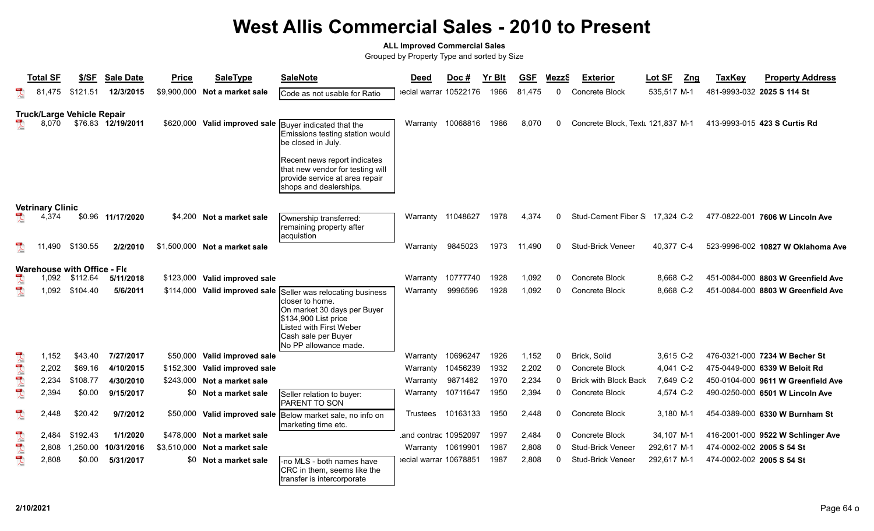#### **ALL Improved Commercial Sales**

|                         | <b>Total SF</b>                  | \$/SF                                                      | <b>Sale Date</b>                    | <b>Price</b>           | <b>SaleType</b>                                                          | <b>SaleNote</b>                                                                                                                                                                                                                                 | Deed                             | Doc $#$                         | <b>Yr Blt</b>        | <b>GSF</b>              | <b>MezzS</b>       | <b>Exterior</b>                                                | Lot SF                              | Zng | <b>TaxKey</b>             | <b>Property Address</b>                                                                              |
|-------------------------|----------------------------------|------------------------------------------------------------|-------------------------------------|------------------------|--------------------------------------------------------------------------|-------------------------------------------------------------------------------------------------------------------------------------------------------------------------------------------------------------------------------------------------|----------------------------------|---------------------------------|----------------------|-------------------------|--------------------|----------------------------------------------------------------|-------------------------------------|-----|---------------------------|------------------------------------------------------------------------------------------------------|
|                         | 81,475                           | \$121.51                                                   | 12/3/2015                           |                        | \$9,900,000 Not a market sale                                            | Code as not usable for Ratio                                                                                                                                                                                                                    | ecial warrar 10522176            |                                 | 1966                 | 81,475                  | 0                  | Concrete Block                                                 | 535,517 M-1                         |     |                           | 481-9993-032 2025 S 114 St                                                                           |
|                         | 8,070                            | <b>Truck/Large Vehicle Repair</b>                          | \$76.83 12/19/2011                  |                        |                                                                          | \$620,000 Valid improved sale Buyer indicated that the<br>Emissions testing station would<br>be closed in July.<br>Recent news report indicates<br>that new vendor for testing will<br>provide service at area repair<br>shops and dealerships. |                                  | Warranty 10068816               | 1986                 | 8,070                   | 0                  | Concrete Block, Textl 121,837 M-1                              |                                     |     |                           | 413-9993-015 423 S Curtis Rd                                                                         |
|                         | <b>Vetrinary Clinic</b><br>4,374 |                                                            | \$0.96 11/17/2020                   |                        | \$4.200 Not a market sale                                                | Ownership transferred:<br>remaining property after<br>acquistion                                                                                                                                                                                |                                  | Warranty 11048627               | 1978                 | 4,374                   | 0                  | Stud-Cement Fiber S 17.324 C-2                                 |                                     |     |                           | 477-0822-001 7606 W Lincoln Ave                                                                      |
|                         | 11.490                           | \$130.55                                                   | 2/2/2010                            |                        | \$1,500,000 Not a market sale                                            |                                                                                                                                                                                                                                                 | Warranty                         | 9845023                         | 1973                 | 11,490                  | 0                  | <b>Stud-Brick Veneer</b>                                       | 40,377 C-4                          |     |                           | 523-9996-002 10827 W Oklahoma Ave                                                                    |
| $\mathbb{R}$            | 1,092<br>1,092                   | <b>Warehouse with Office - Fle</b><br>\$112.64<br>\$104.40 | 5/11/2018<br>5/6/2011               | \$114,000              | \$123,000 Valid improved sale                                            | Valid improved sale Seller was relocating business<br>closer to home.<br>On market 30 days per Buyer<br>\$134,900 List price<br>Listed with First Weber<br>Cash sale per Buyer<br>No PP allowance made.                                         | Warranty<br>Warranty             | 10777740<br>9996596             | 1928<br>1928         | 1,092<br>1,092          | 0<br>0             | Concrete Block<br><b>Concrete Block</b>                        | 8,668 C-2<br>8,668 C-2              |     |                           | 451-0084-000 8803 W Greenfield Ave<br>451-0084-000 8803 W Greenfield Ave                             |
| $\lambda$               | 1,152<br>2,202<br>2,234          | \$43.40<br>\$69.16<br>\$108.77                             | 7/27/2017<br>4/10/2015<br>4/30/2010 | \$152,300<br>\$243,000 | \$50,000 Valid improved sale<br>Valid improved sale<br>Not a market sale |                                                                                                                                                                                                                                                 | Warranty<br>Warranty<br>Warranty | 10696247<br>10456239<br>9871482 | 1926<br>1932<br>1970 | 1,152<br>2,202<br>2,234 | 0<br>0<br>$\Omega$ | Brick, Solid<br>Concrete Block<br><b>Brick with Block Back</b> | 3,615 C-2<br>4,041 C-2<br>7,649 C-2 |     |                           | 476-0321-000 7234 W Becher St<br>475-0449-000 6339 W Beloit Rd<br>450-0104-000 9611 W Greenfield Ave |
|                         | 2,394                            | \$0.00                                                     | 9/15/2017                           |                        | \$0 Not a market sale                                                    | Seller relation to buyer:<br><b>PARENT TO SON</b>                                                                                                                                                                                               | Warranty                         | 10711647                        | 1950                 | 2,394                   | 0                  | <b>Concrete Block</b>                                          | 4,574 C-2                           |     |                           | 490-0250-000 6501 W Lincoln Ave                                                                      |
| $\overline{\mathbf{r}}$ | 2,448                            | \$20.42                                                    | 9/7/2012                            |                        |                                                                          | \$50,000 Valid improved sale Below market sale, no info on<br>marketing time etc.                                                                                                                                                               | Trustees                         | 10163133                        | 1950                 | 2,448                   | 0                  | Concrete Block                                                 | 3,180 M-1                           |     |                           | 454-0389-000 6330 W Burnham St                                                                       |
| 人气                      | 2,484                            | \$192.43                                                   | 1/1/2020                            |                        | \$478,000 Not a market sale                                              |                                                                                                                                                                                                                                                 | and contrac 10952097             |                                 | 1997                 | 2,484                   | 0                  | Concrete Block                                                 | 34,107 M-1                          |     |                           | 416-2001-000 9522 W Schlinger Ave                                                                    |
|                         | 2,808                            | 1,250.00                                                   | 10/31/2016                          |                        | \$3,510,000 Not a market sale                                            |                                                                                                                                                                                                                                                 | Warranty 10619901                |                                 | 1987                 | 2,808                   | 0                  | <b>Stud-Brick Veneer</b>                                       | 292,617 M-1                         |     | 474-0002-002 2005 S 54 St |                                                                                                      |
| $\frac{1}{\sqrt{2}}$    | 2,808                            | \$0.00                                                     | 5/31/2017                           |                        | \$0 Not a market sale                                                    | -no MLS - both names have<br>CRC in them, seems like the<br>transfer is intercorporate                                                                                                                                                          | ecial warrar 10678851            |                                 | 1987                 | 2,808                   | 0                  | <b>Stud-Brick Veneer</b>                                       | 292,617 M-1                         |     | 474-0002-002 2005 S 54 St |                                                                                                      |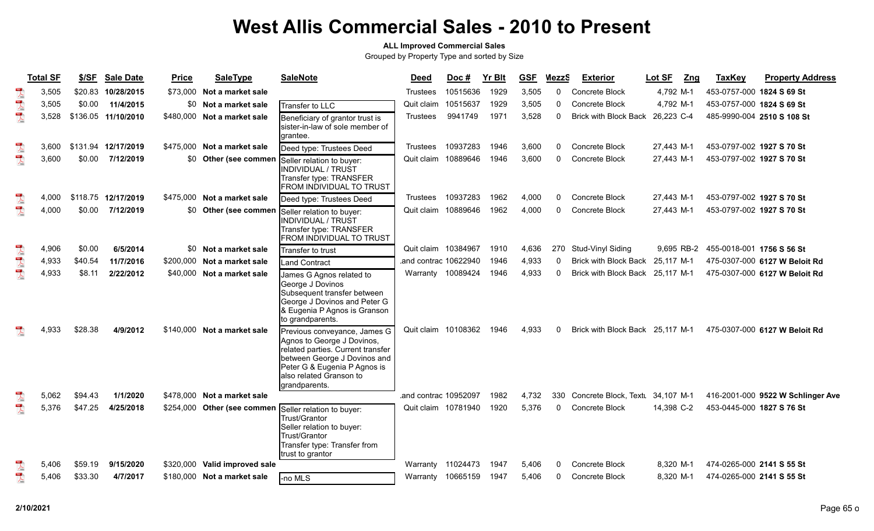#### **ALL Improved Commercial Sales**

|                                                                                                                                                                                                                                                                                                                                                                                                                             | <b>Total SF</b> | \$/SF   | <b>Sale Date</b>    | <b>Price</b> | <b>SaleType</b>             | <b>SaleNote</b>                                                                                                                                                                                              | <b>Deed</b>          | Doc#     | <b>Yr Blt</b> | <b>GSF</b> | <b>MezzS</b> | <b>Exterior</b>                  | Lot SF<br>Zng | <b>TaxKey</b> | <b>Property Address</b>           |
|-----------------------------------------------------------------------------------------------------------------------------------------------------------------------------------------------------------------------------------------------------------------------------------------------------------------------------------------------------------------------------------------------------------------------------|-----------------|---------|---------------------|--------------|-----------------------------|--------------------------------------------------------------------------------------------------------------------------------------------------------------------------------------------------------------|----------------------|----------|---------------|------------|--------------|----------------------------------|---------------|---------------|-----------------------------------|
| $\lambda$                                                                                                                                                                                                                                                                                                                                                                                                                   | 3,505           |         | \$20.83 10/28/2015  | \$73,000     | Not a market sale           |                                                                                                                                                                                                              | Trustees             | 10515636 | 1929          | 3,505      | $\Omega$     | Concrete Block                   | 4,792 M-1     |               | 453-0757-000 1824 S 69 St         |
|                                                                                                                                                                                                                                                                                                                                                                                                                             | 3,505           | \$0.00  | 11/4/2015           |              | \$0 Not a market sale       | Transfer to LLC                                                                                                                                                                                              | Quit claim           | 10515637 | 1929          | 3,505      | $\Omega$     | Concrete Block                   | 4,792 M-1     |               | 453-0757-000 1824 S 69 St         |
| 人气                                                                                                                                                                                                                                                                                                                                                                                                                          | 3,528           |         | \$136.05 11/10/2010 |              | \$480,000 Not a market sale | Beneficiary of grantor trust is<br>sister-in-law of sole member of<br>grantee.                                                                                                                               | Trustees             | 9941749  | 1971          | 3,528      | $\Omega$     | <b>Brick with Block Back</b>     | 26,223 C-4    |               | 485-9990-004 2510 S 108 St        |
| $\frac{1}{\sqrt{2}}$                                                                                                                                                                                                                                                                                                                                                                                                        | 3,600           |         | \$131.94 12/17/2019 |              | \$475,000 Not a market sale | Deed type: Trustees Deed                                                                                                                                                                                     | Trustees             | 10937283 | 1946          | 3,600      | 0            | Concrete Block                   | 27,443 M-1    |               | 453-0797-002 1927 S 70 St         |
| $\begin{array}{c} \mathbf{1} \mathbf{1} \mathbf{1} \mathbf{1} \mathbf{1} \mathbf{1} \mathbf{1} \mathbf{1} \mathbf{1} \mathbf{1} \mathbf{1} \mathbf{1} \mathbf{1} \mathbf{1} \mathbf{1} \mathbf{1} \mathbf{1} \mathbf{1} \mathbf{1} \mathbf{1} \mathbf{1} \mathbf{1} \mathbf{1} \mathbf{1} \mathbf{1} \mathbf{1} \mathbf{1} \mathbf{1} \mathbf{1} \mathbf{1} \mathbf{1} \mathbf{1} \mathbf{1} \mathbf{1} \mathbf{1} \mathbf$ | 3,600           | \$0.00  | 7/12/2019           |              | \$0 Other (see commen       | Seller relation to buyer:<br><b>INDIVIDUAL / TRUST</b><br>Transfer type: TRANSFER<br><b>FROM INDIVIDUAL TO TRUST</b>                                                                                         | Quit claim 10889646  |          | 1946          | 3,600      | 0            | Concrete Block                   | 27,443 M-1    |               | 453-0797-002 1927 S 70 St         |
| $\overline{\mathcal{A}}$                                                                                                                                                                                                                                                                                                                                                                                                    | 4,000           |         | \$118.75 12/17/2019 | \$475,000    | Not a market sale           | Deed type: Trustees Deed                                                                                                                                                                                     | Trustees             | 10937283 | 1962          | 4,000      | 0            | Concrete Block                   | 27,443 M-1    |               | 453-0797-002 1927 S 70 St         |
| $\sum_{k\in\mathbb{N}}$                                                                                                                                                                                                                                                                                                                                                                                                     | 4,000           | \$0.00  | 7/12/2019           | \$0          | Other (see commen           | Seller relation to buyer:<br>INDIVIDUAL / TRUST<br>Transfer type: TRANSFER<br><b>FROM INDIVIDUAL TO TRUST</b>                                                                                                | Quit claim 10889646  |          | 1962          | 4,000      | 0            | <b>Concrete Block</b>            | 27,443 M-1    |               | 453-0797-002 1927 S 70 St         |
| $\lambda$                                                                                                                                                                                                                                                                                                                                                                                                                   | 4,906           | \$0.00  | 6/5/2014            |              | \$0 Not a market sale       | Transfer to trust                                                                                                                                                                                            | Quit claim 10384967  |          | 1910          | 4,636      | 270          | Stud-Vinyl Siding                | 9.695 RB-2    |               | 455-0018-001 1756 S 56 St         |
| 大學                                                                                                                                                                                                                                                                                                                                                                                                                          | 4,933           | \$40.54 | 11/7/2016           |              | \$200,000 Not a market sale | <b>Land Contract</b>                                                                                                                                                                                         | and contrac 10622940 |          | 1946          | 4,933      | $\mathbf{0}$ | <b>Brick with Block Back</b>     | 25,117 M-1    |               | 475-0307-000 6127 W Beloit Rd     |
|                                                                                                                                                                                                                                                                                                                                                                                                                             | 4,933           | \$8.11  | 2/22/2012           | \$40.000     | Not a market sale           | James G Agnos related to<br>George J Dovinos<br>Subsequent transfer between<br>George J Dovinos and Peter G<br>& Eugenia P Agnos is Granson<br>to grandparents.                                              | Warranty 10089424    |          | 1946          | 4,933      | $\Omega$     | <b>Brick with Block Back</b>     | 25,117 M-1    |               | 475-0307-000 6127 W Beloit Rd     |
| $\mathbb{R}$                                                                                                                                                                                                                                                                                                                                                                                                                | 4,933           | \$28.38 | 4/9/2012            | \$140.000    | Not a market sale           | Previous conveyance, James G<br>Agnos to George J Dovinos,<br>related parties. Current transfer<br>between George J Dovinos and<br>Peter G & Eugenia P Agnos is<br>lalso related Granson to<br>grandparents. | Quit claim 10108362  |          | 1946          | 4,933      | <sup>0</sup> | Brick with Block Back 25,117 M-1 |               |               | 475-0307-000 6127 W Beloit Rd     |
|                                                                                                                                                                                                                                                                                                                                                                                                                             | 5,062           | \$94.43 | 1/1/2020            | \$478,000    | Not a market sale           |                                                                                                                                                                                                              | and contrac 10952097 |          | 1982          | 4,732      | 330          | Concrete Block, Textu            | 34,107 M-1    |               | 416-2001-000 9522 W Schlinger Ave |
|                                                                                                                                                                                                                                                                                                                                                                                                                             | 5,376           | \$47.25 | 4/25/2018           |              | \$254,000 Other (see commen | Seller relation to buyer:<br>Trust/Grantor<br>Seller relation to buyer:<br>Trust/Grantor<br>Transfer type: Transfer from<br>trust to grantor                                                                 | Quit claim 10781940  |          | 1920          | 5,376      | 0            | <b>Concrete Block</b>            | 14,398 C-2    |               | 453-0445-000 1827 S 76 St         |
|                                                                                                                                                                                                                                                                                                                                                                                                                             | 5.406           | \$59.19 | 9/15/2020           | \$320,000    | Valid improved sale         |                                                                                                                                                                                                              | Warranty             | 11024473 | 1947          | 5.406      | <sup>0</sup> | Concrete Block                   | 8.320 M-1     |               | 474-0265-000 2141 S 55 St         |
| $\overline{\mathbf{r}}$                                                                                                                                                                                                                                                                                                                                                                                                     | 5,406           | \$33.30 | 4/7/2017            | \$180,000    | Not a market sale           | -no MLS                                                                                                                                                                                                      | Warranty 10665159    |          | 1947          | 5,406      | 0            | Concrete Block                   | 8,320 M-1     |               | 474-0265-000 2141 S 55 St         |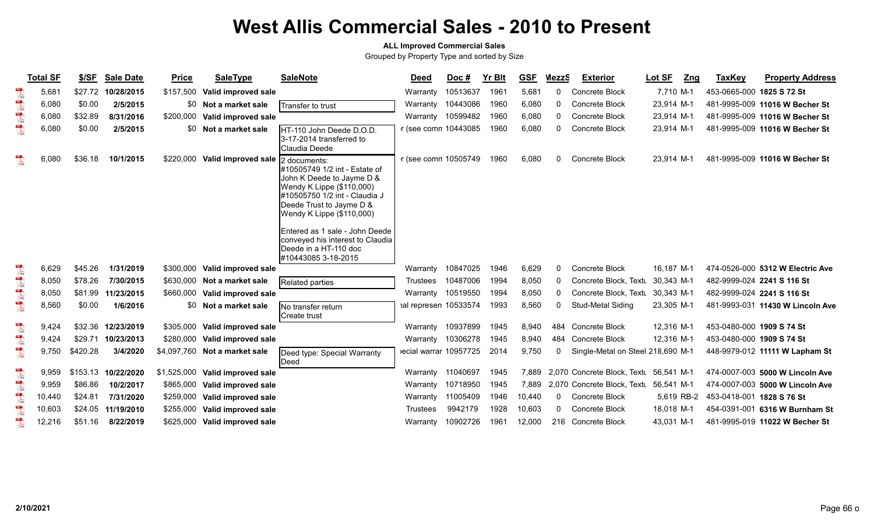#### **ALL Improved Commercial Sales**

|                                     | <b>Total SF</b> | \$/SF    | <b>Sale Date</b> | <b>Price</b> | <b>SaleType</b>               | <b>SaleNote</b>                                                                                                                                                                                                                                                                                                            | <b>Deed</b>           | Doc#     | <b>Yr Blt</b> | <b>GSF</b> | <b>MezzS</b> | <b>Exterior</b>                       | Lot SF     | Zng | TaxKey                     | <b>Property Address</b>          |
|-------------------------------------|-----------------|----------|------------------|--------------|-------------------------------|----------------------------------------------------------------------------------------------------------------------------------------------------------------------------------------------------------------------------------------------------------------------------------------------------------------------------|-----------------------|----------|---------------|------------|--------------|---------------------------------------|------------|-----|----------------------------|----------------------------------|
| $\overline{\mathbf{r}}$             | 5,681           | \$27.72  | 10/28/2015       | \$157,500    | Valid improved sale           |                                                                                                                                                                                                                                                                                                                            | Warranty              | 10513637 | 1961          | 5,681      | $\Omega$     | Concrete Block                        | 7,710 M-1  |     | 453-0665-000 1825 S 72 St  |                                  |
|                                     | 6,080           | \$0.00   | 2/5/2015         |              | \$0 Not a market sale         | Transfer to trust                                                                                                                                                                                                                                                                                                          | Warranty              | 10443086 | 1960          | 6,080      | $\Omega$     | Concrete Block                        | 23,914 M-1 |     |                            | 481-9995-009 11016 W Becher St   |
|                                     | 6,080           | \$32.89  | 8/31/2016        | \$200,000    | Valid improved sale           |                                                                                                                                                                                                                                                                                                                            | Warranty              | 10599482 | 1960          | 6,080      | $\Omega$     | Concrete Block                        | 23,914 M-1 |     |                            | 481-9995-009 11016 W Becher St   |
|                                     | 6,080           | \$0.00   | 2/5/2015         |              | \$0 Not a market sale         | HT-110 John Deede D.O.D.<br>13-17-2014 transferred to<br>Claudia Deede                                                                                                                                                                                                                                                     | r (see comn 10443085  |          | 1960          | 6,080      | $\Omega$     | Concrete Block                        | 23,914 M-1 |     |                            | 481-9995-009 11016 W Becher St   |
| $\mathbb{R}$                        | 6,080           | \$36.18  | 10/1/2015        | \$220,000    | Valid improved sale           | l2 documents:<br>#10505749 1/2 int - Estate of<br>John K Deede to Jayme D &<br>Wendy K Lippe (\$110,000)<br>#10505750 1/2 int - Claudia J<br>Deede Trust to Jayme D &<br>Wendy K Lippe (\$110,000)<br>IEntered as 1 sale - John Deede<br>conveyed his interest to Claudia<br>IDeede in a HT-110 doc<br>#10443085 3-18-2015 | r (see comn 10505749  |          | 1960          | 6,080      | $\Omega$     | Concrete Block                        | 23,914 M-1 |     |                            | 481-9995-009 11016 W Becher St   |
| $\frac{10^6}{\lambda_{\text{max}}}$ | 6,629           | \$45.26  | 1/31/2019        |              | \$300,000 Valid improved sale |                                                                                                                                                                                                                                                                                                                            | Warranty              | 10847025 | 1946          | 6,629      | $\Omega$     | <b>Concrete Block</b>                 | 16.187 M-1 |     |                            | 474-0526-000 5312 W Electric Ave |
| $\frac{1}{\sqrt{2}}$                | 8,050           | \$78.26  | 7/30/2015        | \$630,000    | Not a market sale             | Related parties                                                                                                                                                                                                                                                                                                            | Trustees              | 10487006 | 1994          | 8,050      | $\Omega$     | Concrete Block, Textu                 | 30,343 M-1 |     | 482-9999-024 2241 S 116 St |                                  |
|                                     | 8,050           | \$81.99  | 11/23/2015       | \$660,000    | Valid improved sale           |                                                                                                                                                                                                                                                                                                                            | Warranty              | 10519550 | 1994          | 8,050      | $\Omega$     | Concrete Block, Textl 30,343 M-1      |            |     | 482-9999-024 2241 S 116 St |                                  |
|                                     | 8,560           | \$0.00   | 1/6/2016         |              | \$0 Not a market sale         | <b>No transfer return</b><br><b>I</b> Create trust                                                                                                                                                                                                                                                                         | ial represen 10533574 |          | 1993          | 8,560      | $\Omega$     | Stud-Metal Siding                     | 23,305 M-1 |     |                            | 481-9993-031 11430 W Lincoln Ave |
|                                     | 9,424           | \$32.36  | 12/23/2019       | \$305,000    | Valid improved sale           |                                                                                                                                                                                                                                                                                                                            | Warranty              | 10937899 | 1945          | 8.940      | 484          | Concrete Block                        | 12.316 M-1 |     | 453-0480-000 1909 S 74 St  |                                  |
|                                     | 9,424           | \$29.71  | 10/23/2013       | \$280,000    | Valid improved sale           |                                                                                                                                                                                                                                                                                                                            | Warranty              | 10306278 | 1945          | 8,940      | 484          | Concrete Block                        | 12,316 M-1 |     | 453-0480-000 1909 S 74 St  |                                  |
| $\frac{1}{\sqrt{2}}$                | 9,750           | \$420.28 | 3/4/2020         |              | \$4,097,760 Not a market sale | Deed type: Special Warranty<br>lDeed                                                                                                                                                                                                                                                                                       | ecial warrar 10957725 |          | 2014          | 9,750      | 0            | Single-Metal on Steel 218,690 M-1     |            |     |                            | 448-9979-012 11111 W Lapham St   |
| $\overline{\mathcal{A}}$            | 9,959           | \$153.13 | 10/22/2020       | \$1,525,000  | Valid improved sale           |                                                                                                                                                                                                                                                                                                                            | Warranty              | 11040697 | 1945          | 7.889      |              | 2.070 Concrete Block, Text 56.541 M-1 |            |     |                            | 474-0007-003 5000 W Lincoln Ave  |
| $\overline{\mathbf{r}}$             | 9,959           | \$86.86  | 10/2/2017        | \$865,000    | Valid improved sale           |                                                                                                                                                                                                                                                                                                                            | Warranty              | 10718950 | 1945          | 7.889      |              | 2,070 Concrete Block, Textu           | 56,541 M-1 |     |                            | 474-0007-003 5000 W Lincoln Ave  |
|                                     | 10,440          | \$24.81  | 7/31/2020        | \$259,000    | Valid improved sale           |                                                                                                                                                                                                                                                                                                                            | Warranty              | 11005409 | 1946          | 10.440     | $\mathbf{0}$ | Concrete Block                        | 5.619 RB-2 |     | 453-0418-001 1828 S 76 St  |                                  |
|                                     | 10,603          | \$24.05  | 11/19/2010       | \$255,000    | Valid improved sale           |                                                                                                                                                                                                                                                                                                                            | <b>Trustees</b>       | 9942179  | 1928          | 10.603     | $\Omega$     | Concrete Block                        | 18,018 M-1 |     |                            | 454-0391-001 6316 W Burnham St   |
| $\overline{\mathcal{L}}$            | 12,216          | \$51.16  | 8/22/2019        |              | \$625,000 Valid improved sale |                                                                                                                                                                                                                                                                                                                            | Warranty              | 10902726 | 1961          | 12.000     | 216          | Concrete Block                        | 43.031 M-1 |     |                            | 481-9995-019 11022 W Becher St   |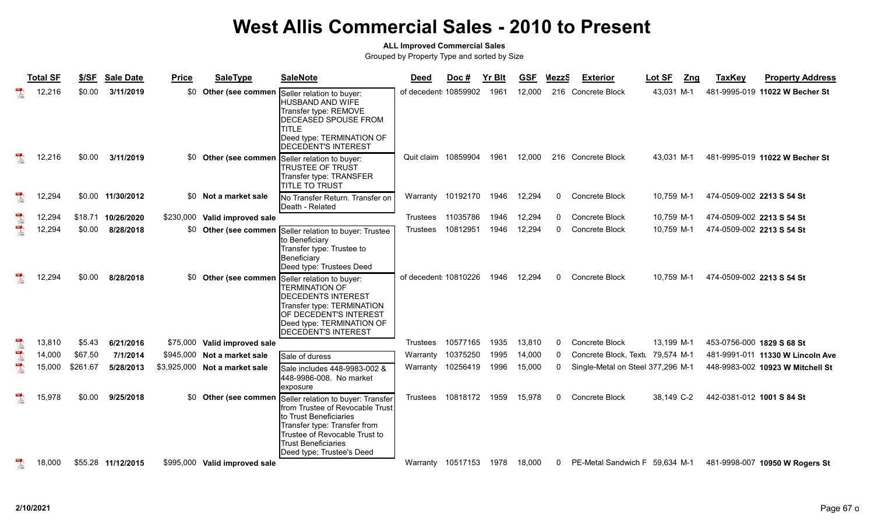### **ALL Improved Commercial Sales**

|                         | <b>Total SF</b> | \$/SF    | <b>Sale Date</b>   | <b>Price</b> | <b>SaleType</b>               | <b>SaleNote</b>                                                                                                                                                                                                             | <b>Deed</b>           | Doc #    | <b>Yr Blt</b> | <b>GSF</b> | MezzS    | <b>Exterior</b>                   | Lot SF<br>Zng | <b>TaxKey</b>             | <b>Property Address</b>          |
|-------------------------|-----------------|----------|--------------------|--------------|-------------------------------|-----------------------------------------------------------------------------------------------------------------------------------------------------------------------------------------------------------------------------|-----------------------|----------|---------------|------------|----------|-----------------------------------|---------------|---------------------------|----------------------------------|
|                         | 12,216          | \$0.00   | 3/11/2019          | \$0          | Other (see commen             | Seller relation to buyer:<br>HUSBAND AND WIFE<br>Transfer type: REMOVE<br><b>DECEASED SPOUSE FROM</b><br><b>TITLE</b><br>Deed type: TERMINATION OF<br><b>DECEDENT'S INTEREST</b>                                            | of decedent 10859902  |          | 1961          | 12,000     | 216      | Concrete Block                    | 43,031 M-1    |                           | 481-9995-019 11022 W Becher St   |
|                         | 12,216          | \$0.00   | 3/11/2019          | \$0          | Other (see commen             | Seller relation to buyer:<br><b>TRUSTEE OF TRUST</b><br>Transfer type: TRANSFER<br><b>TITLE TO TRUST</b>                                                                                                                    | Quit claim 10859904   |          | 1961          | 12,000     |          | 216 Concrete Block                | 43.031 M-1    |                           | 481-9995-019 11022 W Becher St   |
|                         | 12,294          |          | \$0.00 11/30/2012  | \$0          | Not a market sale             | No Transfer Return. Transfer on<br><b>I</b> Death - Related                                                                                                                                                                 | Warranty              | 10192170 | 1946          | 12,294     | $\Omega$ | Concrete Block                    | 10,759 M-1    | 474-0509-002 2213 S 54 St |                                  |
|                         | 12,294          |          | \$18.71 10/26/2020 |              | \$230,000 Valid improved sale |                                                                                                                                                                                                                             | Trustees              | 11035786 | 1946          | 12,294     | 0        | Concrete Block                    | 10,759 M-1    | 474-0509-002 2213 S 54 St |                                  |
| $\frac{1}{\sqrt{2}}$    | 12,294          | \$0.00   | 8/28/2018          | \$0          | Other (see commen             | Seller relation to buyer: Trustee<br>to Beneficiary<br>Transfer type: Trustee to<br>Beneficiary<br>Deed type: Trustees Deed                                                                                                 | Trustees              | 10812951 | 1946          | 12,294     | $\Omega$ | <b>Concrete Block</b>             | 10,759 M-1    | 474-0509-002 2213 S 54 St |                                  |
|                         | 12,294          | \$0.00   | 8/28/2018          | \$0          |                               | Other (see commen Seller relation to buyer:<br><b>TERMINATION OF</b><br><b>DECEDENTS INTEREST</b><br>Transfer type: TERMINATION<br>OF DECEDENT'S INTEREST<br>Deed type: TERMINATION OF<br> DECEDENT'S INTEREST              | of decedent: 10810226 |          | 1946          | 12,294     | $\Omega$ | Concrete Block                    | 10.759 M-1    | 474-0509-002 2213 S 54 St |                                  |
| $\mathbb{Z}$            | 13,810          | \$5.43   | 6/21/2016          | \$75,000     | Valid improved sale           |                                                                                                                                                                                                                             | <b>Trustees</b>       | 10577165 | 1935          | 13,810     | $\Omega$ | Concrete Block                    | 13.199 M-1    | 453-0756-000 1829 S 68 St |                                  |
| $\overline{\mathbf{r}}$ | 14,000          | \$67.50  | 7/1/2014           | \$945,000    | Not a market sale             | Sale of duress                                                                                                                                                                                                              | Warranty              | 10375250 | 1995          | 14,000     | $\Omega$ | Concrete Block, Text 79,574 M-1   |               |                           | 481-9991-011 11330 W Lincoln Ave |
| $\frac{1}{\sqrt{2}}$    | 15,000          | \$261.67 | 5/28/2013          | \$3,925,000  | Not a market sale             | Sale includes 448-9983-002 &<br>448-9986-008. No market<br>exposure                                                                                                                                                         | Warranty              | 10256419 | 1996          | 15,000     | $\Omega$ | Single-Metal on Steel 377,296 M-1 |               |                           | 448-9983-002 10923 W Mitchell St |
|                         | 15,978          | \$0.00   | 9/25/2018          | \$0          | Other (see commen             | Seller relation to buyer: Transfer<br>from Trustee of Revocable Trust<br>to Trust Beneficiaries<br>Transfer type: Transfer from<br>Trustee of Revocable Trust to<br><b>Trust Beneficiaries</b><br>Deed type: Trustee's Deed | Trustees              | 10818172 | 1959          | 15,978     | $\Omega$ | Concrete Block                    | 38.149 C-2    | 442-0381-012 1001 S 84 St |                                  |
|                         | 18,000          |          | \$55.28 11/12/2015 | \$995,000    | Valid improved sale           |                                                                                                                                                                                                                             | Warranty              | 10517153 | 1978          | 18,000     | 0        | PE-Metal Sandwich F 59.634 M-1    |               |                           | 481-9998-007 10950 W Rogers St   |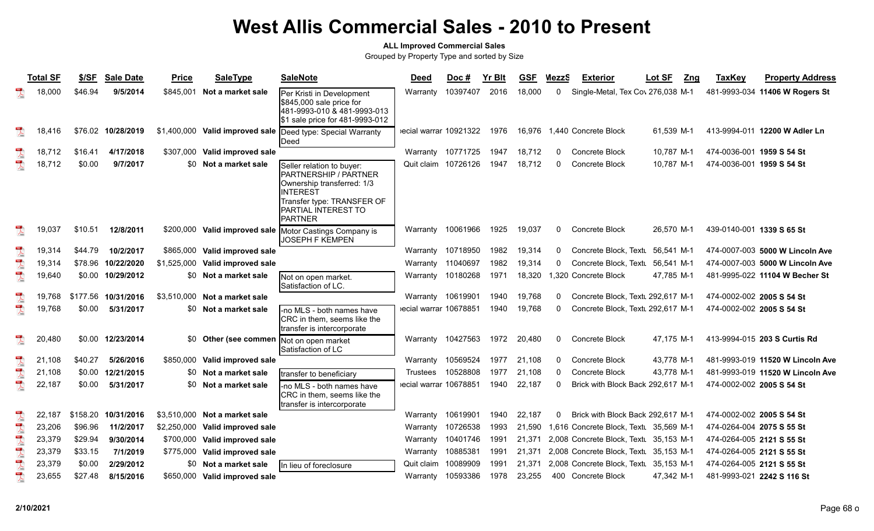#### **ALL Improved Commercial Sales**

|                                                                                                                                                                                                                                                                                                                                                                             | <b>Total SF</b> | \$/SF    | <b>Sale Date</b>    | <b>Price</b> | <b>SaleType</b>                        | <b>SaleNote</b>                                                                                                                                                     | <b>Deed</b>           | Doc#              | <b>Yr Blt</b> | <b>GSF</b> | <b>MezzS</b> | <b>Exterior</b>                        | Lot SF     | Zng | <b>TaxKey</b>             | <b>Property Address</b>          |
|-----------------------------------------------------------------------------------------------------------------------------------------------------------------------------------------------------------------------------------------------------------------------------------------------------------------------------------------------------------------------------|-----------------|----------|---------------------|--------------|----------------------------------------|---------------------------------------------------------------------------------------------------------------------------------------------------------------------|-----------------------|-------------------|---------------|------------|--------------|----------------------------------------|------------|-----|---------------------------|----------------------------------|
|                                                                                                                                                                                                                                                                                                                                                                             | 18,000          | \$46.94  | 9/5/2014            | \$845,001    | Not a market sale                      | Per Kristi in Development<br>\$845,000 sale price for<br>481-9993-010 & 481-9993-013<br>\$1 sale price for 481-9993-012                                             | Warranty              | 10397407          | 2016          | 18,000     | $\Omega$     | Single-Metal, Tex Cov 276,038 M-1      |            |     |                           | 481-9993-034 11406 W Rogers St   |
|                                                                                                                                                                                                                                                                                                                                                                             | 18.416          |          | \$76.02 10/28/2019  | \$1,400,000  | Valid improved sale                    | Deed type: Special Warranty<br>Deed                                                                                                                                 | ecial warrar 10921322 |                   | 1976          | 16,976     |              | 1.440 Concrete Block                   | 61,539 M-1 |     |                           | 413-9994-011 12200 W Adler Ln    |
| $\overline{\mathbf{r}}$                                                                                                                                                                                                                                                                                                                                                     | 18,712          | \$16.41  | 4/17/2018           | \$307,000    | Valid improved sale                    |                                                                                                                                                                     |                       | Warranty 10771725 | 1947          | 18,712     | $\Omega$     | Concrete Block                         | 10,787 M-1 |     | 474-0036-001 1959 S 54 St |                                  |
| 人                                                                                                                                                                                                                                                                                                                                                                           | 18,712          | \$0.00   | 9/7/2017            |              | \$0 Not a market sale                  | Seller relation to buyer:<br>PARTNERSHIP / PARTNER<br>Ownership transferred: 1/3<br>INTEREST<br>Transfer type: TRANSFER OF<br>PARTIAL INTEREST TO<br><b>PARTNER</b> | Quit claim 10726126   |                   | 1947          | 18,712     | $\Omega$     | Concrete Block                         | 10,787 M-1 |     | 474-0036-001 1959 S 54 St |                                  |
|                                                                                                                                                                                                                                                                                                                                                                             | 19.037          | \$10.51  | 12/8/2011           | \$200,000    |                                        | Valid improved sale   Motor Castings Company is<br><b>JOSEPH F KEMPEN</b>                                                                                           | Warrantv              | 10061966          | 1925          | 19,037     | $\Omega$     | Concrete Block                         | 26.570 M-1 |     | 439-0140-001 1339 S 65 St |                                  |
| $\sum_{k\in\mathbb{N}}$                                                                                                                                                                                                                                                                                                                                                     | 19,314          | \$44.79  | 10/2/2017           | \$865,000    | Valid improved sale                    |                                                                                                                                                                     |                       | Warranty 10718950 | 1982          | 19,314     | 0            | Concrete Block, Textu                  | 56.541 M-1 |     |                           | 474-0007-003 5000 W Lincoln Ave  |
| $\begin{picture}(20,5) \put(0,0){\vector(0,1){10}} \put(15,0){\vector(0,1){10}} \put(15,0){\vector(0,1){10}} \put(15,0){\vector(0,1){10}} \put(15,0){\vector(0,1){10}} \put(15,0){\vector(0,1){10}} \put(15,0){\vector(0,1){10}} \put(15,0){\vector(0,1){10}} \put(15,0){\vector(0,1){10}} \put(15,0){\vector(0,1){10}} \put(15,0){\vector(0,1){10}} \put(15,0){\vector(0,$ | 19,314          |          | \$78.96 10/22/2020  | \$1,525,000  | Valid improved sale                    |                                                                                                                                                                     | Warranty              | 11040697          | 1982          | 19,314     | $\Omega$     | Concrete Block, Textu                  | 56,541 M-1 |     |                           | 474-0007-003 5000 W Lincoln Ave  |
| $\overline{\mathbf{r}}$                                                                                                                                                                                                                                                                                                                                                     | 19,640          |          | \$0.00 10/29/2012   | \$0          | Not a market sale                      | Not on open market.<br>Satisfaction of LC.                                                                                                                          |                       | Warranty 10180268 | 1971          | 18,320     |              | 1,320 Concrete Block                   | 47,785 M-1 |     |                           | 481-9995-022 11104 W Becher St   |
| $\mathbb{Z}$                                                                                                                                                                                                                                                                                                                                                                | 19,768          |          | \$177.56 10/31/2016 |              | \$3,510,000 Not a market sale          |                                                                                                                                                                     |                       | Warranty 10619901 | 1940          | 19,768     | $\Omega$     | Concrete Block, Textu 292,617 M-1      |            |     | 474-0002-002 2005 S 54 St |                                  |
| $\mathbb{Z}$                                                                                                                                                                                                                                                                                                                                                                | 19,768          | \$0.00   | 5/31/2017           |              | \$0 Not a market sale                  | -no MLS - both names have<br>CRC in them, seems like the<br>transfer is intercorporate                                                                              | ecial warrar 10678851 |                   | 1940          | 19,768     | $\Omega$     | Concrete Block, Textu 292,617 M-1      |            |     | 474-0002-002 2005 S 54 St |                                  |
|                                                                                                                                                                                                                                                                                                                                                                             | 20.480          |          | \$0.00 12/23/2014   | \$0          | Other (see commen   Not on open market | Satisfaction of LC                                                                                                                                                  | Warrantv              | 10427563          | 1972          | 20,480     | $\Omega$     | Concrete Block                         | 47.175 M-1 |     |                           | 413-9994-015 203 S Curtis Rd     |
| $\sum_{k=0}^{n}$                                                                                                                                                                                                                                                                                                                                                            | 21.108          | \$40.27  | 5/26/2016           | \$850,000    | Valid improved sale                    |                                                                                                                                                                     | Warranty              | 10569524          | 1977          | 21,108     | 0            | Concrete Block                         | 43,778 M-1 |     |                           | 481-9993-019 11520 W Lincoln Ave |
| $\sum_{k=1}^{n}$                                                                                                                                                                                                                                                                                                                                                            | 21,108          | \$0.00   | 12/21/2015          |              | \$0 Not a market sale                  | transfer to beneficiary                                                                                                                                             | Trustees              | 10528808          | 1977          | 21,108     | $\Omega$     | <b>Concrete Block</b>                  | 43,778 M-1 |     |                           | 481-9993-019 11520 W Lincoln Ave |
| $\mathbb{R}$                                                                                                                                                                                                                                                                                                                                                                | 22,187          | \$0.00   | 5/31/2017           |              | \$0 Not a market sale                  | -no MLS - both names have<br>CRC in them, seems like the<br>transfer is intercorporate                                                                              | ecial warrar 10678851 |                   | 1940          | 22,187     | $\Omega$     | Brick with Block Back 292,617 M-1      |            |     | 474-0002-002 2005 S 54 St |                                  |
| $\overline{\mathbf{r}}$                                                                                                                                                                                                                                                                                                                                                     | 22,187          | \$158.20 | 10/31/2016          |              | \$3,510,000 Not a market sale          |                                                                                                                                                                     | Warranty              | 10619901          | 1940          | 22,187     | $\Omega$     | Brick with Block Back 292,617 M-1      |            |     | 474-0002-002 2005 S 54 St |                                  |
| $\overline{\mathbf{r}}$                                                                                                                                                                                                                                                                                                                                                     | 23,206          | \$96.96  | 11/2/2017           | \$2,250,000  | Valid improved sale                    |                                                                                                                                                                     | Warranty              | 10726538          | 1993          | 21,590     |              | 1,616 Concrete Block, Textu 35,569 M-1 |            |     | 474-0264-004 2075 S 55 St |                                  |
| $\overline{\mathbb{A}}$                                                                                                                                                                                                                                                                                                                                                     | 23,379          | \$29.94  | 9/30/2014           | \$700,000    | Valid improved sale                    |                                                                                                                                                                     | Warranty              | 10401746          | 1991          | 21,371     |              | 2,008 Concrete Block, Text 35,153 M-1  |            |     | 474-0264-005 2121 S 55 St |                                  |
| $\sum_{k=1}^{n}$                                                                                                                                                                                                                                                                                                                                                            | 23,379          | \$33.15  | 7/1/2019            | \$775,000    | Valid improved sale                    |                                                                                                                                                                     | Warranty              | 10885381          | 1991          | 21,371     |              | 2,008 Concrete Block, Text 35,153 M-1  |            |     | 474-0264-005 2121 S 55 St |                                  |
| $\overline{\mathbf{r}}$                                                                                                                                                                                                                                                                                                                                                     | 23,379          | \$0.00   | 2/29/2012           | \$0          | Not a market sale                      | In lieu of foreclosure                                                                                                                                              | Quit claim            | 10089909          | 1991          | 21.371     |              | 2,008 Concrete Block, Textu            | 35.153 M-1 |     | 474-0264-005 2121 S 55 St |                                  |
| $\frac{100}{1}$                                                                                                                                                                                                                                                                                                                                                             | 23,655          | \$27.48  | 8/15/2016           |              | \$650,000 Valid improved sale          |                                                                                                                                                                     | Warranty              | 10593386          | 1978          | 23.255     |              | 400 Concrete Block                     | 47,342 M-1 |     |                           | 481-9993-021 2242 S 116 St       |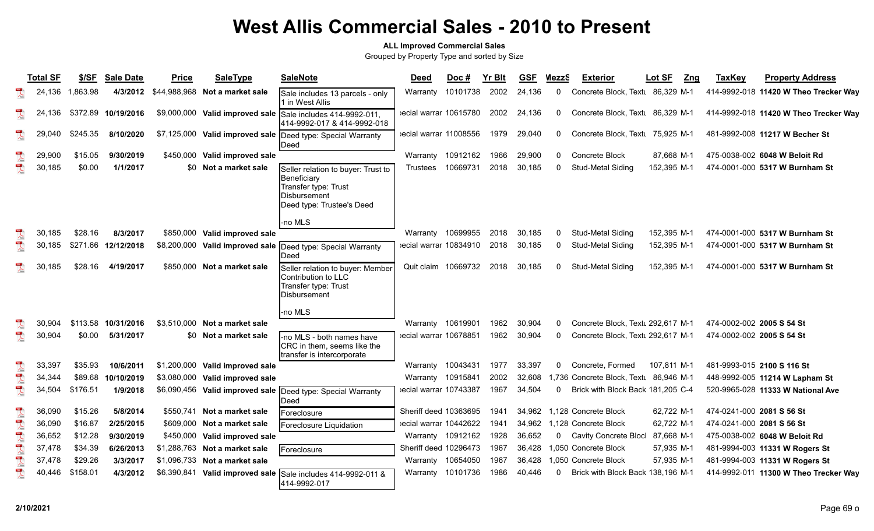#### **ALL Improved Commercial Sales**

|                          | <b>Total SF</b> | \$/SF    | <b>Sale Date</b>    | <b>Price</b> | <b>SaleType</b>                 | <b>SaleNote</b>                                                                                                        | <b>Deed</b>           | Doc#     | <b>Yr Blt</b> | <b>GSF</b> | <b>MezzS</b> | <b>Exterior</b>                        | Lot SF      | Zng | <b>TaxKey</b>              | <b>Property Address</b>               |
|--------------------------|-----------------|----------|---------------------|--------------|---------------------------------|------------------------------------------------------------------------------------------------------------------------|-----------------------|----------|---------------|------------|--------------|----------------------------------------|-------------|-----|----------------------------|---------------------------------------|
|                          | 24,136          | 1,863.98 | 4/3/2012            |              | \$44,988,968 Not a market sale  | Sale includes 13 parcels - only<br>1 in West Allis                                                                     | Warranty              | 10101738 | 2002          | 24,136     | $\Omega$     | Concrete Block, Textu 86,329 M-1       |             |     |                            | 414-9992-018 11420 W Theo Trecker Way |
|                          | 24,136          |          | \$372.89 10/19/2016 |              | \$9,000,000 Valid improved sale | Sale includes 414-9992-011,<br>414-9992-017 & 414-9992-018                                                             | ecial warrar 10615780 |          | 2002          | 24,136     | $\mathbf 0$  | Concrete Block, Textu 86,329 M-1       |             |     |                            | 414-9992-018 11420 W Theo Trecker Way |
|                          | 29.<br>.040     | \$245.35 | 8/10/2020           |              | \$7,125,000 Valid improved sale | Deed type: Special Warranty<br>Deed                                                                                    | ecial warrar 11008556 |          | 1979          | 29,040     | 0            | Concrete Block, Text 75,925 M-1        |             |     |                            | 481-9992-008 11217 W Becher St        |
|                          | 29,900          | \$15.05  | 9/30/2019           | \$450,000    | Valid improved sale             |                                                                                                                        | Warranty              | 10912162 | 1966          | 29,900     | $\Omega$     | Concrete Block                         | 87.668 M-1  |     |                            | 475-0038-002 6048 W Beloit Rd         |
| $\mathbb{R}$             | 30,185          | \$0.00   | 1/1/2017            |              | \$0 Not a market sale           | Seller relation to buyer: Trust to<br>Beneficiary<br>Transfer type: Trust<br>Disbursement<br>Deed type: Trustee's Deed | Trustees              | 10669731 | 2018          | 30,185     | $\Omega$     | <b>Stud-Metal Siding</b>               | 152,395 M-1 |     |                            | 474-0001-000 5317 W Burnham St        |
|                          |                 |          |                     |              |                                 | -no MLS                                                                                                                |                       |          |               |            |              |                                        |             |     |                            |                                       |
|                          | 30,185          | \$28.16  | 8/3/2017            |              | \$850,000 Valid improved sale   |                                                                                                                        | Warranty              | 10699955 | 2018          | 30,185     | 0            | <b>Stud-Metal Siding</b>               | 152,395 M-1 |     |                            | 474-0001-000 5317 W Burnham St        |
| $\overline{\mathcal{L}}$ | 30,185          |          | \$271.66 12/12/2018 |              | \$8,200,000 Valid improved sale | Deed type: Special Warranty<br>Deed                                                                                    | ecial warrar 10834910 |          | 2018          | 30,185     | 0            | Stud-Metal Siding                      | 152,395 M-1 |     |                            | 474-0001-000 5317 W Burnham St        |
|                          | 30,185          | \$28.16  | 4/19/2017           | \$850.000    | Not a market sale               | Seller relation to buyer: Member<br>Contribution to LLC<br>Transfer type: Trust<br><b>Disbursement</b><br>-no MLS      | Quit claim 10669732   |          | 2018          | 30,185     | 0            | <b>Stud-Metal Siding</b>               | 152,395 M-1 |     |                            | 474-0001-000 5317 W Burnham St        |
| $\frac{1}{\sqrt{2}}$     | 30.904          | \$113.58 | 10/31/2016          |              | \$3.510.000 Not a market sale   |                                                                                                                        | Warranty              | 10619901 | 1962          | 30,904     | $\Omega$     | Concrete Block, Textu 292,617 M-1      |             |     | 474-0002-002 2005 S 54 St  |                                       |
| $\mathbb{R}$             | 30,904          | \$0.00   | 5/31/2017           |              | \$0 Not a market sale           | -no MLS - both names have<br>CRC in them. seems like the<br>transfer is intercorporate                                 | ecial warrar 10678851 |          | 1962          | 30,904     | 0            | Concrete Block, Textu 292,617 M-1      |             |     | 474-0002-002 2005 S 54 St  |                                       |
| $\sum_{k=1}^{100}$       | 33,397          | \$35.93  | 10/6/2011           |              | \$1,200,000 Valid improved sale |                                                                                                                        | Warranty              | 10043431 | 1977          | 33,397     | $\mathbf 0$  | Concrete, Formed                       | 107.811 M-1 |     | 481-9993-015 2100 S 116 St |                                       |
| $\overline{\mathbf{r}}$  | 34,344          | \$89.68  | 10/10/2019          |              | \$3,080,000 Valid improved sale |                                                                                                                        | Warranty              | 10915841 | 2002          | 32,608     |              | 1,736 Concrete Block, Textu 86,946 M-1 |             |     |                            | 448-9992-005 11214 W Lapham St        |
| $\mathbb{R}$             | 34,504          | \$176.51 | 1/9/2018            |              | \$6,090,456 Valid improved sale | Deed type: Special Warranty<br>Deed                                                                                    | ecial warrar 10743387 |          | 1967          | 34,504     | $\mathbf 0$  | Brick with Block Back 181,205 C-4      |             |     |                            | 520-9965-028 11333 W National Ave     |
| $\sum_{k=1}^{n}$         | 36,090          | \$15.26  | 5/8/2014            | \$550.741    | Not a market sale               | Foreclosure                                                                                                            | Sheriff deed 10363695 |          | 1941          | 34.962     |              | 1.128 Concrete Block                   | 62,722 M-1  |     | 474-0241-000 2081 S 56 St  |                                       |
| $\overline{\mathbf{r}}$  | 36,090          | \$16.87  | 2/25/2015           | \$609,000    | Not a market sale               | Foreclosure Liquidation                                                                                                | ecial warrar 10442622 |          | 1941          | 34,962     |              | 1,128 Concrete Block                   | 62,722 M-1  |     | 474-0241-000 2081 S 56 St  |                                       |
| $\sum_{k=1}^{n}$         | 36,652          | \$12.28  | 9/30/2019           | \$450,000    | Valid improved sale             |                                                                                                                        | Warranty 10912162     |          | 1928          | 36,652     | $\mathbf 0$  | <b>Cavity Concrete Block</b>           | 87,668 M-1  |     |                            | 475-0038-002 6048 W Beloit Rd         |
| $\frac{107}{\sqrt{25}}$  | 37,478          | \$34.39  | 6/26/2013           | \$1,288,763  | Not a market sale               | Foreclosure                                                                                                            | Sheriff deed 10296473 |          | 1967          | 36,428     |              | 1.050 Concrete Block                   | 57,935 M-1  |     |                            | 481-9994-003 11331 W Rogers St        |
| $\overline{\mathbf{r}}$  | 37.478          | \$29.26  | 3/3/2017            | \$1,096,733  | Not a market sale               |                                                                                                                        | Warranty 10654050     |          | 1967          | 36,428     |              | 1.050 Concrete Block                   | 57,935 M-1  |     |                            | 481-9994-003 11331 W Rogers St        |
| $\mathbb{R}$             | 40,446          | \$158.01 | 4/3/2012            | \$6,390,841  | Valid improved sale             | Sale includes 414-9992-011 &<br>414-9992-017                                                                           | Warranty              | 10101736 | 1986          | 40,446     | 0            | Brick with Block Back 138,196 M-1      |             |     |                            | 414-9992-011 11300 W Theo Trecker Way |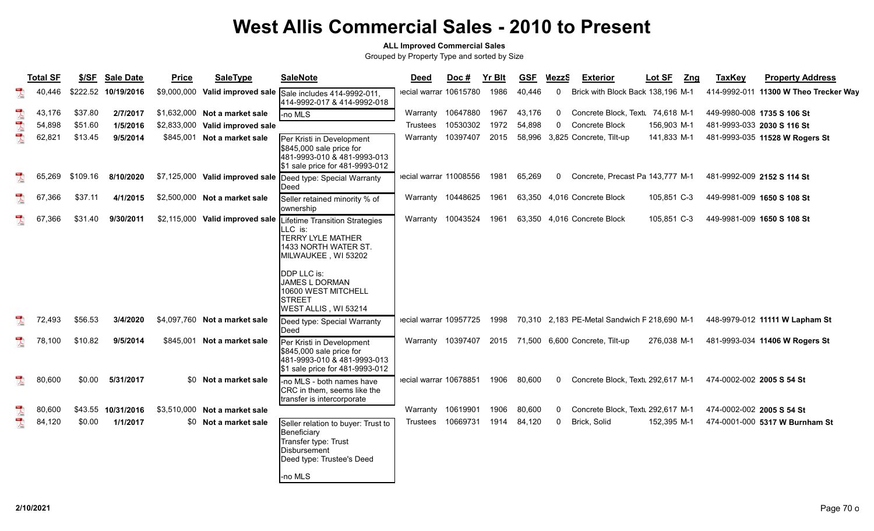#### **ALL Improved Commercial Sales**

|                                                                                                                                                                                                                                                                                                                                                                             | <b>Total SF</b> | \$/SF    | <b>Sale Date</b>    | <b>Price</b> | <b>SaleType</b>                 | <b>SaleNote</b>                                                                                                                                                                                                  | <b>Deed</b>           | Doc #    | <b>Yr Blt</b> | <b>GSF</b> | <b>MezzS</b> | <b>Exterior</b>                              | Lot SF      | <b>TaxKey</b><br>Zng | <b>Property Address</b>               |
|-----------------------------------------------------------------------------------------------------------------------------------------------------------------------------------------------------------------------------------------------------------------------------------------------------------------------------------------------------------------------------|-----------------|----------|---------------------|--------------|---------------------------------|------------------------------------------------------------------------------------------------------------------------------------------------------------------------------------------------------------------|-----------------------|----------|---------------|------------|--------------|----------------------------------------------|-------------|----------------------|---------------------------------------|
| $\sum_{k=1}^{100}$                                                                                                                                                                                                                                                                                                                                                          | 40.446          |          | \$222.52 10/19/2016 |              | \$9,000,000 Valid improved sale | Sale includes 414-9992-011,<br>414-9992-017 & 414-9992-018                                                                                                                                                       | ecial warrar 10615780 |          | 1986          | 40,446     | $\Omega$     | Brick with Block Back 138,196 M-1            |             |                      | 414-9992-011 11300 W Theo Trecker Way |
| $\overline{\mathcal{A}}$                                                                                                                                                                                                                                                                                                                                                    | 43,176          | \$37.80  | 2/7/2017            |              | \$1,632,000 Not a market sale   | -no MLS                                                                                                                                                                                                          | Warranty 10647880     |          | 1967          | 43,176     | $\Omega$     | Concrete Block, Text 74,618 M-1              |             |                      | 449-9980-008 1735 S 106 St            |
| $\sum_{k=1}^{n}$                                                                                                                                                                                                                                                                                                                                                            | 54,898          | \$51.60  | 1/5/2016            | \$2,833,000  | Valid improved sale             |                                                                                                                                                                                                                  | Trustees              | 10530302 | 1972          | 54,898     | $\Omega$     | Concrete Block                               | 156,903 M-1 |                      | 481-9993-033 2030 S 116 St            |
| $\sum_{i=1}^{10}$                                                                                                                                                                                                                                                                                                                                                           | 62,821          | \$13.45  | 9/5/2014            | \$845,001    | Not a market sale               | Per Kristi in Development<br>\$845,000 sale price for<br>481-9993-010 & 481-9993-013<br>\$1 sale price for 481-9993-012                                                                                          | Warranty              | 10397407 | 2015          |            |              | 58,996 3,825 Concrete, Tilt-up               | 141,833 M-1 |                      | 481-9993-035 11528 W Rogers St        |
| $\overline{\mathbf{r}}$                                                                                                                                                                                                                                                                                                                                                     | 65.269          | \$109.16 | 8/10/2020           |              | \$7,125,000 Valid improved sale | Deed type: Special Warranty<br>Deed                                                                                                                                                                              | ecial warrar 11008556 |          | 1981          | 65,269     | 0            | Concrete, Precast Pa 143,777 M-1             |             |                      | 481-9992-009 2152 S 114 St            |
| 人                                                                                                                                                                                                                                                                                                                                                                           | 67,366          | \$37.11  | 4/1/2015            |              | \$2,500,000 Not a market sale   | Seller retained minority % of<br>ownership                                                                                                                                                                       | Warranty 10448625     |          | 1961          | 63,350     |              | 4,016 Concrete Block                         | 105,851 C-3 |                      | 449-9981-009 1650 S 108 St            |
|                                                                                                                                                                                                                                                                                                                                                                             | 67,366          | \$31.40  | 9/30/2011           |              | \$2,115,000 Valid improved sale | Lifetime Transition Strategies<br>LLC is:<br><b>TERRY LYLE MATHER</b><br>1433 NORTH WATER ST.<br>MILWAUKEE, WI 53202<br>DDP LLC is:<br>JAMES L DORMAN<br>10600 WEST MITCHELL<br>ISTREET<br>WEST ALLIS , WI 53214 | Warranty              | 10043524 | 1961          | 63,350     |              | 4,016 Concrete Block                         | 105,851 C-3 |                      | 449-9981-009 1650 S 108 St            |
| $\mathbb{Z}$                                                                                                                                                                                                                                                                                                                                                                | 72,493          | \$56.53  | 3/4/2020            |              | \$4,097,760 Not a market sale   | Deed type: Special Warranty<br>Deed                                                                                                                                                                              | ecial warrar 10957725 |          | 1998          |            |              | 70,310 2,183 PE-Metal Sandwich F 218,690 M-1 |             |                      | 448-9979-012 11111 W Lapham St        |
|                                                                                                                                                                                                                                                                                                                                                                             | 78,100          | \$10.82  | 9/5/2014            | \$845.001    | Not a market sale               | Per Kristi in Development<br>\$845,000 sale price for<br>481-9993-010 & 481-9993-013<br>\$1 sale price for 481-9993-012                                                                                          | Warranty 10397407     |          |               |            |              | 2015 71,500 6,600 Concrete, Tilt-up          | 276,038 M-1 |                      | 481-9993-034 11406 W Rogers St        |
| $\mathbb{R}$                                                                                                                                                                                                                                                                                                                                                                | 80,600          | \$0.00   | 5/31/2017           |              | \$0 Not a market sale           | -no MLS - both names have<br>CRC in them, seems like the<br>transfer is intercorporate                                                                                                                           | ecial warrar 10678851 |          | 1906          | 80,600     | $\Omega$     | Concrete Block, Textl 292,617 M-1            |             |                      | 474-0002-002 2005 S 54 St             |
| $\begin{picture}(20,20) \put(0,0){\vector(0,1){10}} \put(15,0){\vector(0,1){10}} \put(15,0){\vector(0,1){10}} \put(15,0){\vector(0,1){10}} \put(15,0){\vector(0,1){10}} \put(15,0){\vector(0,1){10}} \put(15,0){\vector(0,1){10}} \put(15,0){\vector(0,1){10}} \put(15,0){\vector(0,1){10}} \put(15,0){\vector(0,1){10}} \put(15,0){\vector(0,1){10}} \put(15,0){\vector(0$ | 80,600          | \$43.55  | 10/31/2016          | \$3,510,000  | Not a market sale               |                                                                                                                                                                                                                  | Warranty              | 10619901 | 1906          | 80,600     | 0            | Concrete Block, Textu 292,617 M-1            |             |                      | 474-0002-002 2005 S 54 St             |
| $\mathbb{R}$                                                                                                                                                                                                                                                                                                                                                                | 84,120          | \$0.00   | 1/1/2017            | \$0          | Not a market sale               | Seller relation to buyer: Trust to<br>Beneficiary<br>Transfer type: Trust<br>Disbursement<br>Deed type: Trustee's Deed<br>I-no MLS                                                                               | Trustees              | 10669731 | 1914          | 84,120     | $\mathbf{0}$ | Brick, Solid                                 | 152,395 M-1 |                      | 474-0001-000 5317 W Burnham St        |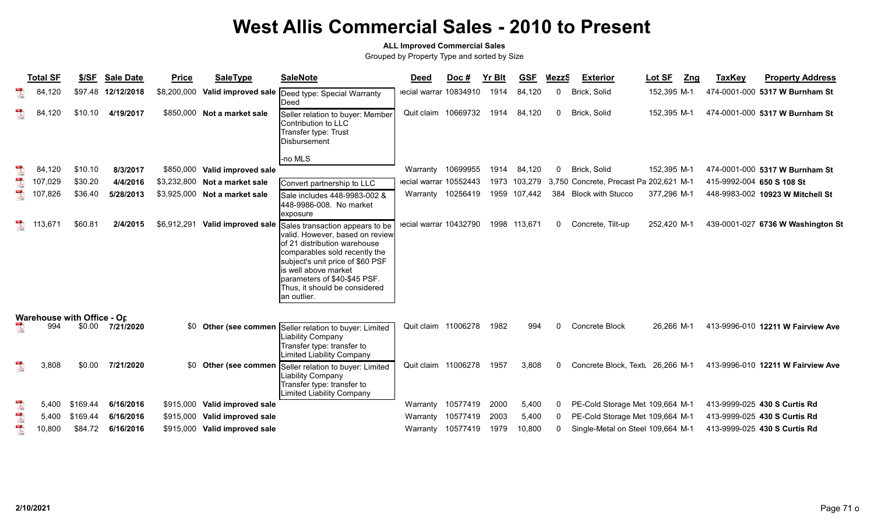### **ALL Improved Commercial Sales**

|                          | <b>Total SF</b> | \$/SF                      | <b>Sale Date</b> | <b>Price</b> | <b>SaleType</b>               | <b>SaleNote</b>                                                                                                                                                                                                                                                                                         | Deed                  | Doc #             | <b>Yr Blt</b> | <b>GSF</b>   | MezzS        | <b>Exterior</b>                        | <b>Lot SF</b> | Zng | <b>TaxKey</b>             | <b>Property Address</b>           |
|--------------------------|-----------------|----------------------------|------------------|--------------|-------------------------------|---------------------------------------------------------------------------------------------------------------------------------------------------------------------------------------------------------------------------------------------------------------------------------------------------------|-----------------------|-------------------|---------------|--------------|--------------|----------------------------------------|---------------|-----|---------------------------|-----------------------------------|
| $\frac{1}{\sqrt{2}}$     | 84,120          | \$97.48                    | 12/12/2018       | \$8,200,000  |                               | Valid improved sale  Deed type: Special Warranty<br><b>IDeed</b>                                                                                                                                                                                                                                        | ecial warrar 10834910 |                   | 1914          | 84,120       | $\mathbf{0}$ | Brick, Solid                           | 152,395 M-1   |     |                           | 474-0001-000 5317 W Burnham St    |
|                          | 84,120          | \$10.10                    | 4/19/2017        | \$850,000    | Not a market sale             | Seller relation to buyer: Member<br>Contribution to LLC<br>Transfer type: Trust<br><b>IDisbursement</b>                                                                                                                                                                                                 | Quit claim 10669732   |                   | 1914          | 84.120       | 0            | Brick, Solid                           | 152,395 M-1   |     |                           | 474-0001-000 5317 W Burnham St    |
|                          |                 |                            |                  |              |                               | -no MLS                                                                                                                                                                                                                                                                                                 |                       |                   |               |              |              |                                        |               |     |                           |                                   |
|                          | 84,120          | \$10.10                    | 8/3/2017         | \$850,000    | Valid improved sale           |                                                                                                                                                                                                                                                                                                         | Warranty              | 10699955          | 1914          | 84,120       | 0            | Brick, Solid                           | 152.395 M-1   |     |                           | 474-0001-000 5317 W Burnham St    |
| $\overline{\mathbf{r}}$  | 107,029         | \$30.20                    | 4/4/2016         |              | \$3,232,800 Not a market sale | Convert partnership to LLC                                                                                                                                                                                                                                                                              | ecial warrar 10552443 |                   | 1973          | 103,279      |              | 3.750 Concrete. Precast Pa 202.621 M-1 |               |     | 415-9992-004 650 S 108 St |                                   |
| $\mathbb{R}$             | 107,826         | \$36.40                    | 5/28/2013        |              | \$3,925,000 Not a market sale | Sale includes 448-9983-002 &<br>1448-9986-008. No market<br>exposure                                                                                                                                                                                                                                    |                       | Warranty 10256419 | 1959          | 107,442      | 384          | <b>Block with Stucco</b>               | 377,296 M-1   |     |                           | 448-9983-002 10923 W Mitchell St  |
| $\overline{\mathcal{A}}$ | 113,671         | \$60.81                    | 2/4/2015         | \$6,912,291  |                               | Valid improved sale Sales transaction appears to be<br>valid. However, based on review<br>lof 21 distribution warehouse<br>comparables sold recently the<br>subject's unit price of \$60 PSF<br>lis well above market<br>lparameters of \$40-\$45 PSF.<br>Thus, it should be considered<br>lan outlier. | ecial warrar 10432790 |                   |               | 1998 113,671 | $\mathbf{0}$ | Concrete, Tilt-up                      | 252,420 M-1   |     |                           | 439-0001-027 6736 W Washington St |
|                          |                 | Warehouse with Office - Or |                  |              |                               |                                                                                                                                                                                                                                                                                                         |                       |                   |               |              |              |                                        |               |     |                           |                                   |
|                          | 994             | \$0.00                     | 7/21/2020        |              | \$0 Other (see commen         | Seller relation to buyer: Limited<br>Liability Company<br>Transfer type: transfer to<br>Limited Liability Company                                                                                                                                                                                       | Quit claim 11006278   |                   | 1982          | 994          | $\Omega$     | Concrete Block                         | 26,266 M-1    |     |                           | 413-9996-010 12211 W Fairview Ave |
|                          | 3,808           | \$0.00                     | 7/21/2020        | <b>SO</b>    |                               | Other (see commen Seller relation to buyer: Limited<br>Liability Company<br>Transfer type: transfer to<br>Limited Liability Company                                                                                                                                                                     | Quit claim 11006278   |                   | 1957          | 3,808        | $\Omega$     | Concrete Block, Textl 26,266 M-1       |               |     |                           | 413-9996-010 12211 W Fairview Ave |
| $\sum_{k=1}^{10}$        | 5,400           | \$169.44                   | 6/16/2016        | \$915,000    | Valid improved sale           |                                                                                                                                                                                                                                                                                                         | Warranty              | 10577419          | 2000          | 5,400        | 0            | PE-Cold Storage Met 109,664 M-1        |               |     |                           | 413-9999-025 430 S Curtis Rd      |
| $\frac{1}{\sqrt{2}}$     | 5.400           | \$169.44                   | 6/16/2016        | \$915,000    | Valid improved sale           |                                                                                                                                                                                                                                                                                                         | Warranty              | 10577419          | 2003          | 5,400        |              | PE-Cold Storage Met 109,664 M-1        |               |     |                           | 413-9999-025 430 S Curtis Rd      |
| 10 <sup>2</sup>          | 10,800          | \$84.72                    | 6/16/2016        | \$915,000    | Valid improved sale           |                                                                                                                                                                                                                                                                                                         | Warranty              | 10577419          | 1979          | 10,800       | $\Omega$     | Single-Metal on Steel 109,664 M-1      |               |     |                           | 413-9999-025 430 S Curtis Rd      |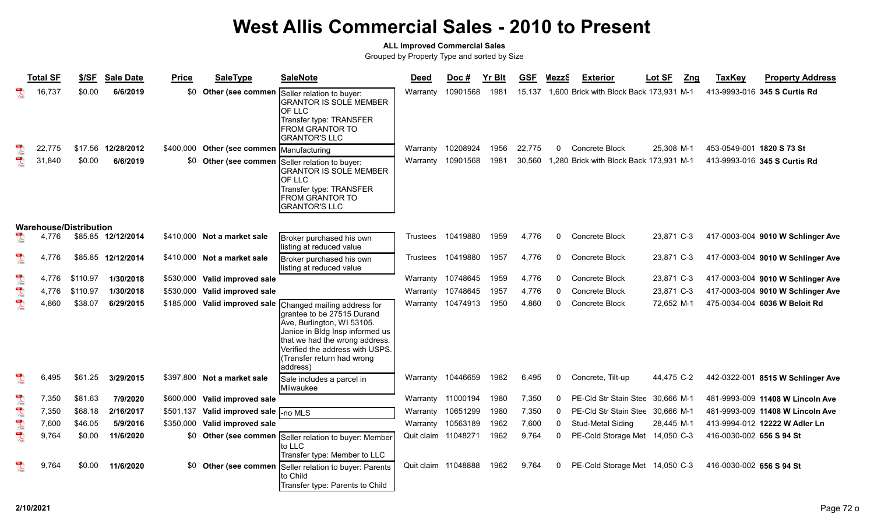### **ALL Improved Commercial Sales**

|                         | <b>Total SF</b> | \$/SF                         | <b>Sale Date</b>   | <b>Price</b> | <b>SaleType</b>                             | <b>SaleNote</b>                                                                                                                                                                                                                                                         | <b>Deed</b>         | Doc#                | <b>Yr Blt</b> | <b>GSF</b> | <b>MezzS</b> | <b>Exterior</b>                         | Lot SF     | Zng | <b>TaxKey</b>             | <b>Property Address</b>           |
|-------------------------|-----------------|-------------------------------|--------------------|--------------|---------------------------------------------|-------------------------------------------------------------------------------------------------------------------------------------------------------------------------------------------------------------------------------------------------------------------------|---------------------|---------------------|---------------|------------|--------------|-----------------------------------------|------------|-----|---------------------------|-----------------------------------|
|                         | 16,737          | \$0.00                        | 6/6/2019           | \$0          | Other (see commer                           | Seller relation to buyer:<br><b>GRANTOR IS SOLE MEMBER</b><br><b>OF LLC</b><br>Transfer type: TRANSFER<br><b>FROM GRANTOR TO</b><br><b>GRANTOR'S LLC</b>                                                                                                                | Warranty            | 10901568            | 1981          | 15.137     |              | 1.600 Brick with Block Back 173.931 M-1 |            |     |                           | 413-9993-016 345 S Curtis Rd      |
| $\sum_{\rm kink}$       | 22,775          | \$17.56                       | 12/28/2012         |              | \$400,000 Other (see commen   Manufacturing |                                                                                                                                                                                                                                                                         | Warrantv            | 10208924            | 1956          | 22,775     | $\mathbf{0}$ | Concrete Block                          | 25.308 M-1 |     | 453-0549-001 1820 S 73 St |                                   |
| $\overline{\lambda}$    | 31,840          | \$0.00                        | 6/6/2019           | \$0          | Other (see commen                           | Seller relation to buyer:<br><b>GRANTOR IS SOLE MEMBER</b><br><b>OF LLC</b><br>Transfer type: TRANSFER<br><b>FROM GRANTOR TO</b><br><b>GRANTOR'S LLC</b>                                                                                                                |                     | Warranty 10901568   | 1981          | 30.560     |              | 1,280 Brick with Block Back 173,931 M-1 |            |     |                           | 413-9993-016 345 S Curtis Rd      |
|                         |                 | <b>Warehouse/Distribution</b> |                    |              |                                             |                                                                                                                                                                                                                                                                         |                     |                     |               |            |              |                                         |            |     |                           |                                   |
|                         | 4,776           |                               | \$85.85 12/12/2014 |              | \$410,000 Not a market sale                 | Broker purchased his own<br>listing at reduced value                                                                                                                                                                                                                    | <b>Trustees</b>     | 10419880            | 1959          | 4,776      | $\Omega$     | Concrete Block                          | 23,871 C-3 |     |                           | 417-0003-004 9010 W Schlinger Ave |
| $\sum_{\text{back}}$    | 4.776           |                               | \$85.85 12/12/2014 |              | \$410,000 Not a market sale                 | Broker purchased his own<br>listing at reduced value                                                                                                                                                                                                                    | Trustees            | 10419880            | 1957          | 4,776      | $\Omega$     | <b>Concrete Block</b>                   | 23.871 C-3 |     |                           | 417-0003-004 9010 W Schlinger Ave |
| $\lambda$               | 4,776           | \$110.97                      | 1/30/2018          |              | \$530,000 Valid improved sale               |                                                                                                                                                                                                                                                                         |                     | Warranty 10748645   | 1959          | 4,776      | $\Omega$     | Concrete Block                          | 23,871 C-3 |     |                           | 417-0003-004 9010 W Schlinger Ave |
|                         | 4,776           | \$110.97                      | 1/30/2018          | \$530,000    | Valid improved sale                         |                                                                                                                                                                                                                                                                         | Warranty            | 10748645            | 1957          | 4,776      | $\Omega$     | Concrete Block                          | 23,871 C-3 |     |                           | 417-0003-004 9010 W Schlinger Ave |
|                         | 4,860           | \$38.07                       | 6/29/2015          |              |                                             | \$185,000 Valid improved sale Changed mailing address for<br>grantee to be 27515 Durand<br>Ave, Burlington, WI 53105.<br>Janice in Bldg Insp informed us<br>that we had the wrong address.<br>Verified the address with USPS.<br>(Transfer return had wrong<br>address) |                     | Warranty 10474913   | 1950          | 4,860      | $\Omega$     | Concrete Block                          | 72,652 M-1 |     |                           | 475-0034-004 6036 W Beloit Rd     |
| $\overline{\mathbf{r}}$ | 6,495           | \$61.25                       | 3/29/2015          |              | \$397,800 Not a market sale                 | Sale includes a parcel in<br>Milwaukee                                                                                                                                                                                                                                  |                     | Warranty 10446659   | 1982          | 6,495      | 0            | Concrete, Tilt-up                       | 44,475 C-2 |     |                           | 442-0322-001 8515 W Schlinger Ave |
|                         | 7,350           | \$81.63                       | 7/9/2020           |              | \$600,000 Valid improved sale               |                                                                                                                                                                                                                                                                         |                     | Warranty 11000194   | 1980          | 7,350      | $\Omega$     | PE-Cld Str Stain Stee 30,666 M-1        |            |     |                           | 481-9993-009 11408 W Lincoln Ave  |
|                         | 7,350           | \$68.18                       | 2/16/2017          | \$501,137    | Valid improved sale                         | -no MLS                                                                                                                                                                                                                                                                 |                     | Warranty 10651299   | 1980          | 7,350      | $\Omega$     | PE-Cld Str Stain Stee 30,666 M-1        |            |     |                           | 481-9993-009 11408 W Lincoln Ave  |
| $\sum_{k=1}^{N}$        | 7,600           | \$46.05                       | 5/9/2016           |              | \$350,000 Valid improved sale               |                                                                                                                                                                                                                                                                         |                     | Warranty 10563189   | 1962          | 7,600      | $\Omega$     | Stud-Metal Siding                       | 28,445 M-1 |     |                           | 413-9994-012 12222 W Adler Ln     |
| $\frac{1}{\sqrt{2}}$    | 9,764           | \$0.00                        | 11/6/2020          |              | \$0 Other (see commen                       | Seller relation to buyer: Member<br>to LLC<br>Transfer type: Member to LLC                                                                                                                                                                                              | Quit claim 11048271 |                     | 1962          | 9,764      | $\mathbf{0}$ | PE-Cold Storage Met 14,050 C-3          |            |     | 416-0030-002 656 S 94 St  |                                   |
|                         | 9,764           | \$0.00                        | 11/6/2020          | \$0          | Other (see commen                           | Seller relation to buyer: Parents<br>to Child<br>Transfer type: Parents to Child                                                                                                                                                                                        |                     | Quit claim 11048888 | 1962          | 9,764      | 0            | PE-Cold Storage Met 14,050 C-3          |            |     | 416-0030-002 656 S 94 St  |                                   |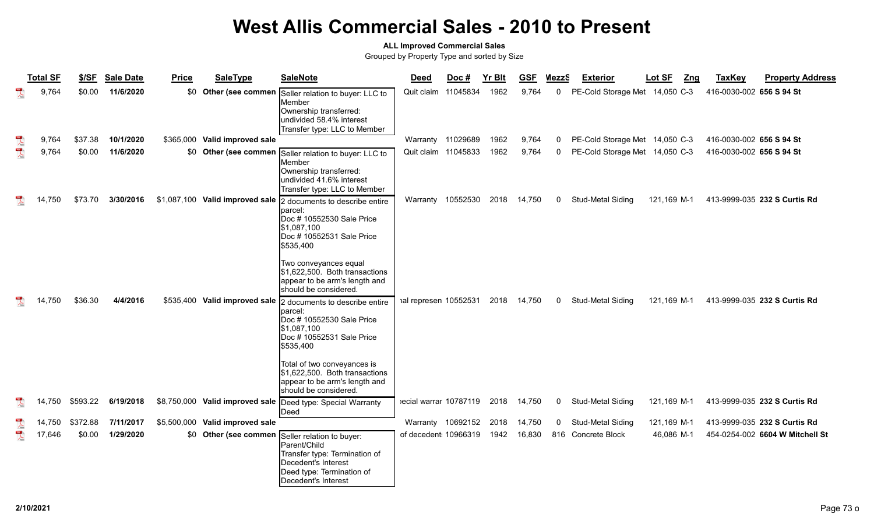# **West Allis Commercial Sales - 2010 to Present**

### **ALL Improved Commercial Sales**

Grouped by Property Type and sorted by Size

|                         | <b>Total SF</b>  | \$/SF              | <b>Sale Date</b>      | <b>Price</b> | <b>SaleType</b>                                                  | <b>SaleNote</b>                                                                                                                                                                                                                                                                                                                                                                                                                                           | <b>Deed</b>                                | Doc # | <b>Yr Blt</b> | <b>GSF</b>       | MezzS        | <b>Exterior</b>                                      | Lot SF                     | Zng | <b>TaxKey</b>            | <b>Property Address</b>                                      |
|-------------------------|------------------|--------------------|-----------------------|--------------|------------------------------------------------------------------|-----------------------------------------------------------------------------------------------------------------------------------------------------------------------------------------------------------------------------------------------------------------------------------------------------------------------------------------------------------------------------------------------------------------------------------------------------------|--------------------------------------------|-------|---------------|------------------|--------------|------------------------------------------------------|----------------------------|-----|--------------------------|--------------------------------------------------------------|
|                         | 9,764            | \$0.00             | 11/6/2020             |              | \$0 Other (see commen                                            | Seller relation to buyer: LLC to<br>Member<br>Ownership transferred:<br>undivided 58.4% interest<br>Transfer type: LLC to Member                                                                                                                                                                                                                                                                                                                          | Quit claim 11045834                        |       | 1962          | 9.764            | $\mathbf{0}$ | PE-Cold Storage Met 14,050 C-3                       |                            |     | 416-0030-002 656 S 94 St |                                                              |
| $\lambda$               | 9,764            | \$37.38            | 10/1/2020             |              | \$365,000 Valid improved sale                                    |                                                                                                                                                                                                                                                                                                                                                                                                                                                           | Warranty 11029689                          |       | 1962          | 9,764            | 0            | PE-Cold Storage Met 14,050 C-3                       |                            |     | 416-0030-002 656 S 94 St |                                                              |
| $\overline{\mathbf{r}}$ | 9,764            | \$0.00             | 11/6/2020             | \$0          | Other (see commen                                                | Seller relation to buyer: LLC to<br>Member<br>Ownership transferred:<br>undivided 41.6% interest<br>Transfer type: LLC to Member                                                                                                                                                                                                                                                                                                                          | Quit claim 11045833                        |       | 1962          | 9,764            | $\mathbf{0}$ | PE-Cold Storage Met 14,050 C-3                       |                            |     | 416-0030-002 656 S 94 St |                                                              |
|                         | 14,750<br>14,750 | \$73.70<br>\$36.30 | 3/30/2016<br>4/4/2016 |              | \$1,087,100 Valid improved sale<br>\$535,400 Valid improved sale | 2 documents to describe entire<br>parcel:<br>Doc # 10552530 Sale Price<br>\$1,087,100<br>Doc # 10552531 Sale Price<br>\$535,400<br>Two conveyances equal<br>\$1,622,500. Both transactions<br>appear to be arm's length and<br>Ishould be considered.<br>2 documents to describe entire<br>parcel:<br>Doc # 10552530 Sale Price<br>\$1,087,100<br>Doc # 10552531 Sale Price<br>\$535,400<br>Total of two conveyances is<br>\$1,622,500. Both transactions | Warranty 10552530<br>ial represen 10552531 |       | 2018<br>2018  | 14,750<br>14,750 | 0<br>0       | <b>Stud-Metal Siding</b><br><b>Stud-Metal Siding</b> | 121,169 M-1<br>121.169 M-1 |     |                          | 413-9999-035 232 S Curtis Rd<br>413-9999-035 232 S Curtis Rd |
|                         |                  |                    |                       |              |                                                                  | appear to be arm's length and<br>should be considered.                                                                                                                                                                                                                                                                                                                                                                                                    |                                            |       |               |                  |              |                                                      |                            |     |                          |                                                              |
|                         | 14,750           | \$593.22           | 6/19/2018             |              | \$8,750,000 Valid improved sale                                  | Deed type: Special Warranty<br>Deed                                                                                                                                                                                                                                                                                                                                                                                                                       | ecial warrar 10787119                      |       | 2018          | 14,750           | 0            | Stud-Metal Siding                                    | 121,169 M-1                |     |                          | 413-9999-035 232 S Curtis Rd                                 |
| $\sum_{k=0}^{100}$      | 14,750           | \$372.88           | 7/11/2017             |              | \$5,500,000 Valid improved sale                                  |                                                                                                                                                                                                                                                                                                                                                                                                                                                           | Warranty 10692152                          |       | 2018          | 14,750           | 0            | Stud-Metal Siding                                    | 121,169 M-1                |     |                          | 413-9999-035 232 S Curtis Rd                                 |
| $\mathbb{R}$            | 17,646           | \$0.00             | 1/29/2020             | \$0          | Other (see commen                                                | Seller relation to buyer:<br>Parent/Child<br>Transfer type: Termination of<br>Decedent's Interest<br>Deed type: Termination of<br>Decedent's Interest                                                                                                                                                                                                                                                                                                     | of decedent: 10966319                      |       | 1942          | 16,830           |              | 816 Concrete Block                                   | 46,086 M-1                 |     |                          | 454-0254-002 6604 W Mitchell St                              |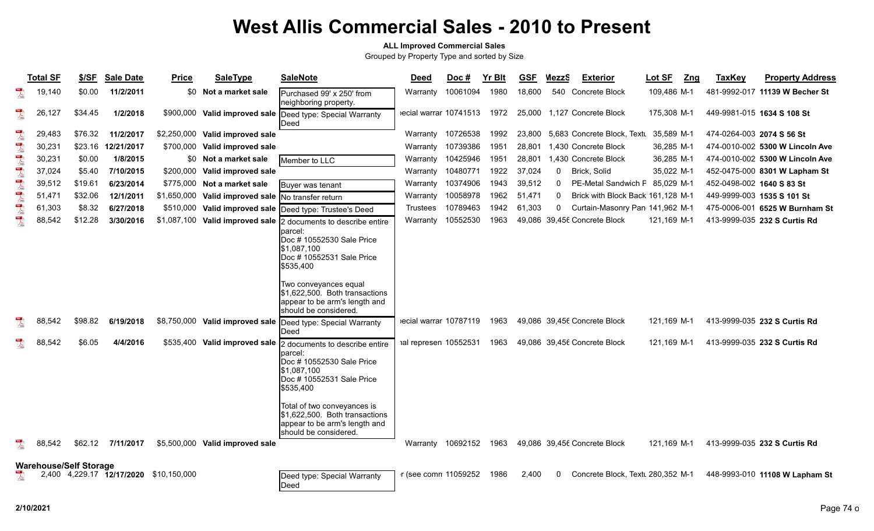## **West Allis Commercial Sales - 2010 to Present**

#### **ALL Improved Commercial Sales**

Grouped by Property Type and sorted by Size

|                          | <b>Total SF</b> | \$/SF                         | <b>Sale Date</b> | <b>Price</b>                           | <b>SaleType</b>                 | <b>SaleNote</b>                                                                                                                                                                                                    | <b>Deed</b>           | Doc#          | <b>Yr Blt</b> | <b>GSF</b> | MezzS    | <b>Exterior</b>                    | Lot SF      | Zng | TaxKey                    | <b>Property Address</b>         |
|--------------------------|-----------------|-------------------------------|------------------|----------------------------------------|---------------------------------|--------------------------------------------------------------------------------------------------------------------------------------------------------------------------------------------------------------------|-----------------------|---------------|---------------|------------|----------|------------------------------------|-------------|-----|---------------------------|---------------------------------|
|                          | 19,140          | \$0.00                        | 11/2/2011        | \$0                                    | Not a market sale               | Purchased 99' x 250' from<br>neighboring property.                                                                                                                                                                 | Warrantv              | 10061094      | 1980          | 18,600     | 540      | Concrete Block                     | 109,486 M-1 |     |                           | 481-9992-017 11139 W Becher St  |
|                          | 26,127          | \$34.45                       | 1/2/2018         |                                        | \$900,000 Valid improved sale   | Deed type: Special Warranty<br>Deed                                                                                                                                                                                | ecial warrar 10741513 |               | 1972          |            |          | 25,000 1,127 Concrete Block        | 175,308 M-1 |     |                           | 449-9981-015 1634 S 108 St      |
| $\overline{\mathbf{r}}$  | 29,483          | \$76.32                       | 11/2/2017        |                                        | \$2,250,000 Valid improved sale |                                                                                                                                                                                                                    | Warranty              | 10726538      | 1992          |            |          | 23,800 5,683 Concrete Block, Textu | 35,589 M-1  |     | 474-0264-003 2074 S 56 St |                                 |
| $\frac{100}{\sqrt{25}}$  | 30,231          | \$23.16                       | 12/21/2017       | \$700,000                              | Valid improved sale             |                                                                                                                                                                                                                    | Warranty              | 10739386      | 1951          | 28.801     |          | 1.430 Concrete Block               | 36.285 M-1  |     |                           | 474-0010-002 5300 W Lincoln Ave |
| $\mathbb{R}$             | 30,231          | \$0.00                        | 1/8/2015         | \$0                                    | Not a market sale               | Member to LLC                                                                                                                                                                                                      | Warranty              | 10425946      | 1951          | 28,801     |          | 1.430 Concrete Block               | 36,285 M-1  |     |                           | 474-0010-002 5300 W Lincoln Ave |
| $\overline{\lambda}$     | 37,024          | \$5.40                        | 7/10/2015        | \$200,000                              | Valid improved sale             |                                                                                                                                                                                                                    | Warranty              | 10480771      | 1922          | 37,024     | 0        | Brick, Solid                       | 35,022 M-1  |     |                           | 452-0475-000 8301 W Lapham St   |
| $\overline{\mathbf{r}}$  | 39,512          | \$19.61                       | 6/23/2014        | \$775,000                              | Not a market sale               | Buyer was tenant                                                                                                                                                                                                   | Warranty              | 10374906      | 1943          | 39,512     | $\Omega$ | PE-Metal Sandwich F 85,029 M-1     |             |     | 452-0498-002 1640 S 83 St |                                 |
| $\frac{100}{\sqrt{25}}$  | 51,471          | \$32.06                       | 12/1/2011        |                                        | \$1,650,000 Valid improved sale | No transfer return                                                                                                                                                                                                 | Warranty              | 10058978      | 1962          | 51,471     | $\Omega$ | Brick with Block Back 161,128 M-1  |             |     |                           | 449-9999-003 1535 S 101 St      |
| $\overline{\mathcal{A}}$ | 61,303          | \$8.32                        | 6/27/2018        | \$510,000                              | Valid improved sale             | Deed type: Trustee's Deed                                                                                                                                                                                          | Trustees              | 10789463      | 1942          | 61,303     | 0        | Curtain-Masonry Pan 141,962 M-1    |             |     |                           | 475-0006-001 6525 W Burnham St  |
|                          | 88,542          | \$12.28                       | 3/30/2016        | \$1,087,100                            |                                 | Valid improved sale 2 documents to describe entire                                                                                                                                                                 | Warrantv              | 10552530      | 1963          | 49,086     |          | 39,456 Concrete Block              | 121,169 M-1 |     |                           | 413-9999-035 232 S Curtis Rd    |
|                          |                 |                               |                  |                                        |                                 | parcel:<br>Doc # 10552530 Sale Price<br>\$1.087.100<br>Doc # 10552531 Sale Price<br>\$535,400<br>Two conveyances equal<br>\$1,622,500. Both transactions<br>appear to be arm's length and<br>should be considered. |                       |               |               |            |          |                                    |             |     |                           |                                 |
|                          | 88,542          | \$98.82                       | 6/19/2018        |                                        |                                 | \$8,750,000 Valid improved sale Deed type: Special Warranty<br>Deed                                                                                                                                                | ecial warrar 10787119 |               | 1963          |            |          | 49,086 39,456 Concrete Block       | 121,169 M-1 |     |                           | 413-9999-035 232 S Curtis Rd    |
|                          | 88,542          | \$6.05                        | 4/4/2016         | \$535.400                              | Valid improved sale             | 2 documents to describe entire<br>parcel:<br>Doc # 10552530 Sale Price<br>\$1,087,100<br>Doc # 10552531 Sale Price<br>\$535,400                                                                                    | ial represen 10552531 |               | 1963          |            |          | 49,086 39,456 Concrete Block       | 121.169 M-1 |     |                           | 413-9999-035 232 S Curtis Rd    |
|                          | 88.542          | \$62.12                       | 7/11/2017        |                                        | \$5,500,000 Valid improved sale | Total of two conveyances is<br>\$1,622,500. Both transactions<br>appear to be arm's length and<br>should be considered.                                                                                            | Warranty              | 10692152 1963 |               |            |          | 49,086 39,456 Concrete Block       | 121.169 M-1 |     |                           | 413-9999-035 232 S Curtis Rd    |
|                          |                 |                               |                  |                                        |                                 |                                                                                                                                                                                                                    |                       |               |               |            |          |                                    |             |     |                           |                                 |
|                          |                 | <b>Warehouse/Self Storage</b> |                  |                                        |                                 |                                                                                                                                                                                                                    |                       |               |               |            |          |                                    |             |     |                           |                                 |
|                          |                 |                               |                  | 2,400 4,229.17 12/17/2020 \$10,150,000 |                                 | Deed type: Special Warranty<br><b>I</b> Deed                                                                                                                                                                       | r (see comn 11059252  |               | 1986          | 2.400      | 0        | Concrete Block, Textu 280,352 M-1  |             |     |                           | 448-9993-010 11108 W Lapham St  |